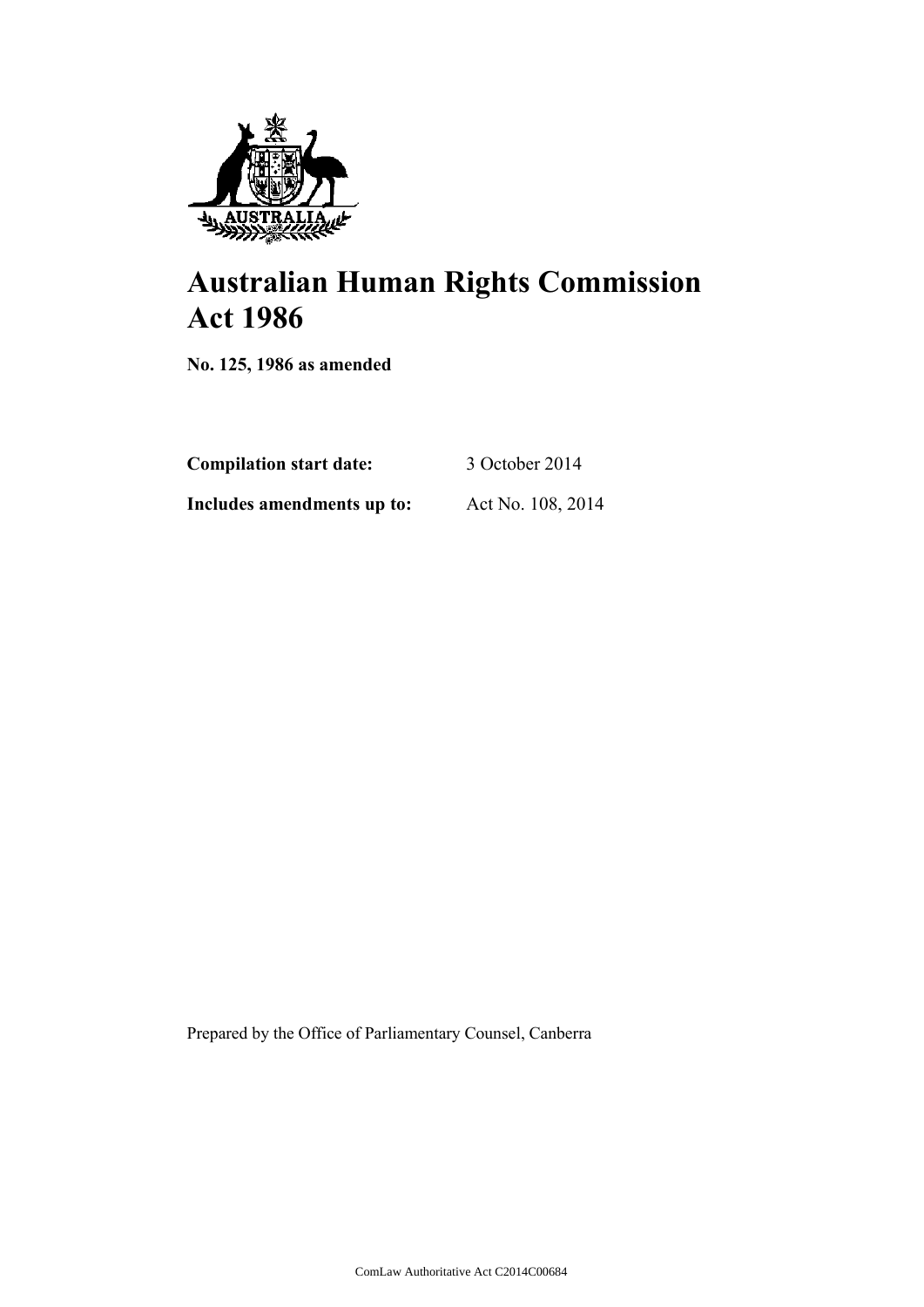

# **Australian Human Rights Commission Act 1986**

**No. 125, 1986 as amended**

| <b>Compilation start date:</b> | 3 October 2014    |  |
|--------------------------------|-------------------|--|
| Includes amendments up to:     | Act No. 108, 2014 |  |

Prepared by the Office of Parliamentary Counsel, Canberra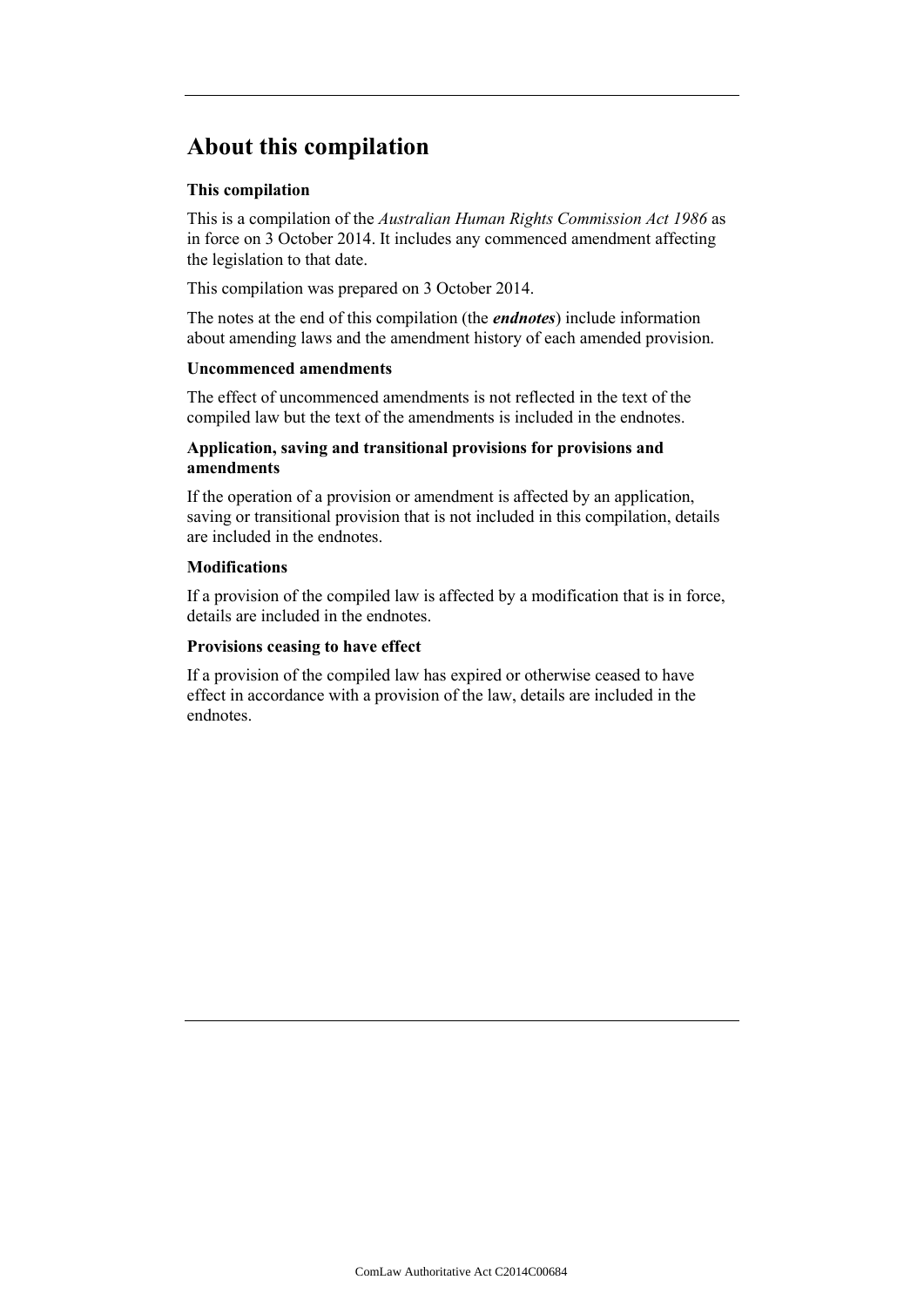# **About this compilation**

### **This compilation**

This is a compilation of the *Australian Human Rights Commission Act 1986* as in force on 3 October 2014. It includes any commenced amendment affecting the legislation to that date.

This compilation was prepared on 3 October 2014.

The notes at the end of this compilation (the *endnotes*) include information about amending laws and the amendment history of each amended provision.

#### **Uncommenced amendments**

The effect of uncommenced amendments is not reflected in the text of the compiled law but the text of the amendments is included in the endnotes.

# **Application, saving and transitional provisions for provisions and amendments**

If the operation of a provision or amendment is affected by an application, saving or transitional provision that is not included in this compilation, details are included in the endnotes.

# **Modifications**

If a provision of the compiled law is affected by a modification that is in force, details are included in the endnotes.

# **Provisions ceasing to have effect**

If a provision of the compiled law has expired or otherwise ceased to have effect in accordance with a provision of the law, details are included in the endnotes.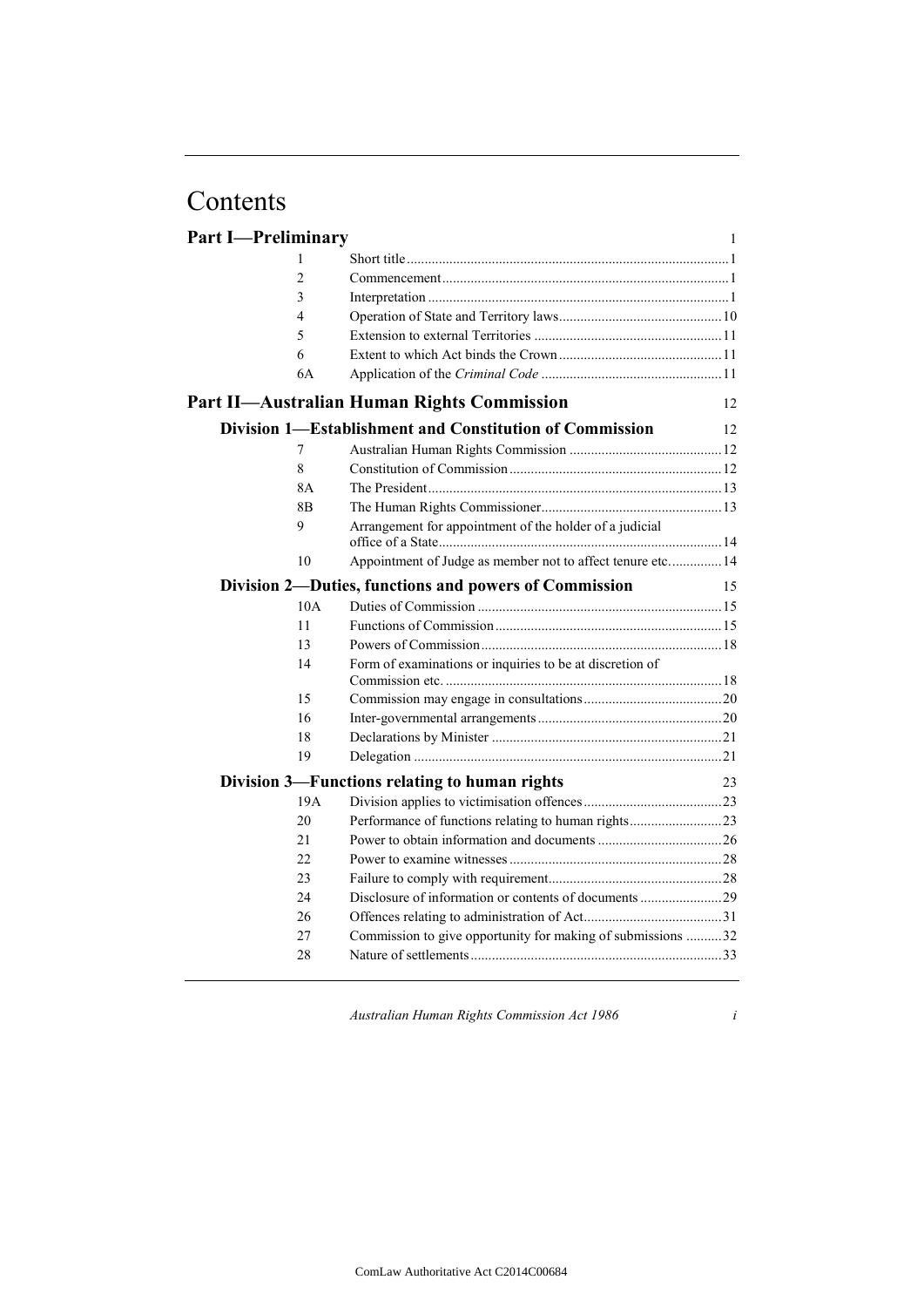# Contents

| <b>Part I-Preliminary</b> |                |                                                             | $\mathbf{1}$ |
|---------------------------|----------------|-------------------------------------------------------------|--------------|
|                           | 1              |                                                             |              |
|                           | $\overline{c}$ |                                                             |              |
|                           | 3              |                                                             |              |
|                           | 4              |                                                             |              |
|                           | 5              |                                                             |              |
|                           | 6              |                                                             |              |
|                           | 6A             |                                                             |              |
|                           |                | <b>Part II—Australian Human Rights Commission</b>           | 12           |
|                           |                | Division 1—Establishment and Constitution of Commission     | 12           |
|                           | 7              |                                                             |              |
|                           | 8              |                                                             |              |
|                           | 8A             |                                                             |              |
|                           | 8B             |                                                             |              |
|                           | 9              | Arrangement for appointment of the holder of a judicial     |              |
|                           | 10             | Appointment of Judge as member not to affect tenure etc 14  |              |
|                           |                | Division 2—Duties, functions and powers of Commission       | 15           |
|                           | 10A            |                                                             |              |
|                           | 11             |                                                             |              |
|                           | 13             |                                                             |              |
|                           | 14             | Form of examinations or inquiries to be at discretion of    |              |
|                           | 15             |                                                             |              |
|                           | 16             |                                                             |              |
|                           | 18             |                                                             |              |
|                           | 19             |                                                             |              |
|                           |                | Division 3—Functions relating to human rights               | 23           |
|                           | 19A            |                                                             |              |
|                           | 20             | Performance of functions relating to human rights23         |              |
|                           | 2.1            |                                                             |              |
|                           | 22.            |                                                             |              |
|                           | 23             |                                                             |              |
|                           | 24             |                                                             |              |
|                           | 26             |                                                             |              |
|                           | 27             | Commission to give opportunity for making of submissions 32 |              |
|                           | 28             |                                                             |              |
|                           |                |                                                             |              |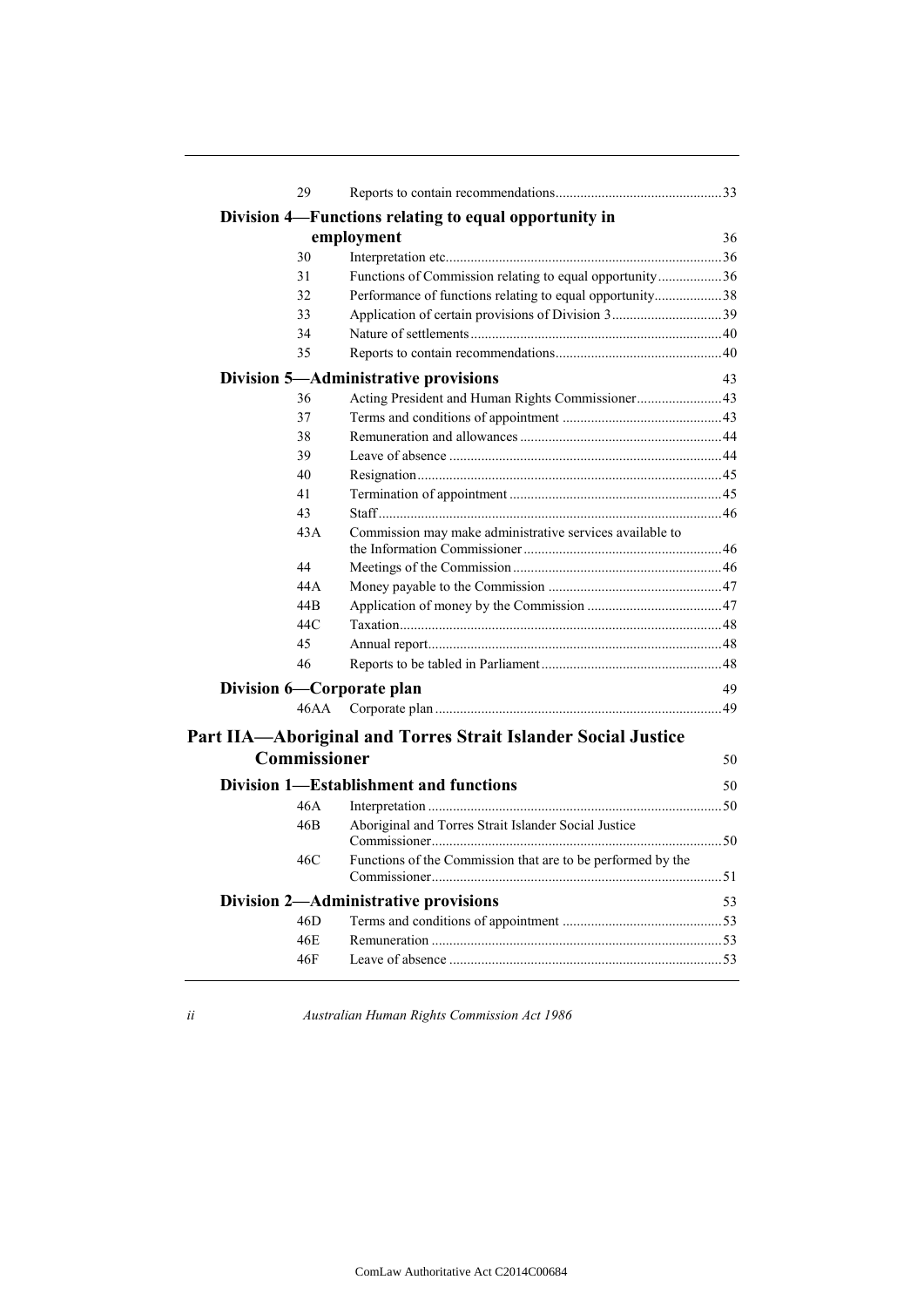|                           | 29                  |                                                               |    |
|---------------------------|---------------------|---------------------------------------------------------------|----|
|                           |                     | Division 4—Functions relating to equal opportunity in         |    |
|                           |                     | employment                                                    | 36 |
|                           | 30                  |                                                               |    |
|                           | 31                  | Functions of Commission relating to equal opportunity36       |    |
|                           | 32                  | Performance of functions relating to equal opportunity38      |    |
|                           | 33                  |                                                               |    |
|                           | 34                  |                                                               |    |
|                           | 35                  |                                                               |    |
|                           |                     | <b>Division 5-Administrative provisions</b>                   | 43 |
|                           | 36                  | Acting President and Human Rights Commissioner 43             |    |
|                           | 37                  |                                                               |    |
|                           | 38                  |                                                               |    |
|                           | 39                  |                                                               |    |
|                           | 40                  |                                                               |    |
|                           | 41                  |                                                               |    |
|                           | 43                  |                                                               |    |
|                           | 43 A                | Commission may make administrative services available to      |    |
|                           | 44                  |                                                               |    |
|                           | 44 A                |                                                               |    |
|                           | 44B                 |                                                               |    |
|                           | 44C                 |                                                               |    |
|                           | 45                  |                                                               |    |
|                           | 46                  |                                                               |    |
| Division 6-Corporate plan |                     |                                                               | 49 |
|                           | 46AA                |                                                               |    |
|                           |                     | Part IIA-Aboriginal and Torres Strait Islander Social Justice |    |
|                           | <b>Commissioner</b> |                                                               | 50 |
|                           |                     | <b>Division 1—Establishment and functions</b>                 | 50 |
|                           | 46A                 |                                                               |    |
|                           | 46B                 | Aboriginal and Torres Strait Islander Social Justice          |    |
|                           | 46C                 | Functions of the Commission that are to be performed by the   |    |
|                           |                     | <b>Division 2-Administrative provisions</b>                   | 53 |
|                           | 46D                 |                                                               |    |
|                           | 46E                 |                                                               |    |
|                           | 46F                 |                                                               |    |
|                           |                     |                                                               |    |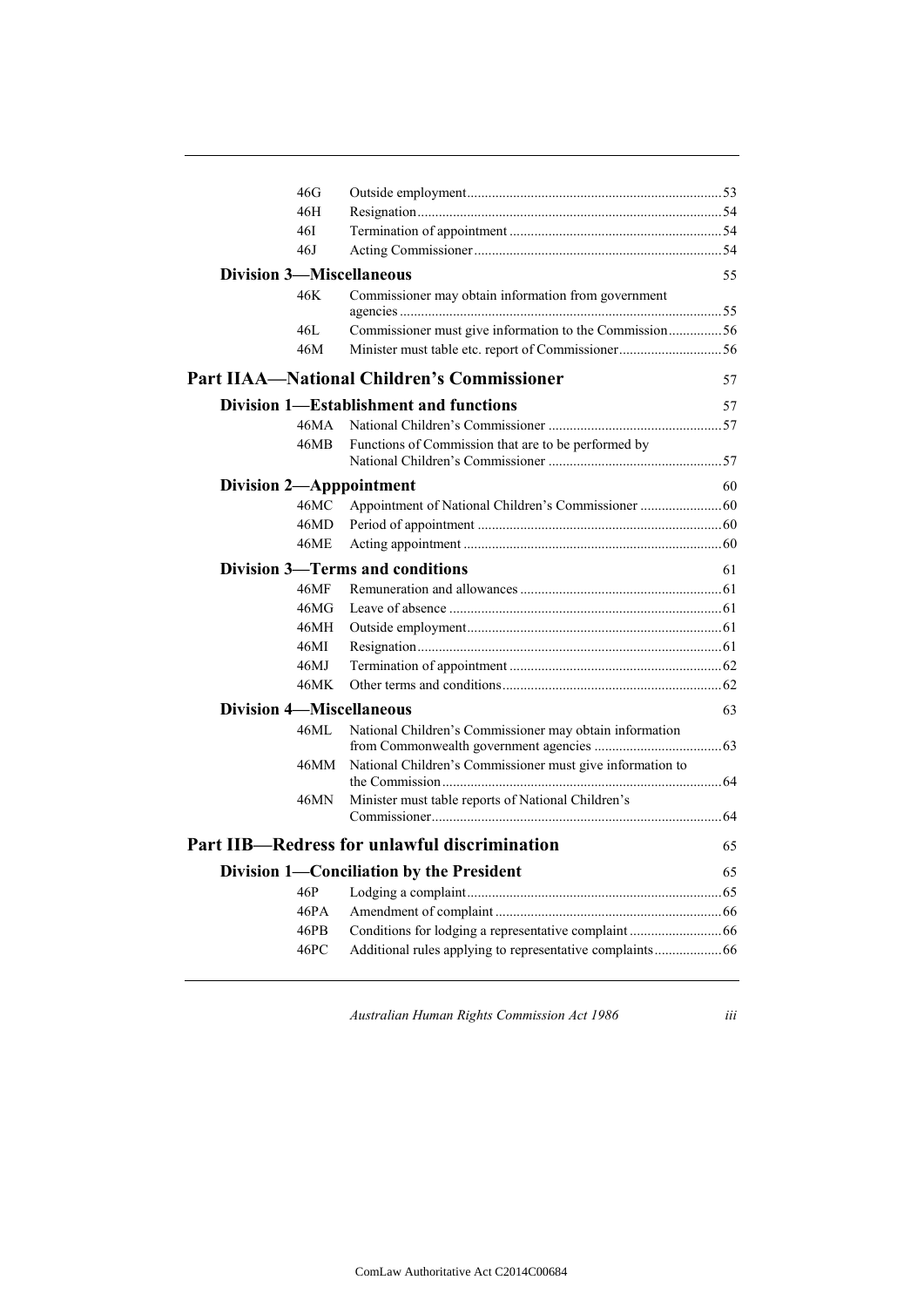| 46G         |                                                           |    |
|-------------|-----------------------------------------------------------|----|
| 46H         |                                                           |    |
| 46I         |                                                           |    |
| 46J         |                                                           |    |
|             | <b>Division 3-Miscellaneous</b>                           | 55 |
| 46K         | Commissioner may obtain information from government       |    |
|             |                                                           |    |
| 46L         | Commissioner must give information to the Commission56    |    |
| 46M         |                                                           |    |
|             | <b>Part IIAA—National Children's Commissioner</b>         | 57 |
|             | Division 1—Establishment and functions                    | 57 |
| 46MA        |                                                           |    |
| 46MB        | Functions of Commission that are to be performed by       |    |
|             | <b>Division 2-Apppointment</b>                            | 60 |
| 46MC        |                                                           |    |
| 46MD        |                                                           |    |
| <b>46ME</b> |                                                           |    |
|             | <b>Division 3—Terms and conditions</b>                    | 61 |
| 46MF        |                                                           |    |
| 46MG        |                                                           |    |
| 46MH        |                                                           |    |
| 46MI        |                                                           |    |
| 46MJ        |                                                           |    |
| 46MK        |                                                           |    |
|             | <b>Division 4-Miscellaneous</b>                           | 63 |
| 46ML        | National Children's Commissioner may obtain information   |    |
|             |                                                           |    |
| 46MM        | National Children's Commissioner must give information to |    |
|             |                                                           |    |
| 46MN        | Minister must table reports of National Children's        |    |
|             |                                                           |    |
|             | <b>Part IIB—Redress for unlawful discrimination</b>       | 65 |
|             | Division 1—Conciliation by the President                  | 65 |
| 46P         |                                                           |    |
| 46PA        |                                                           |    |
| 46PB        |                                                           |    |
| 46PC        |                                                           |    |
|             |                                                           |    |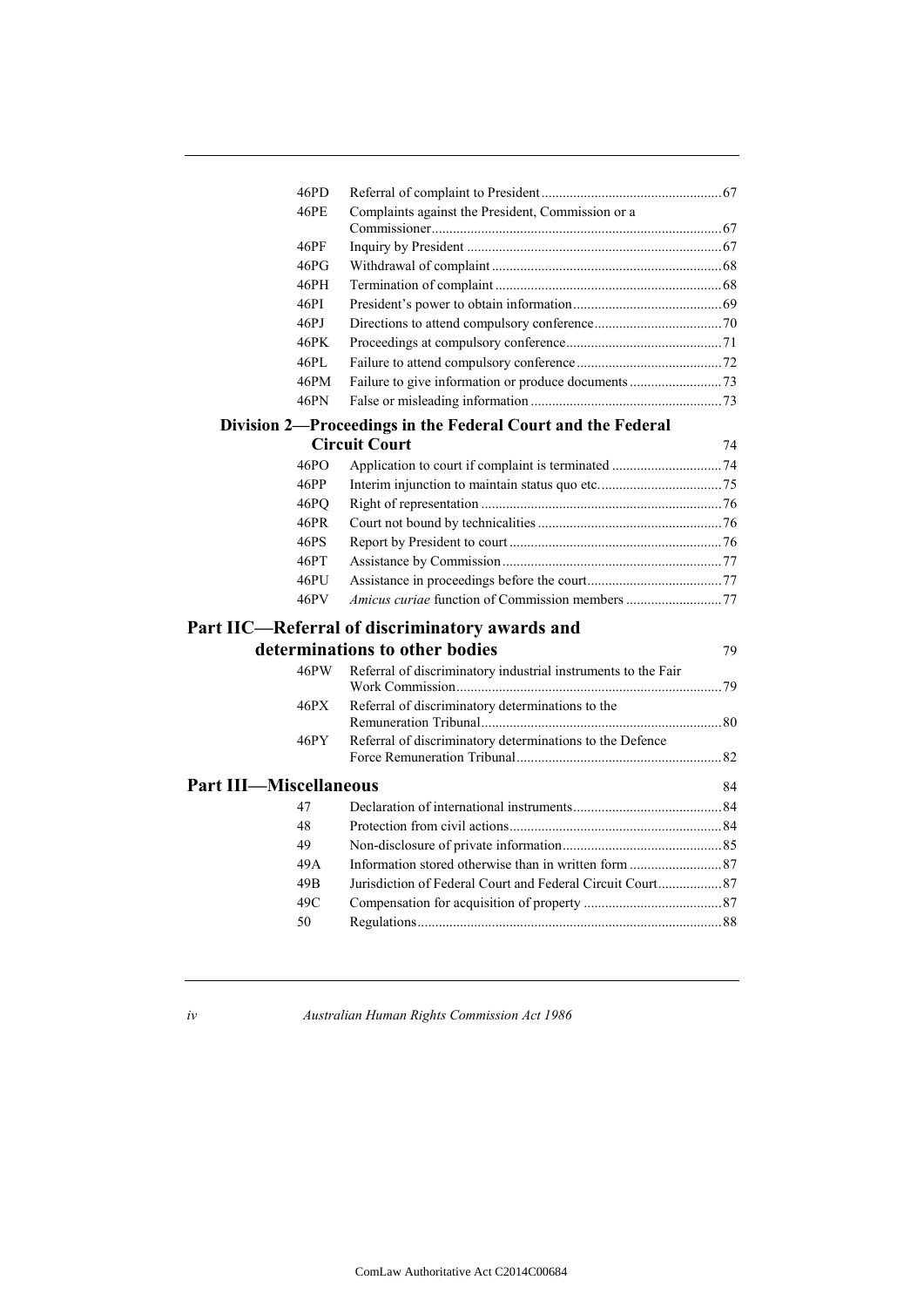|                               | 46PD             |                                                               |    |
|-------------------------------|------------------|---------------------------------------------------------------|----|
|                               | 46PE             | Complaints against the President, Commission or a             |    |
|                               |                  |                                                               |    |
|                               | 46PF             |                                                               |    |
|                               | 46PG             |                                                               |    |
|                               | 46PH             |                                                               |    |
|                               | 46PI             |                                                               |    |
|                               | 46PJ             |                                                               |    |
|                               | 46PK             |                                                               |    |
|                               | 46PL             |                                                               |    |
|                               | 46PM             | Failure to give information or produce documents 73           |    |
|                               | 46PN             |                                                               |    |
|                               |                  | Division 2—Proceedings in the Federal Court and the Federal   |    |
|                               |                  | <b>Circuit Court</b>                                          | 74 |
|                               | 46P <sub>O</sub> |                                                               |    |
|                               | 46PP             |                                                               |    |
|                               | 46PQ             |                                                               |    |
|                               | 46PR             |                                                               |    |
|                               | 46PS             |                                                               |    |
|                               | 46PT             |                                                               |    |
|                               | 46PU             |                                                               |    |
|                               | 46PV             | Amicus curiae function of Commission members 77               |    |
|                               |                  | Part IIC-Referral of discriminatory awards and                |    |
|                               |                  | determinations to other bodies                                | 79 |
|                               | 46PW             | Referral of discriminatory industrial instruments to the Fair |    |
|                               |                  |                                                               |    |
|                               | 46PX             | Referral of discriminatory determinations to the              |    |
|                               | 46PY             | Referral of discriminatory determinations to the Defence      |    |
| <b>Part III-Miscellaneous</b> |                  |                                                               | 84 |
|                               | 47               |                                                               |    |
|                               | 48               |                                                               |    |
|                               | 49               |                                                               |    |
|                               | 49A              |                                                               |    |
|                               | 49 <sub>B</sub>  | Jurisdiction of Federal Court and Federal Circuit Court 87    |    |
|                               | 49C              |                                                               |    |
|                               | 50               |                                                               |    |
|                               |                  |                                                               |    |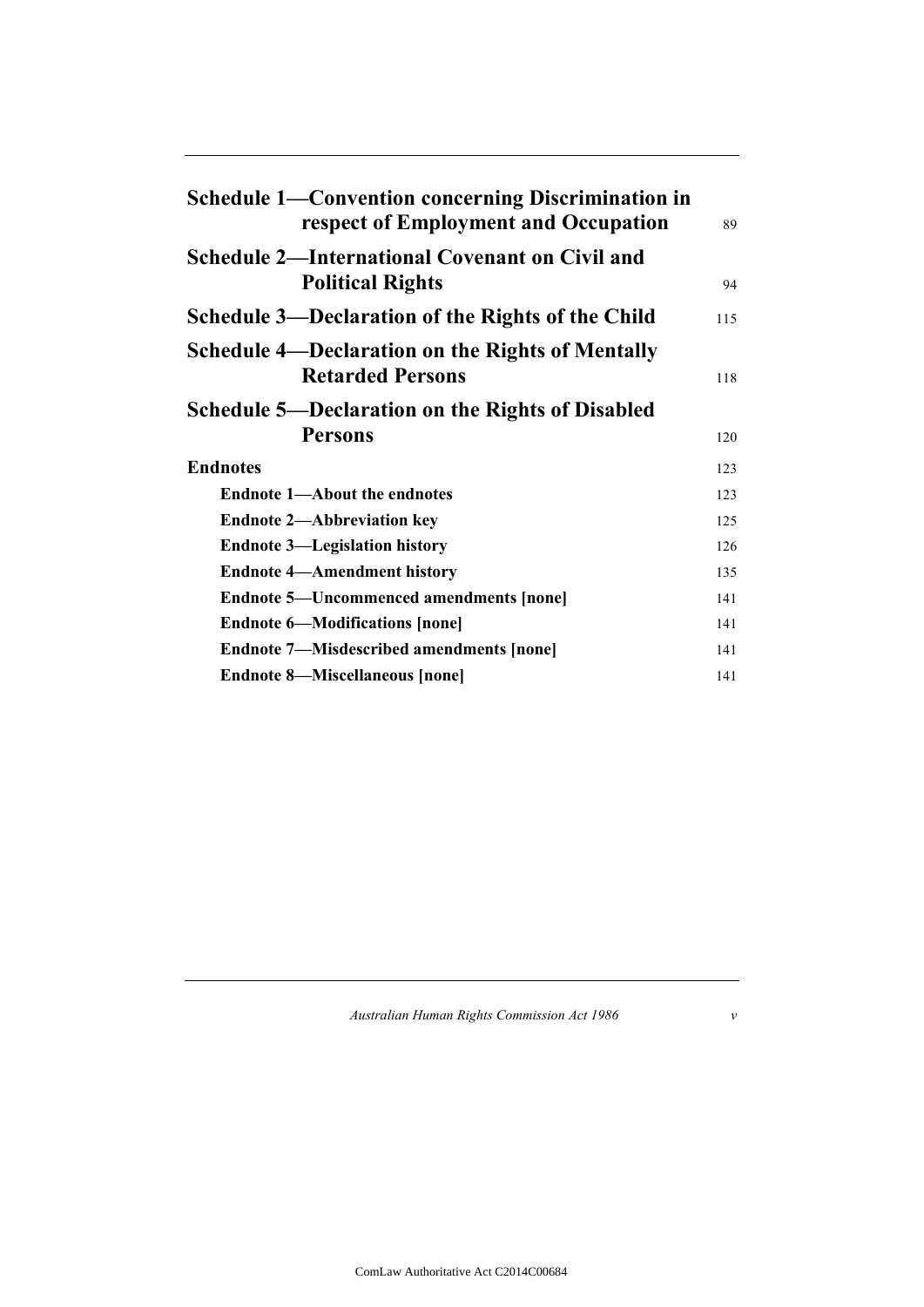| <b>Schedule 1—Convention concerning Discrimination in</b><br>respect of Employment and Occupation | 89  |
|---------------------------------------------------------------------------------------------------|-----|
| <b>Schedule 2—International Covenant on Civil and</b><br><b>Political Rights</b>                  | 94  |
| Schedule 3—Declaration of the Rights of the Child                                                 | 115 |
| <b>Schedule 4—Declaration on the Rights of Mentally</b><br><b>Retarded Persons</b>                | 118 |
| Schedule 5—Declaration on the Rights of Disabled<br><b>Persons</b>                                | 120 |
| <b>Endnotes</b>                                                                                   | 123 |
| <b>Endnote 1-About the endnotes</b>                                                               | 123 |
| <b>Endnote 2-Abbreviation key</b>                                                                 | 125 |
| <b>Endnote 3—Legislation history</b>                                                              | 126 |
| <b>Endnote 4-Amendment history</b>                                                                | 135 |
| <b>Endnote 5—Uncommenced amendments [none]</b>                                                    | 141 |
| <b>Endnote 6-Modifications [none]</b>                                                             | 141 |
| <b>Endnote 7-Misdescribed amendments [none]</b>                                                   | 141 |
| <b>Endnote 8—Miscellaneous [none]</b>                                                             | 141 |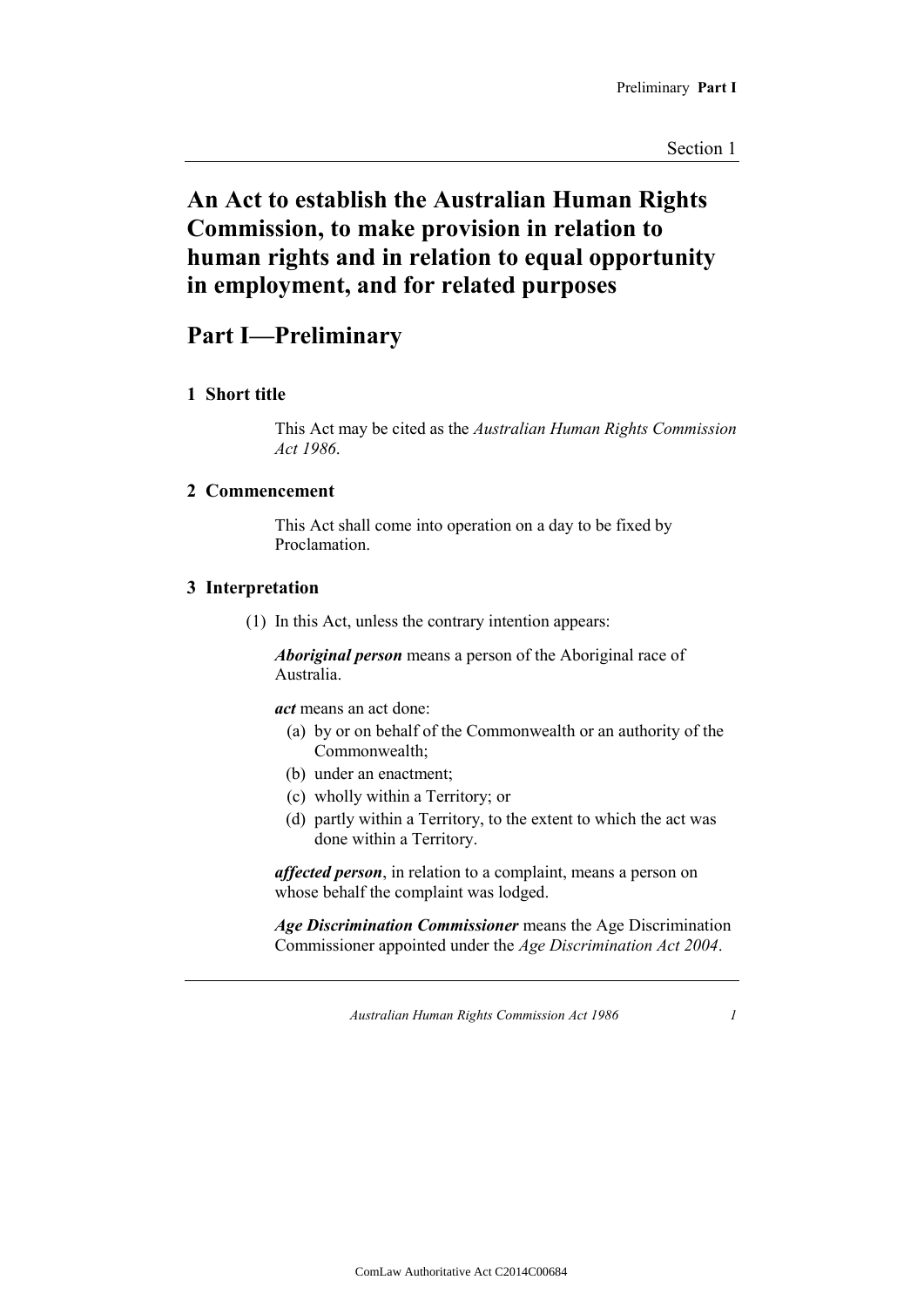# **An Act to establish the Australian Human Rights Commission, to make provision in relation to human rights and in relation to equal opportunity in employment, and for related purposes**

# **Part I—Preliminary**

# **1 Short title**

This Act may be cited as the *Australian Human Rights Commission Act 1986*.

#### **2 Commencement**

This Act shall come into operation on a day to be fixed by Proclamation.

# **3 Interpretation**

(1) In this Act, unless the contrary intention appears:

*Aboriginal person* means a person of the Aboriginal race of Australia.

*act* means an act done:

- (a) by or on behalf of the Commonwealth or an authority of the Commonwealth;
- (b) under an enactment;
- (c) wholly within a Territory; or
- (d) partly within a Territory, to the extent to which the act was done within a Territory.

*affected person*, in relation to a complaint, means a person on whose behalf the complaint was lodged.

*Age Discrimination Commissioner* means the Age Discrimination Commissioner appointed under the *Age Discrimination Act 2004*.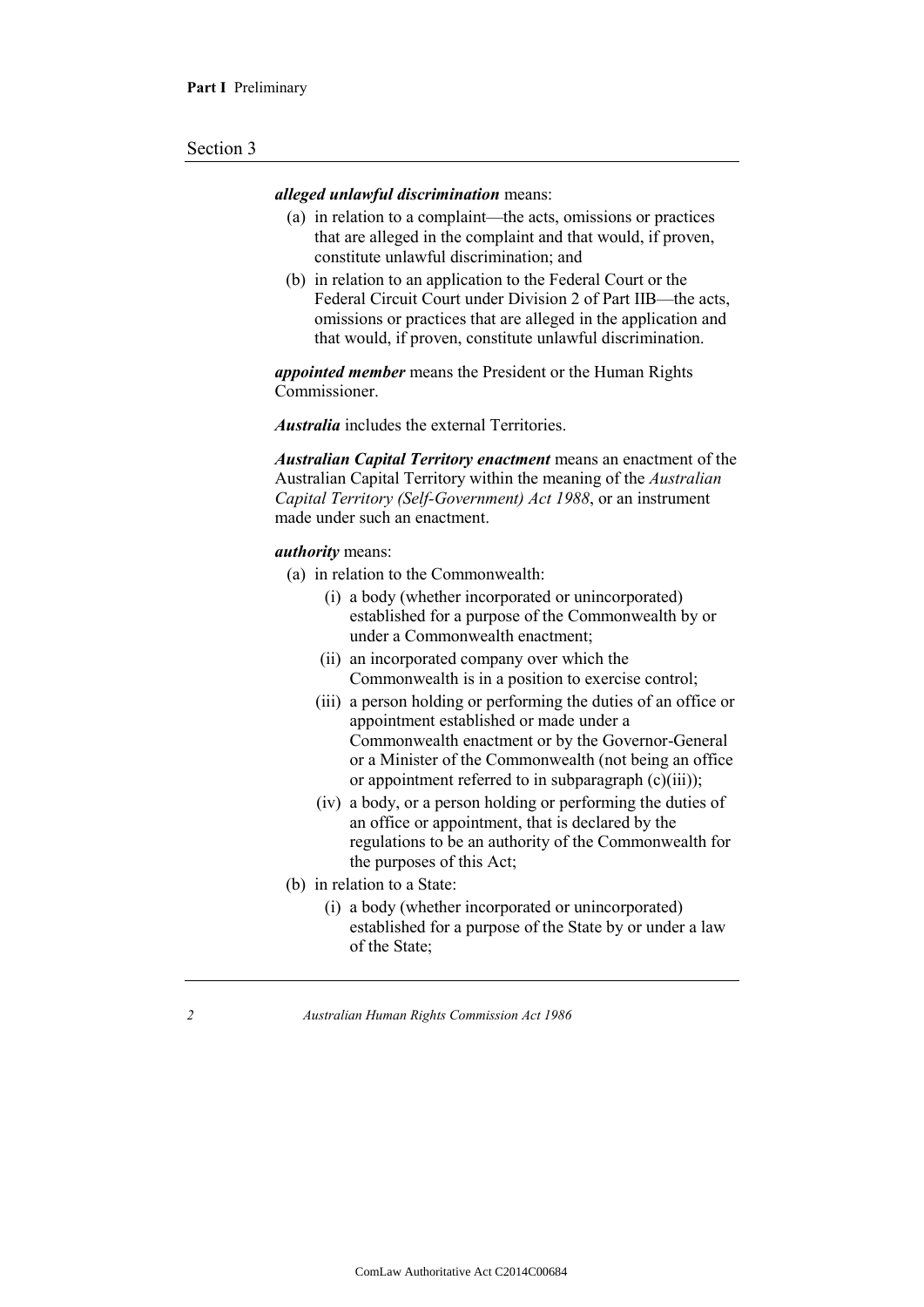#### *alleged unlawful discrimination* means:

- (a) in relation to a complaint—the acts, omissions or practices that are alleged in the complaint and that would, if proven, constitute unlawful discrimination; and
- (b) in relation to an application to the Federal Court or the Federal Circuit Court under Division 2 of Part IIB—the acts, omissions or practices that are alleged in the application and that would, if proven, constitute unlawful discrimination.

*appointed member* means the President or the Human Rights Commissioner.

*Australia* includes the external Territories.

*Australian Capital Territory enactment* means an enactment of the Australian Capital Territory within the meaning of the *Australian Capital Territory (Self-Government) Act 1988*, or an instrument made under such an enactment.

#### *authority* means:

- (a) in relation to the Commonwealth:
	- (i) a body (whether incorporated or unincorporated) established for a purpose of the Commonwealth by or under a Commonwealth enactment;
	- (ii) an incorporated company over which the Commonwealth is in a position to exercise control;
	- (iii) a person holding or performing the duties of an office or appointment established or made under a Commonwealth enactment or by the Governor-General or a Minister of the Commonwealth (not being an office or appointment referred to in subparagraph (c)(iii));
	- (iv) a body, or a person holding or performing the duties of an office or appointment, that is declared by the regulations to be an authority of the Commonwealth for the purposes of this Act;
- (b) in relation to a State:
	- (i) a body (whether incorporated or unincorporated) established for a purpose of the State by or under a law of the State;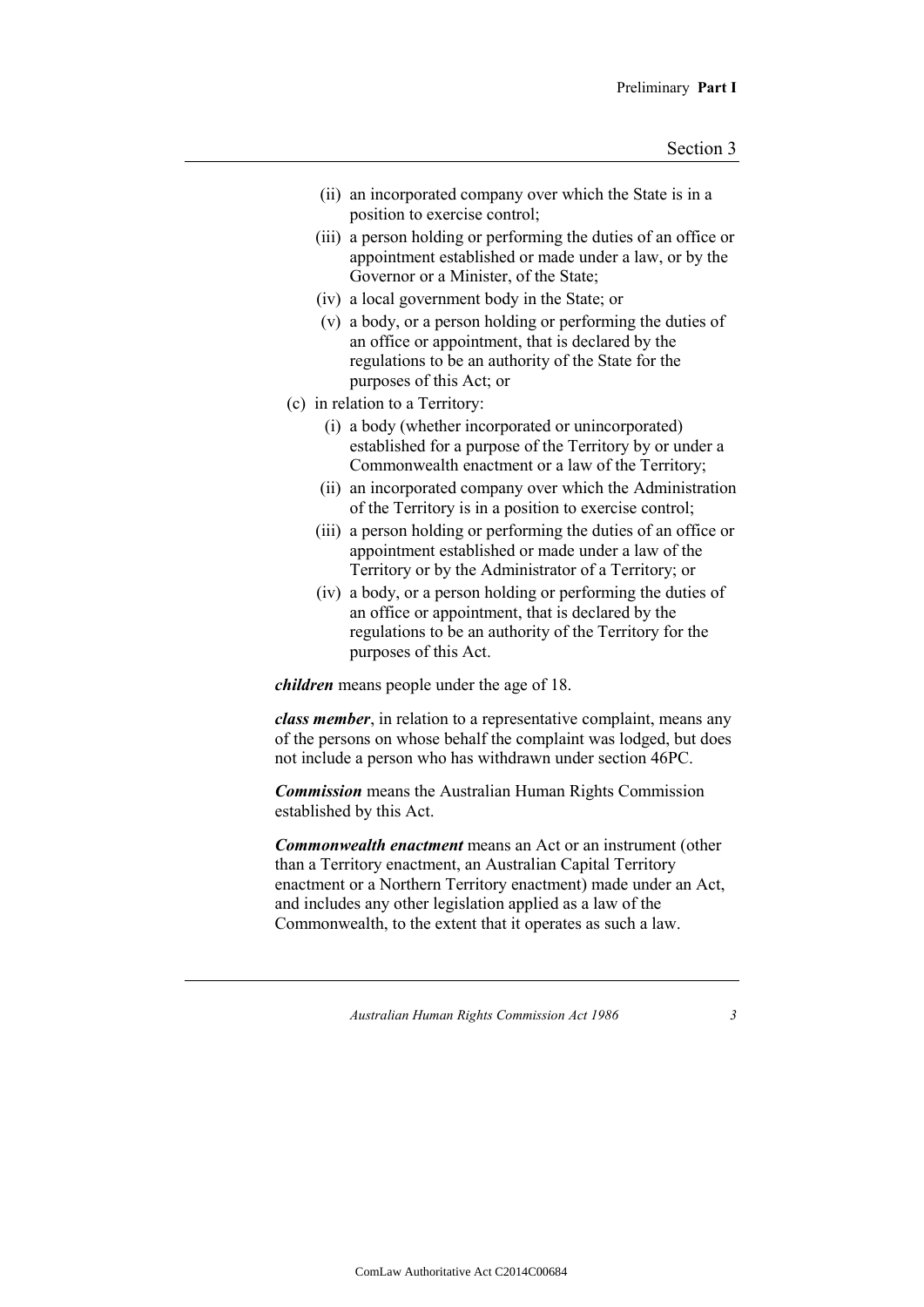- (ii) an incorporated company over which the State is in a position to exercise control;
- (iii) a person holding or performing the duties of an office or appointment established or made under a law, or by the Governor or a Minister, of the State;
- (iv) a local government body in the State; or
- (v) a body, or a person holding or performing the duties of an office or appointment, that is declared by the regulations to be an authority of the State for the purposes of this Act; or
- (c) in relation to a Territory:
	- (i) a body (whether incorporated or unincorporated) established for a purpose of the Territory by or under a Commonwealth enactment or a law of the Territory;
	- (ii) an incorporated company over which the Administration of the Territory is in a position to exercise control;
	- (iii) a person holding or performing the duties of an office or appointment established or made under a law of the Territory or by the Administrator of a Territory; or
	- (iv) a body, or a person holding or performing the duties of an office or appointment, that is declared by the regulations to be an authority of the Territory for the purposes of this Act.

*children* means people under the age of 18.

*class member*, in relation to a representative complaint, means any of the persons on whose behalf the complaint was lodged, but does not include a person who has withdrawn under section 46PC.

*Commission* means the Australian Human Rights Commission established by this Act.

*Commonwealth enactment* means an Act or an instrument (other than a Territory enactment, an Australian Capital Territory enactment or a Northern Territory enactment) made under an Act, and includes any other legislation applied as a law of the Commonwealth, to the extent that it operates as such a law.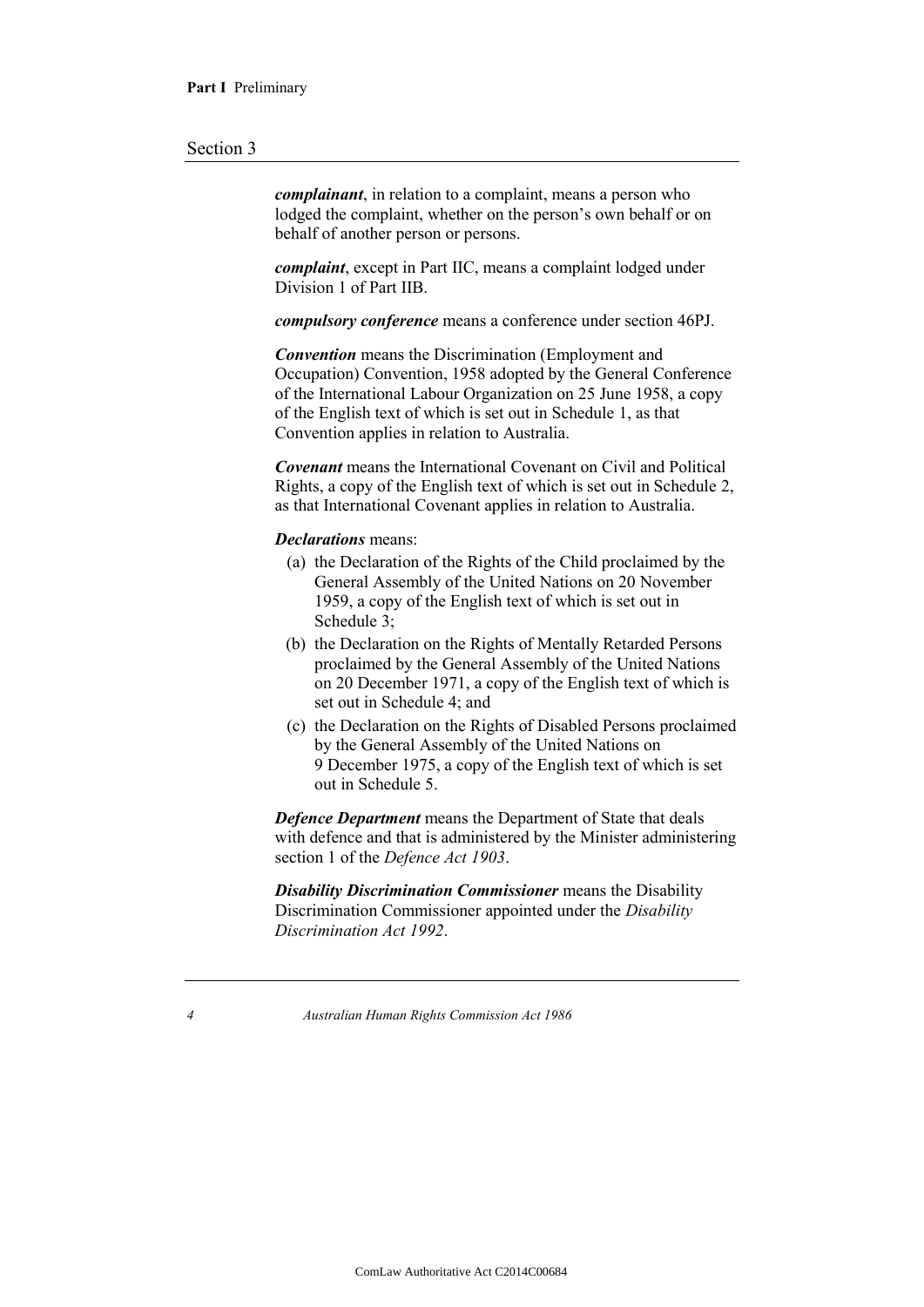*complainant*, in relation to a complaint, means a person who lodged the complaint, whether on the person's own behalf or on behalf of another person or persons.

*complaint*, except in Part IIC, means a complaint lodged under Division 1 of Part IIB.

*compulsory conference* means a conference under section 46PJ.

*Convention* means the Discrimination (Employment and Occupation) Convention, 1958 adopted by the General Conference of the International Labour Organization on 25 June 1958, a copy of the English text of which is set out in Schedule 1, as that Convention applies in relation to Australia.

*Covenant* means the International Covenant on Civil and Political Rights, a copy of the English text of which is set out in Schedule 2, as that International Covenant applies in relation to Australia.

#### *Declarations* means:

- (a) the Declaration of the Rights of the Child proclaimed by the General Assembly of the United Nations on 20 November 1959, a copy of the English text of which is set out in Schedule 3;
- (b) the Declaration on the Rights of Mentally Retarded Persons proclaimed by the General Assembly of the United Nations on 20 December 1971, a copy of the English text of which is set out in Schedule 4; and
- (c) the Declaration on the Rights of Disabled Persons proclaimed by the General Assembly of the United Nations on 9 December 1975, a copy of the English text of which is set out in Schedule 5.

*Defence Department* means the Department of State that deals with defence and that is administered by the Minister administering section 1 of the *Defence Act 1903*.

*Disability Discrimination Commissioner* means the Disability Discrimination Commissioner appointed under the *Disability Discrimination Act 1992*.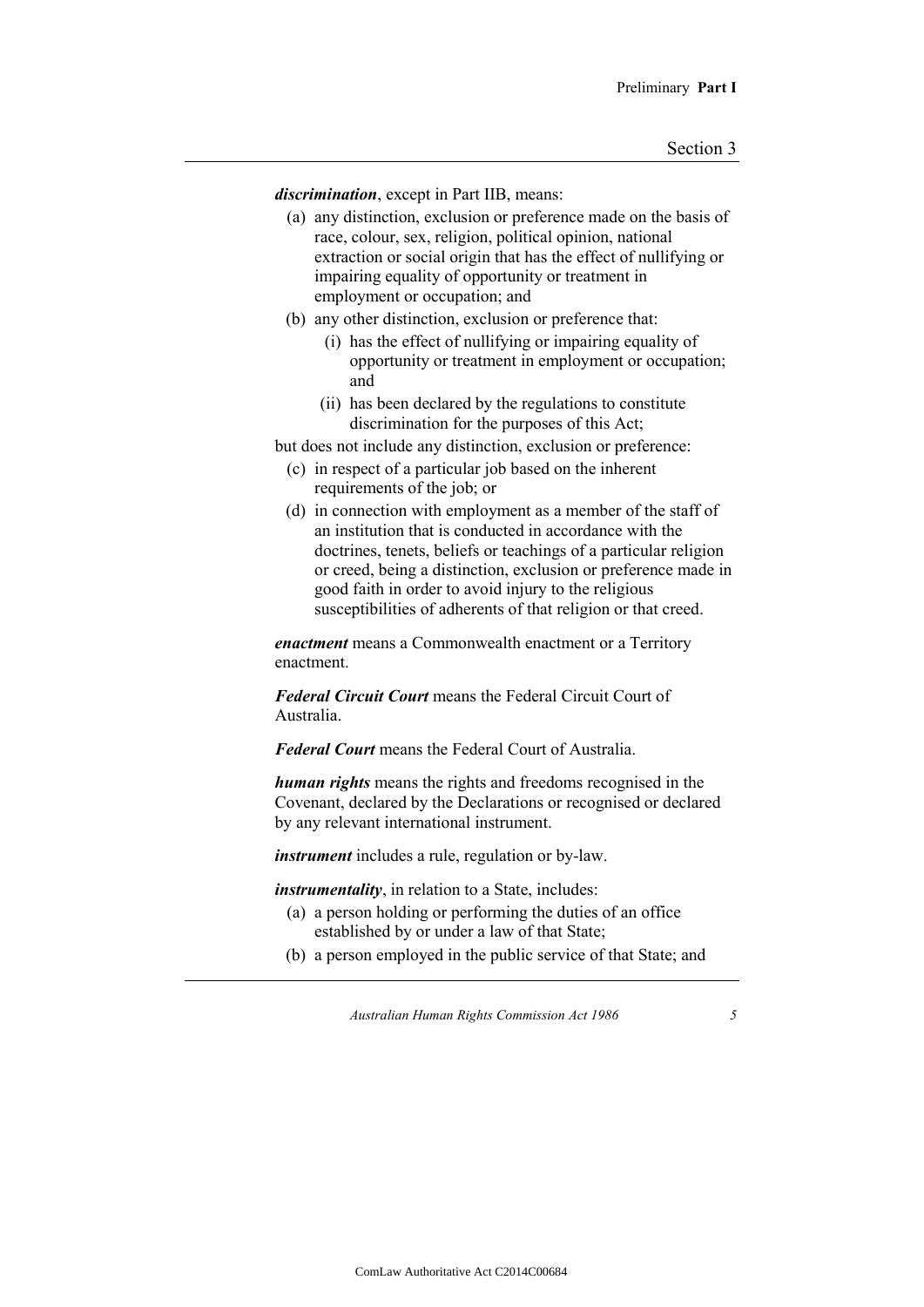*discrimination*, except in Part IIB, means:

- (a) any distinction, exclusion or preference made on the basis of race, colour, sex, religion, political opinion, national extraction or social origin that has the effect of nullifying or impairing equality of opportunity or treatment in employment or occupation; and
- (b) any other distinction, exclusion or preference that:
	- (i) has the effect of nullifying or impairing equality of opportunity or treatment in employment or occupation; and
	- (ii) has been declared by the regulations to constitute discrimination for the purposes of this Act;

but does not include any distinction, exclusion or preference:

- (c) in respect of a particular job based on the inherent requirements of the job; or
- (d) in connection with employment as a member of the staff of an institution that is conducted in accordance with the doctrines, tenets, beliefs or teachings of a particular religion or creed, being a distinction, exclusion or preference made in good faith in order to avoid injury to the religious susceptibilities of adherents of that religion or that creed.

*enactment* means a Commonwealth enactment or a Territory enactment.

*Federal Circuit Court* means the Federal Circuit Court of Australia.

*Federal Court* means the Federal Court of Australia.

*human rights* means the rights and freedoms recognised in the Covenant, declared by the Declarations or recognised or declared by any relevant international instrument.

*instrument* includes a rule, regulation or by-law.

*instrumentality*, in relation to a State, includes:

- (a) a person holding or performing the duties of an office established by or under a law of that State;
- (b) a person employed in the public service of that State; and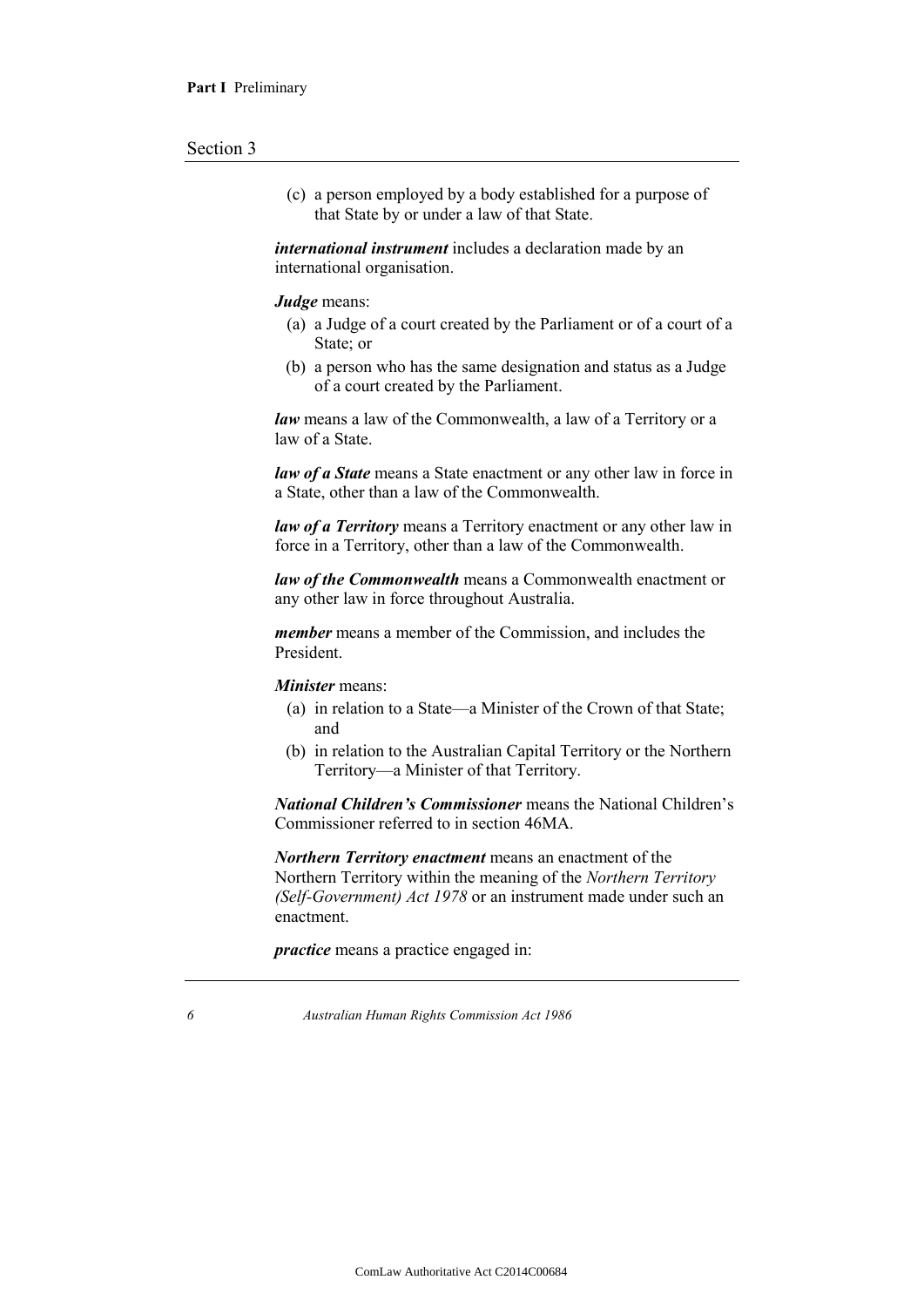(c) a person employed by a body established for a purpose of that State by or under a law of that State.

*international instrument* includes a declaration made by an international organisation.

*Judge* means:

- (a) a Judge of a court created by the Parliament or of a court of a State; or
- (b) a person who has the same designation and status as a Judge of a court created by the Parliament.

*law* means a law of the Commonwealth, a law of a Territory or a law of a State.

*law of a State* means a State enactment or any other law in force in a State, other than a law of the Commonwealth.

*law of a Territory* means a Territory enactment or any other law in force in a Territory, other than a law of the Commonwealth.

*law of the Commonwealth* means a Commonwealth enactment or any other law in force throughout Australia.

*member* means a member of the Commission, and includes the President.

#### *Minister* means:

- (a) in relation to a State—a Minister of the Crown of that State; and
- (b) in relation to the Australian Capital Territory or the Northern Territory—a Minister of that Territory.

*National Children's Commissioner* means the National Children's Commissioner referred to in section 46MA.

*Northern Territory enactment* means an enactment of the Northern Territory within the meaning of the *Northern Territory (Self-Government) Act 1978* or an instrument made under such an enactment.

*practice* means a practice engaged in: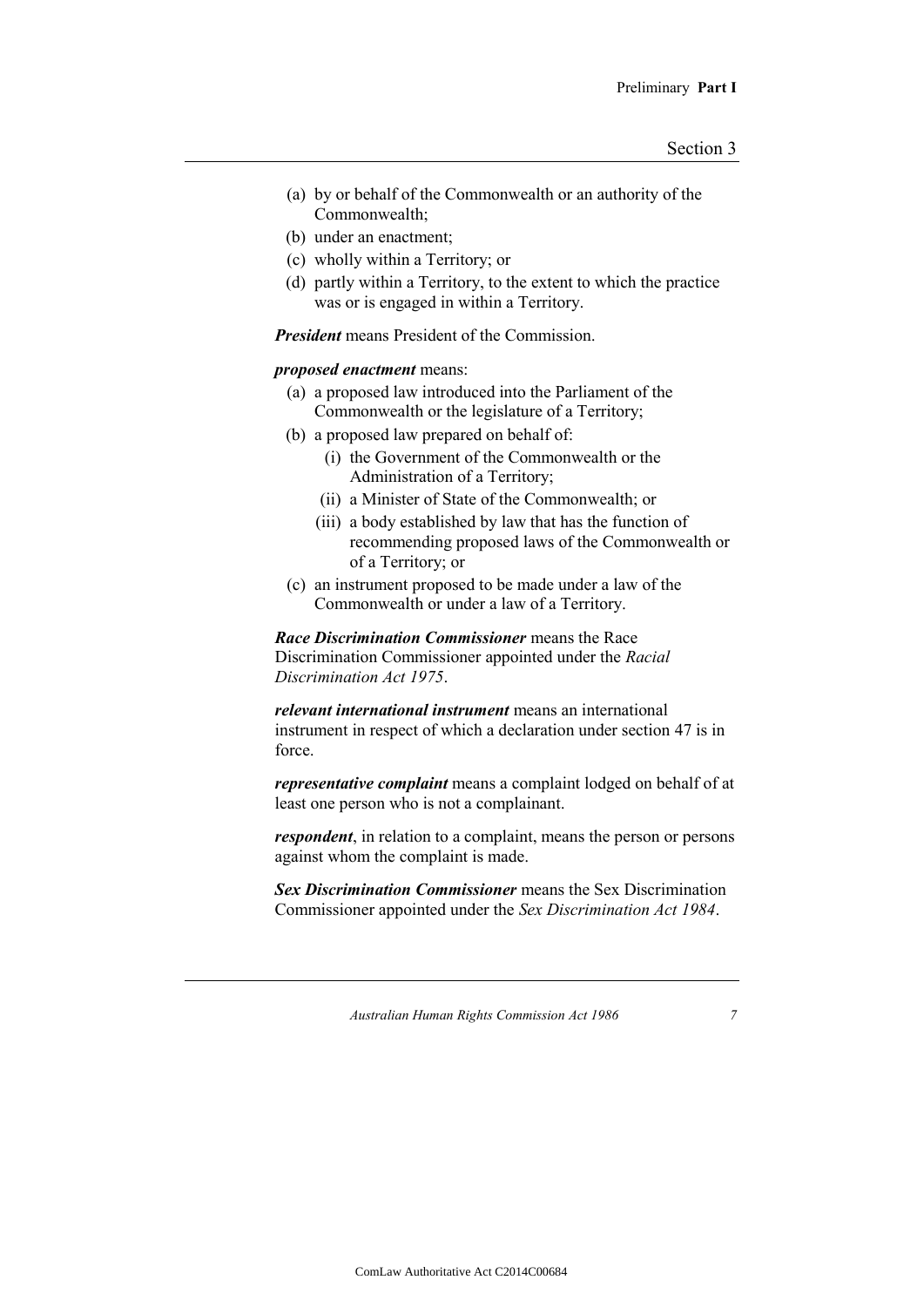- (a) by or behalf of the Commonwealth or an authority of the Commonwealth;
- (b) under an enactment;
- (c) wholly within a Territory; or
- (d) partly within a Territory, to the extent to which the practice was or is engaged in within a Territory.

*President* means President of the Commission.

#### *proposed enactment* means:

- (a) a proposed law introduced into the Parliament of the Commonwealth or the legislature of a Territory;
- (b) a proposed law prepared on behalf of:
	- (i) the Government of the Commonwealth or the Administration of a Territory;
	- (ii) a Minister of State of the Commonwealth; or
	- (iii) a body established by law that has the function of recommending proposed laws of the Commonwealth or of a Territory; or
- (c) an instrument proposed to be made under a law of the Commonwealth or under a law of a Territory.

*Race Discrimination Commissioner* means the Race Discrimination Commissioner appointed under the *Racial Discrimination Act 1975*.

*relevant international instrument* means an international instrument in respect of which a declaration under section 47 is in force.

*representative complaint* means a complaint lodged on behalf of at least one person who is not a complainant.

*respondent*, in relation to a complaint, means the person or persons against whom the complaint is made.

*Sex Discrimination Commissioner* means the Sex Discrimination Commissioner appointed under the *Sex Discrimination Act 1984*.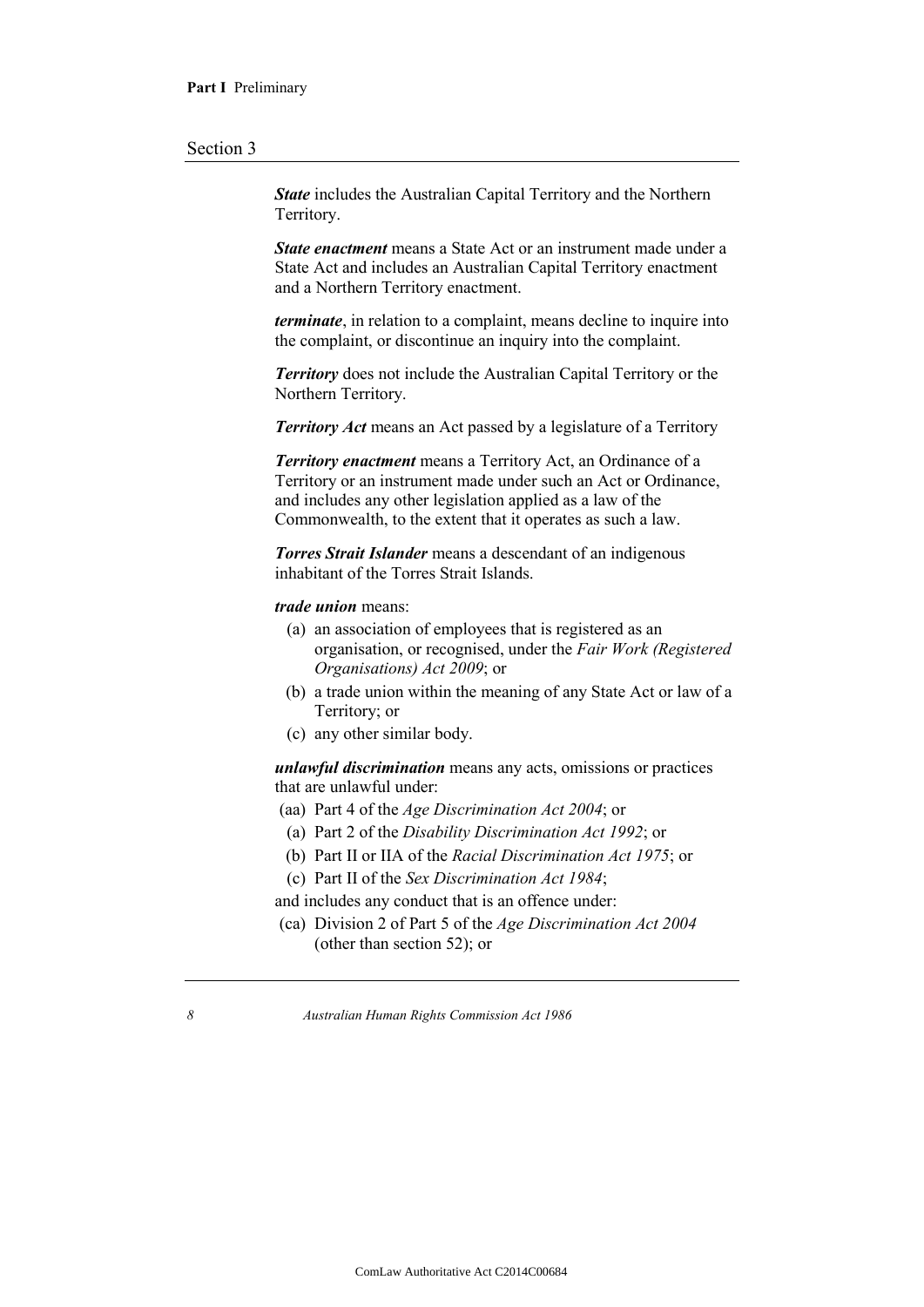*State* includes the Australian Capital Territory and the Northern Territory.

*State enactment* means a State Act or an instrument made under a State Act and includes an Australian Capital Territory enactment and a Northern Territory enactment.

*terminate*, in relation to a complaint, means decline to inquire into the complaint, or discontinue an inquiry into the complaint.

*Territory* does not include the Australian Capital Territory or the Northern Territory.

*Territory Act* means an Act passed by a legislature of a Territory

*Territory enactment* means a Territory Act, an Ordinance of a Territory or an instrument made under such an Act or Ordinance, and includes any other legislation applied as a law of the Commonwealth, to the extent that it operates as such a law.

*Torres Strait Islander* means a descendant of an indigenous inhabitant of the Torres Strait Islands.

#### *trade union* means:

- (a) an association of employees that is registered as an organisation, or recognised, under the *Fair Work (Registered Organisations) Act 2009*; or
- (b) a trade union within the meaning of any State Act or law of a Territory; or
- (c) any other similar body.

*unlawful discrimination* means any acts, omissions or practices that are unlawful under:

- (aa) Part 4 of the *Age Discrimination Act 2004*; or
- (a) Part 2 of the *Disability Discrimination Act 1992*; or
- (b) Part II or IIA of the *Racial Discrimination Act 1975*; or
- (c) Part II of the *Sex Discrimination Act 1984*;

and includes any conduct that is an offence under:

(ca) Division 2 of Part 5 of the *Age Discrimination Act 2004* (other than section 52); or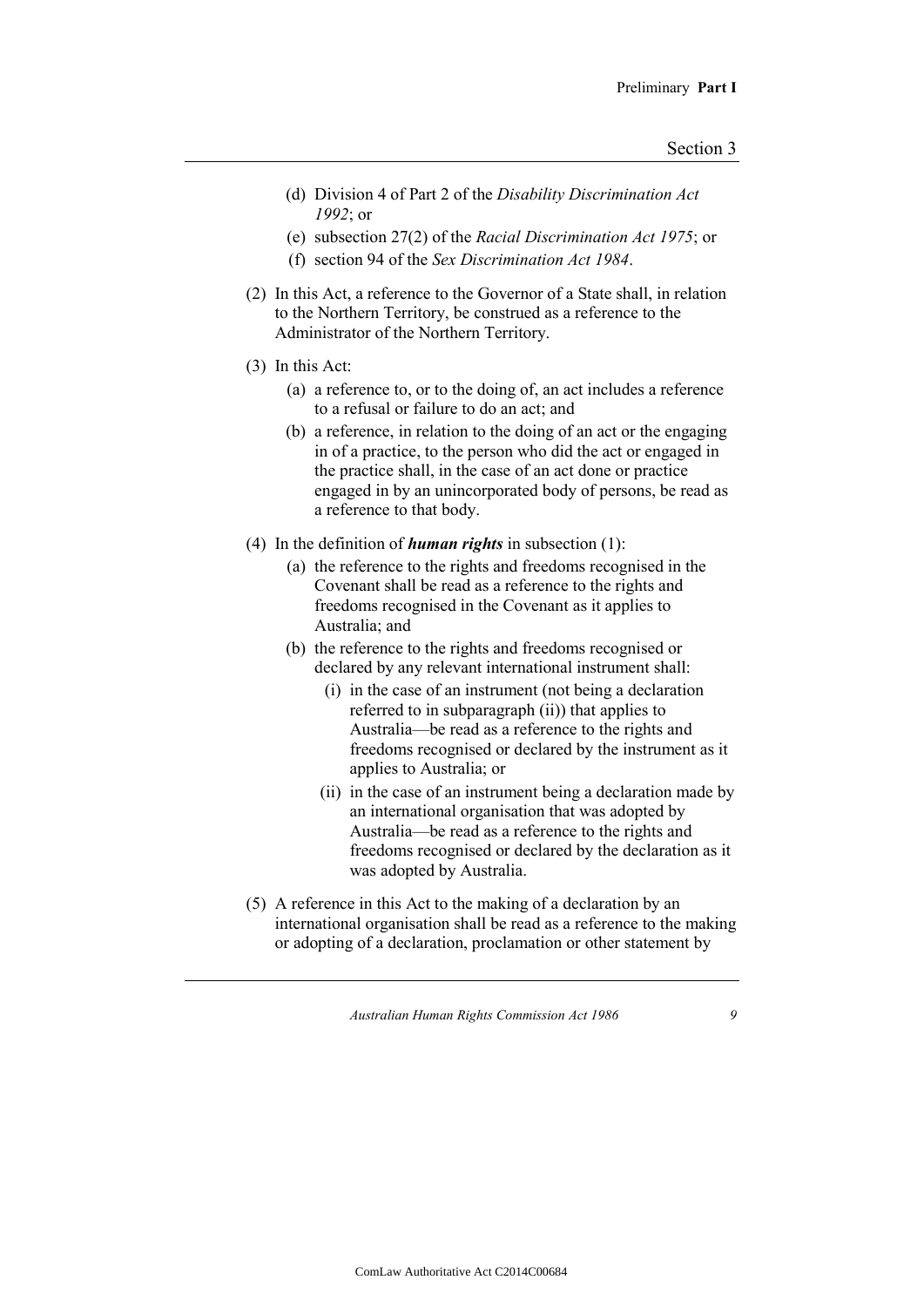- (d) Division 4 of Part 2 of the *Disability Discrimination Act 1992*; or
- (e) subsection 27(2) of the *Racial Discrimination Act 1975*; or
- (f) section 94 of the *Sex Discrimination Act 1984*.
- (2) In this Act, a reference to the Governor of a State shall, in relation to the Northern Territory, be construed as a reference to the Administrator of the Northern Territory.
- (3) In this Act:
	- (a) a reference to, or to the doing of, an act includes a reference to a refusal or failure to do an act; and
	- (b) a reference, in relation to the doing of an act or the engaging in of a practice, to the person who did the act or engaged in the practice shall, in the case of an act done or practice engaged in by an unincorporated body of persons, be read as a reference to that body.
- (4) In the definition of *human rights* in subsection (1):
	- (a) the reference to the rights and freedoms recognised in the Covenant shall be read as a reference to the rights and freedoms recognised in the Covenant as it applies to Australia; and
	- (b) the reference to the rights and freedoms recognised or declared by any relevant international instrument shall:
		- (i) in the case of an instrument (not being a declaration referred to in subparagraph (ii)) that applies to Australia—be read as a reference to the rights and freedoms recognised or declared by the instrument as it applies to Australia; or
		- (ii) in the case of an instrument being a declaration made by an international organisation that was adopted by Australia—be read as a reference to the rights and freedoms recognised or declared by the declaration as it was adopted by Australia.
- (5) A reference in this Act to the making of a declaration by an international organisation shall be read as a reference to the making or adopting of a declaration, proclamation or other statement by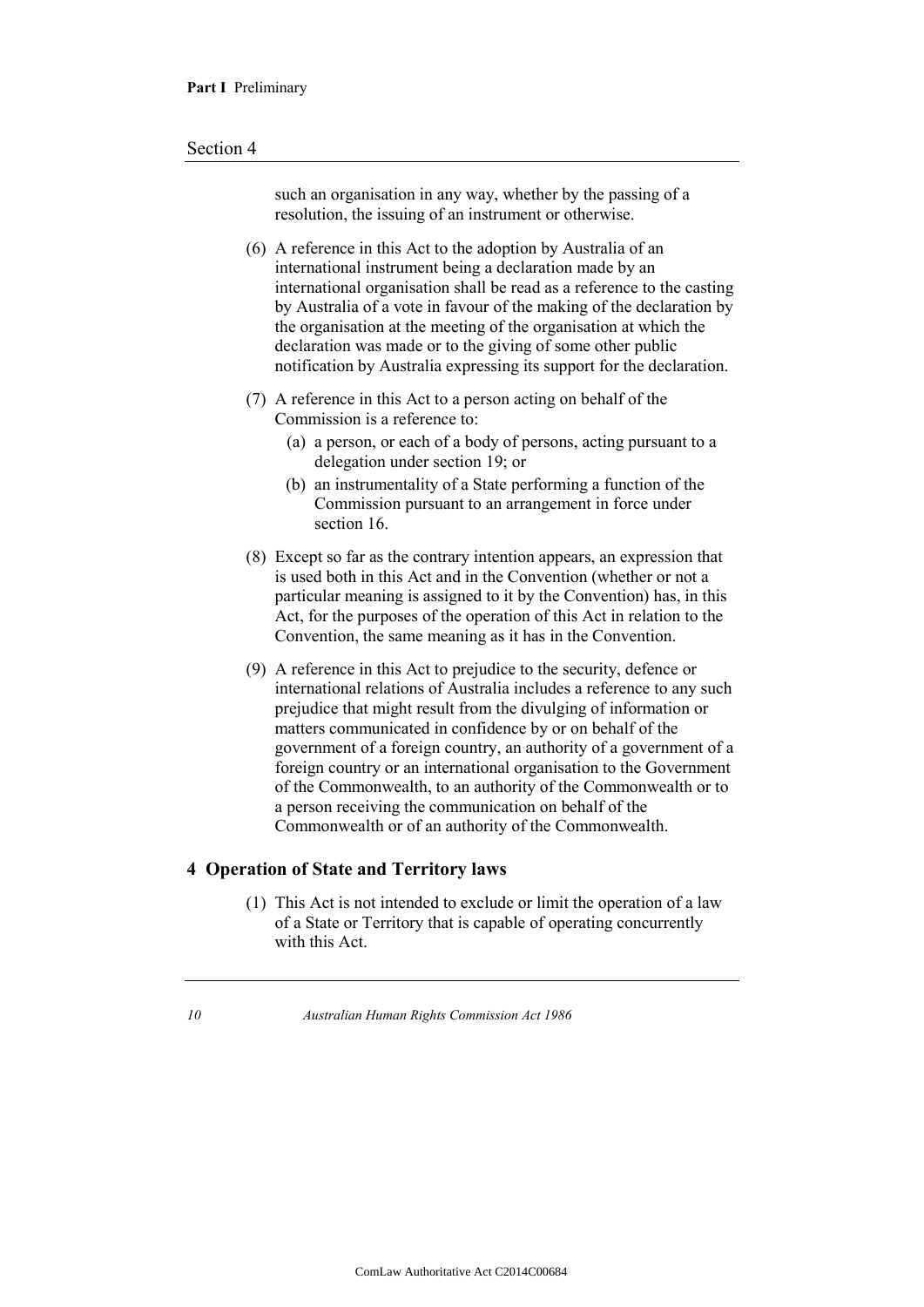such an organisation in any way, whether by the passing of a resolution, the issuing of an instrument or otherwise.

- (6) A reference in this Act to the adoption by Australia of an international instrument being a declaration made by an international organisation shall be read as a reference to the casting by Australia of a vote in favour of the making of the declaration by the organisation at the meeting of the organisation at which the declaration was made or to the giving of some other public notification by Australia expressing its support for the declaration.
- (7) A reference in this Act to a person acting on behalf of the Commission is a reference to:
	- (a) a person, or each of a body of persons, acting pursuant to a delegation under section 19; or
	- (b) an instrumentality of a State performing a function of the Commission pursuant to an arrangement in force under section 16
- (8) Except so far as the contrary intention appears, an expression that is used both in this Act and in the Convention (whether or not a particular meaning is assigned to it by the Convention) has, in this Act, for the purposes of the operation of this Act in relation to the Convention, the same meaning as it has in the Convention.
- (9) A reference in this Act to prejudice to the security, defence or international relations of Australia includes a reference to any such prejudice that might result from the divulging of information or matters communicated in confidence by or on behalf of the government of a foreign country, an authority of a government of a foreign country or an international organisation to the Government of the Commonwealth, to an authority of the Commonwealth or to a person receiving the communication on behalf of the Commonwealth or of an authority of the Commonwealth.

### **4 Operation of State and Territory laws**

(1) This Act is not intended to exclude or limit the operation of a law of a State or Territory that is capable of operating concurrently with this Act.

*<sup>10</sup> Australian Human Rights Commission Act 1986*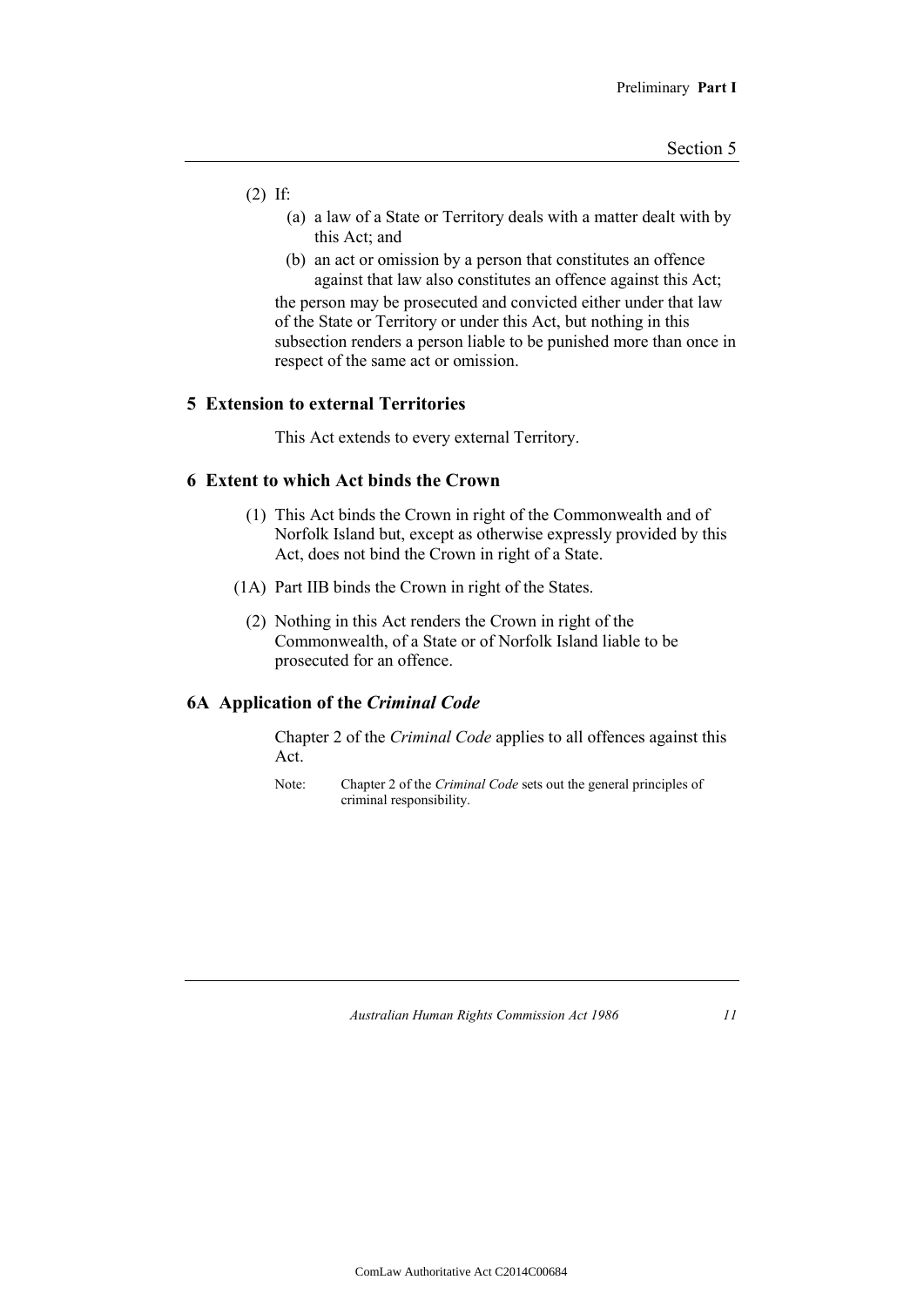(2) If:

- (a) a law of a State or Territory deals with a matter dealt with by this Act; and
- (b) an act or omission by a person that constitutes an offence against that law also constitutes an offence against this Act; the person may be prosecuted and convicted either under that law

of the State or Territory or under this Act, but nothing in this subsection renders a person liable to be punished more than once in respect of the same act or omission.

# **5 Extension to external Territories**

This Act extends to every external Territory.

# **6 Extent to which Act binds the Crown**

- (1) This Act binds the Crown in right of the Commonwealth and of Norfolk Island but, except as otherwise expressly provided by this Act, does not bind the Crown in right of a State.
- (1A) Part IIB binds the Crown in right of the States.
	- (2) Nothing in this Act renders the Crown in right of the Commonwealth, of a State or of Norfolk Island liable to be prosecuted for an offence.

# **6A Application of the** *Criminal Code*

Chapter 2 of the *Criminal Code* applies to all offences against this Act.

Note: Chapter 2 of the *Criminal Code* sets out the general principles of criminal responsibility.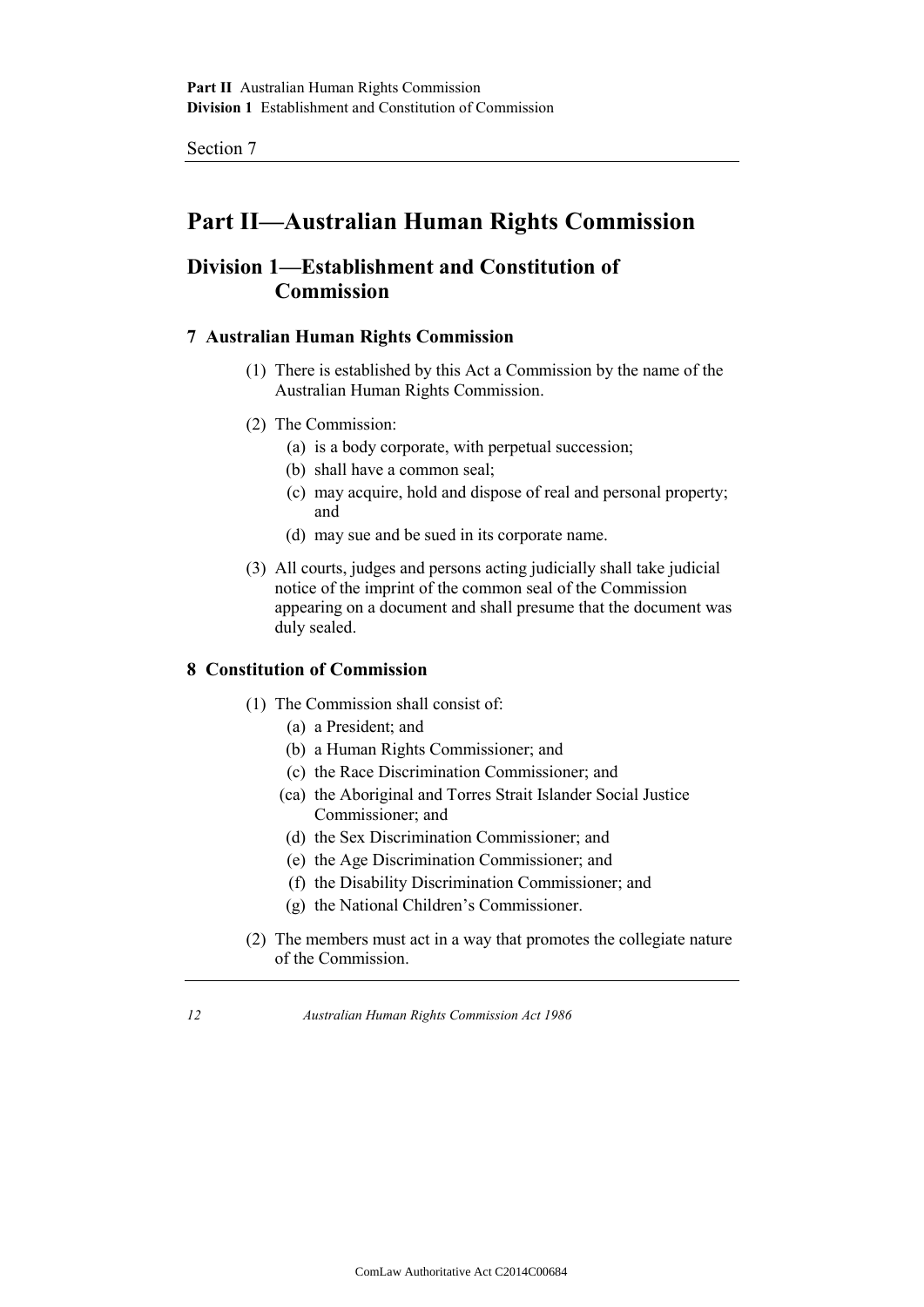# **Part II—Australian Human Rights Commission**

# **Division 1—Establishment and Constitution of Commission**

#### **7 Australian Human Rights Commission**

- (1) There is established by this Act a Commission by the name of the Australian Human Rights Commission.
- (2) The Commission:
	- (a) is a body corporate, with perpetual succession;
	- (b) shall have a common seal;
	- (c) may acquire, hold and dispose of real and personal property; and
	- (d) may sue and be sued in its corporate name.
- (3) All courts, judges and persons acting judicially shall take judicial notice of the imprint of the common seal of the Commission appearing on a document and shall presume that the document was duly sealed.

# **8 Constitution of Commission**

- (1) The Commission shall consist of:
	- (a) a President; and
	- (b) a Human Rights Commissioner; and
	- (c) the Race Discrimination Commissioner; and
	- (ca) the Aboriginal and Torres Strait Islander Social Justice Commissioner; and
	- (d) the Sex Discrimination Commissioner; and
	- (e) the Age Discrimination Commissioner; and
	- (f) the Disability Discrimination Commissioner; and
	- (g) the National Children's Commissioner.
- (2) The members must act in a way that promotes the collegiate nature of the Commission.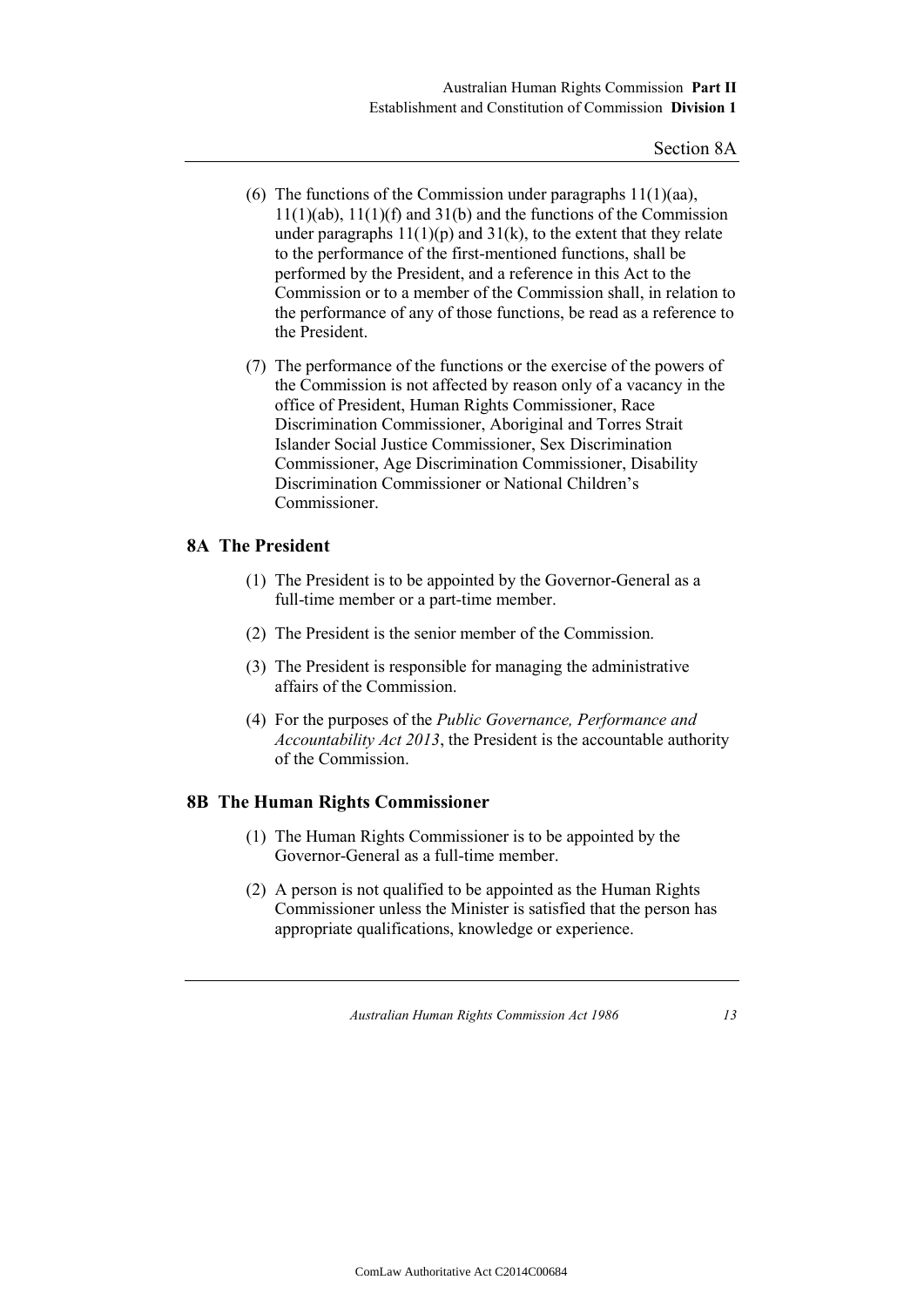- (6) The functions of the Commission under paragraphs  $11(1)(aa)$ ,  $11(1)(ab)$ ,  $11(1)(f)$  and  $31(b)$  and the functions of the Commission under paragraphs  $11(1)(p)$  and  $31(k)$ , to the extent that they relate to the performance of the first-mentioned functions, shall be performed by the President, and a reference in this Act to the Commission or to a member of the Commission shall, in relation to the performance of any of those functions, be read as a reference to the President.
- (7) The performance of the functions or the exercise of the powers of the Commission is not affected by reason only of a vacancy in the office of President, Human Rights Commissioner, Race Discrimination Commissioner, Aboriginal and Torres Strait Islander Social Justice Commissioner, Sex Discrimination Commissioner, Age Discrimination Commissioner, Disability Discrimination Commissioner or National Children's Commissioner.

#### **8A The President**

- (1) The President is to be appointed by the Governor-General as a full-time member or a part-time member.
- (2) The President is the senior member of the Commission.
- (3) The President is responsible for managing the administrative affairs of the Commission.
- (4) For the purposes of the *Public Governance, Performance and Accountability Act 2013*, the President is the accountable authority of the Commission.

#### **8B The Human Rights Commissioner**

- (1) The Human Rights Commissioner is to be appointed by the Governor-General as a full-time member.
- (2) A person is not qualified to be appointed as the Human Rights Commissioner unless the Minister is satisfied that the person has appropriate qualifications, knowledge or experience.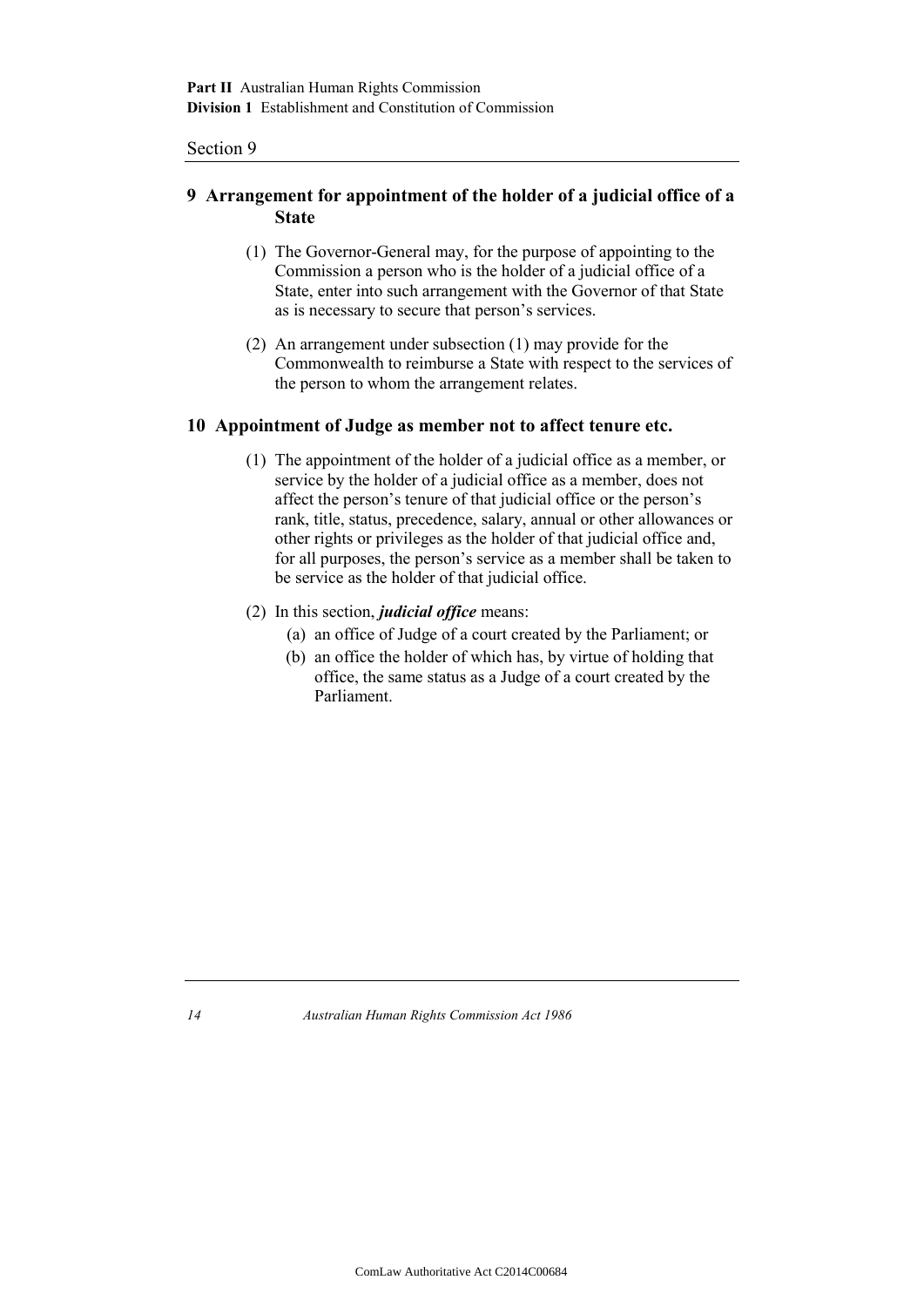# **9 Arrangement for appointment of the holder of a judicial office of a State**

- (1) The Governor-General may, for the purpose of appointing to the Commission a person who is the holder of a judicial office of a State, enter into such arrangement with the Governor of that State as is necessary to secure that person's services.
- (2) An arrangement under subsection (1) may provide for the Commonwealth to reimburse a State with respect to the services of the person to whom the arrangement relates.

#### **10 Appointment of Judge as member not to affect tenure etc.**

- (1) The appointment of the holder of a judicial office as a member, or service by the holder of a judicial office as a member, does not affect the person's tenure of that judicial office or the person's rank, title, status, precedence, salary, annual or other allowances or other rights or privileges as the holder of that judicial office and, for all purposes, the person's service as a member shall be taken to be service as the holder of that judicial office.
- (2) In this section, *judicial office* means:
	- (a) an office of Judge of a court created by the Parliament; or
	- (b) an office the holder of which has, by virtue of holding that office, the same status as a Judge of a court created by the Parliament.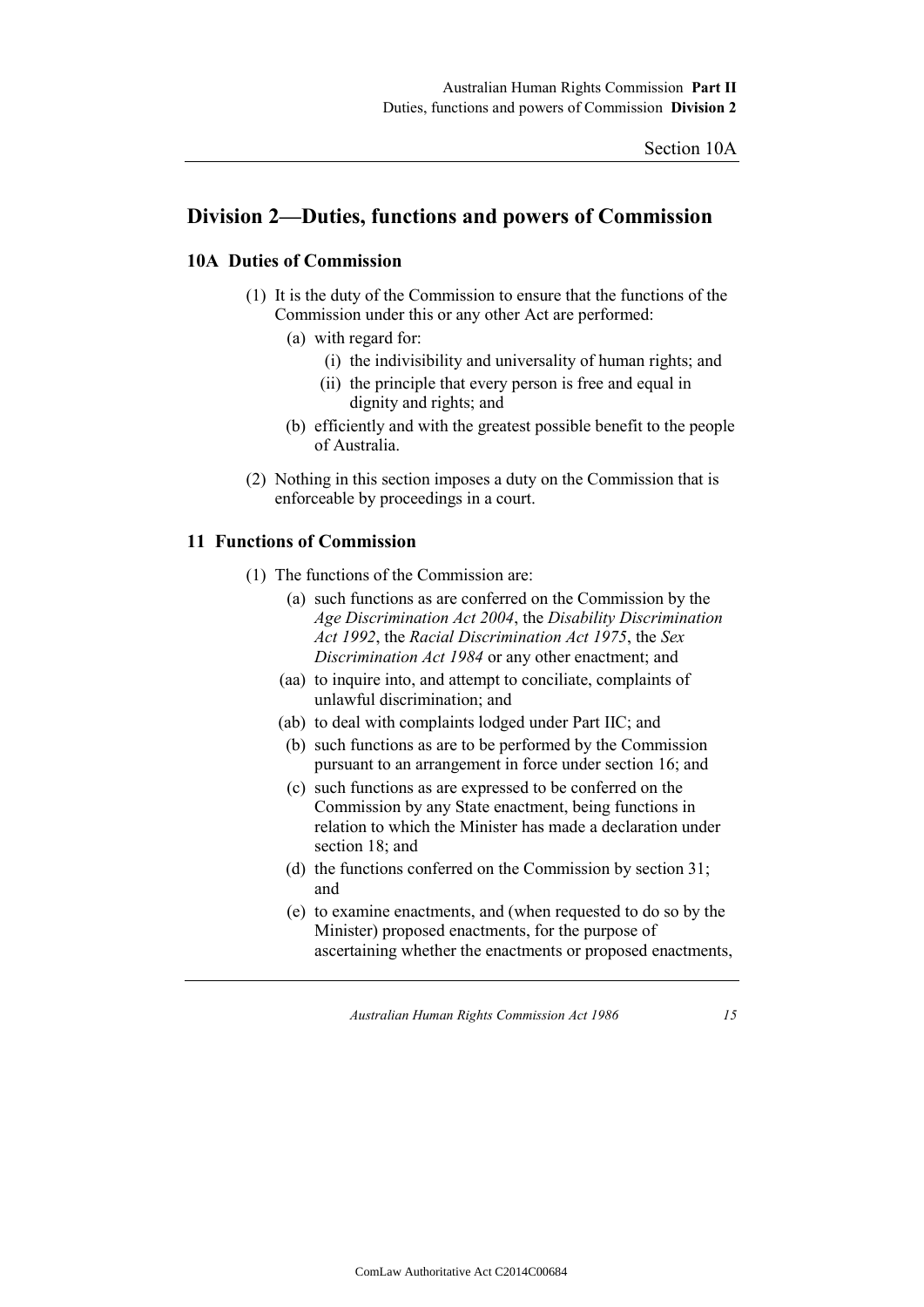# **Division 2—Duties, functions and powers of Commission**

# **10A Duties of Commission**

- (1) It is the duty of the Commission to ensure that the functions of the Commission under this or any other Act are performed:
	- (a) with regard for:
		- (i) the indivisibility and universality of human rights; and
		- (ii) the principle that every person is free and equal in dignity and rights; and
	- (b) efficiently and with the greatest possible benefit to the people of Australia.
- (2) Nothing in this section imposes a duty on the Commission that is enforceable by proceedings in a court.

# **11 Functions of Commission**

- (1) The functions of the Commission are:
	- (a) such functions as are conferred on the Commission by the *Age Discrimination Act 2004*, the *Disability Discrimination Act 1992*, the *Racial Discrimination Act 1975*, the *Sex Discrimination Act 1984* or any other enactment; and
	- (aa) to inquire into, and attempt to conciliate, complaints of unlawful discrimination; and
	- (ab) to deal with complaints lodged under Part IIC; and
	- (b) such functions as are to be performed by the Commission pursuant to an arrangement in force under section 16; and
	- (c) such functions as are expressed to be conferred on the Commission by any State enactment, being functions in relation to which the Minister has made a declaration under section 18; and
	- (d) the functions conferred on the Commission by section 31; and
	- (e) to examine enactments, and (when requested to do so by the Minister) proposed enactments, for the purpose of ascertaining whether the enactments or proposed enactments,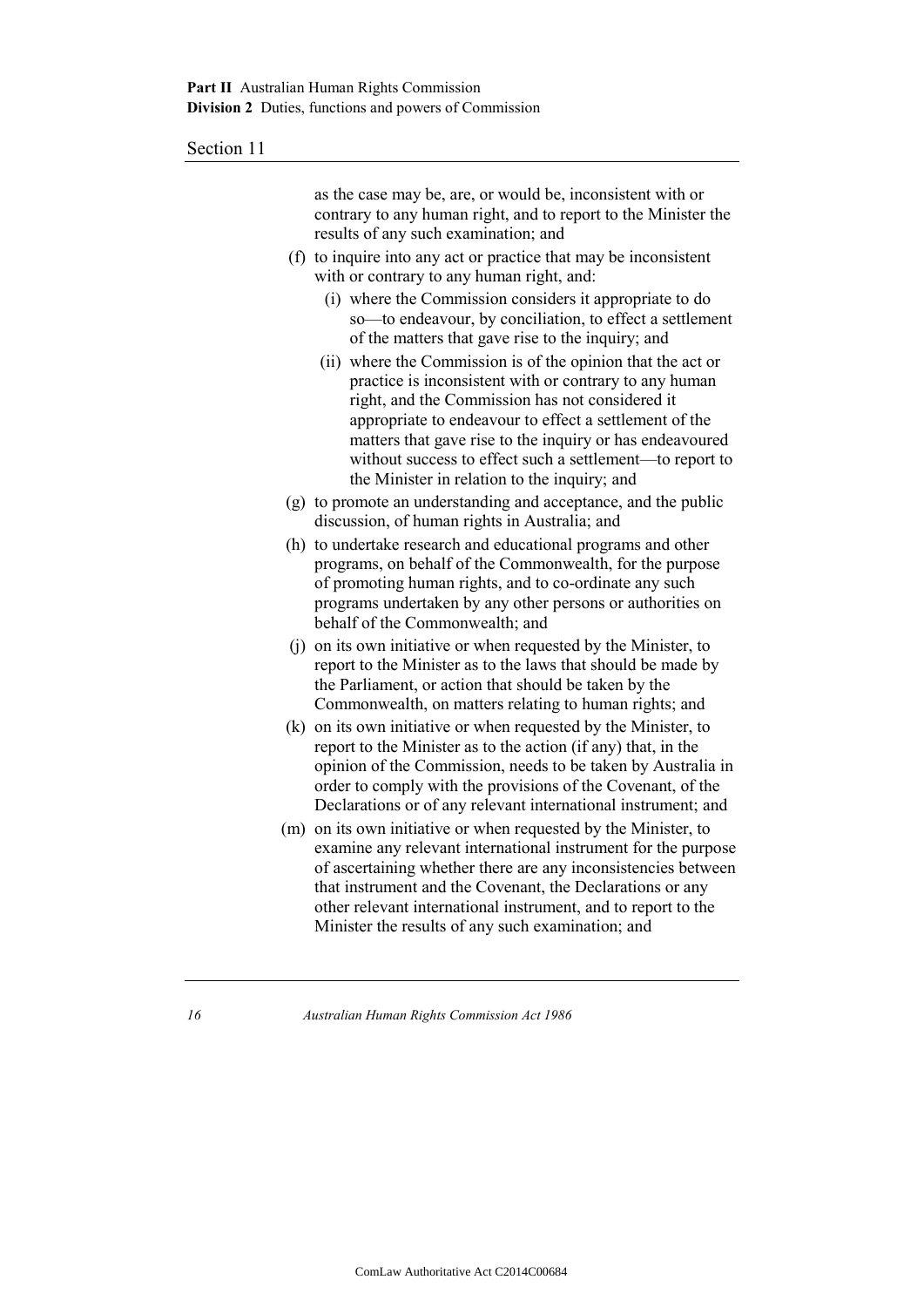as the case may be, are, or would be, inconsistent with or contrary to any human right, and to report to the Minister the results of any such examination; and

- (f) to inquire into any act or practice that may be inconsistent with or contrary to any human right, and:
	- (i) where the Commission considers it appropriate to do so—to endeavour, by conciliation, to effect a settlement of the matters that gave rise to the inquiry; and
	- (ii) where the Commission is of the opinion that the act or practice is inconsistent with or contrary to any human right, and the Commission has not considered it appropriate to endeavour to effect a settlement of the matters that gave rise to the inquiry or has endeavoured without success to effect such a settlement—to report to the Minister in relation to the inquiry; and
- (g) to promote an understanding and acceptance, and the public discussion, of human rights in Australia; and
- (h) to undertake research and educational programs and other programs, on behalf of the Commonwealth, for the purpose of promoting human rights, and to co-ordinate any such programs undertaken by any other persons or authorities on behalf of the Commonwealth; and
- (j) on its own initiative or when requested by the Minister, to report to the Minister as to the laws that should be made by the Parliament, or action that should be taken by the Commonwealth, on matters relating to human rights; and
- (k) on its own initiative or when requested by the Minister, to report to the Minister as to the action (if any) that, in the opinion of the Commission, needs to be taken by Australia in order to comply with the provisions of the Covenant, of the Declarations or of any relevant international instrument; and
- (m) on its own initiative or when requested by the Minister, to examine any relevant international instrument for the purpose of ascertaining whether there are any inconsistencies between that instrument and the Covenant, the Declarations or any other relevant international instrument, and to report to the Minister the results of any such examination; and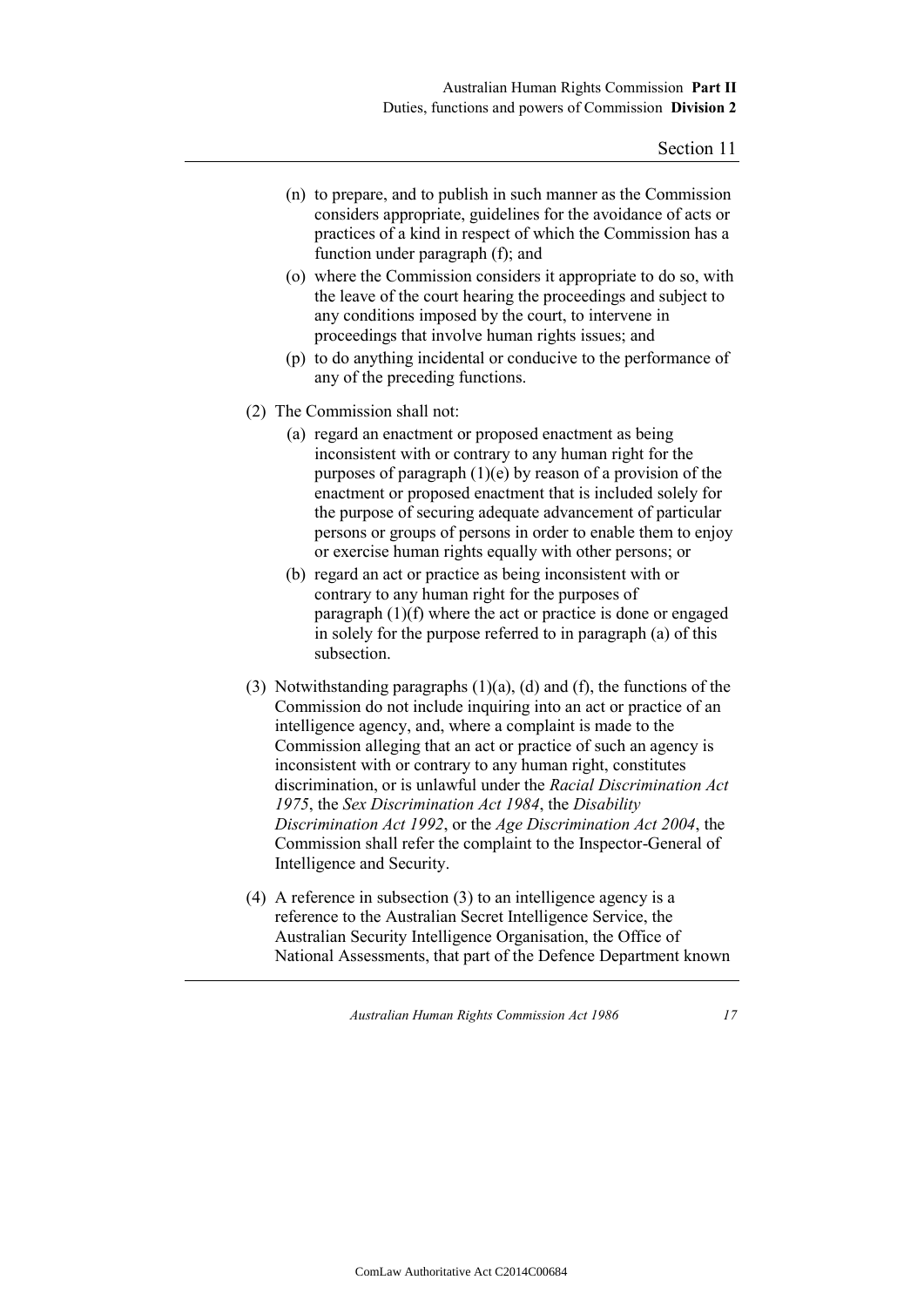- (n) to prepare, and to publish in such manner as the Commission considers appropriate, guidelines for the avoidance of acts or practices of a kind in respect of which the Commission has a function under paragraph (f); and
- (o) where the Commission considers it appropriate to do so, with the leave of the court hearing the proceedings and subject to any conditions imposed by the court, to intervene in proceedings that involve human rights issues; and
- (p) to do anything incidental or conducive to the performance of any of the preceding functions.
- (2) The Commission shall not:
	- (a) regard an enactment or proposed enactment as being inconsistent with or contrary to any human right for the purposes of paragraph  $(1)(e)$  by reason of a provision of the enactment or proposed enactment that is included solely for the purpose of securing adequate advancement of particular persons or groups of persons in order to enable them to enjoy or exercise human rights equally with other persons; or
	- (b) regard an act or practice as being inconsistent with or contrary to any human right for the purposes of paragraph (1)(f) where the act or practice is done or engaged in solely for the purpose referred to in paragraph (a) of this subsection.
- (3) Notwithstanding paragraphs (1)(a), (d) and (f), the functions of the Commission do not include inquiring into an act or practice of an intelligence agency, and, where a complaint is made to the Commission alleging that an act or practice of such an agency is inconsistent with or contrary to any human right, constitutes discrimination, or is unlawful under the *Racial Discrimination Act 1975*, the *Sex Discrimination Act 1984*, the *Disability Discrimination Act 1992*, or the *Age Discrimination Act 2004*, the Commission shall refer the complaint to the Inspector-General of Intelligence and Security.
- (4) A reference in subsection (3) to an intelligence agency is a reference to the Australian Secret Intelligence Service, the Australian Security Intelligence Organisation, the Office of National Assessments, that part of the Defence Department known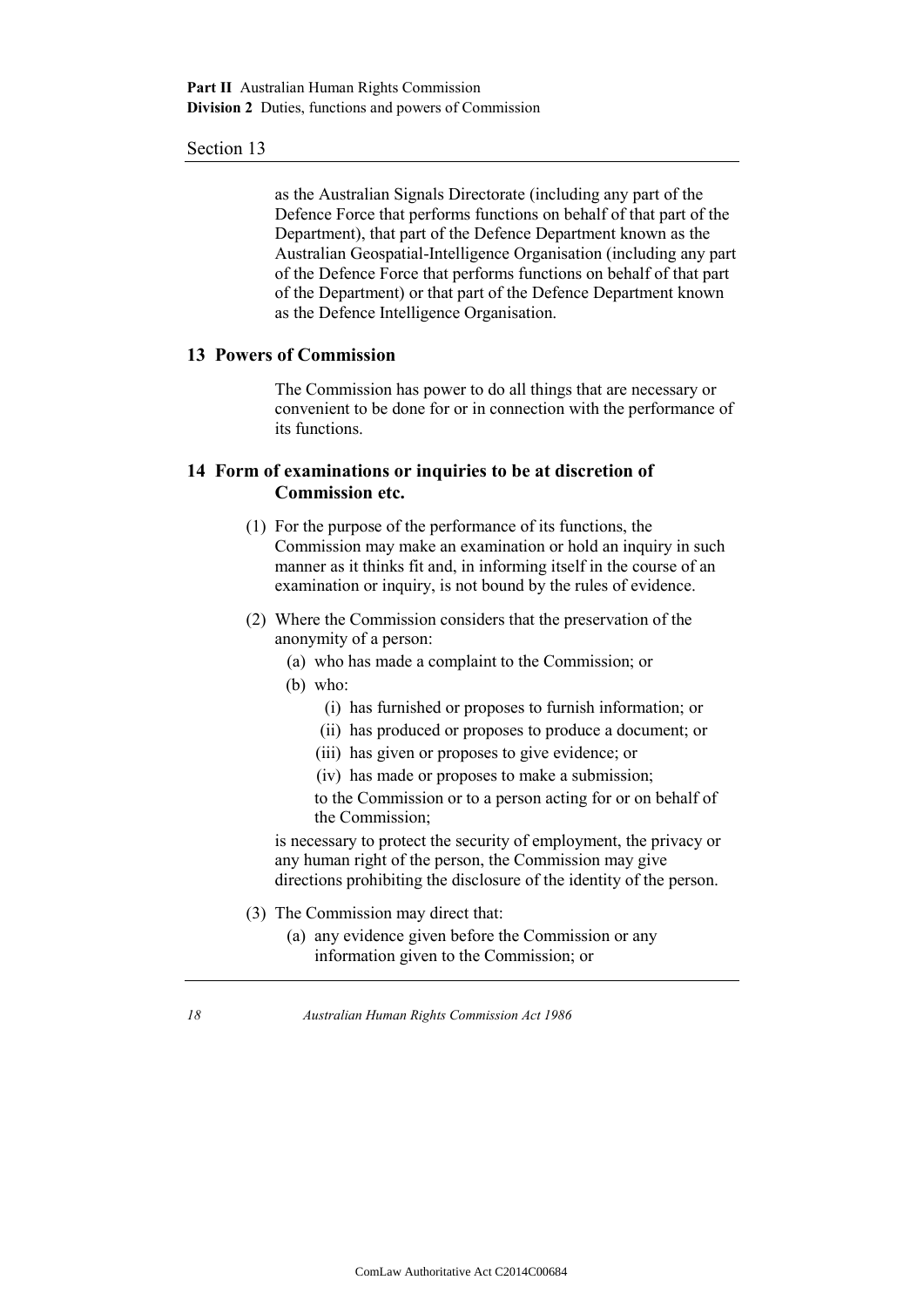as the Australian Signals Directorate (including any part of the Defence Force that performs functions on behalf of that part of the Department), that part of the Defence Department known as the Australian Geospatial-Intelligence Organisation (including any part of the Defence Force that performs functions on behalf of that part of the Department) or that part of the Defence Department known as the Defence Intelligence Organisation.

# **13 Powers of Commission**

The Commission has power to do all things that are necessary or convenient to be done for or in connection with the performance of its functions.

# **14 Form of examinations or inquiries to be at discretion of Commission etc.**

- (1) For the purpose of the performance of its functions, the Commission may make an examination or hold an inquiry in such manner as it thinks fit and, in informing itself in the course of an examination or inquiry, is not bound by the rules of evidence.
- (2) Where the Commission considers that the preservation of the anonymity of a person:
	- (a) who has made a complaint to the Commission; or
	- (b) who:
		- (i) has furnished or proposes to furnish information; or
		- (ii) has produced or proposes to produce a document; or
		- (iii) has given or proposes to give evidence; or
		- (iv) has made or proposes to make a submission;

to the Commission or to a person acting for or on behalf of the Commission;

is necessary to protect the security of employment, the privacy or any human right of the person, the Commission may give directions prohibiting the disclosure of the identity of the person.

- (3) The Commission may direct that:
	- (a) any evidence given before the Commission or any information given to the Commission; or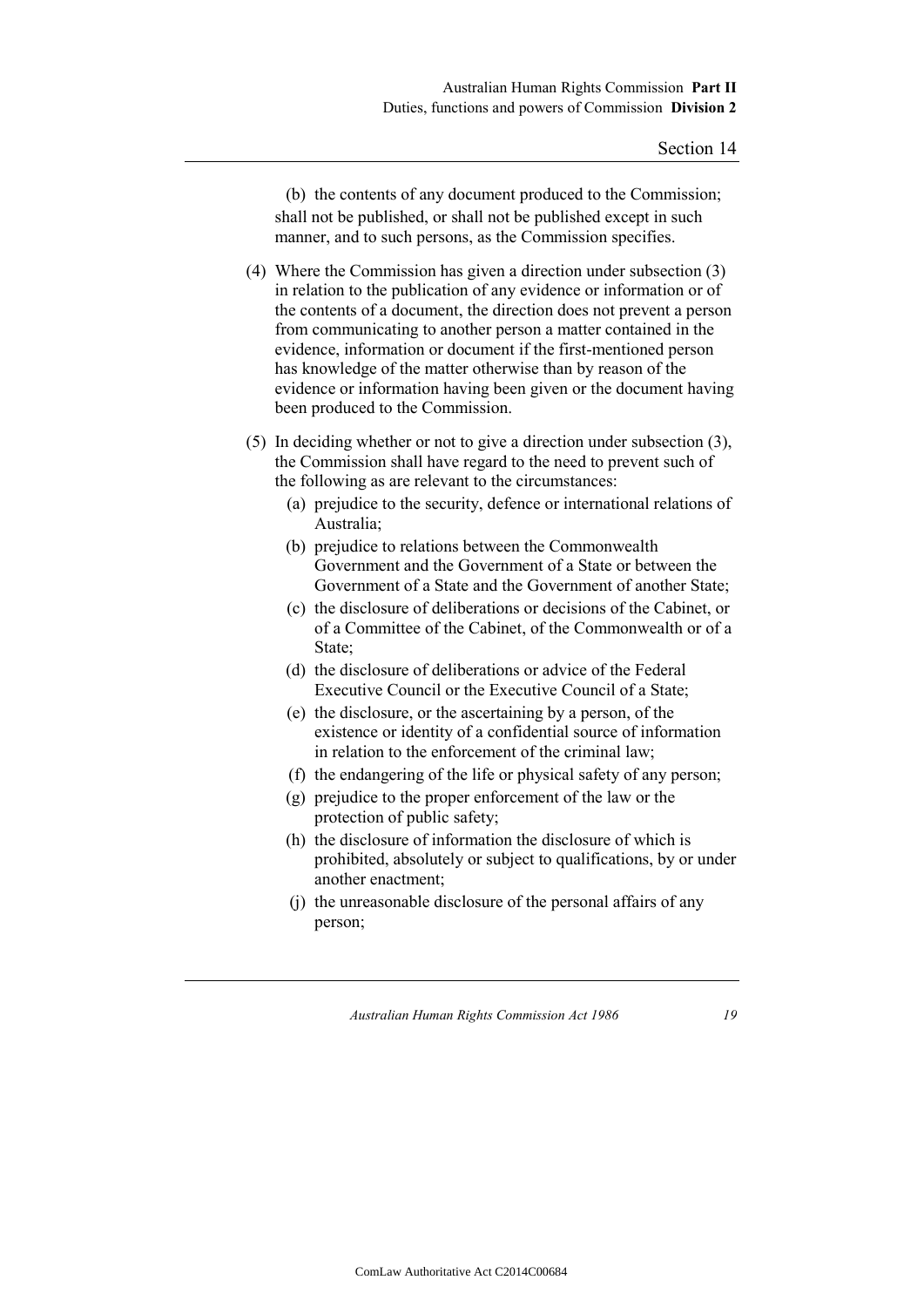(b) the contents of any document produced to the Commission; shall not be published, or shall not be published except in such manner, and to such persons, as the Commission specifies.

- (4) Where the Commission has given a direction under subsection (3) in relation to the publication of any evidence or information or of the contents of a document, the direction does not prevent a person from communicating to another person a matter contained in the evidence, information or document if the first-mentioned person has knowledge of the matter otherwise than by reason of the evidence or information having been given or the document having been produced to the Commission.
- (5) In deciding whether or not to give a direction under subsection (3), the Commission shall have regard to the need to prevent such of the following as are relevant to the circumstances:
	- (a) prejudice to the security, defence or international relations of Australia;
	- (b) prejudice to relations between the Commonwealth Government and the Government of a State or between the Government of a State and the Government of another State;
	- (c) the disclosure of deliberations or decisions of the Cabinet, or of a Committee of the Cabinet, of the Commonwealth or of a State;
	- (d) the disclosure of deliberations or advice of the Federal Executive Council or the Executive Council of a State;
	- (e) the disclosure, or the ascertaining by a person, of the existence or identity of a confidential source of information in relation to the enforcement of the criminal law;
	- (f) the endangering of the life or physical safety of any person;
	- (g) prejudice to the proper enforcement of the law or the protection of public safety;
	- (h) the disclosure of information the disclosure of which is prohibited, absolutely or subject to qualifications, by or under another enactment;
	- (j) the unreasonable disclosure of the personal affairs of any person;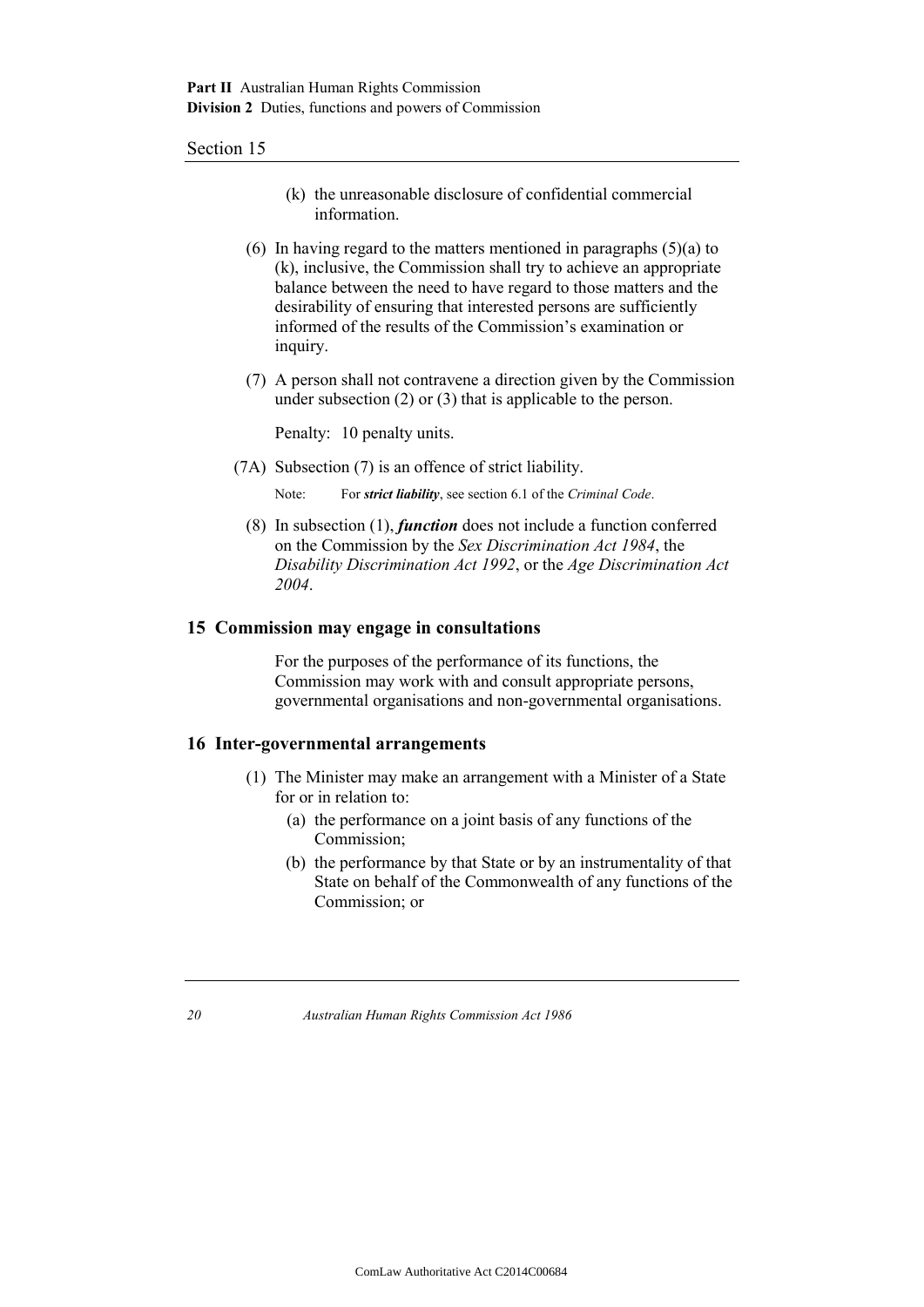- (k) the unreasonable disclosure of confidential commercial information.
- (6) In having regard to the matters mentioned in paragraphs (5)(a) to (k), inclusive, the Commission shall try to achieve an appropriate balance between the need to have regard to those matters and the desirability of ensuring that interested persons are sufficiently informed of the results of the Commission's examination or inquiry.
- (7) A person shall not contravene a direction given by the Commission under subsection (2) or (3) that is applicable to the person.

Penalty: 10 penalty units.

(7A) Subsection (7) is an offence of strict liability.

Note: For *strict liability*, see section 6.1 of the *Criminal Code*.

(8) In subsection (1), *function* does not include a function conferred on the Commission by the *Sex Discrimination Act 1984*, the *Disability Discrimination Act 1992*, or the *Age Discrimination Act 2004*.

#### **15 Commission may engage in consultations**

For the purposes of the performance of its functions, the Commission may work with and consult appropriate persons, governmental organisations and non-governmental organisations.

#### **16 Inter-governmental arrangements**

- (1) The Minister may make an arrangement with a Minister of a State for or in relation to:
	- (a) the performance on a joint basis of any functions of the Commission;
	- (b) the performance by that State or by an instrumentality of that State on behalf of the Commonwealth of any functions of the Commission; or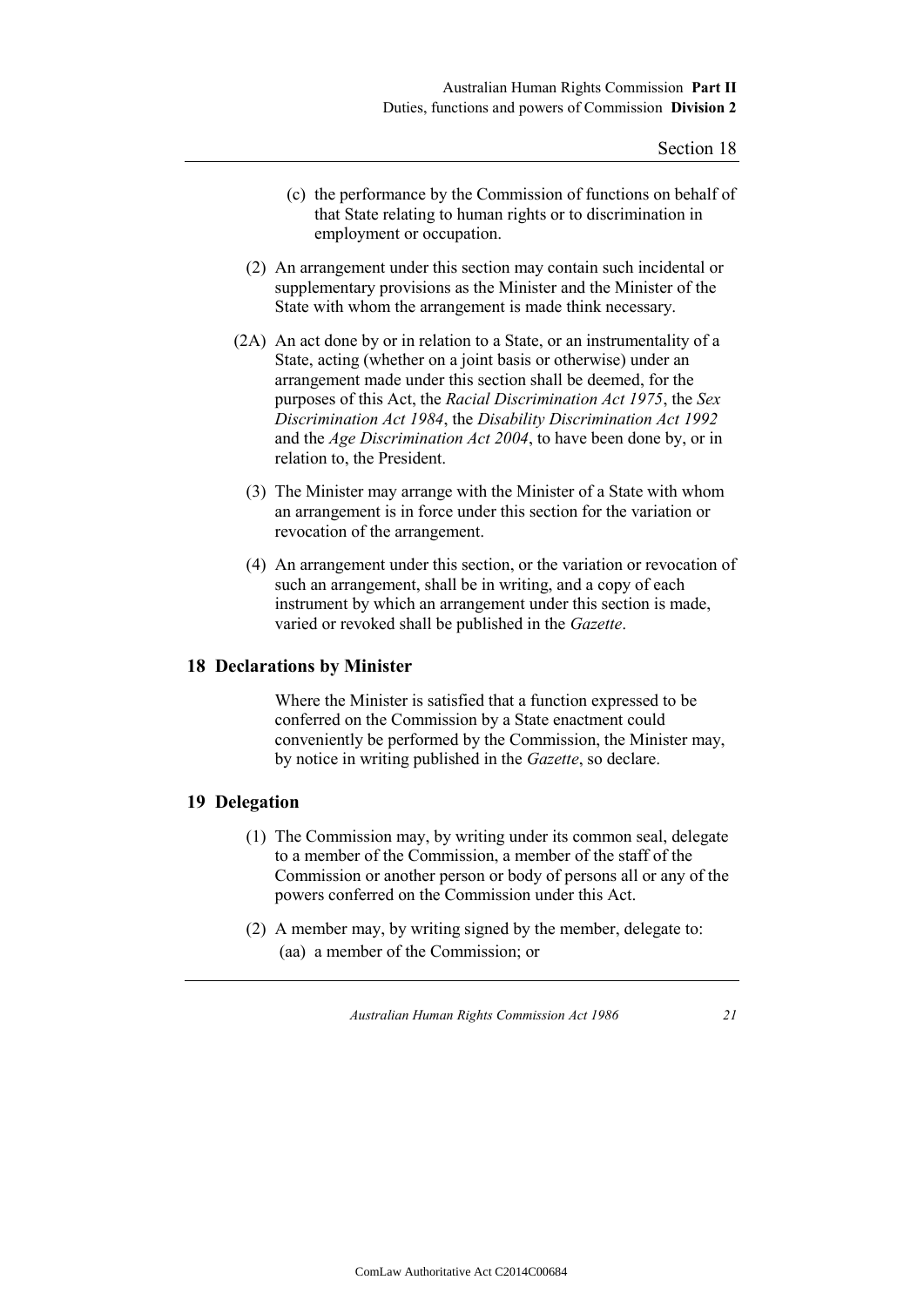- (c) the performance by the Commission of functions on behalf of that State relating to human rights or to discrimination in employment or occupation.
- (2) An arrangement under this section may contain such incidental or supplementary provisions as the Minister and the Minister of the State with whom the arrangement is made think necessary.
- (2A) An act done by or in relation to a State, or an instrumentality of a State, acting (whether on a joint basis or otherwise) under an arrangement made under this section shall be deemed, for the purposes of this Act, the *Racial Discrimination Act 1975*, the *Sex Discrimination Act 1984*, the *Disability Discrimination Act 1992* and the *Age Discrimination Act 2004*, to have been done by, or in relation to, the President.
	- (3) The Minister may arrange with the Minister of a State with whom an arrangement is in force under this section for the variation or revocation of the arrangement.
	- (4) An arrangement under this section, or the variation or revocation of such an arrangement, shall be in writing, and a copy of each instrument by which an arrangement under this section is made, varied or revoked shall be published in the *Gazette*.

#### **18 Declarations by Minister**

Where the Minister is satisfied that a function expressed to be conferred on the Commission by a State enactment could conveniently be performed by the Commission, the Minister may, by notice in writing published in the *Gazette*, so declare.

# **19 Delegation**

- (1) The Commission may, by writing under its common seal, delegate to a member of the Commission, a member of the staff of the Commission or another person or body of persons all or any of the powers conferred on the Commission under this Act.
- (2) A member may, by writing signed by the member, delegate to: (aa) a member of the Commission; or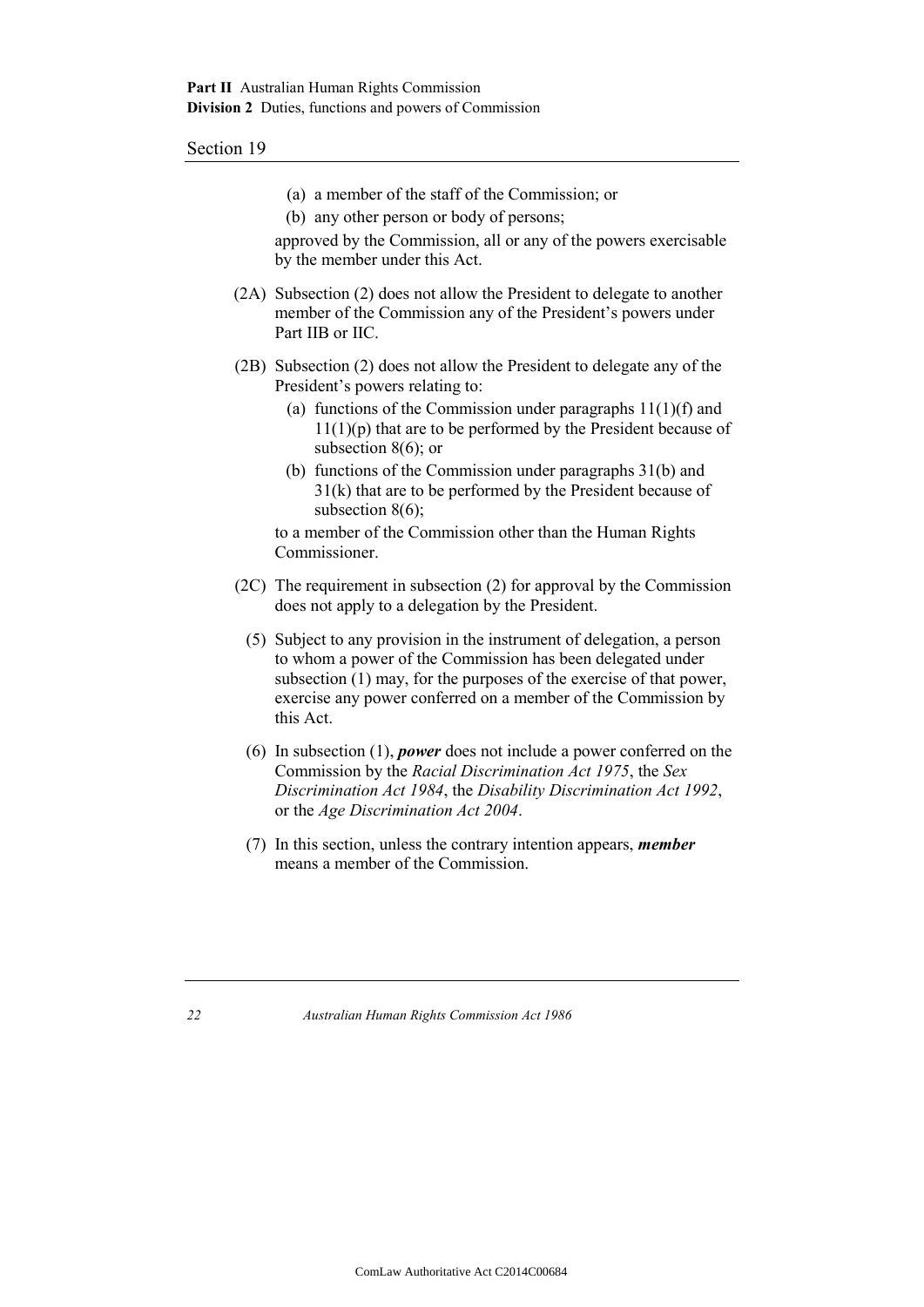- (a) a member of the staff of the Commission; or
- (b) any other person or body of persons;

approved by the Commission, all or any of the powers exercisable by the member under this Act.

- (2A) Subsection (2) does not allow the President to delegate to another member of the Commission any of the President's powers under Part IIB or IIC.
- (2B) Subsection (2) does not allow the President to delegate any of the President's powers relating to:
	- (a) functions of the Commission under paragraphs  $11(1)(f)$  and  $11(1)(p)$  that are to be performed by the President because of subsection 8(6); or
	- (b) functions of the Commission under paragraphs 31(b) and 31(k) that are to be performed by the President because of subsection 8(6);

to a member of the Commission other than the Human Rights Commissioner.

- (2C) The requirement in subsection (2) for approval by the Commission does not apply to a delegation by the President.
	- (5) Subject to any provision in the instrument of delegation, a person to whom a power of the Commission has been delegated under subsection (1) may, for the purposes of the exercise of that power, exercise any power conferred on a member of the Commission by this Act.
	- (6) In subsection (1), *power* does not include a power conferred on the Commission by the *Racial Discrimination Act 1975*, the *Sex Discrimination Act 1984*, the *Disability Discrimination Act 1992*, or the *Age Discrimination Act 2004*.
	- (7) In this section, unless the contrary intention appears, *member* means a member of the Commission.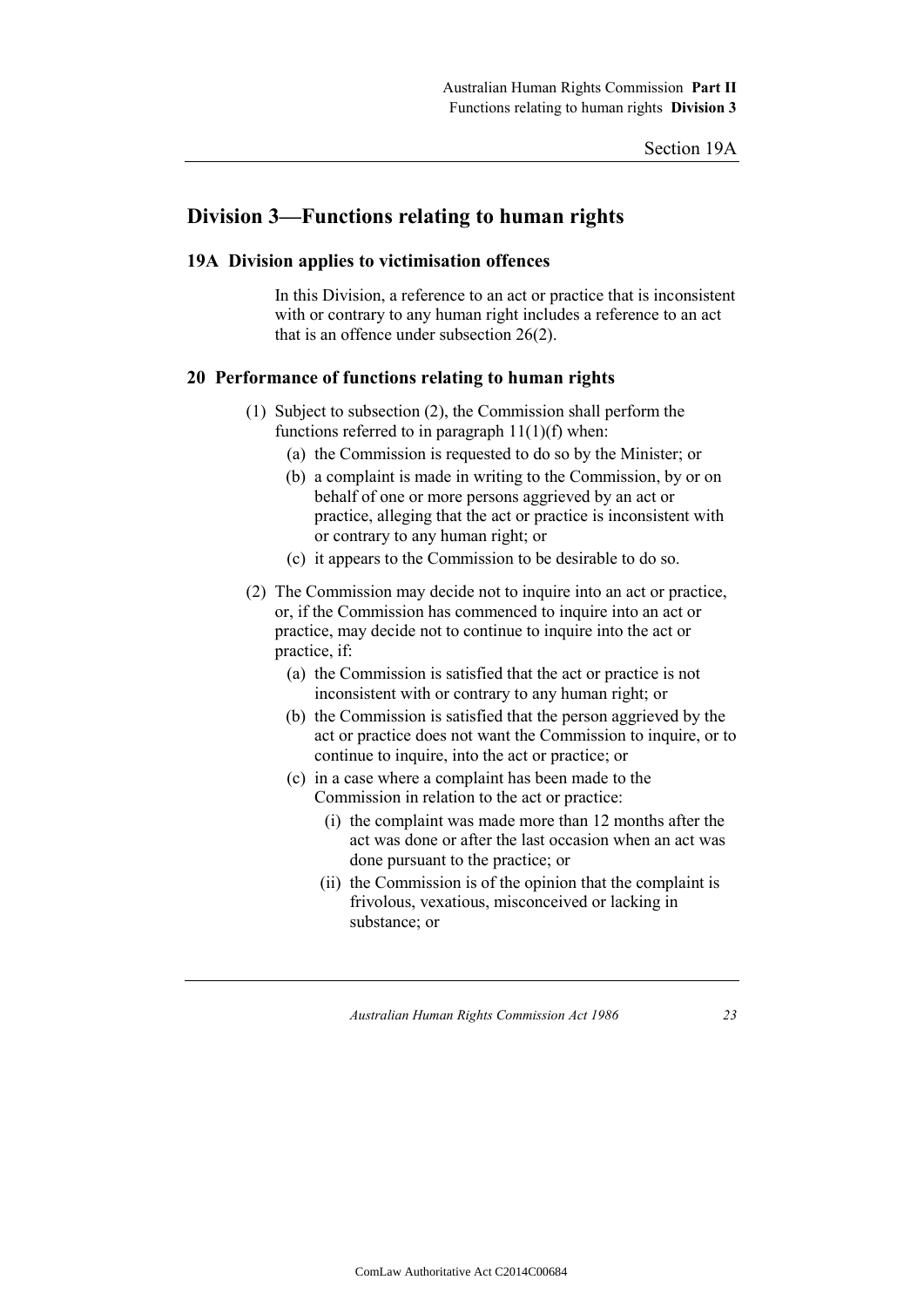# **Division 3—Functions relating to human rights**

#### **19A Division applies to victimisation offences**

In this Division, a reference to an act or practice that is inconsistent with or contrary to any human right includes a reference to an act that is an offence under subsection 26(2).

#### **20 Performance of functions relating to human rights**

- (1) Subject to subsection (2), the Commission shall perform the functions referred to in paragraph  $11(1)(f)$  when:
	- (a) the Commission is requested to do so by the Minister; or
	- (b) a complaint is made in writing to the Commission, by or on behalf of one or more persons aggrieved by an act or practice, alleging that the act or practice is inconsistent with or contrary to any human right; or
	- (c) it appears to the Commission to be desirable to do so.
- (2) The Commission may decide not to inquire into an act or practice, or, if the Commission has commenced to inquire into an act or practice, may decide not to continue to inquire into the act or practice, if:
	- (a) the Commission is satisfied that the act or practice is not inconsistent with or contrary to any human right; or
	- (b) the Commission is satisfied that the person aggrieved by the act or practice does not want the Commission to inquire, or to continue to inquire, into the act or practice; or
	- (c) in a case where a complaint has been made to the Commission in relation to the act or practice:
		- (i) the complaint was made more than 12 months after the act was done or after the last occasion when an act was done pursuant to the practice; or
		- (ii) the Commission is of the opinion that the complaint is frivolous, vexatious, misconceived or lacking in substance; or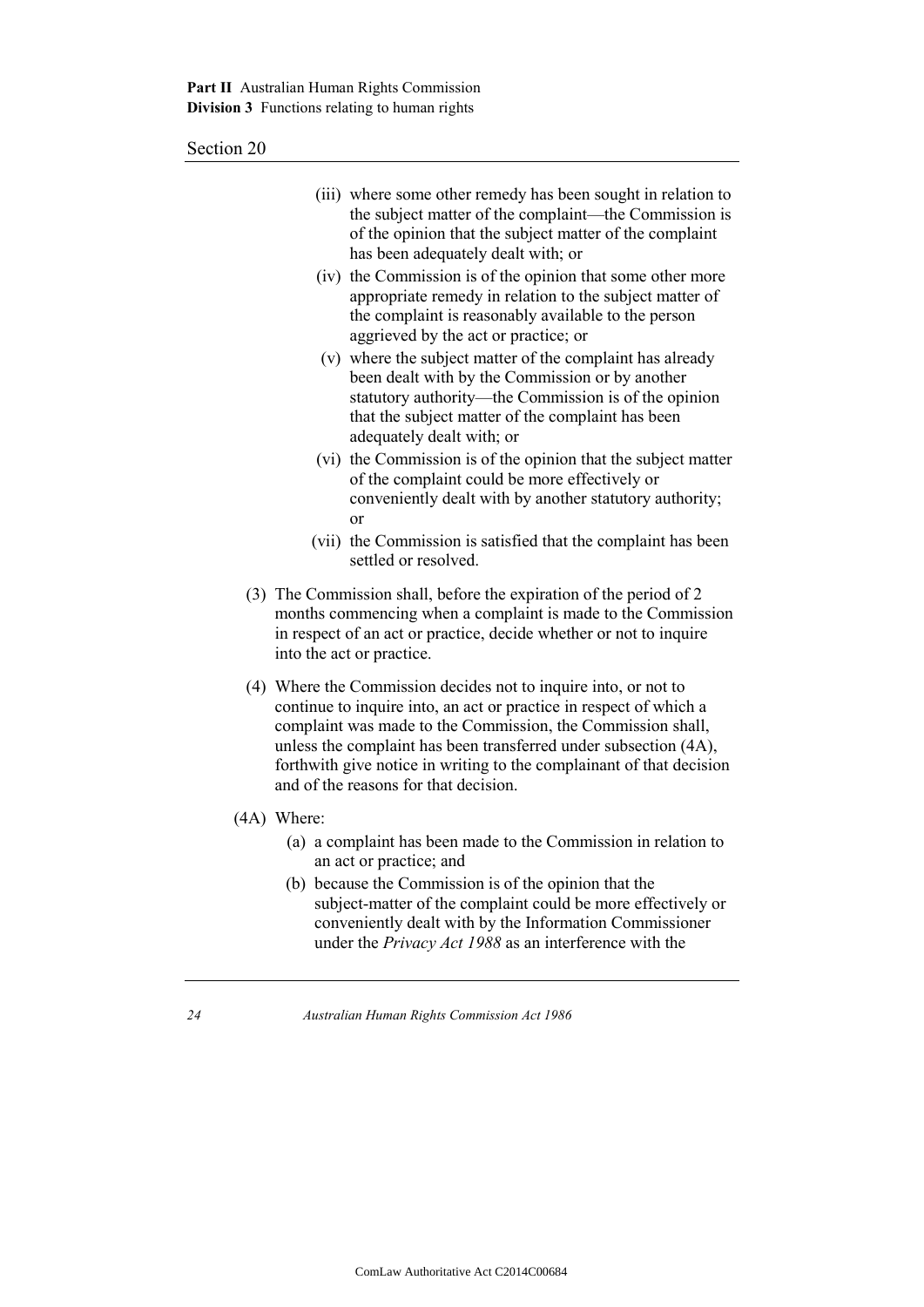| (iii) where some other remedy has been sought in relation to |
|--------------------------------------------------------------|
| the subject matter of the complaint—the Commission is        |
| of the opinion that the subject matter of the complaint      |
| has been adequately dealt with; or                           |

- (iv) the Commission is of the opinion that some other more appropriate remedy in relation to the subject matter of the complaint is reasonably available to the person aggrieved by the act or practice; or
- (v) where the subject matter of the complaint has already been dealt with by the Commission or by another statutory authority—the Commission is of the opinion that the subject matter of the complaint has been adequately dealt with; or
- (vi) the Commission is of the opinion that the subject matter of the complaint could be more effectively or conveniently dealt with by another statutory authority; or
- (vii) the Commission is satisfied that the complaint has been settled or resolved.
- (3) The Commission shall, before the expiration of the period of 2 months commencing when a complaint is made to the Commission in respect of an act or practice, decide whether or not to inquire into the act or practice.
- (4) Where the Commission decides not to inquire into, or not to continue to inquire into, an act or practice in respect of which a complaint was made to the Commission, the Commission shall, unless the complaint has been transferred under subsection (4A), forthwith give notice in writing to the complainant of that decision and of the reasons for that decision.
- (4A) Where:
	- (a) a complaint has been made to the Commission in relation to an act or practice; and
	- (b) because the Commission is of the opinion that the subject-matter of the complaint could be more effectively or conveniently dealt with by the Information Commissioner under the *Privacy Act 1988* as an interference with the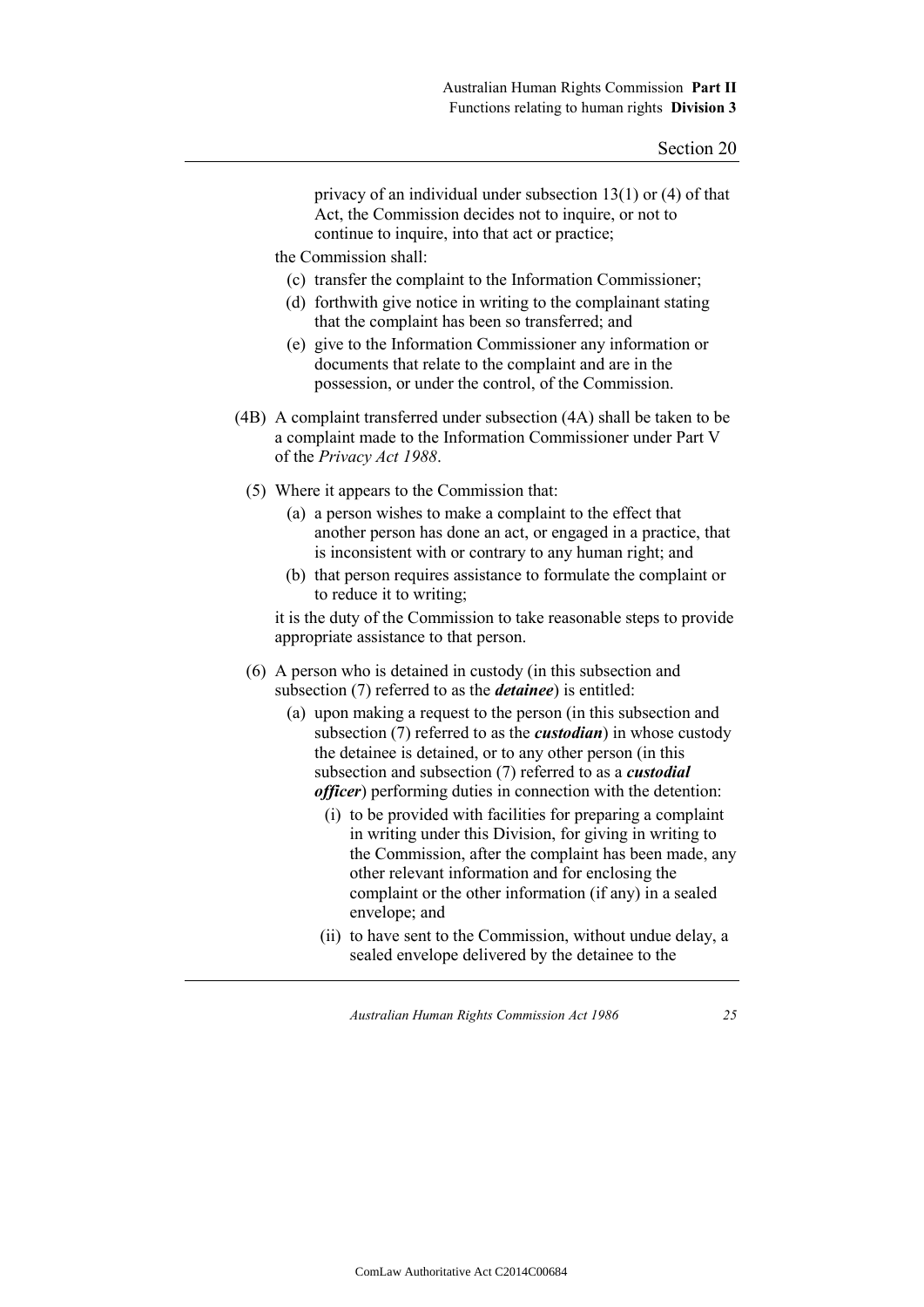privacy of an individual under subsection 13(1) or (4) of that Act, the Commission decides not to inquire, or not to continue to inquire, into that act or practice;

the Commission shall:

- (c) transfer the complaint to the Information Commissioner;
- (d) forthwith give notice in writing to the complainant stating that the complaint has been so transferred; and
- (e) give to the Information Commissioner any information or documents that relate to the complaint and are in the possession, or under the control, of the Commission.
- (4B) A complaint transferred under subsection (4A) shall be taken to be a complaint made to the Information Commissioner under Part V of the *Privacy Act 1988*.
	- (5) Where it appears to the Commission that:
		- (a) a person wishes to make a complaint to the effect that another person has done an act, or engaged in a practice, that is inconsistent with or contrary to any human right; and
		- (b) that person requires assistance to formulate the complaint or to reduce it to writing;

it is the duty of the Commission to take reasonable steps to provide appropriate assistance to that person.

- (6) A person who is detained in custody (in this subsection and subsection (7) referred to as the *detainee*) is entitled:
	- (a) upon making a request to the person (in this subsection and subsection (7) referred to as the *custodian*) in whose custody the detainee is detained, or to any other person (in this subsection and subsection (7) referred to as a *custodial officer*) performing duties in connection with the detention:
		- (i) to be provided with facilities for preparing a complaint in writing under this Division, for giving in writing to the Commission, after the complaint has been made, any other relevant information and for enclosing the complaint or the other information (if any) in a sealed envelope; and
		- (ii) to have sent to the Commission, without undue delay, a sealed envelope delivered by the detainee to the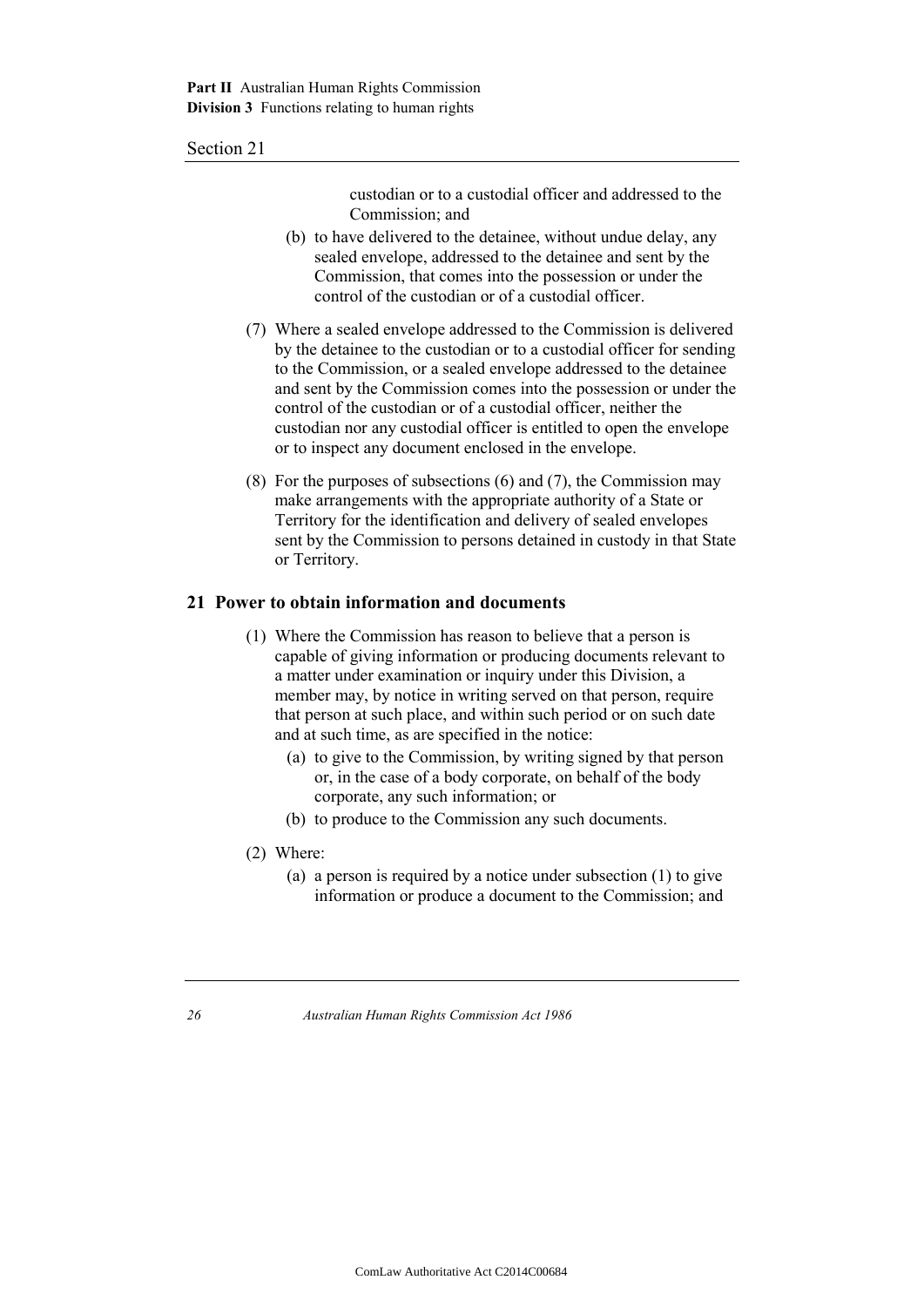custodian or to a custodial officer and addressed to the Commission; and

- (b) to have delivered to the detainee, without undue delay, any sealed envelope, addressed to the detainee and sent by the Commission, that comes into the possession or under the control of the custodian or of a custodial officer.
- (7) Where a sealed envelope addressed to the Commission is delivered by the detainee to the custodian or to a custodial officer for sending to the Commission, or a sealed envelope addressed to the detainee and sent by the Commission comes into the possession or under the control of the custodian or of a custodial officer, neither the custodian nor any custodial officer is entitled to open the envelope or to inspect any document enclosed in the envelope.
- (8) For the purposes of subsections (6) and (7), the Commission may make arrangements with the appropriate authority of a State or Territory for the identification and delivery of sealed envelopes sent by the Commission to persons detained in custody in that State or Territory.

# **21 Power to obtain information and documents**

- (1) Where the Commission has reason to believe that a person is capable of giving information or producing documents relevant to a matter under examination or inquiry under this Division, a member may, by notice in writing served on that person, require that person at such place, and within such period or on such date and at such time, as are specified in the notice:
	- (a) to give to the Commission, by writing signed by that person or, in the case of a body corporate, on behalf of the body corporate, any such information; or
	- (b) to produce to the Commission any such documents.
- (2) Where:
	- (a) a person is required by a notice under subsection  $(1)$  to give information or produce a document to the Commission; and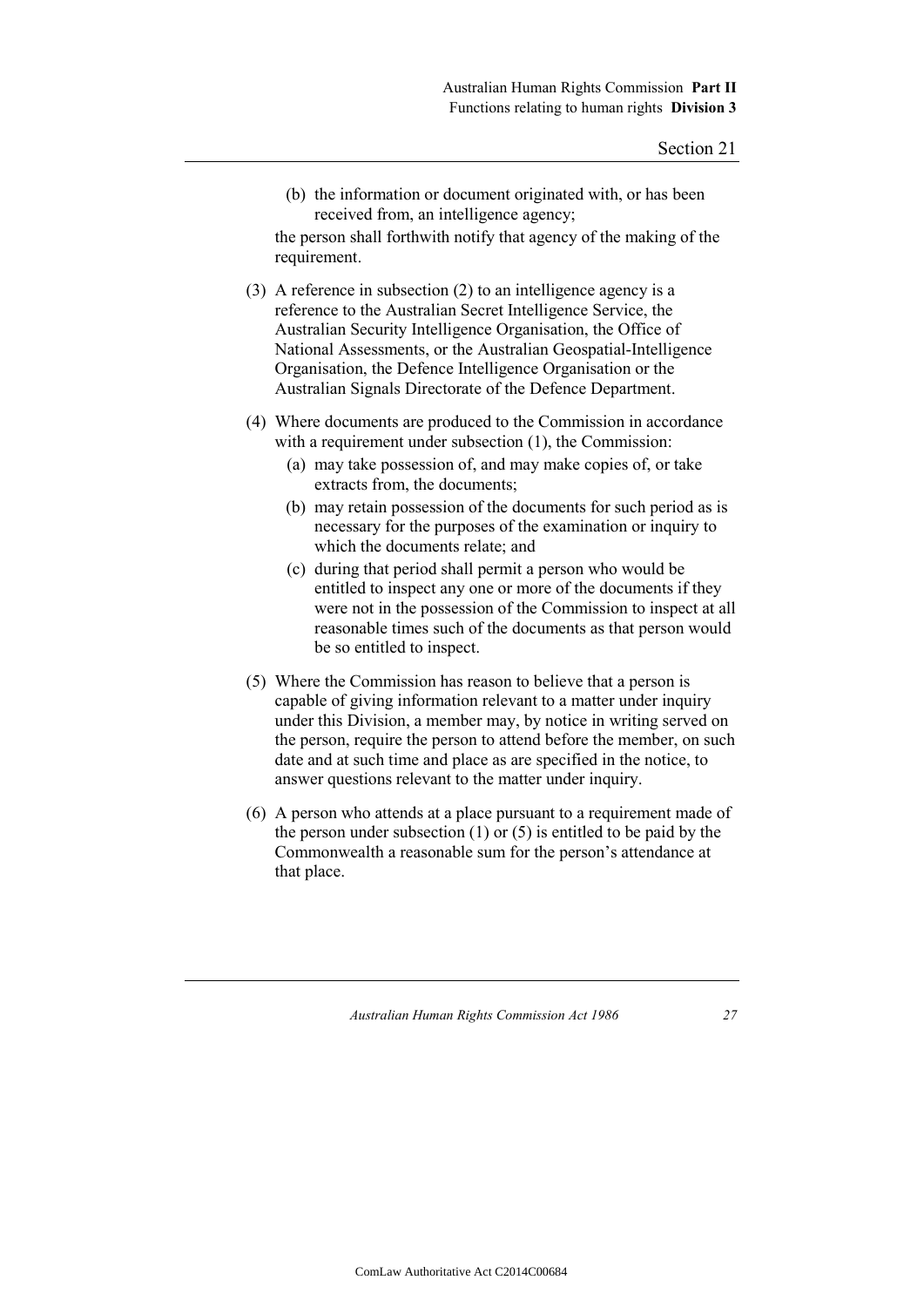(b) the information or document originated with, or has been received from, an intelligence agency;

the person shall forthwith notify that agency of the making of the requirement.

- (3) A reference in subsection (2) to an intelligence agency is a reference to the Australian Secret Intelligence Service, the Australian Security Intelligence Organisation, the Office of National Assessments, or the Australian Geospatial-Intelligence Organisation, the Defence Intelligence Organisation or the Australian Signals Directorate of the Defence Department.
- (4) Where documents are produced to the Commission in accordance with a requirement under subsection (1), the Commission:
	- (a) may take possession of, and may make copies of, or take extracts from, the documents;
	- (b) may retain possession of the documents for such period as is necessary for the purposes of the examination or inquiry to which the documents relate; and
	- (c) during that period shall permit a person who would be entitled to inspect any one or more of the documents if they were not in the possession of the Commission to inspect at all reasonable times such of the documents as that person would be so entitled to inspect.
- (5) Where the Commission has reason to believe that a person is capable of giving information relevant to a matter under inquiry under this Division, a member may, by notice in writing served on the person, require the person to attend before the member, on such date and at such time and place as are specified in the notice, to answer questions relevant to the matter under inquiry.
- (6) A person who attends at a place pursuant to a requirement made of the person under subsection (1) or (5) is entitled to be paid by the Commonwealth a reasonable sum for the person's attendance at that place.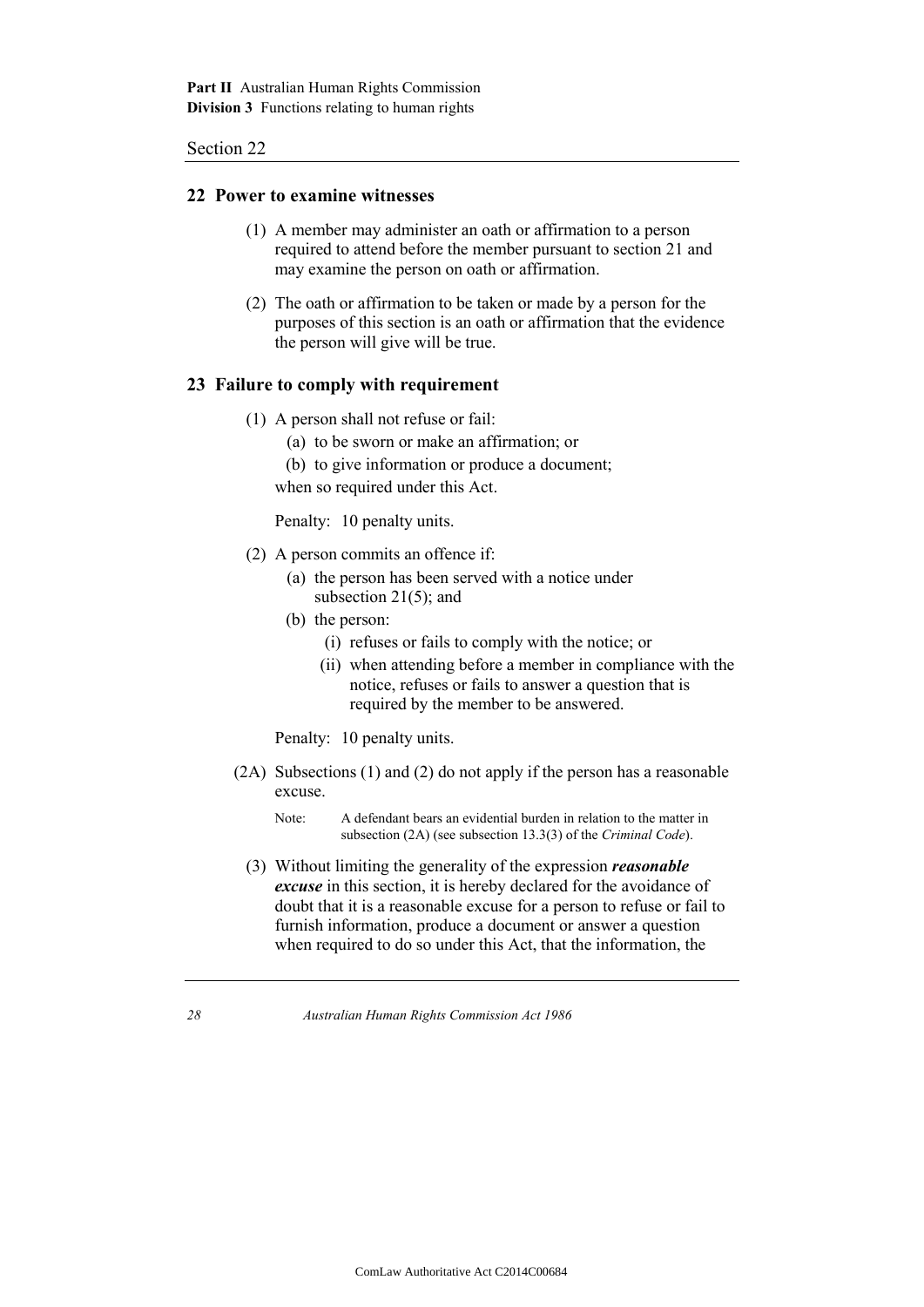#### **22 Power to examine witnesses**

- (1) A member may administer an oath or affirmation to a person required to attend before the member pursuant to section 21 and may examine the person on oath or affirmation.
- (2) The oath or affirmation to be taken or made by a person for the purposes of this section is an oath or affirmation that the evidence the person will give will be true.

#### **23 Failure to comply with requirement**

- (1) A person shall not refuse or fail:
	- (a) to be sworn or make an affirmation; or
	- (b) to give information or produce a document;

when so required under this Act.

Penalty: 10 penalty units.

- (2) A person commits an offence if:
	- (a) the person has been served with a notice under subsection 21(5); and
	- (b) the person:
		- (i) refuses or fails to comply with the notice; or
		- (ii) when attending before a member in compliance with the notice, refuses or fails to answer a question that is required by the member to be answered.

Penalty: 10 penalty units.

(2A) Subsections (1) and (2) do not apply if the person has a reasonable excuse.

Note: A defendant bears an evidential burden in relation to the matter in subsection (2A) (see subsection 13.3(3) of the *Criminal Code*).

(3) Without limiting the generality of the expression *reasonable excuse* in this section, it is hereby declared for the avoidance of doubt that it is a reasonable excuse for a person to refuse or fail to furnish information, produce a document or answer a question when required to do so under this Act, that the information, the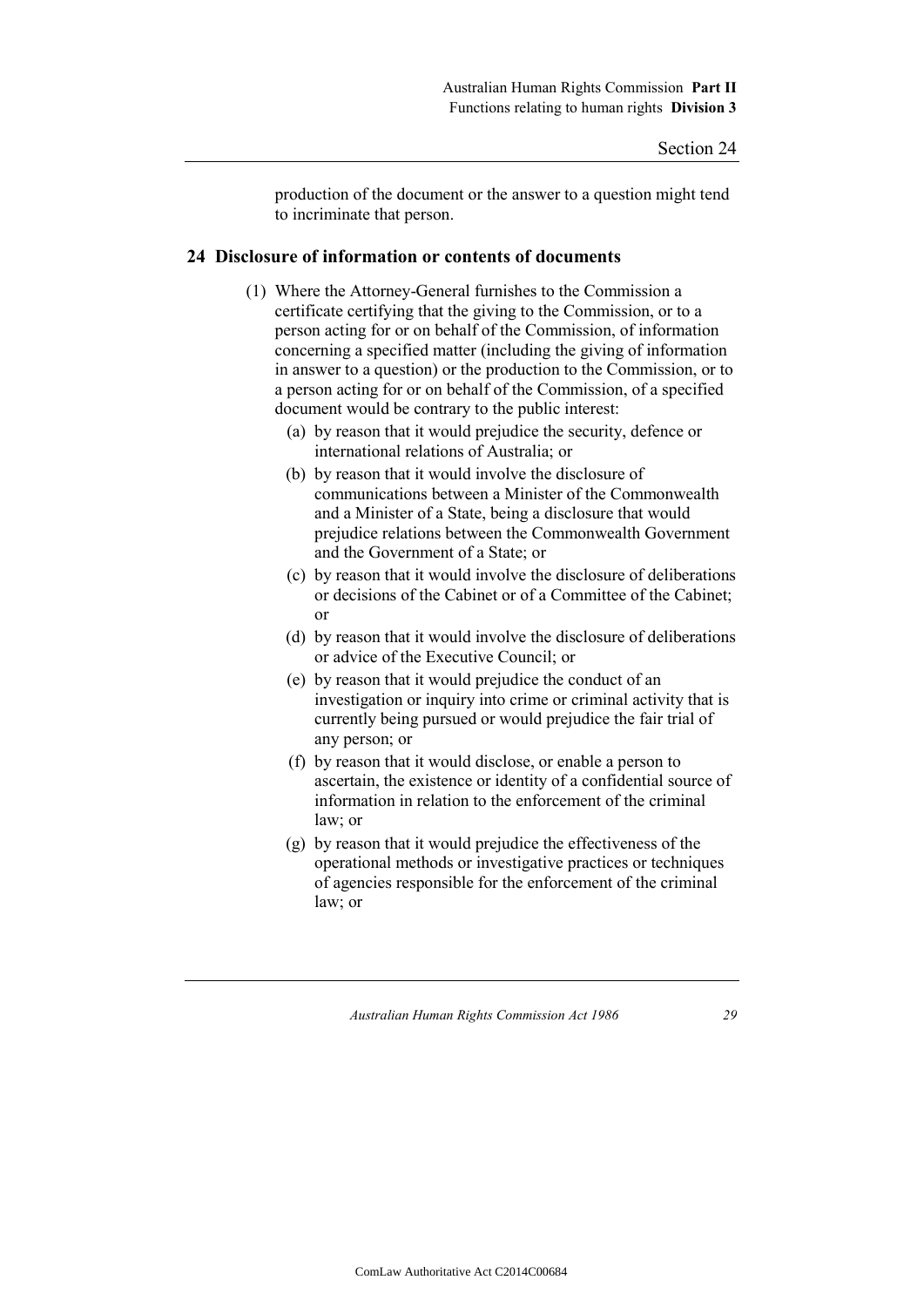production of the document or the answer to a question might tend to incriminate that person.

### **24 Disclosure of information or contents of documents**

- (1) Where the Attorney-General furnishes to the Commission a certificate certifying that the giving to the Commission, or to a person acting for or on behalf of the Commission, of information concerning a specified matter (including the giving of information in answer to a question) or the production to the Commission, or to a person acting for or on behalf of the Commission, of a specified document would be contrary to the public interest:
	- (a) by reason that it would prejudice the security, defence or international relations of Australia; or
	- (b) by reason that it would involve the disclosure of communications between a Minister of the Commonwealth and a Minister of a State, being a disclosure that would prejudice relations between the Commonwealth Government and the Government of a State; or
	- (c) by reason that it would involve the disclosure of deliberations or decisions of the Cabinet or of a Committee of the Cabinet; or
	- (d) by reason that it would involve the disclosure of deliberations or advice of the Executive Council; or
	- (e) by reason that it would prejudice the conduct of an investigation or inquiry into crime or criminal activity that is currently being pursued or would prejudice the fair trial of any person; or
	- (f) by reason that it would disclose, or enable a person to ascertain, the existence or identity of a confidential source of information in relation to the enforcement of the criminal law; or
	- (g) by reason that it would prejudice the effectiveness of the operational methods or investigative practices or techniques of agencies responsible for the enforcement of the criminal law; or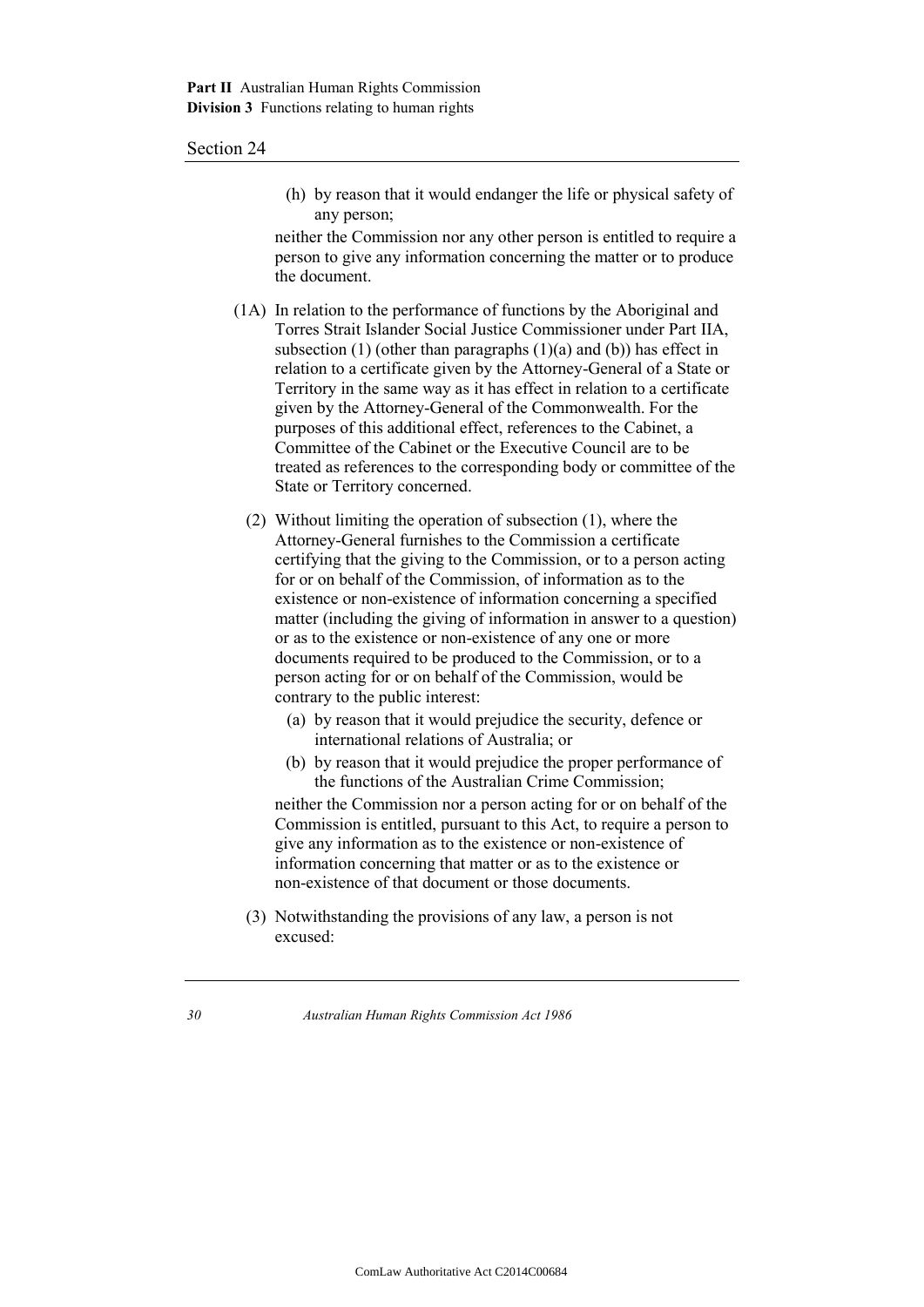(h) by reason that it would endanger the life or physical safety of any person;

neither the Commission nor any other person is entitled to require a person to give any information concerning the matter or to produce the document.

- (1A) In relation to the performance of functions by the Aboriginal and Torres Strait Islander Social Justice Commissioner under Part IIA, subsection  $(1)$  (other than paragraphs  $(1)(a)$  and  $(b)$ ) has effect in relation to a certificate given by the Attorney-General of a State or Territory in the same way as it has effect in relation to a certificate given by the Attorney-General of the Commonwealth. For the purposes of this additional effect, references to the Cabinet, a Committee of the Cabinet or the Executive Council are to be treated as references to the corresponding body or committee of the State or Territory concerned.
	- (2) Without limiting the operation of subsection (1), where the Attorney-General furnishes to the Commission a certificate certifying that the giving to the Commission, or to a person acting for or on behalf of the Commission, of information as to the existence or non-existence of information concerning a specified matter (including the giving of information in answer to a question) or as to the existence or non-existence of any one or more documents required to be produced to the Commission, or to a person acting for or on behalf of the Commission, would be contrary to the public interest:
		- (a) by reason that it would prejudice the security, defence or international relations of Australia; or
		- (b) by reason that it would prejudice the proper performance of the functions of the Australian Crime Commission;

neither the Commission nor a person acting for or on behalf of the Commission is entitled, pursuant to this Act, to require a person to give any information as to the existence or non-existence of information concerning that matter or as to the existence or non-existence of that document or those documents.

(3) Notwithstanding the provisions of any law, a person is not excused: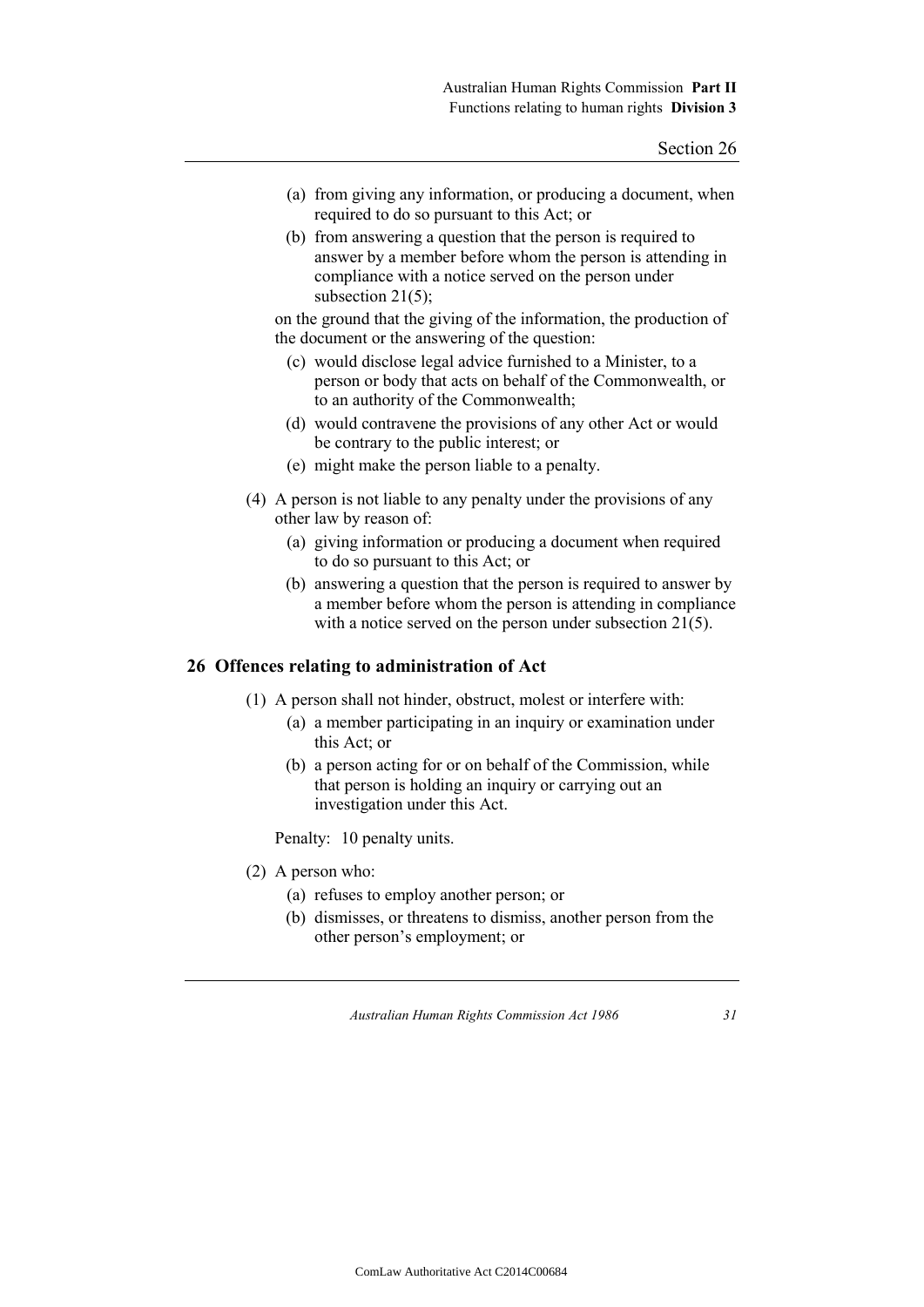- (a) from giving any information, or producing a document, when required to do so pursuant to this Act; or
- (b) from answering a question that the person is required to answer by a member before whom the person is attending in compliance with a notice served on the person under subsection 21(5);

on the ground that the giving of the information, the production of the document or the answering of the question:

- (c) would disclose legal advice furnished to a Minister, to a person or body that acts on behalf of the Commonwealth, or to an authority of the Commonwealth;
- (d) would contravene the provisions of any other Act or would be contrary to the public interest; or
- (e) might make the person liable to a penalty.
- (4) A person is not liable to any penalty under the provisions of any other law by reason of:
	- (a) giving information or producing a document when required to do so pursuant to this Act; or
	- (b) answering a question that the person is required to answer by a member before whom the person is attending in compliance with a notice served on the person under subsection 21(5).

### **26 Offences relating to administration of Act**

- (1) A person shall not hinder, obstruct, molest or interfere with:
	- (a) a member participating in an inquiry or examination under this Act; or
	- (b) a person acting for or on behalf of the Commission, while that person is holding an inquiry or carrying out an investigation under this Act.

Penalty: 10 penalty units.

- (2) A person who:
	- (a) refuses to employ another person; or
	- (b) dismisses, or threatens to dismiss, another person from the other person's employment; or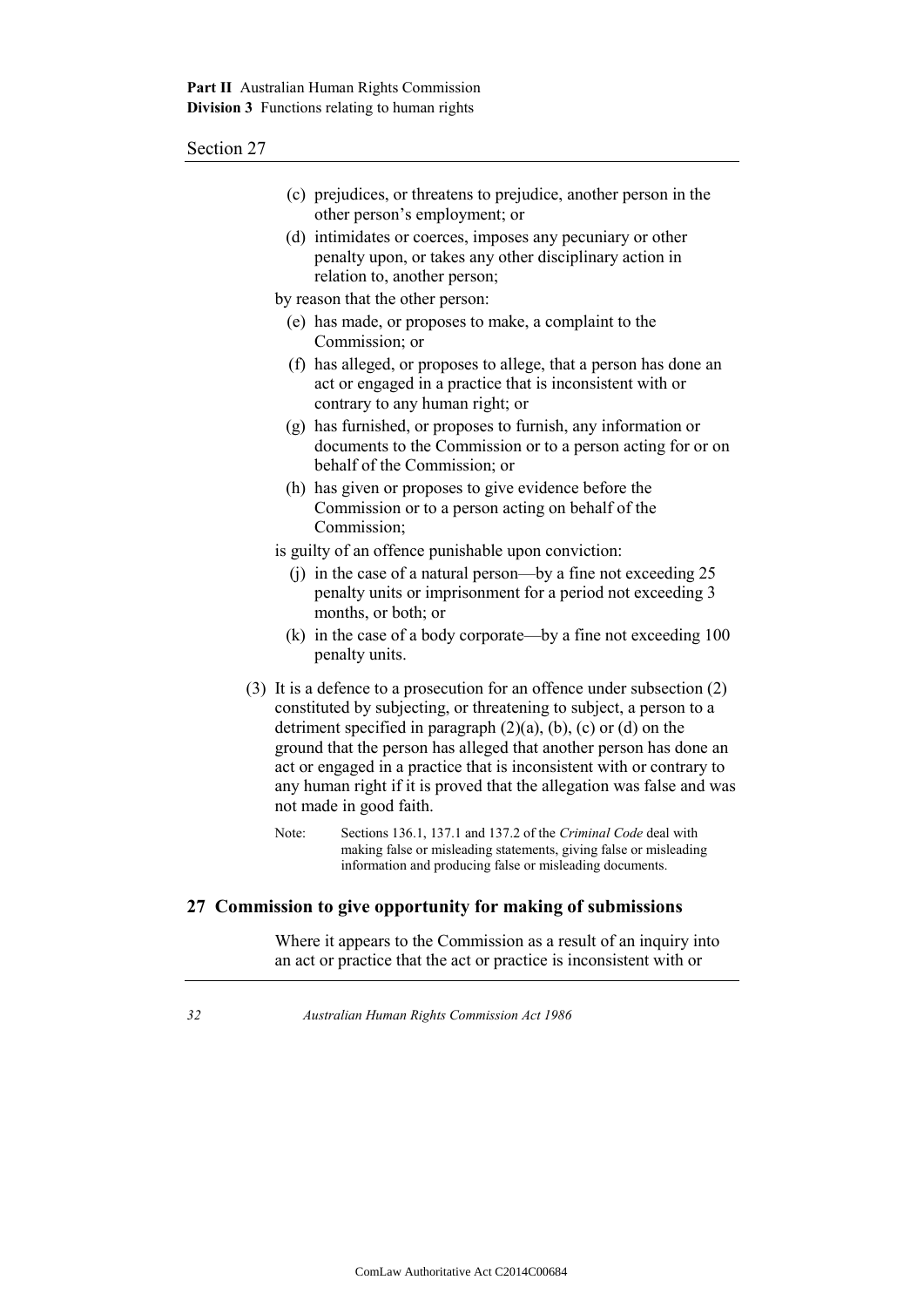- (c) prejudices, or threatens to prejudice, another person in the other person's employment; or
- (d) intimidates or coerces, imposes any pecuniary or other penalty upon, or takes any other disciplinary action in relation to, another person;

by reason that the other person:

- (e) has made, or proposes to make, a complaint to the Commission; or
- (f) has alleged, or proposes to allege, that a person has done an act or engaged in a practice that is inconsistent with or contrary to any human right; or
- (g) has furnished, or proposes to furnish, any information or documents to the Commission or to a person acting for or on behalf of the Commission; or
- (h) has given or proposes to give evidence before the Commission or to a person acting on behalf of the Commission;
- is guilty of an offence punishable upon conviction:
	- (j) in the case of a natural person—by a fine not exceeding 25 penalty units or imprisonment for a period not exceeding 3 months, or both; or
	- (k) in the case of a body corporate—by a fine not exceeding 100 penalty units.
- (3) It is a defence to a prosecution for an offence under subsection (2) constituted by subjecting, or threatening to subject, a person to a detriment specified in paragraph  $(2)(a)$ ,  $(b)$ ,  $(c)$  or  $(d)$  on the ground that the person has alleged that another person has done an act or engaged in a practice that is inconsistent with or contrary to any human right if it is proved that the allegation was false and was not made in good faith.
	- Note: Sections 136.1, 137.1 and 137.2 of the *Criminal Code* deal with making false or misleading statements, giving false or misleading information and producing false or misleading documents.

## **27 Commission to give opportunity for making of submissions**

Where it appears to the Commission as a result of an inquiry into an act or practice that the act or practice is inconsistent with or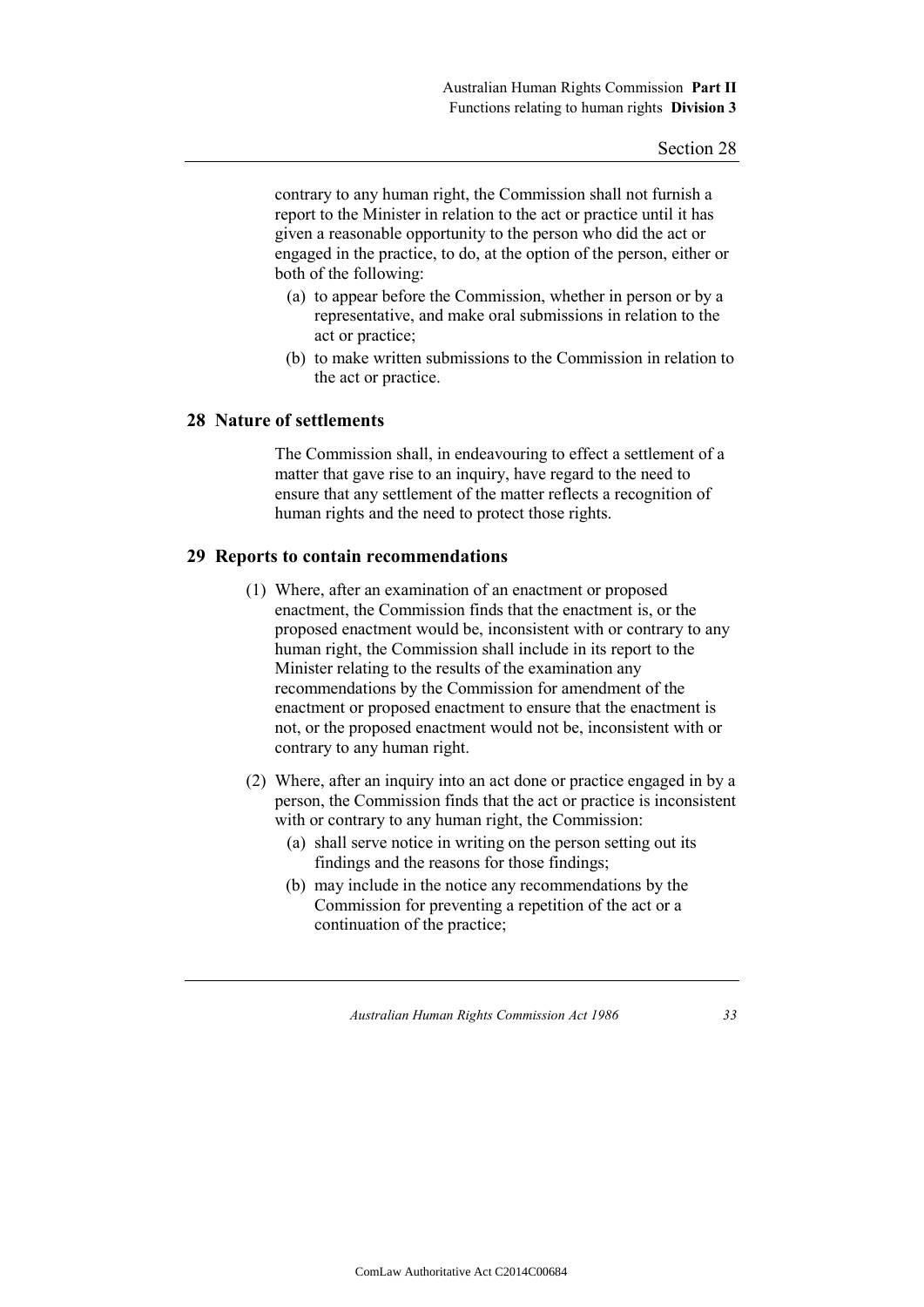contrary to any human right, the Commission shall not furnish a report to the Minister in relation to the act or practice until it has given a reasonable opportunity to the person who did the act or engaged in the practice, to do, at the option of the person, either or both of the following:

- (a) to appear before the Commission, whether in person or by a representative, and make oral submissions in relation to the act or practice;
- (b) to make written submissions to the Commission in relation to the act or practice.

## **28 Nature of settlements**

The Commission shall, in endeavouring to effect a settlement of a matter that gave rise to an inquiry, have regard to the need to ensure that any settlement of the matter reflects a recognition of human rights and the need to protect those rights.

### **29 Reports to contain recommendations**

- (1) Where, after an examination of an enactment or proposed enactment, the Commission finds that the enactment is, or the proposed enactment would be, inconsistent with or contrary to any human right, the Commission shall include in its report to the Minister relating to the results of the examination any recommendations by the Commission for amendment of the enactment or proposed enactment to ensure that the enactment is not, or the proposed enactment would not be, inconsistent with or contrary to any human right.
- (2) Where, after an inquiry into an act done or practice engaged in by a person, the Commission finds that the act or practice is inconsistent with or contrary to any human right, the Commission:
	- (a) shall serve notice in writing on the person setting out its findings and the reasons for those findings;
	- (b) may include in the notice any recommendations by the Commission for preventing a repetition of the act or a continuation of the practice;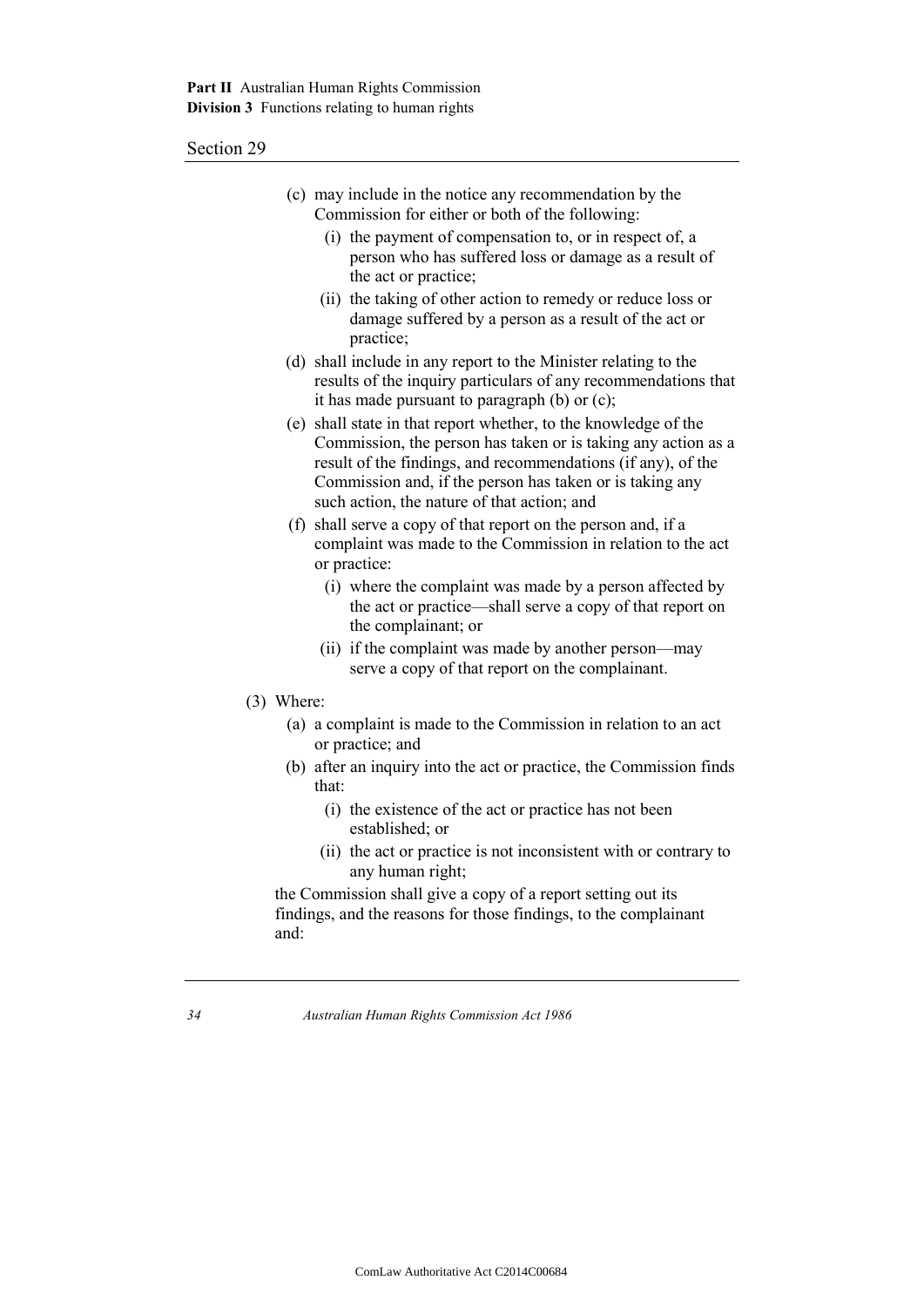- (c) may include in the notice any recommendation by the Commission for either or both of the following:
	- (i) the payment of compensation to, or in respect of, a person who has suffered loss or damage as a result of the act or practice;
	- (ii) the taking of other action to remedy or reduce loss or damage suffered by a person as a result of the act or practice;
- (d) shall include in any report to the Minister relating to the results of the inquiry particulars of any recommendations that it has made pursuant to paragraph (b) or (c);
- (e) shall state in that report whether, to the knowledge of the Commission, the person has taken or is taking any action as a result of the findings, and recommendations (if any), of the Commission and, if the person has taken or is taking any such action, the nature of that action; and
- (f) shall serve a copy of that report on the person and, if a complaint was made to the Commission in relation to the act or practice:
	- (i) where the complaint was made by a person affected by the act or practice—shall serve a copy of that report on the complainant; or
	- (ii) if the complaint was made by another person—may serve a copy of that report on the complainant.

#### (3) Where:

- (a) a complaint is made to the Commission in relation to an act or practice; and
- (b) after an inquiry into the act or practice, the Commission finds that:
	- (i) the existence of the act or practice has not been established; or
	- (ii) the act or practice is not inconsistent with or contrary to any human right;

the Commission shall give a copy of a report setting out its findings, and the reasons for those findings, to the complainant and: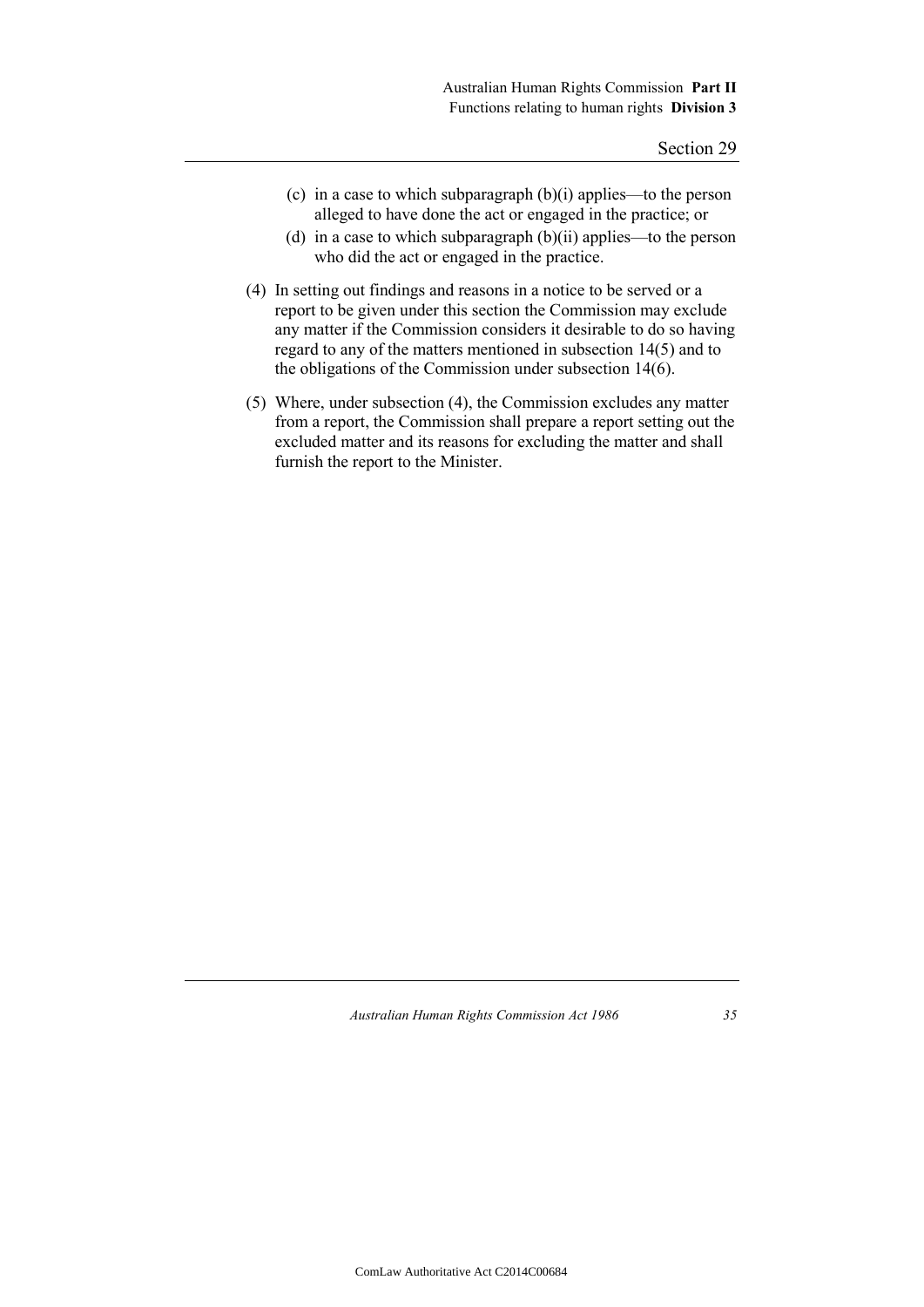- (c) in a case to which subparagraph (b)(i) applies—to the person alleged to have done the act or engaged in the practice; or
- (d) in a case to which subparagraph  $(b)(ii)$  applies—to the person who did the act or engaged in the practice.
- (4) In setting out findings and reasons in a notice to be served or a report to be given under this section the Commission may exclude any matter if the Commission considers it desirable to do so having regard to any of the matters mentioned in subsection 14(5) and to the obligations of the Commission under subsection 14(6).
- (5) Where, under subsection (4), the Commission excludes any matter from a report, the Commission shall prepare a report setting out the excluded matter and its reasons for excluding the matter and shall furnish the report to the Minister.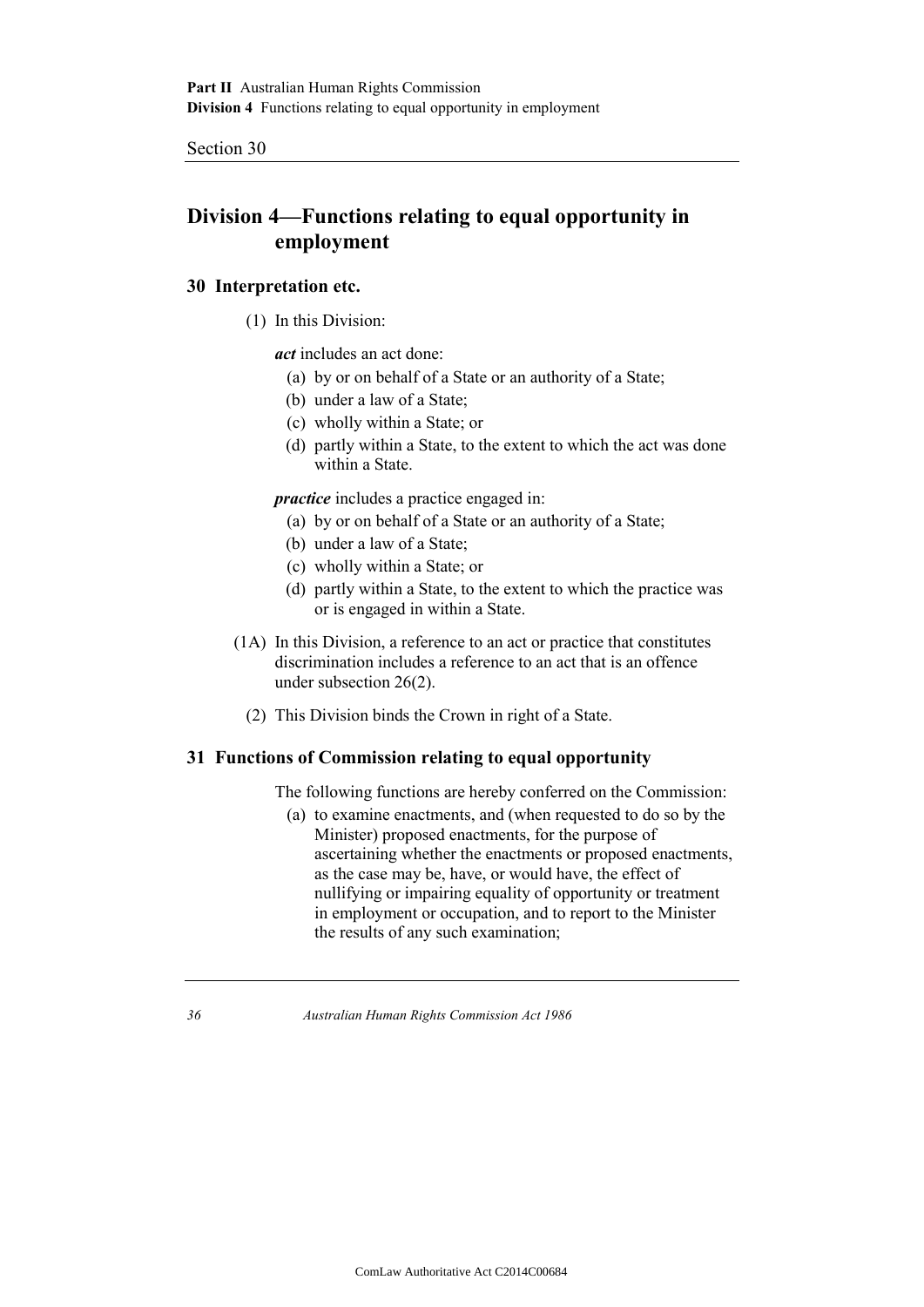# **Division 4—Functions relating to equal opportunity in employment**

## **30 Interpretation etc.**

(1) In this Division:

*act* includes an act done:

- (a) by or on behalf of a State or an authority of a State;
- (b) under a law of a State;
- (c) wholly within a State; or
- (d) partly within a State, to the extent to which the act was done within a State.

*practice* includes a practice engaged in:

- (a) by or on behalf of a State or an authority of a State;
- (b) under a law of a State;
- (c) wholly within a State; or
- (d) partly within a State, to the extent to which the practice was or is engaged in within a State.
- (1A) In this Division, a reference to an act or practice that constitutes discrimination includes a reference to an act that is an offence under subsection 26(2).
	- (2) This Division binds the Crown in right of a State.

# **31 Functions of Commission relating to equal opportunity**

The following functions are hereby conferred on the Commission:

(a) to examine enactments, and (when requested to do so by the Minister) proposed enactments, for the purpose of ascertaining whether the enactments or proposed enactments, as the case may be, have, or would have, the effect of nullifying or impairing equality of opportunity or treatment in employment or occupation, and to report to the Minister the results of any such examination;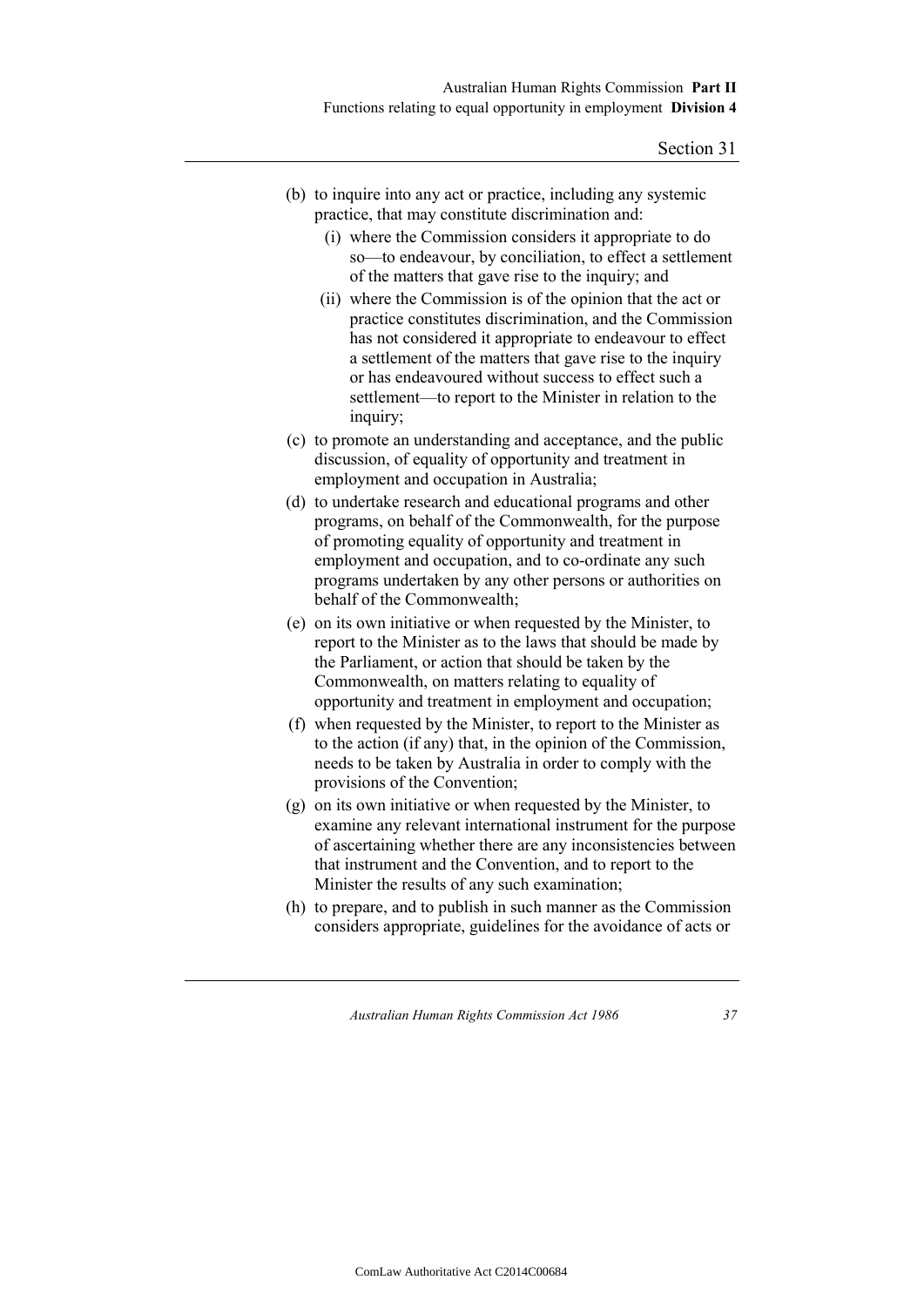- (b) to inquire into any act or practice, including any systemic practice, that may constitute discrimination and:
	- (i) where the Commission considers it appropriate to do so—to endeavour, by conciliation, to effect a settlement of the matters that gave rise to the inquiry; and
	- (ii) where the Commission is of the opinion that the act or practice constitutes discrimination, and the Commission has not considered it appropriate to endeavour to effect a settlement of the matters that gave rise to the inquiry or has endeavoured without success to effect such a settlement—to report to the Minister in relation to the inquiry;
- (c) to promote an understanding and acceptance, and the public discussion, of equality of opportunity and treatment in employment and occupation in Australia;
- (d) to undertake research and educational programs and other programs, on behalf of the Commonwealth, for the purpose of promoting equality of opportunity and treatment in employment and occupation, and to co-ordinate any such programs undertaken by any other persons or authorities on behalf of the Commonwealth;
- (e) on its own initiative or when requested by the Minister, to report to the Minister as to the laws that should be made by the Parliament, or action that should be taken by the Commonwealth, on matters relating to equality of opportunity and treatment in employment and occupation;
- (f) when requested by the Minister, to report to the Minister as to the action (if any) that, in the opinion of the Commission, needs to be taken by Australia in order to comply with the provisions of the Convention;
- (g) on its own initiative or when requested by the Minister, to examine any relevant international instrument for the purpose of ascertaining whether there are any inconsistencies between that instrument and the Convention, and to report to the Minister the results of any such examination;
- (h) to prepare, and to publish in such manner as the Commission considers appropriate, guidelines for the avoidance of acts or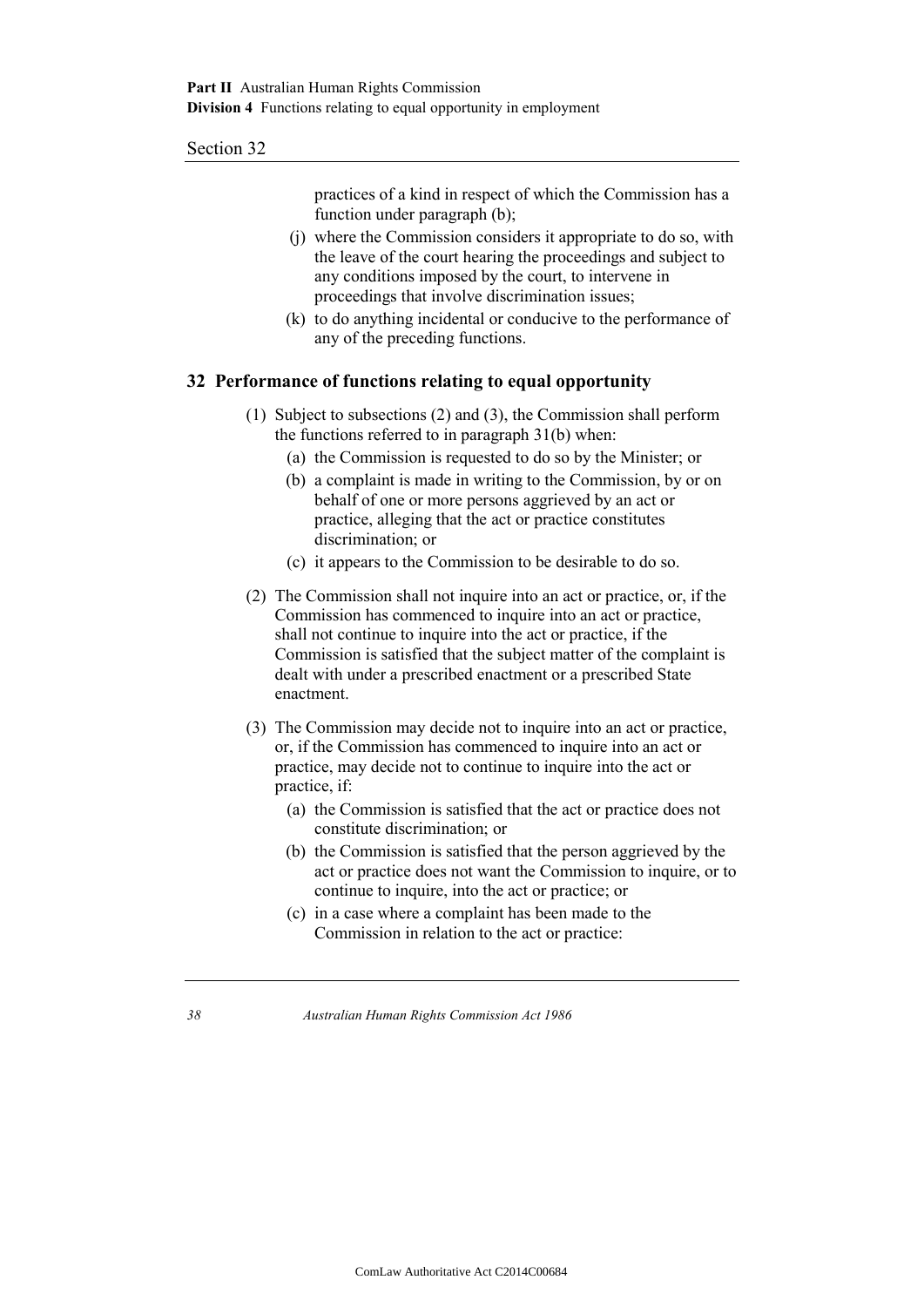practices of a kind in respect of which the Commission has a function under paragraph (b);

- (j) where the Commission considers it appropriate to do so, with the leave of the court hearing the proceedings and subject to any conditions imposed by the court, to intervene in proceedings that involve discrimination issues;
- (k) to do anything incidental or conducive to the performance of any of the preceding functions.

### **32 Performance of functions relating to equal opportunity**

- (1) Subject to subsections (2) and (3), the Commission shall perform the functions referred to in paragraph 31(b) when:
	- (a) the Commission is requested to do so by the Minister; or
	- (b) a complaint is made in writing to the Commission, by or on behalf of one or more persons aggrieved by an act or practice, alleging that the act or practice constitutes discrimination; or
	- (c) it appears to the Commission to be desirable to do so.
- (2) The Commission shall not inquire into an act or practice, or, if the Commission has commenced to inquire into an act or practice, shall not continue to inquire into the act or practice, if the Commission is satisfied that the subject matter of the complaint is dealt with under a prescribed enactment or a prescribed State enactment.
- (3) The Commission may decide not to inquire into an act or practice, or, if the Commission has commenced to inquire into an act or practice, may decide not to continue to inquire into the act or practice, if:
	- (a) the Commission is satisfied that the act or practice does not constitute discrimination; or
	- (b) the Commission is satisfied that the person aggrieved by the act or practice does not want the Commission to inquire, or to continue to inquire, into the act or practice; or
	- (c) in a case where a complaint has been made to the Commission in relation to the act or practice: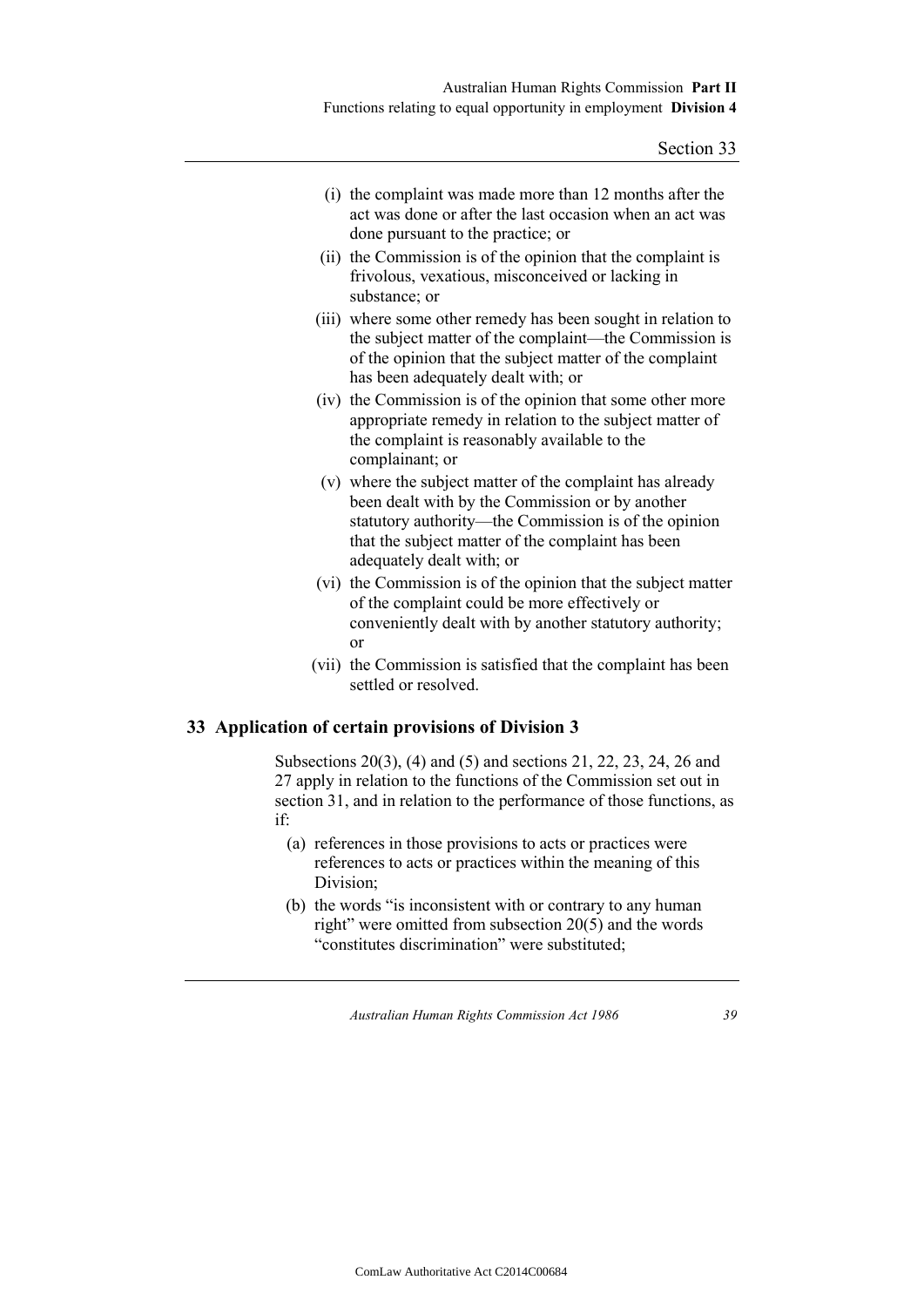- (i) the complaint was made more than 12 months after the act was done or after the last occasion when an act was done pursuant to the practice; or
- (ii) the Commission is of the opinion that the complaint is frivolous, vexatious, misconceived or lacking in substance; or
- (iii) where some other remedy has been sought in relation to the subject matter of the complaint—the Commission is of the opinion that the subject matter of the complaint has been adequately dealt with; or
- (iv) the Commission is of the opinion that some other more appropriate remedy in relation to the subject matter of the complaint is reasonably available to the complainant; or
- (v) where the subject matter of the complaint has already been dealt with by the Commission or by another statutory authority—the Commission is of the opinion that the subject matter of the complaint has been adequately dealt with; or
- (vi) the Commission is of the opinion that the subject matter of the complaint could be more effectively or conveniently dealt with by another statutory authority; or
- (vii) the Commission is satisfied that the complaint has been settled or resolved.

# **33 Application of certain provisions of Division 3**

Subsections 20(3), (4) and (5) and sections 21, 22, 23, 24, 26 and 27 apply in relation to the functions of the Commission set out in section 31, and in relation to the performance of those functions, as if:

- (a) references in those provisions to acts or practices were references to acts or practices within the meaning of this Division;
- (b) the words "is inconsistent with or contrary to any human right" were omitted from subsection  $20(5)$  and the words "constitutes discrimination" were substituted: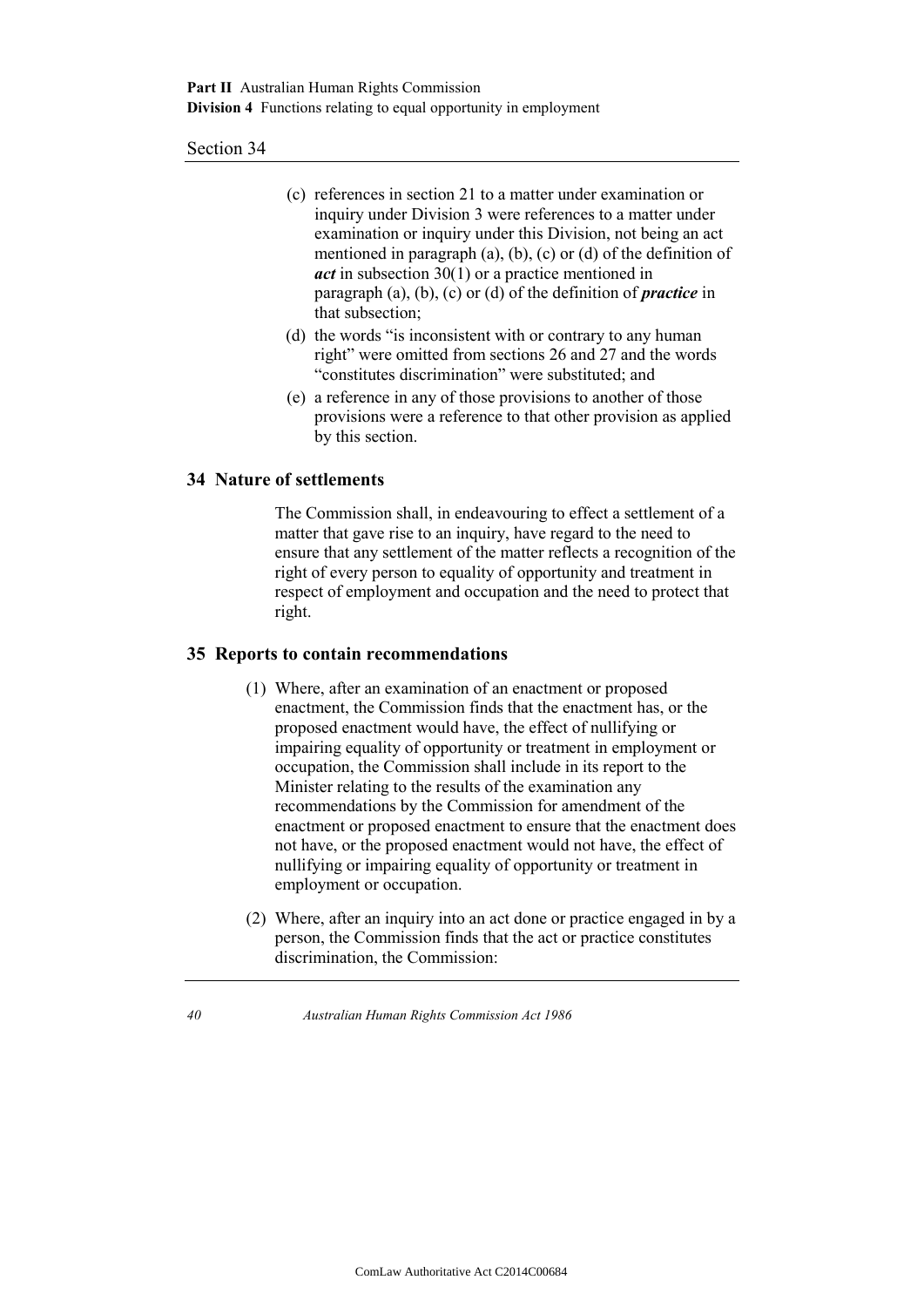- (c) references in section 21 to a matter under examination or inquiry under Division 3 were references to a matter under examination or inquiry under this Division, not being an act mentioned in paragraph (a), (b), (c) or (d) of the definition of *act* in subsection 30(1) or a practice mentioned in paragraph (a), (b), (c) or (d) of the definition of *practice* in that subsection;
- (d) the words "is inconsistent with or contrary to any human right" were omitted from sections 26 and 27 and the words "constitutes discrimination" were substituted; and
- (e) a reference in any of those provisions to another of those provisions were a reference to that other provision as applied by this section.

### **34 Nature of settlements**

The Commission shall, in endeavouring to effect a settlement of a matter that gave rise to an inquiry, have regard to the need to ensure that any settlement of the matter reflects a recognition of the right of every person to equality of opportunity and treatment in respect of employment and occupation and the need to protect that right.

### **35 Reports to contain recommendations**

- (1) Where, after an examination of an enactment or proposed enactment, the Commission finds that the enactment has, or the proposed enactment would have, the effect of nullifying or impairing equality of opportunity or treatment in employment or occupation, the Commission shall include in its report to the Minister relating to the results of the examination any recommendations by the Commission for amendment of the enactment or proposed enactment to ensure that the enactment does not have, or the proposed enactment would not have, the effect of nullifying or impairing equality of opportunity or treatment in employment or occupation.
- (2) Where, after an inquiry into an act done or practice engaged in by a person, the Commission finds that the act or practice constitutes discrimination, the Commission: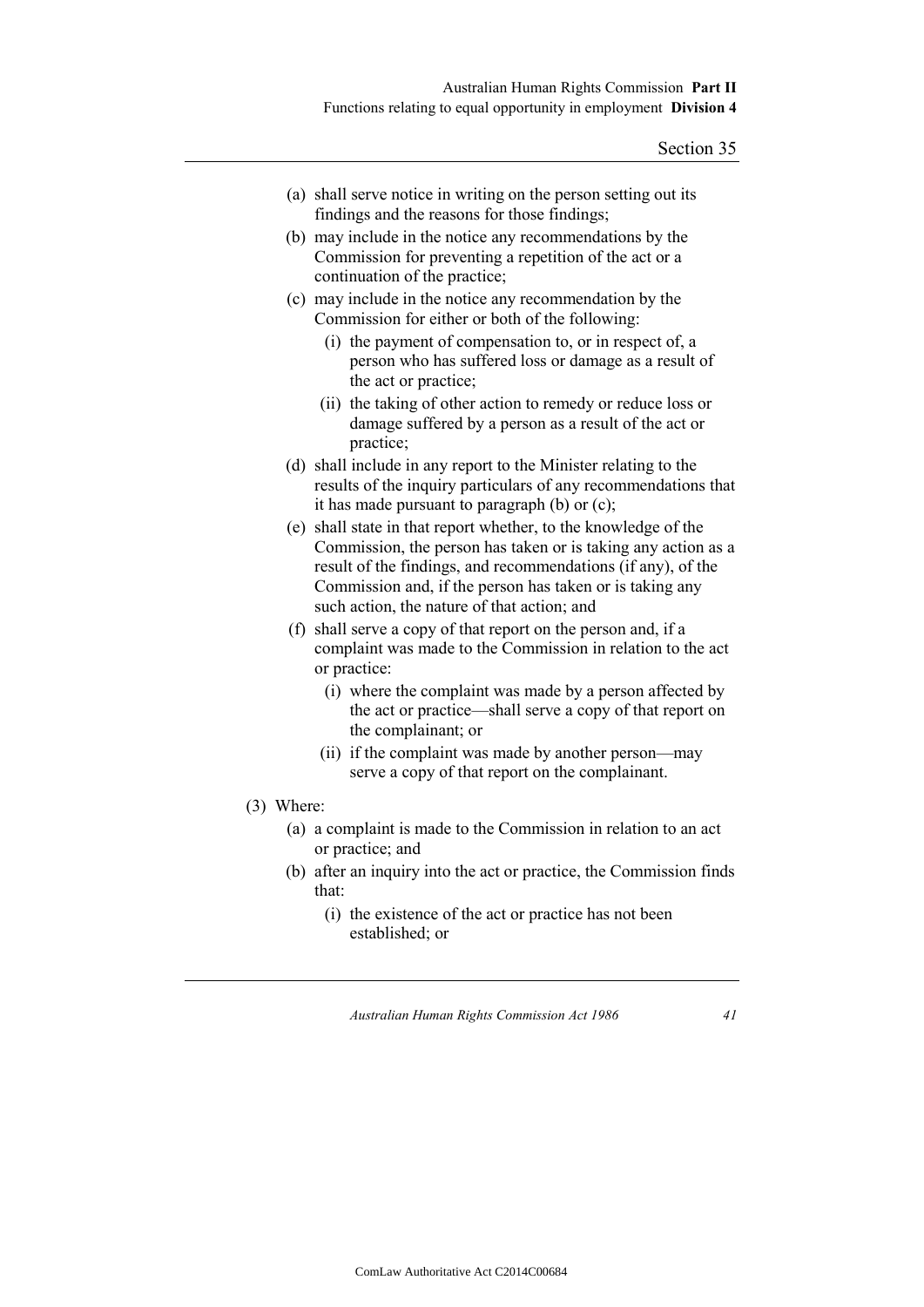| (a) shall serve notice in writing on the person setting out its |
|-----------------------------------------------------------------|
| findings and the reasons for those findings;                    |

- (b) may include in the notice any recommendations by the Commission for preventing a repetition of the act or a continuation of the practice;
- (c) may include in the notice any recommendation by the Commission for either or both of the following:
	- (i) the payment of compensation to, or in respect of, a person who has suffered loss or damage as a result of the act or practice;
	- (ii) the taking of other action to remedy or reduce loss or damage suffered by a person as a result of the act or practice;
- (d) shall include in any report to the Minister relating to the results of the inquiry particulars of any recommendations that it has made pursuant to paragraph (b) or (c);
- (e) shall state in that report whether, to the knowledge of the Commission, the person has taken or is taking any action as a result of the findings, and recommendations (if any), of the Commission and, if the person has taken or is taking any such action, the nature of that action; and
- (f) shall serve a copy of that report on the person and, if a complaint was made to the Commission in relation to the act or practice:
	- (i) where the complaint was made by a person affected by the act or practice—shall serve a copy of that report on the complainant; or
	- (ii) if the complaint was made by another person—may serve a copy of that report on the complainant.
- (3) Where:
	- (a) a complaint is made to the Commission in relation to an act or practice; and
	- (b) after an inquiry into the act or practice, the Commission finds that:
		- (i) the existence of the act or practice has not been established; or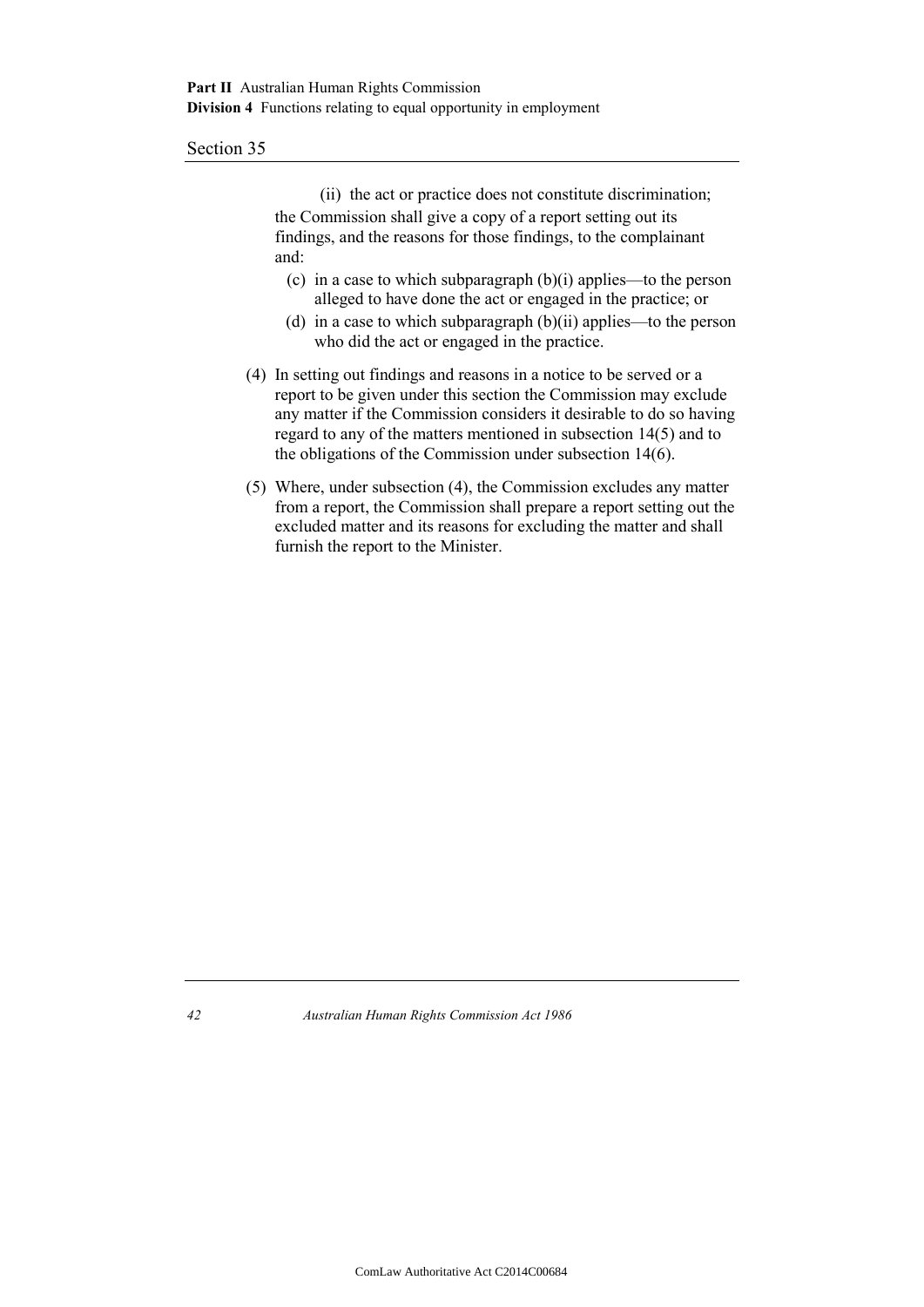(ii) the act or practice does not constitute discrimination; the Commission shall give a copy of a report setting out its findings, and the reasons for those findings, to the complainant and:

- (c) in a case to which subparagraph  $(b)(i)$  applies—to the person alleged to have done the act or engaged in the practice; or
- (d) in a case to which subparagraph  $(b)(ii)$  applies—to the person who did the act or engaged in the practice.
- (4) In setting out findings and reasons in a notice to be served or a report to be given under this section the Commission may exclude any matter if the Commission considers it desirable to do so having regard to any of the matters mentioned in subsection 14(5) and to the obligations of the Commission under subsection 14(6).
- (5) Where, under subsection (4), the Commission excludes any matter from a report, the Commission shall prepare a report setting out the excluded matter and its reasons for excluding the matter and shall furnish the report to the Minister.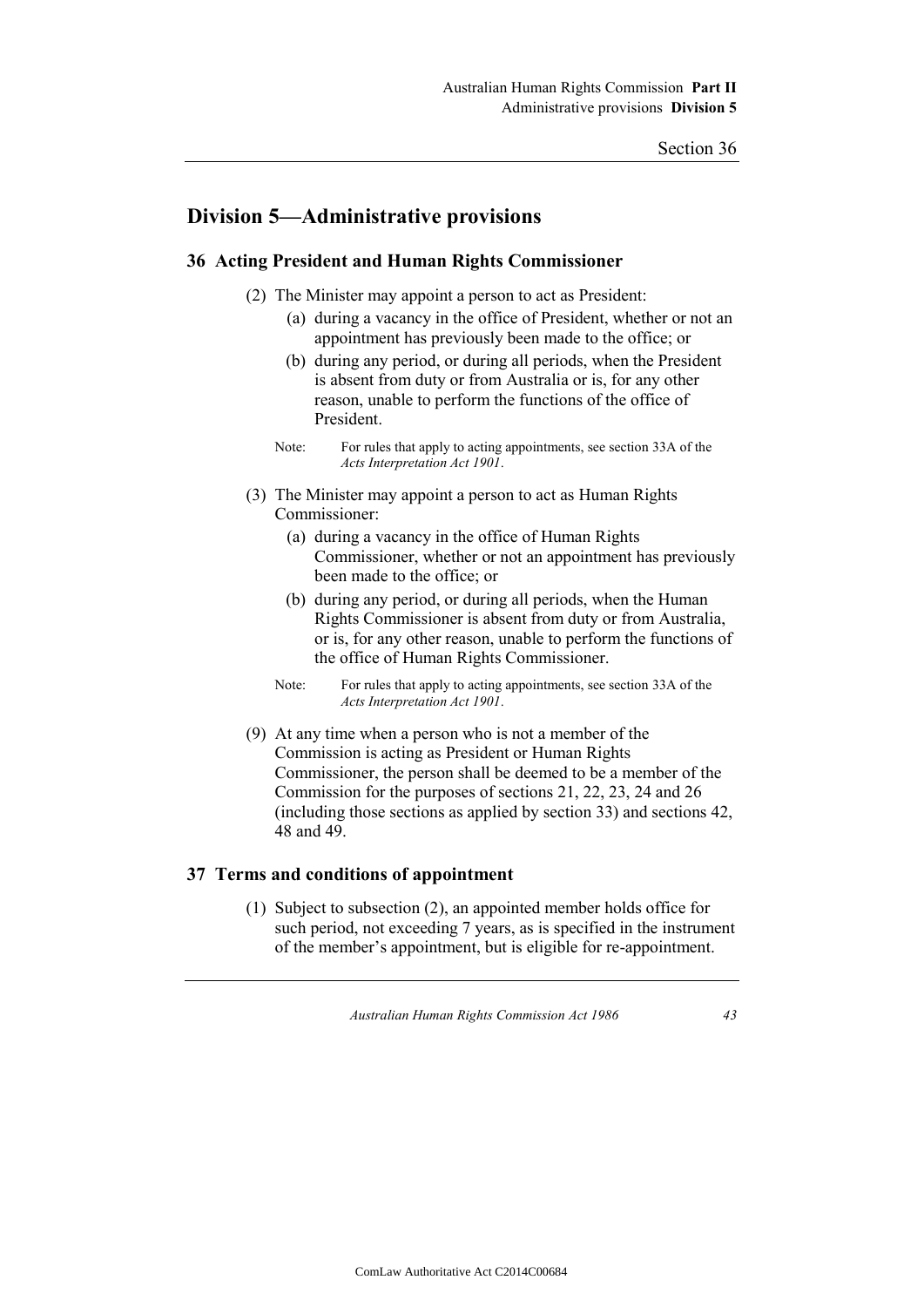# **Division 5—Administrative provisions**

### **36 Acting President and Human Rights Commissioner**

- (2) The Minister may appoint a person to act as President:
	- (a) during a vacancy in the office of President, whether or not an appointment has previously been made to the office; or
	- (b) during any period, or during all periods, when the President is absent from duty or from Australia or is, for any other reason, unable to perform the functions of the office of President.

- (3) The Minister may appoint a person to act as Human Rights Commissioner:
	- (a) during a vacancy in the office of Human Rights Commissioner, whether or not an appointment has previously been made to the office; or
	- (b) during any period, or during all periods, when the Human Rights Commissioner is absent from duty or from Australia, or is, for any other reason, unable to perform the functions of the office of Human Rights Commissioner.
	- Note: For rules that apply to acting appointments, see section 33A of the *Acts Interpretation Act 1901*.
- (9) At any time when a person who is not a member of the Commission is acting as President or Human Rights Commissioner, the person shall be deemed to be a member of the Commission for the purposes of sections 21, 22, 23, 24 and 26 (including those sections as applied by section 33) and sections 42, 48 and 49.

## **37 Terms and conditions of appointment**

(1) Subject to subsection (2), an appointed member holds office for such period, not exceeding 7 years, as is specified in the instrument of the member's appointment, but is eligible for re-appointment.

Note: For rules that apply to acting appointments, see section 33A of the *Acts Interpretation Act 1901*.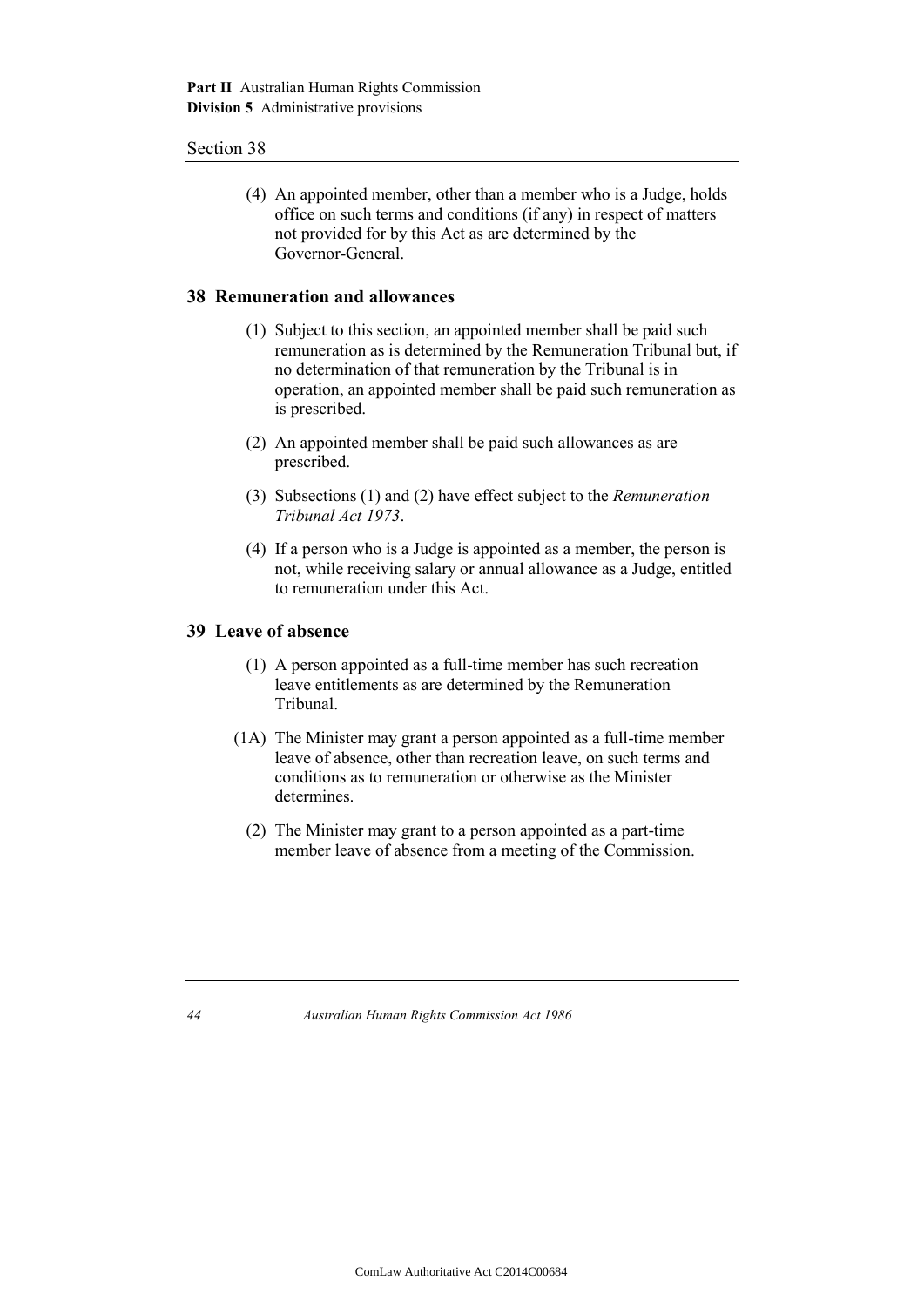(4) An appointed member, other than a member who is a Judge, holds office on such terms and conditions (if any) in respect of matters not provided for by this Act as are determined by the Governor-General.

### **38 Remuneration and allowances**

- (1) Subject to this section, an appointed member shall be paid such remuneration as is determined by the Remuneration Tribunal but, if no determination of that remuneration by the Tribunal is in operation, an appointed member shall be paid such remuneration as is prescribed.
- (2) An appointed member shall be paid such allowances as are prescribed.
- (3) Subsections (1) and (2) have effect subject to the *Remuneration Tribunal Act 1973*.
- (4) If a person who is a Judge is appointed as a member, the person is not, while receiving salary or annual allowance as a Judge, entitled to remuneration under this Act.

## **39 Leave of absence**

- (1) A person appointed as a full-time member has such recreation leave entitlements as are determined by the Remuneration Tribunal.
- (1A) The Minister may grant a person appointed as a full-time member leave of absence, other than recreation leave, on such terms and conditions as to remuneration or otherwise as the Minister determines.
	- (2) The Minister may grant to a person appointed as a part-time member leave of absence from a meeting of the Commission.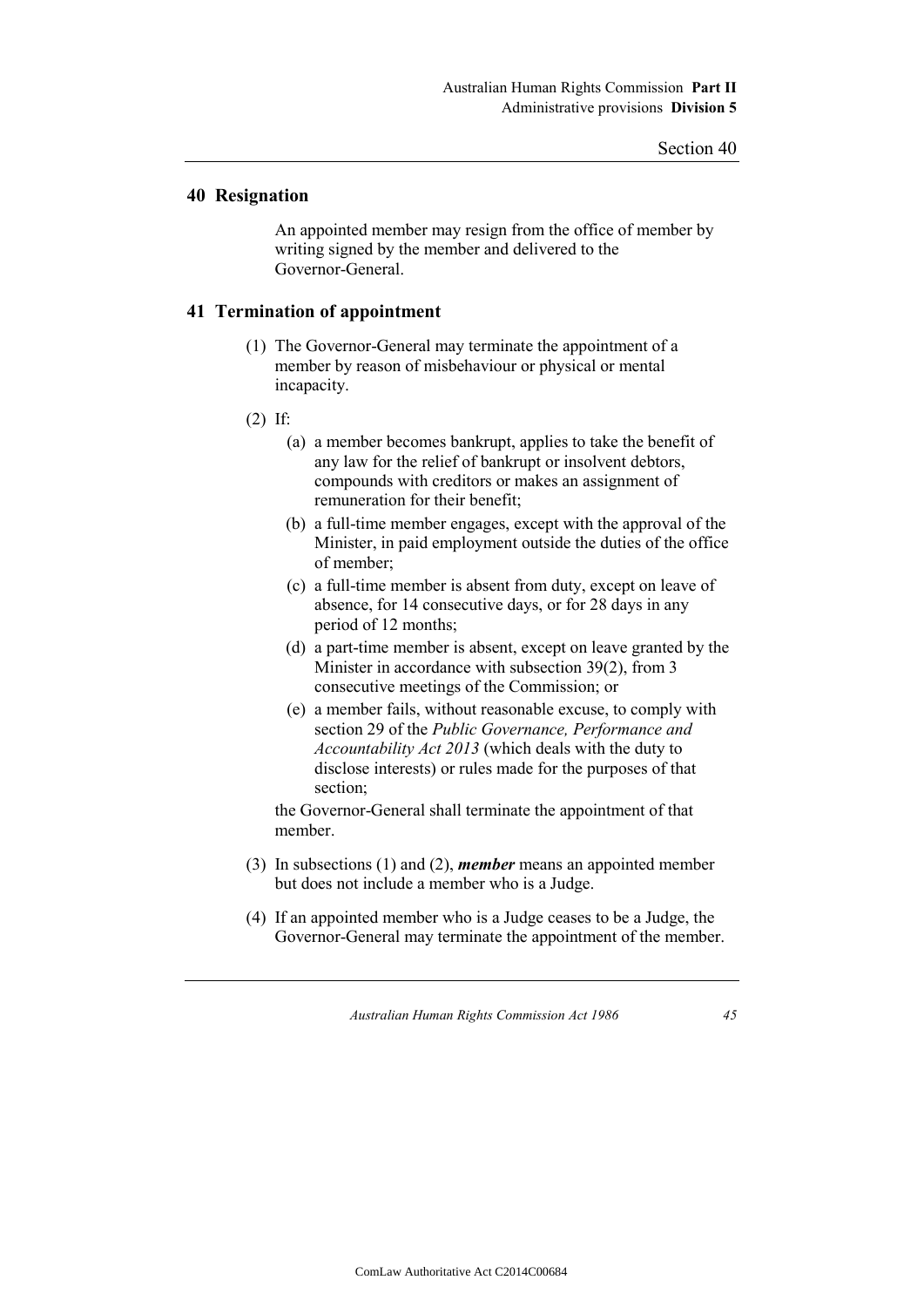## **40 Resignation**

An appointed member may resign from the office of member by writing signed by the member and delivered to the Governor-General.

### **41 Termination of appointment**

- (1) The Governor-General may terminate the appointment of a member by reason of misbehaviour or physical or mental incapacity.
- (2) If:
	- (a) a member becomes bankrupt, applies to take the benefit of any law for the relief of bankrupt or insolvent debtors, compounds with creditors or makes an assignment of remuneration for their benefit;
	- (b) a full-time member engages, except with the approval of the Minister, in paid employment outside the duties of the office of member;
	- (c) a full-time member is absent from duty, except on leave of absence, for 14 consecutive days, or for 28 days in any period of 12 months;
	- (d) a part-time member is absent, except on leave granted by the Minister in accordance with subsection 39(2), from 3 consecutive meetings of the Commission; or
	- (e) a member fails, without reasonable excuse, to comply with section 29 of the *Public Governance, Performance and Accountability Act 2013* (which deals with the duty to disclose interests) or rules made for the purposes of that section;

the Governor-General shall terminate the appointment of that member.

- (3) In subsections (1) and (2), *member* means an appointed member but does not include a member who is a Judge.
- (4) If an appointed member who is a Judge ceases to be a Judge, the Governor-General may terminate the appointment of the member.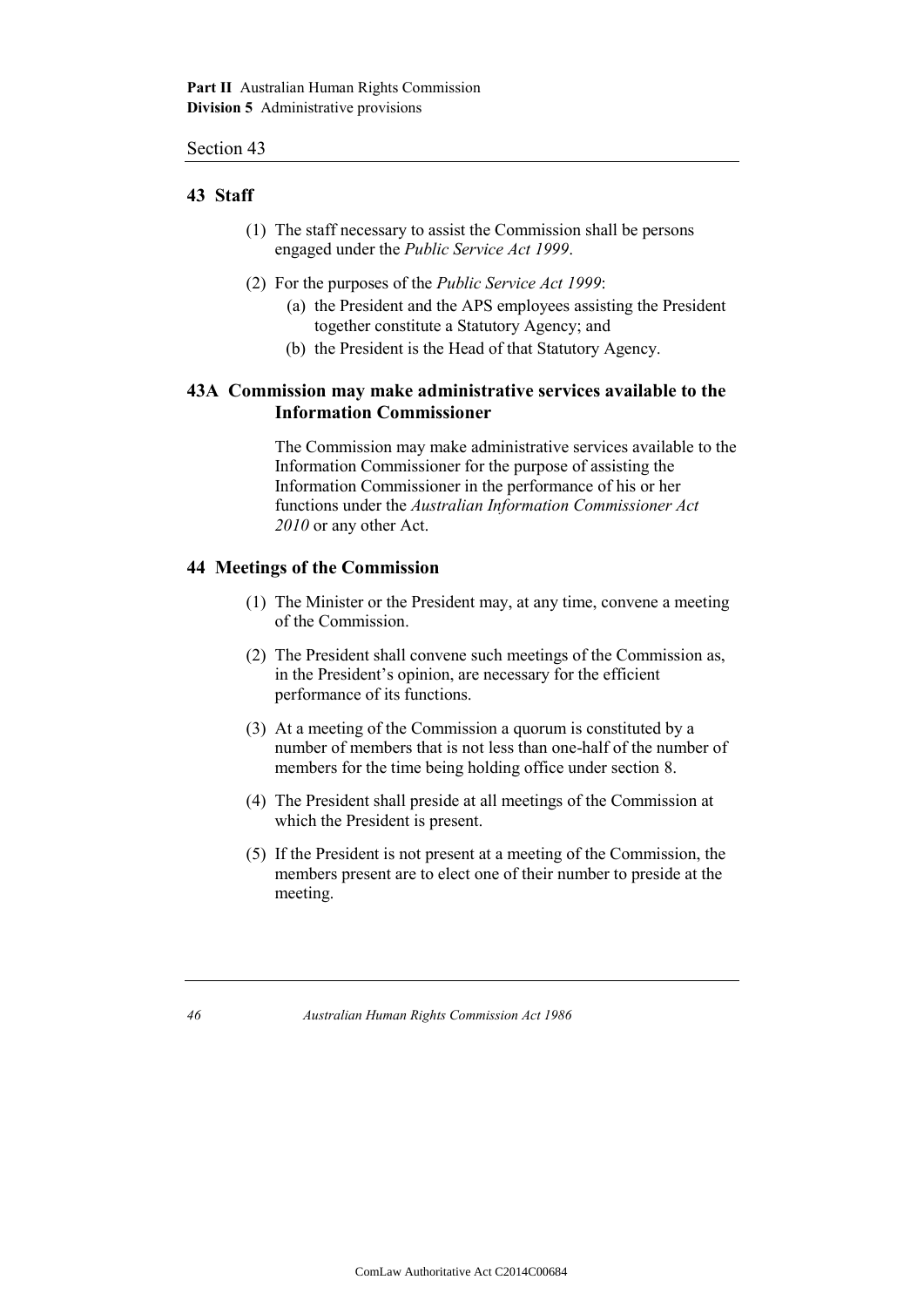### **43 Staff**

- (1) The staff necessary to assist the Commission shall be persons engaged under the *Public Service Act 1999*.
- (2) For the purposes of the *Public Service Act 1999*:
	- (a) the President and the APS employees assisting the President together constitute a Statutory Agency; and
	- (b) the President is the Head of that Statutory Agency.

# **43A Commission may make administrative services available to the Information Commissioner**

The Commission may make administrative services available to the Information Commissioner for the purpose of assisting the Information Commissioner in the performance of his or her functions under the *Australian Information Commissioner Act 2010* or any other Act.

### **44 Meetings of the Commission**

- (1) The Minister or the President may, at any time, convene a meeting of the Commission.
- (2) The President shall convene such meetings of the Commission as, in the President's opinion, are necessary for the efficient performance of its functions.
- (3) At a meeting of the Commission a quorum is constituted by a number of members that is not less than one-half of the number of members for the time being holding office under section 8.
- (4) The President shall preside at all meetings of the Commission at which the President is present.
- (5) If the President is not present at a meeting of the Commission, the members present are to elect one of their number to preside at the meeting.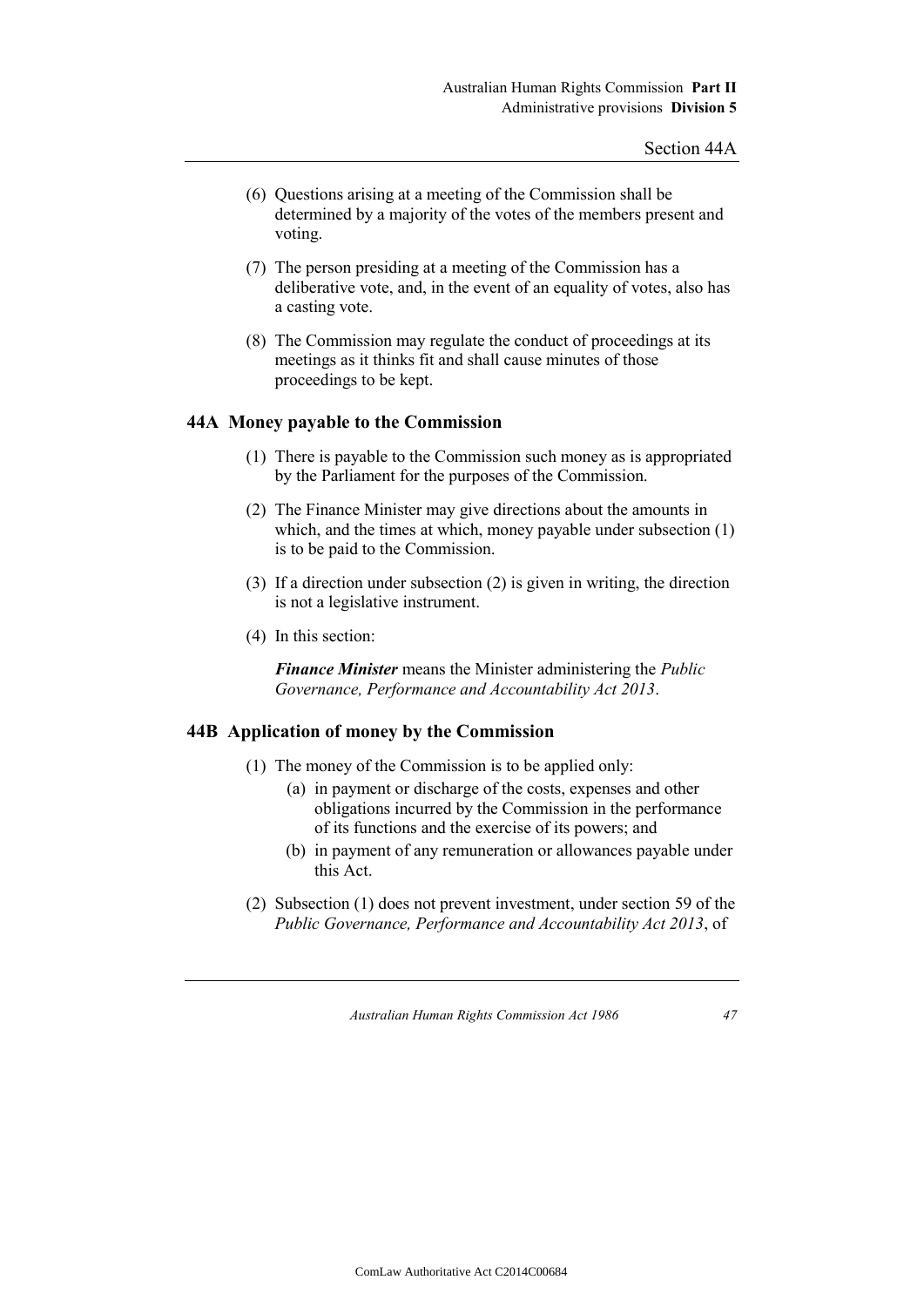- (6) Questions arising at a meeting of the Commission shall be determined by a majority of the votes of the members present and voting.
- (7) The person presiding at a meeting of the Commission has a deliberative vote, and, in the event of an equality of votes, also has a casting vote.
- (8) The Commission may regulate the conduct of proceedings at its meetings as it thinks fit and shall cause minutes of those proceedings to be kept.

### **44A Money payable to the Commission**

- (1) There is payable to the Commission such money as is appropriated by the Parliament for the purposes of the Commission.
- (2) The Finance Minister may give directions about the amounts in which, and the times at which, money payable under subsection (1) is to be paid to the Commission.
- (3) If a direction under subsection (2) is given in writing, the direction is not a legislative instrument.
- (4) In this section:

*Finance Minister* means the Minister administering the *Public Governance, Performance and Accountability Act 2013*.

### **44B Application of money by the Commission**

- (1) The money of the Commission is to be applied only:
	- (a) in payment or discharge of the costs, expenses and other obligations incurred by the Commission in the performance of its functions and the exercise of its powers; and
	- (b) in payment of any remuneration or allowances payable under this Act.
- (2) Subsection (1) does not prevent investment, under section 59 of the *Public Governance, Performance and Accountability Act 2013*, of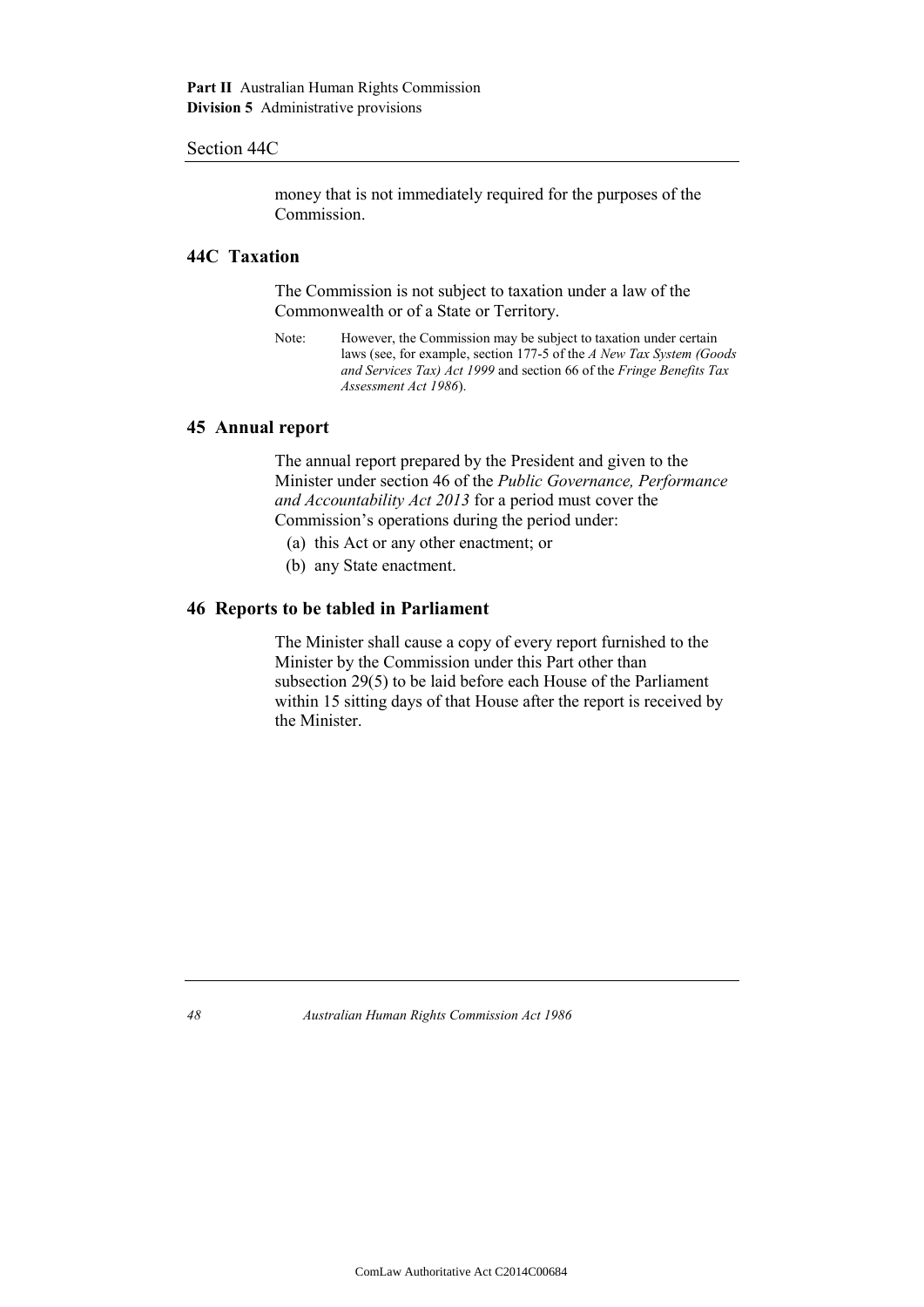#### Section 44C

money that is not immediately required for the purposes of the Commission.

## **44C Taxation**

The Commission is not subject to taxation under a law of the Commonwealth or of a State or Territory.

Note: However, the Commission may be subject to taxation under certain laws (see, for example, section 177-5 of the *A New Tax System (Goods and Services Tax) Act 1999* and section 66 of the *Fringe Benefits Tax Assessment Act 1986*).

#### **45 Annual report**

The annual report prepared by the President and given to the Minister under section 46 of the *Public Governance, Performance and Accountability Act 2013* for a period must cover the Commission's operations during the period under:

- (a) this Act or any other enactment; or
- (b) any State enactment.

### **46 Reports to be tabled in Parliament**

The Minister shall cause a copy of every report furnished to the Minister by the Commission under this Part other than subsection 29(5) to be laid before each House of the Parliament within 15 sitting days of that House after the report is received by the Minister.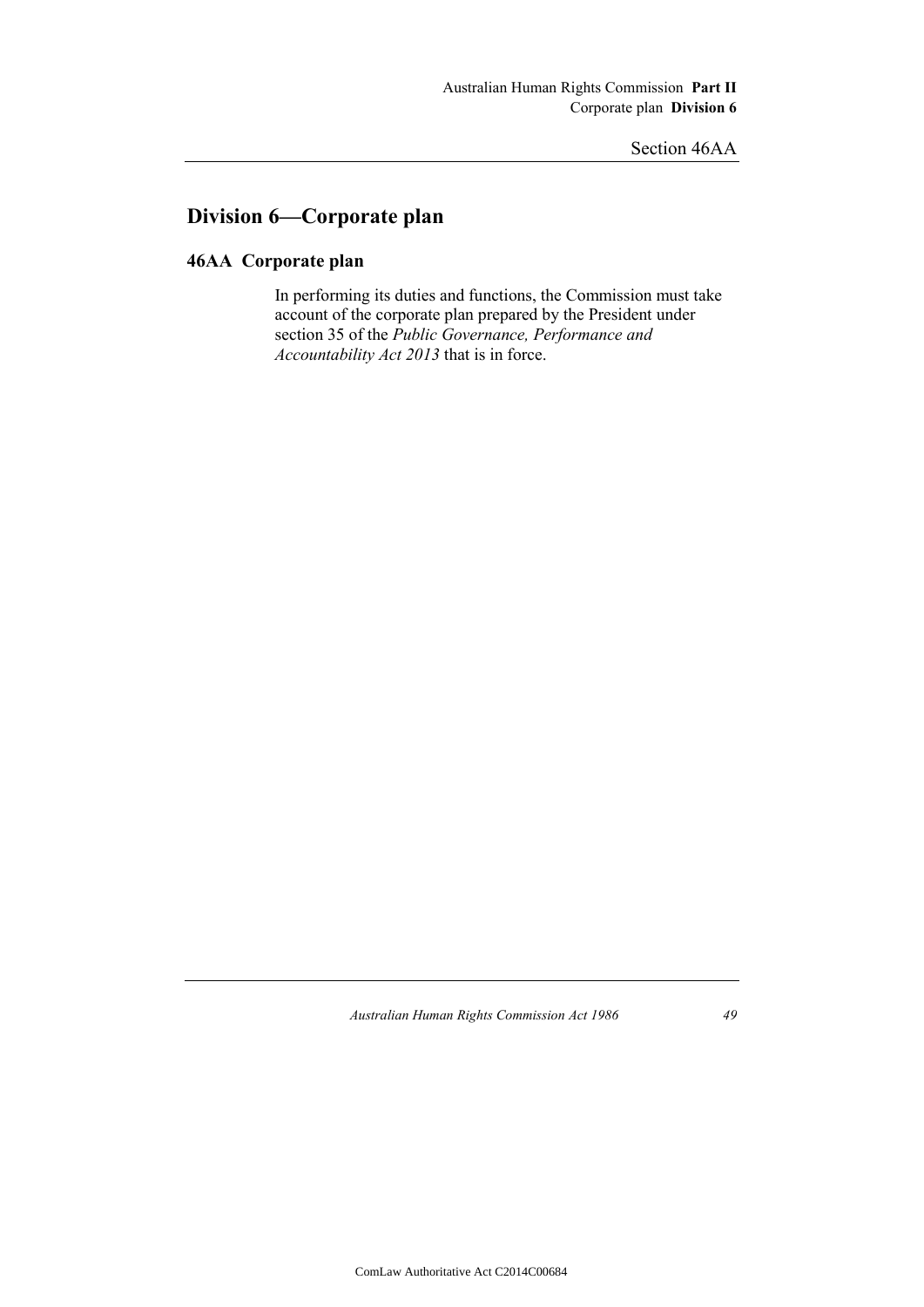# **Division 6—Corporate plan**

# **46AA Corporate plan**

In performing its duties and functions, the Commission must take account of the corporate plan prepared by the President under section 35 of the *Public Governance, Performance and Accountability Act 2013* that is in force.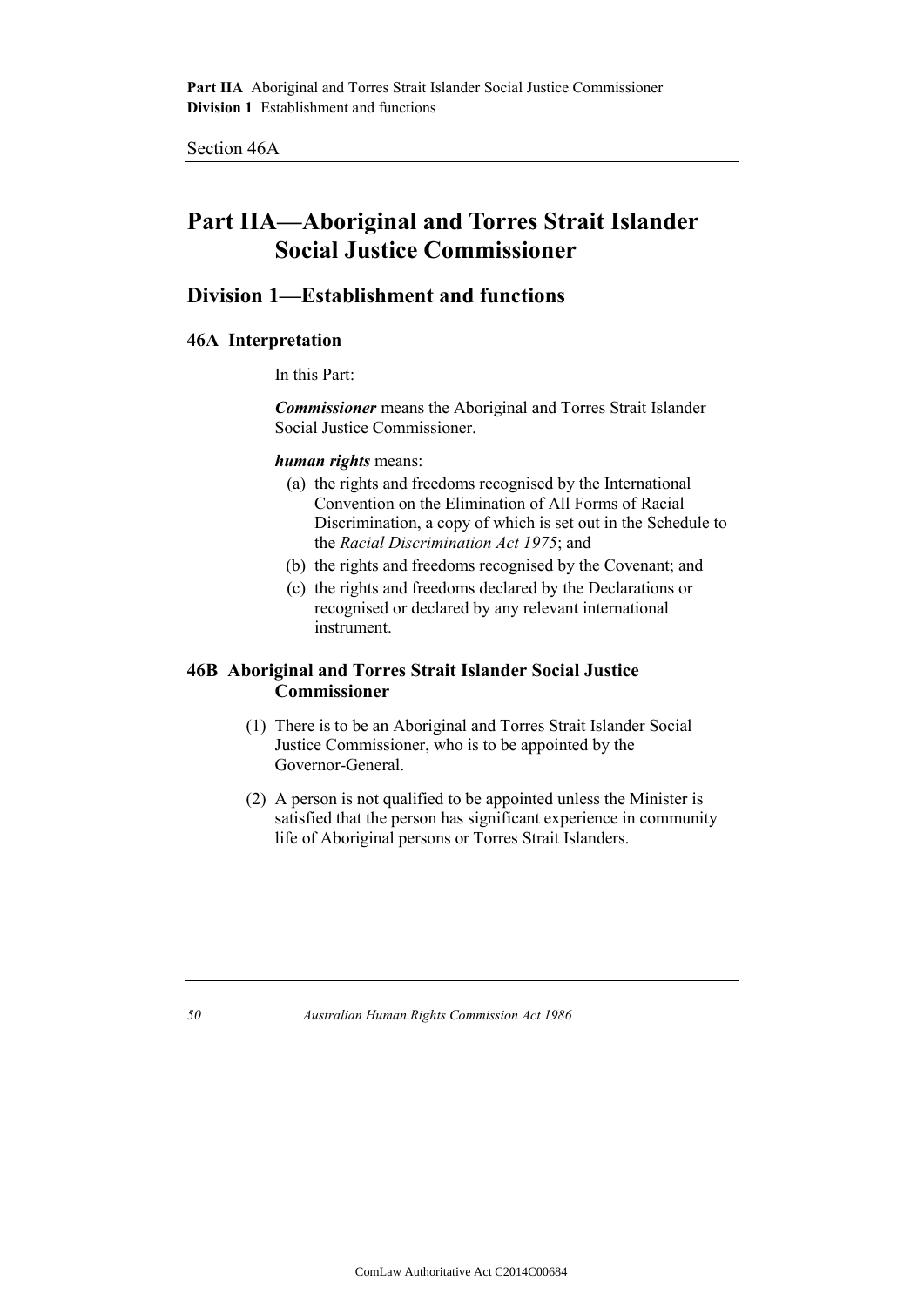Section 46A

# **Part IIA—Aboriginal and Torres Strait Islander Social Justice Commissioner**

# **Division 1—Establishment and functions**

### **46A Interpretation**

In this Part:

*Commissioner* means the Aboriginal and Torres Strait Islander Social Justice Commissioner.

#### *human rights* means:

- (a) the rights and freedoms recognised by the International Convention on the Elimination of All Forms of Racial Discrimination, a copy of which is set out in the Schedule to the *Racial Discrimination Act 1975*; and
- (b) the rights and freedoms recognised by the Covenant; and
- (c) the rights and freedoms declared by the Declarations or recognised or declared by any relevant international instrument.

# **46B Aboriginal and Torres Strait Islander Social Justice Commissioner**

- (1) There is to be an Aboriginal and Torres Strait Islander Social Justice Commissioner, who is to be appointed by the Governor-General.
- (2) A person is not qualified to be appointed unless the Minister is satisfied that the person has significant experience in community life of Aboriginal persons or Torres Strait Islanders.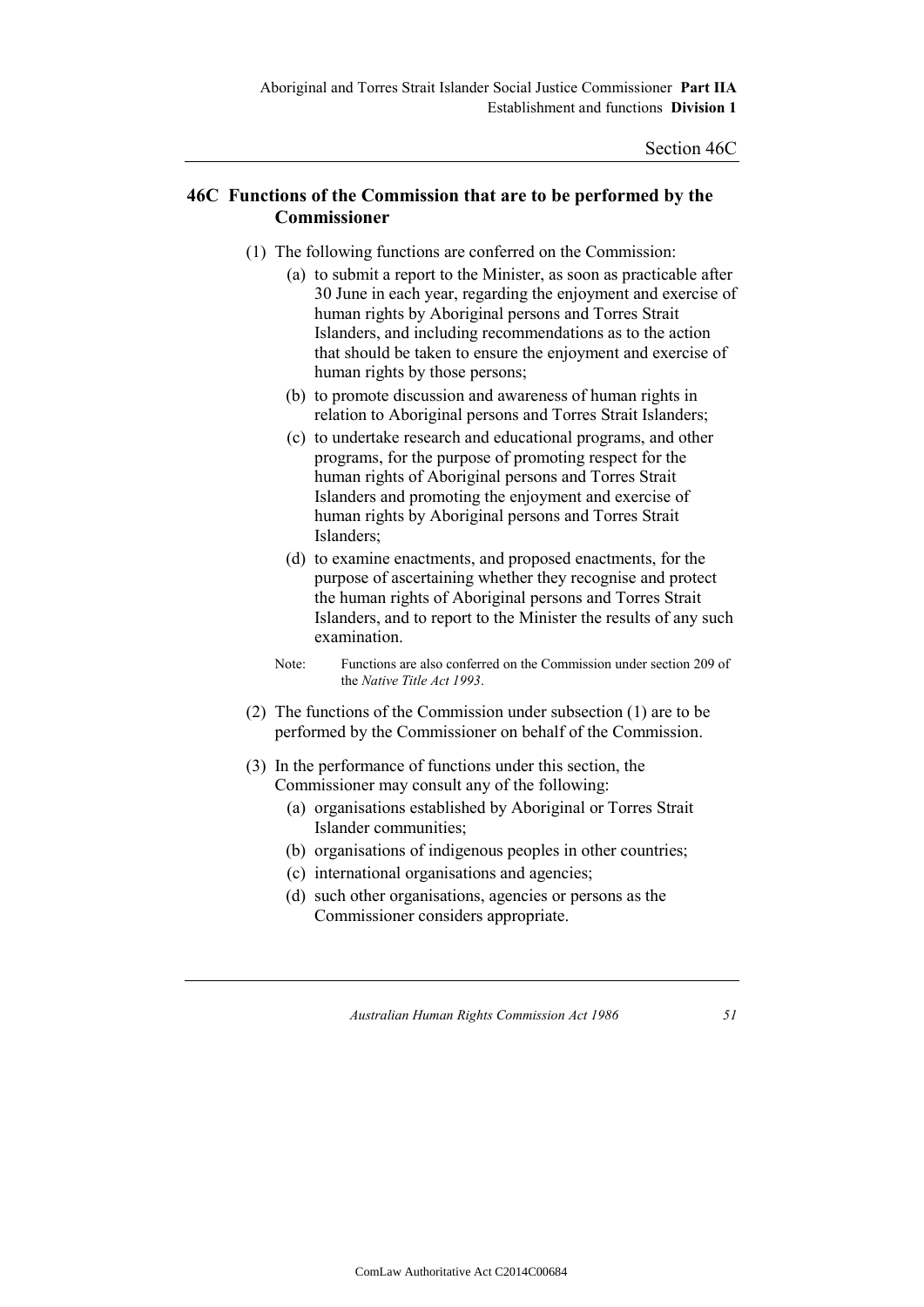Aboriginal and Torres Strait Islander Social Justice Commissioner **Part IIA** Establishment and functions **Division 1**

# **46C Functions of the Commission that are to be performed by the Commissioner**

- (1) The following functions are conferred on the Commission:
	- (a) to submit a report to the Minister, as soon as practicable after 30 June in each year, regarding the enjoyment and exercise of human rights by Aboriginal persons and Torres Strait Islanders, and including recommendations as to the action that should be taken to ensure the enjoyment and exercise of human rights by those persons;
	- (b) to promote discussion and awareness of human rights in relation to Aboriginal persons and Torres Strait Islanders;
	- (c) to undertake research and educational programs, and other programs, for the purpose of promoting respect for the human rights of Aboriginal persons and Torres Strait Islanders and promoting the enjoyment and exercise of human rights by Aboriginal persons and Torres Strait Islanders;
	- (d) to examine enactments, and proposed enactments, for the purpose of ascertaining whether they recognise and protect the human rights of Aboriginal persons and Torres Strait Islanders, and to report to the Minister the results of any such examination.
	- Note: Functions are also conferred on the Commission under section 209 of the *Native Title Act 1993*.
- (2) The functions of the Commission under subsection (1) are to be performed by the Commissioner on behalf of the Commission.
- (3) In the performance of functions under this section, the Commissioner may consult any of the following:
	- (a) organisations established by Aboriginal or Torres Strait Islander communities;
	- (b) organisations of indigenous peoples in other countries;
	- (c) international organisations and agencies;
	- (d) such other organisations, agencies or persons as the Commissioner considers appropriate.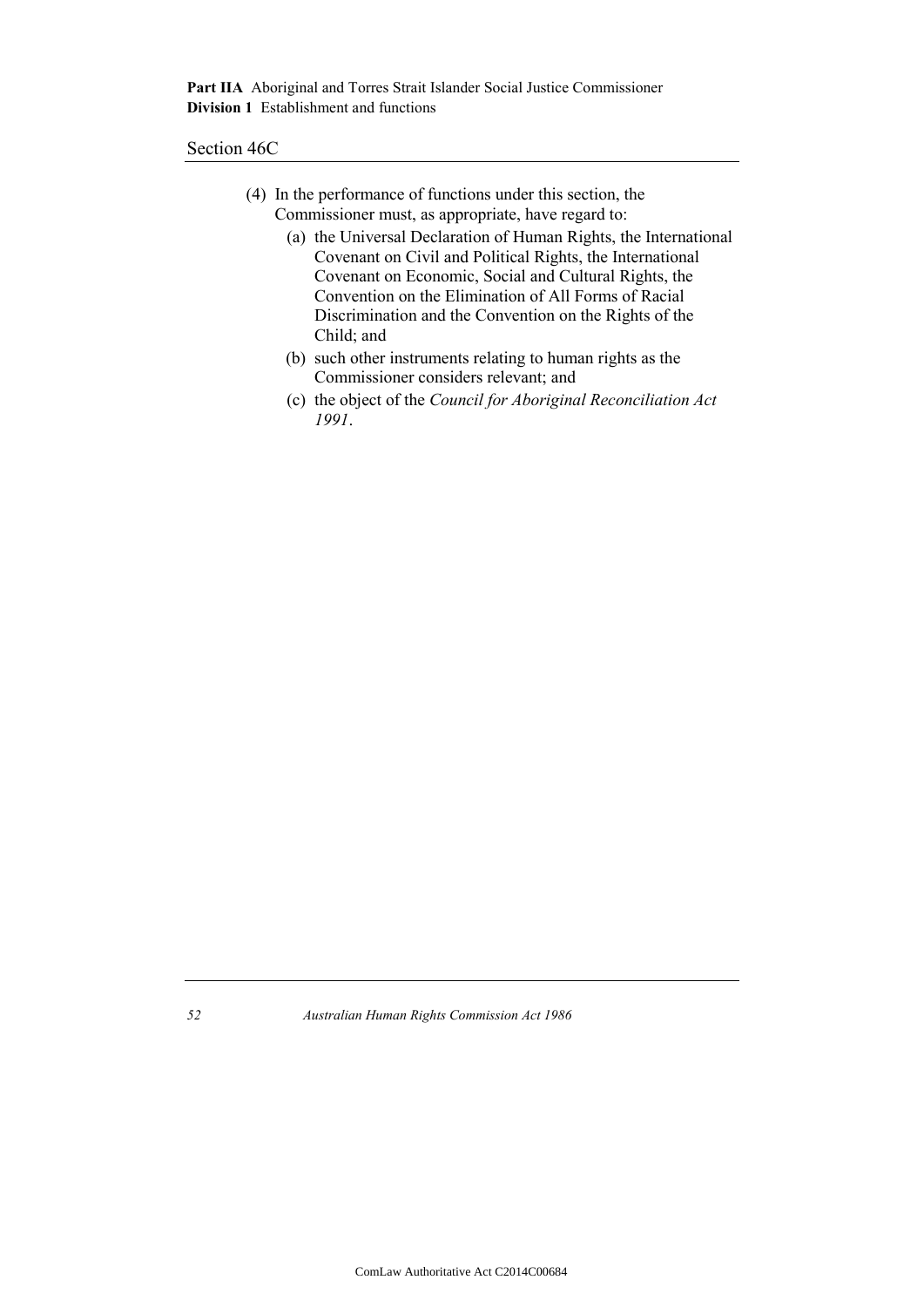Part IIA Aboriginal and Torres Strait Islander Social Justice Commissioner **Division 1** Establishment and functions

Section 46C

- (4) In the performance of functions under this section, the Commissioner must, as appropriate, have regard to:
	- (a) the Universal Declaration of Human Rights, the International Covenant on Civil and Political Rights, the International Covenant on Economic, Social and Cultural Rights, the Convention on the Elimination of All Forms of Racial Discrimination and the Convention on the Rights of the Child; and
	- (b) such other instruments relating to human rights as the Commissioner considers relevant; and
	- (c) the object of the *Council for Aboriginal Reconciliation Act 1991*.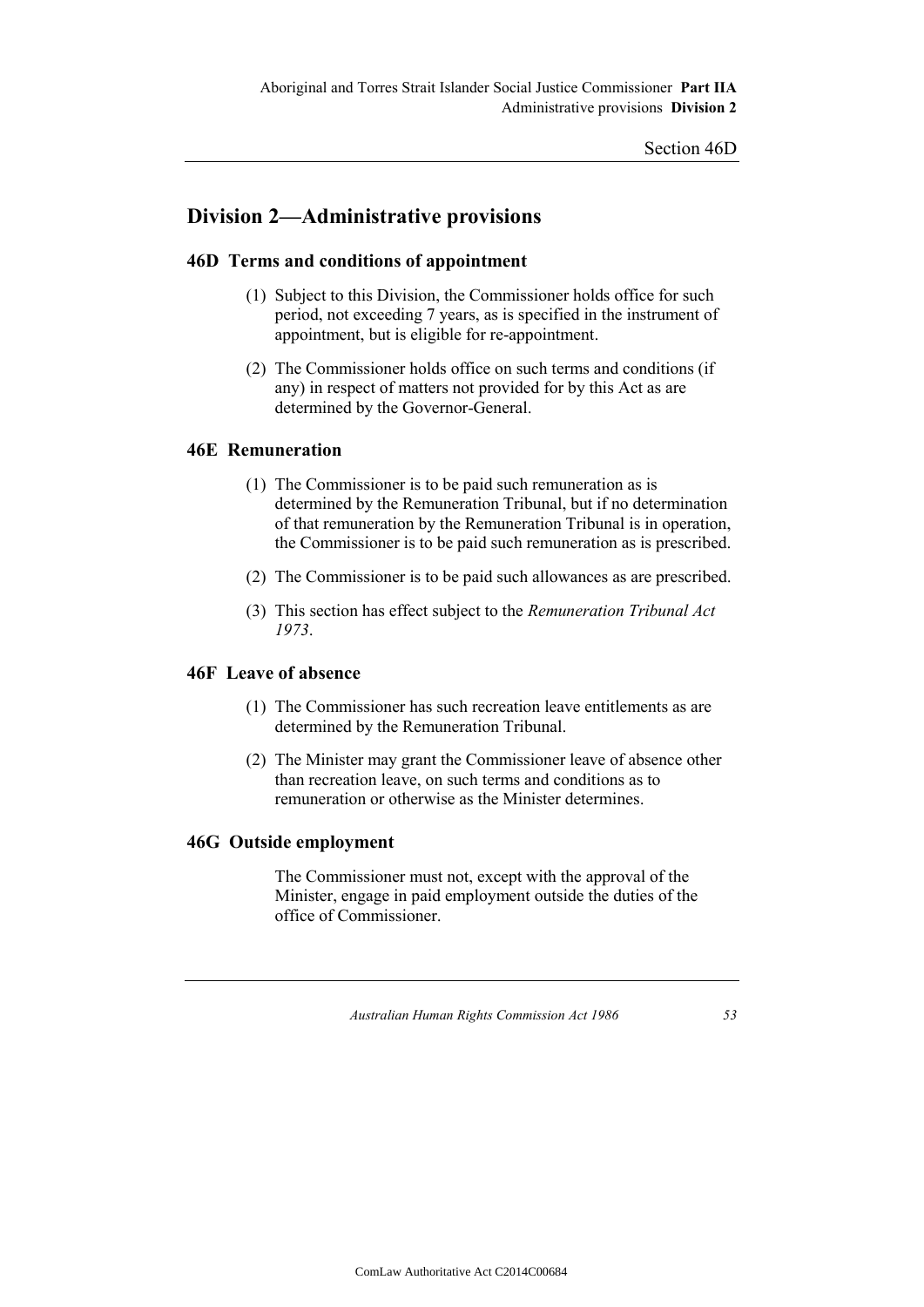# **Division 2—Administrative provisions**

# **46D Terms and conditions of appointment**

- (1) Subject to this Division, the Commissioner holds office for such period, not exceeding 7 years, as is specified in the instrument of appointment, but is eligible for re-appointment.
- (2) The Commissioner holds office on such terms and conditions (if any) in respect of matters not provided for by this Act as are determined by the Governor-General.

## **46E Remuneration**

- (1) The Commissioner is to be paid such remuneration as is determined by the Remuneration Tribunal, but if no determination of that remuneration by the Remuneration Tribunal is in operation, the Commissioner is to be paid such remuneration as is prescribed.
- (2) The Commissioner is to be paid such allowances as are prescribed.
- (3) This section has effect subject to the *Remuneration Tribunal Act 1973*.

# **46F Leave of absence**

- (1) The Commissioner has such recreation leave entitlements as are determined by the Remuneration Tribunal.
- (2) The Minister may grant the Commissioner leave of absence other than recreation leave, on such terms and conditions as to remuneration or otherwise as the Minister determines.

### **46G Outside employment**

The Commissioner must not, except with the approval of the Minister, engage in paid employment outside the duties of the office of Commissioner.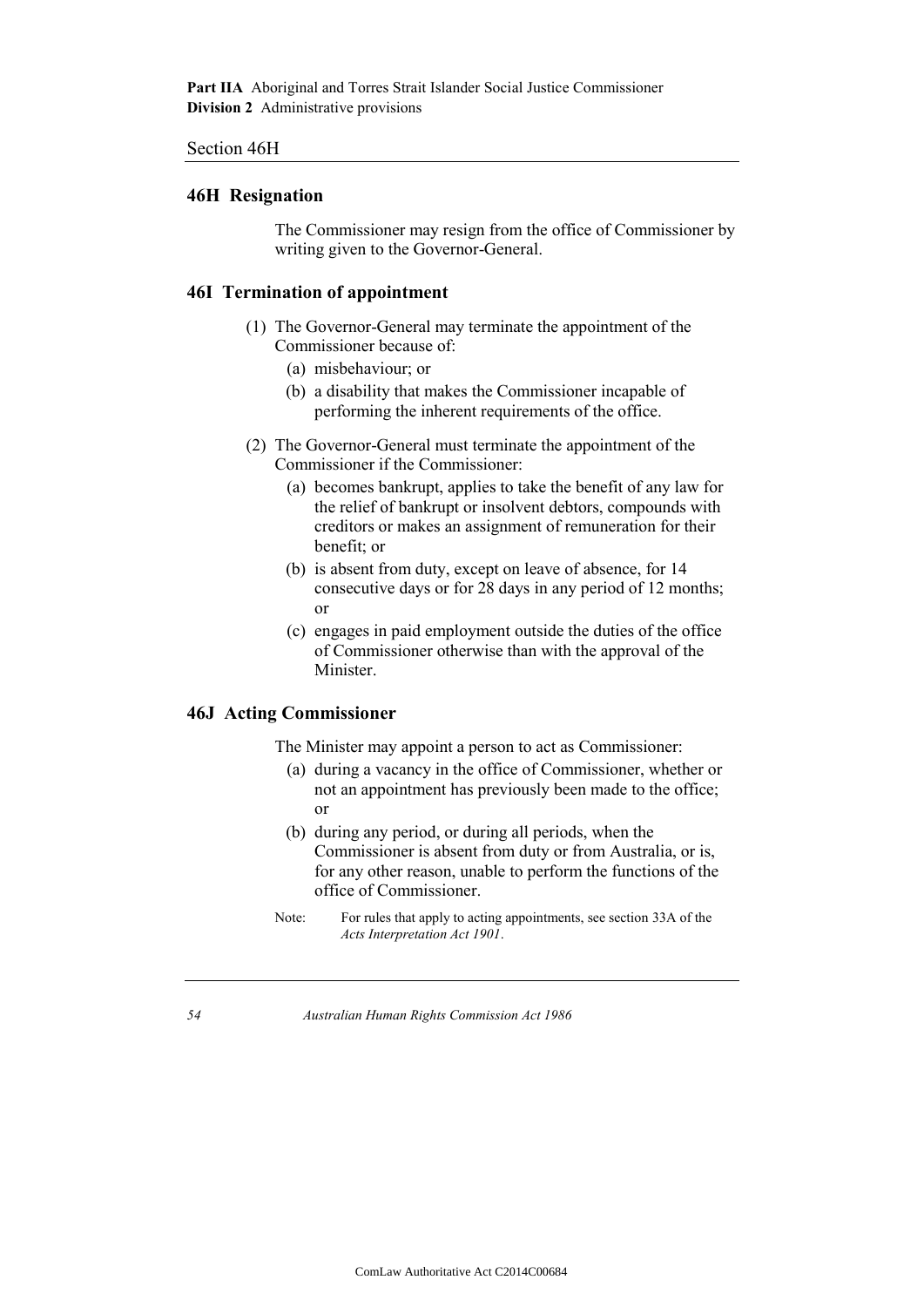Part IIA Aboriginal and Torres Strait Islander Social Justice Commissioner **Division 2** Administrative provisions

#### Section 46H

### **46H Resignation**

The Commissioner may resign from the office of Commissioner by writing given to the Governor-General.

#### **46I Termination of appointment**

- (1) The Governor-General may terminate the appointment of the Commissioner because of:
	- (a) misbehaviour; or
	- (b) a disability that makes the Commissioner incapable of performing the inherent requirements of the office.
- (2) The Governor-General must terminate the appointment of the Commissioner if the Commissioner:
	- (a) becomes bankrupt, applies to take the benefit of any law for the relief of bankrupt or insolvent debtors, compounds with creditors or makes an assignment of remuneration for their benefit; or
	- (b) is absent from duty, except on leave of absence, for 14 consecutive days or for 28 days in any period of 12 months; or
	- (c) engages in paid employment outside the duties of the office of Commissioner otherwise than with the approval of the Minister.

### **46J Acting Commissioner**

The Minister may appoint a person to act as Commissioner:

- (a) during a vacancy in the office of Commissioner, whether or not an appointment has previously been made to the office; or
- (b) during any period, or during all periods, when the Commissioner is absent from duty or from Australia, or is, for any other reason, unable to perform the functions of the office of Commissioner.
- Note: For rules that apply to acting appointments, see section 33A of the *Acts Interpretation Act 1901*.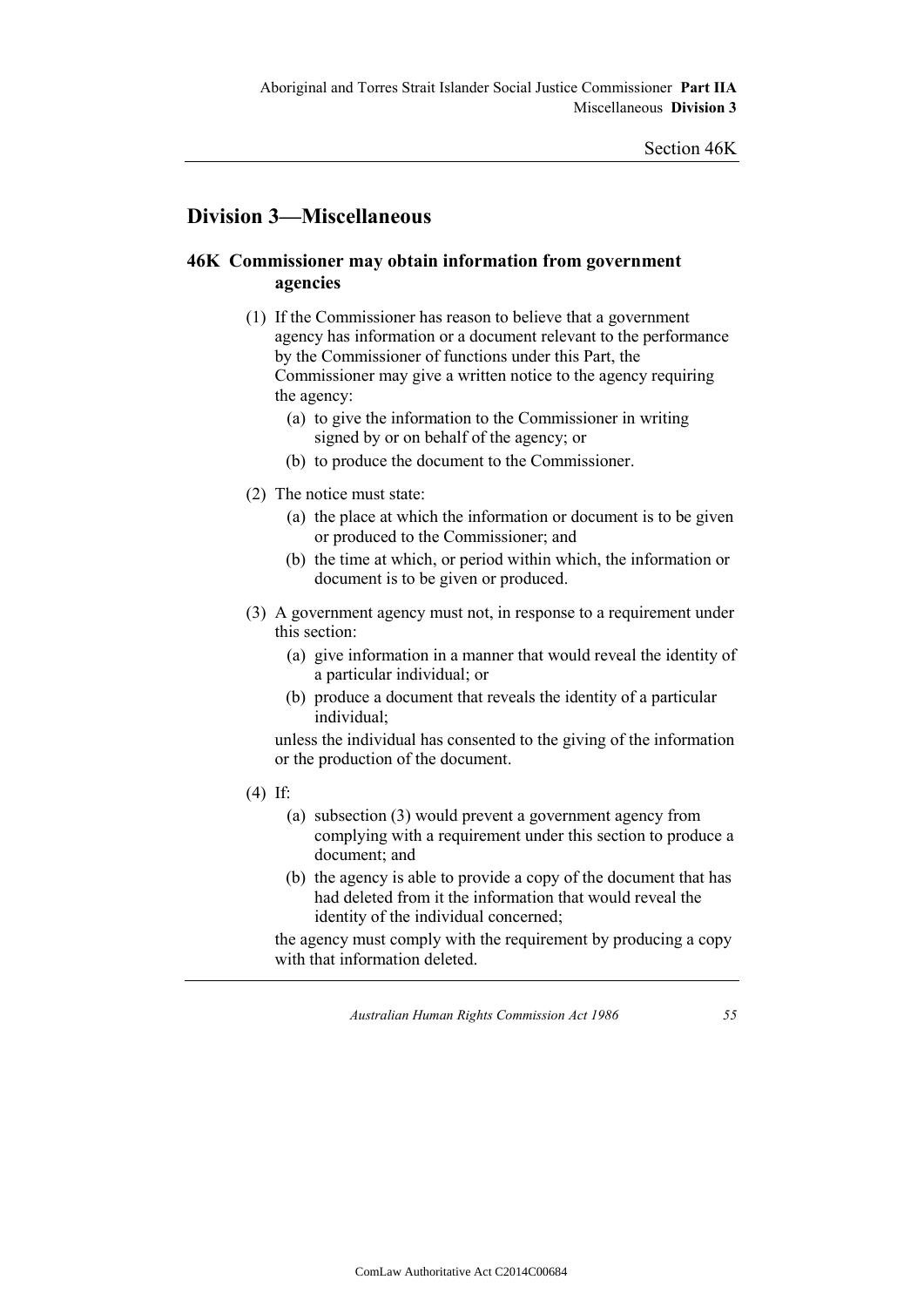# **Division 3—Miscellaneous**

# **46K Commissioner may obtain information from government agencies**

- (1) If the Commissioner has reason to believe that a government agency has information or a document relevant to the performance by the Commissioner of functions under this Part, the Commissioner may give a written notice to the agency requiring the agency:
	- (a) to give the information to the Commissioner in writing signed by or on behalf of the agency; or
	- (b) to produce the document to the Commissioner.
- (2) The notice must state:
	- (a) the place at which the information or document is to be given or produced to the Commissioner; and
	- (b) the time at which, or period within which, the information or document is to be given or produced.
- (3) A government agency must not, in response to a requirement under this section:
	- (a) give information in a manner that would reveal the identity of a particular individual; or
	- (b) produce a document that reveals the identity of a particular individual;

unless the individual has consented to the giving of the information or the production of the document.

- (4) If:
	- (a) subsection (3) would prevent a government agency from complying with a requirement under this section to produce a document; and
	- (b) the agency is able to provide a copy of the document that has had deleted from it the information that would reveal the identity of the individual concerned;

the agency must comply with the requirement by producing a copy with that information deleted.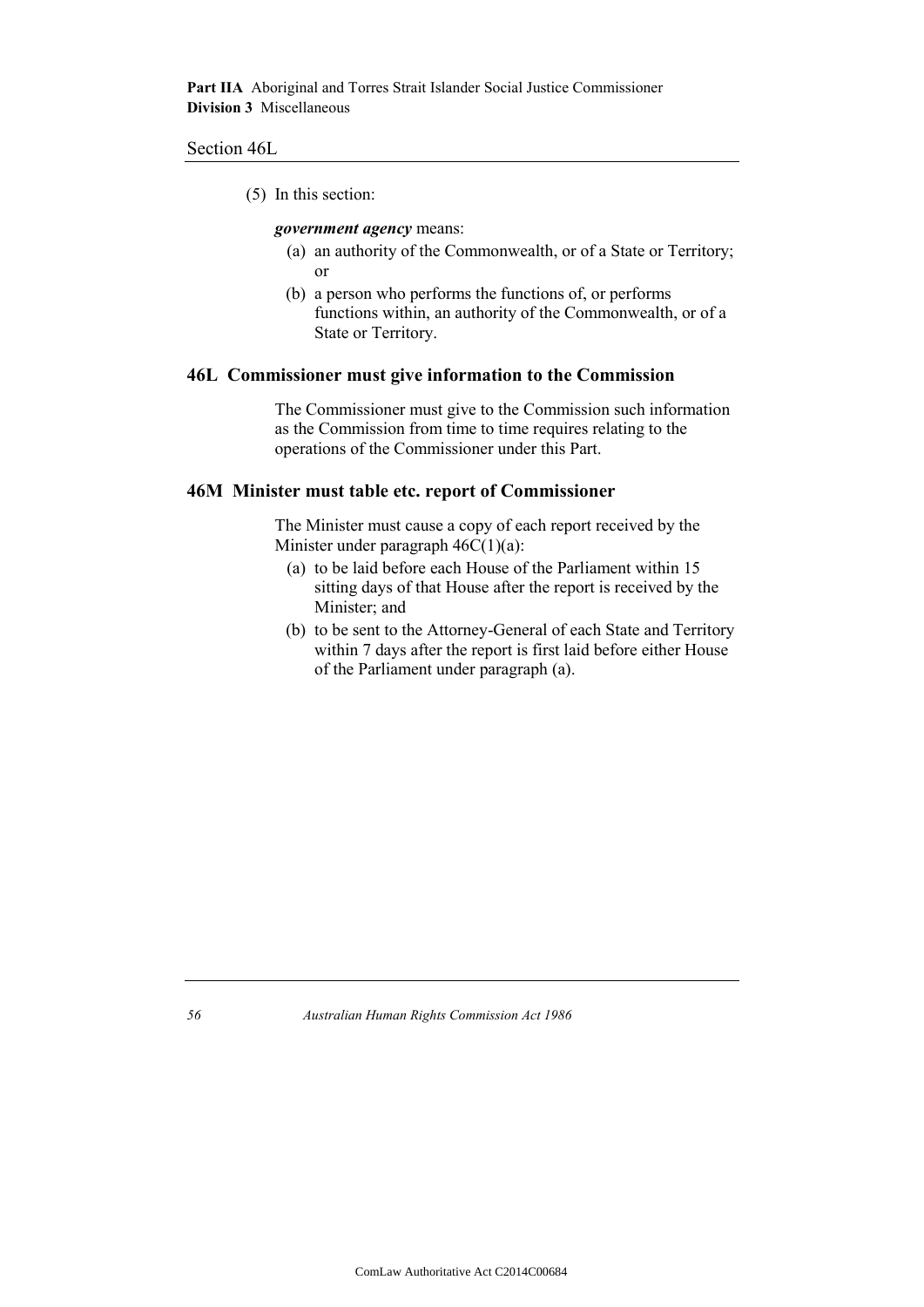**Part IIA** Aboriginal and Torres Strait Islander Social Justice Commissioner **Division 3** Miscellaneous

### Section 46L

(5) In this section:

### *government agency* means:

- (a) an authority of the Commonwealth, or of a State or Territory; or
- (b) a person who performs the functions of, or performs functions within, an authority of the Commonwealth, or of a State or Territory.

### **46L Commissioner must give information to the Commission**

The Commissioner must give to the Commission such information as the Commission from time to time requires relating to the operations of the Commissioner under this Part.

### **46M Minister must table etc. report of Commissioner**

The Minister must cause a copy of each report received by the Minister under paragraph  $46C(1)(a)$ :

- (a) to be laid before each House of the Parliament within 15 sitting days of that House after the report is received by the Minister; and
- (b) to be sent to the Attorney-General of each State and Territory within 7 days after the report is first laid before either House of the Parliament under paragraph (a).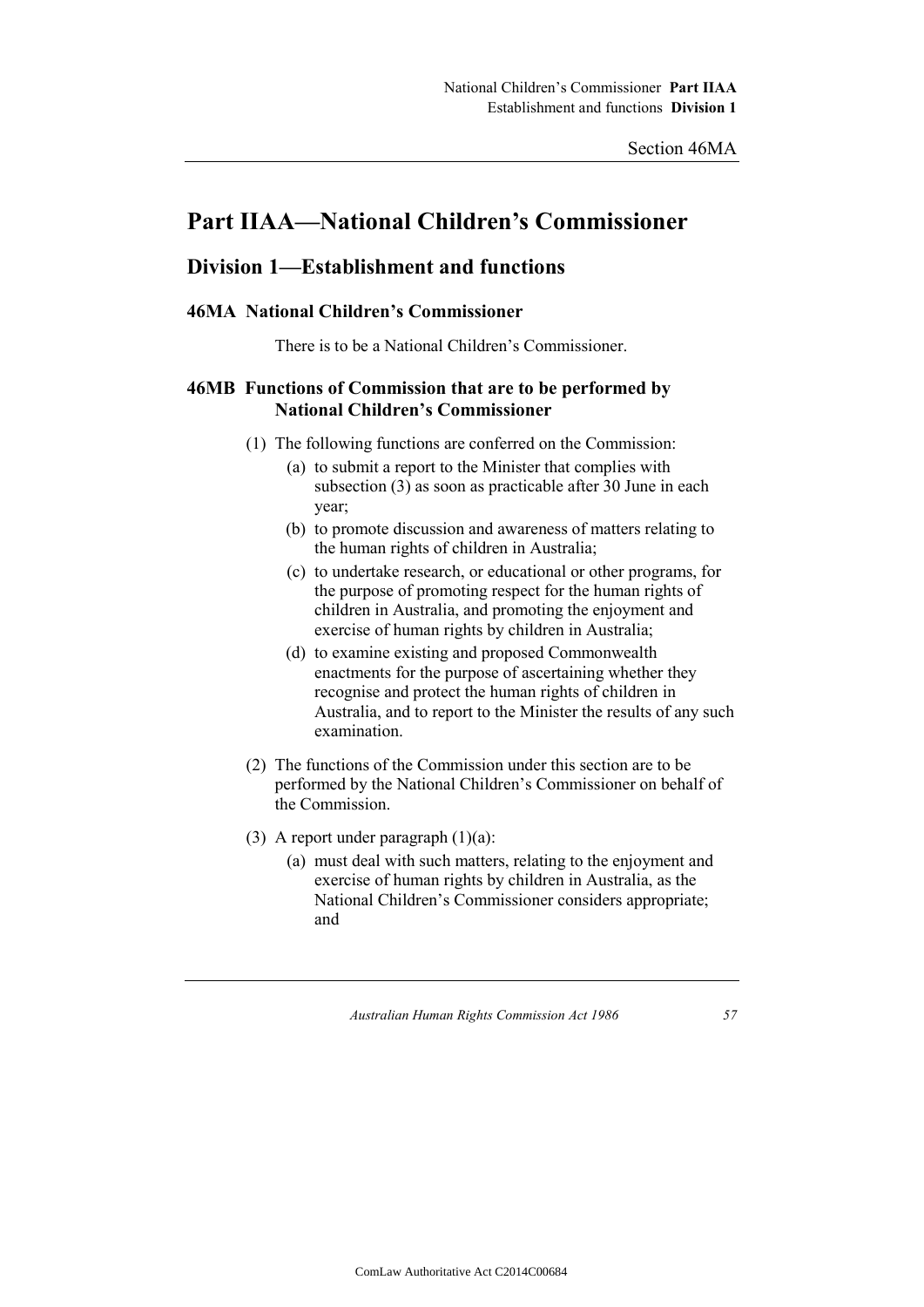# **Part IIAA—National Children's Commissioner**

# **Division 1—Establishment and functions**

### **46MA National Children's Commissioner**

There is to be a National Children's Commissioner.

### **46MB Functions of Commission that are to be performed by National Children's Commissioner**

- (1) The following functions are conferred on the Commission:
	- (a) to submit a report to the Minister that complies with subsection (3) as soon as practicable after 30 June in each year;
	- (b) to promote discussion and awareness of matters relating to the human rights of children in Australia;
	- (c) to undertake research, or educational or other programs, for the purpose of promoting respect for the human rights of children in Australia, and promoting the enjoyment and exercise of human rights by children in Australia;
	- (d) to examine existing and proposed Commonwealth enactments for the purpose of ascertaining whether they recognise and protect the human rights of children in Australia, and to report to the Minister the results of any such examination.
- (2) The functions of the Commission under this section are to be performed by the National Children's Commissioner on behalf of the Commission.
- (3) A report under paragraph  $(1)(a)$ :
	- (a) must deal with such matters, relating to the enjoyment and exercise of human rights by children in Australia, as the National Children's Commissioner considers appropriate; and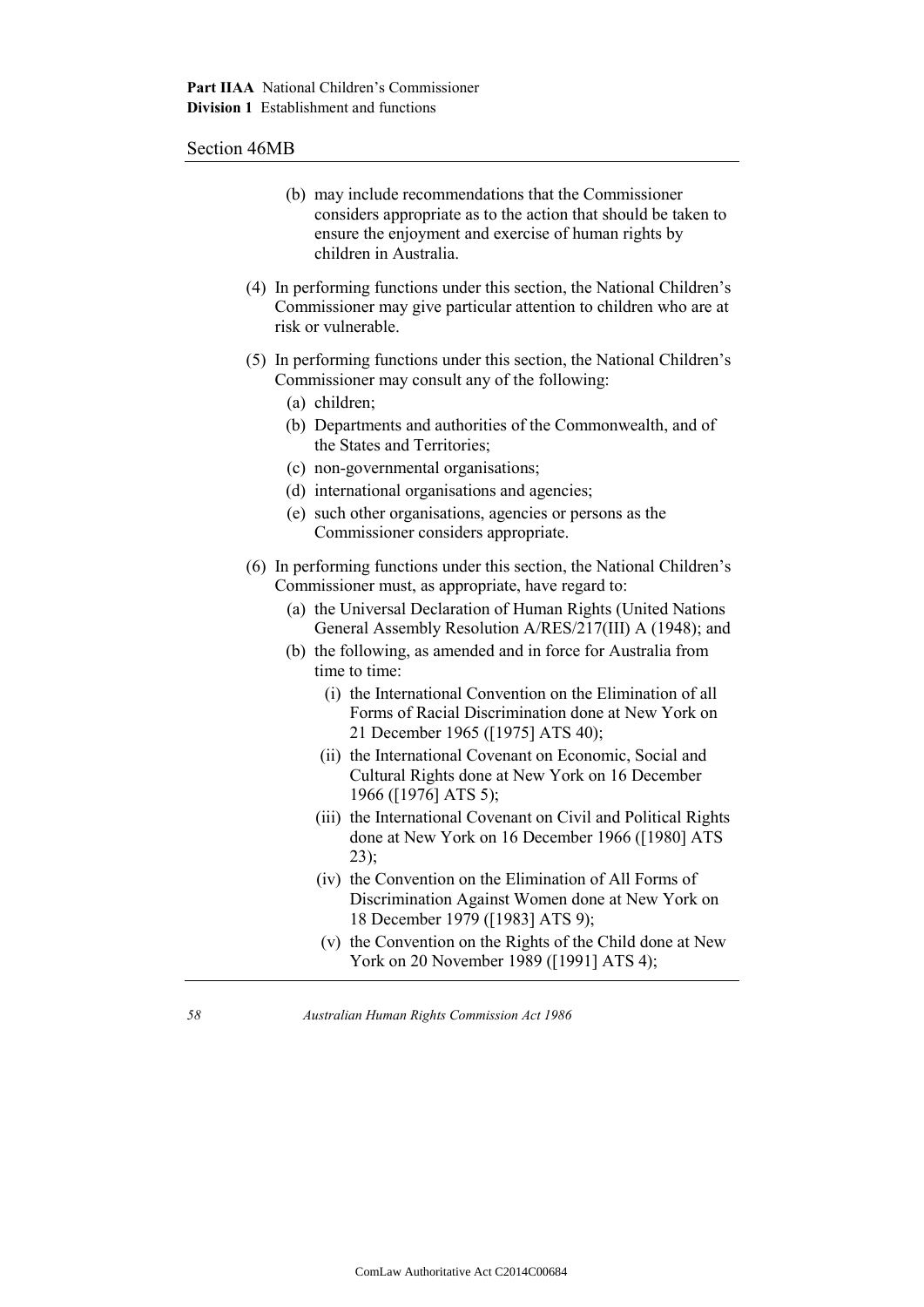#### Section 46MB

- (b) may include recommendations that the Commissioner considers appropriate as to the action that should be taken to ensure the enjoyment and exercise of human rights by children in Australia.
- (4) In performing functions under this section, the National Children's Commissioner may give particular attention to children who are at risk or vulnerable.
- (5) In performing functions under this section, the National Children's Commissioner may consult any of the following:
	- (a) children;
	- (b) Departments and authorities of the Commonwealth, and of the States and Territories;
	- (c) non-governmental organisations;
	- (d) international organisations and agencies;
	- (e) such other organisations, agencies or persons as the Commissioner considers appropriate.
- (6) In performing functions under this section, the National Children's Commissioner must, as appropriate, have regard to:
	- (a) the Universal Declaration of Human Rights (United Nations General Assembly Resolution A/RES/217(III) A (1948); and
	- (b) the following, as amended and in force for Australia from time to time:
		- (i) the International Convention on the Elimination of all Forms of Racial Discrimination done at New York on 21 December 1965 ([1975] ATS 40);
		- (ii) the International Covenant on Economic, Social and Cultural Rights done at New York on 16 December 1966 ([1976] ATS 5);
		- (iii) the International Covenant on Civil and Political Rights done at New York on 16 December 1966 ([1980] ATS 23);
		- (iv) the Convention on the Elimination of All Forms of Discrimination Against Women done at New York on 18 December 1979 ([1983] ATS 9);
		- (v) the Convention on the Rights of the Child done at New York on 20 November 1989 ([1991] ATS 4);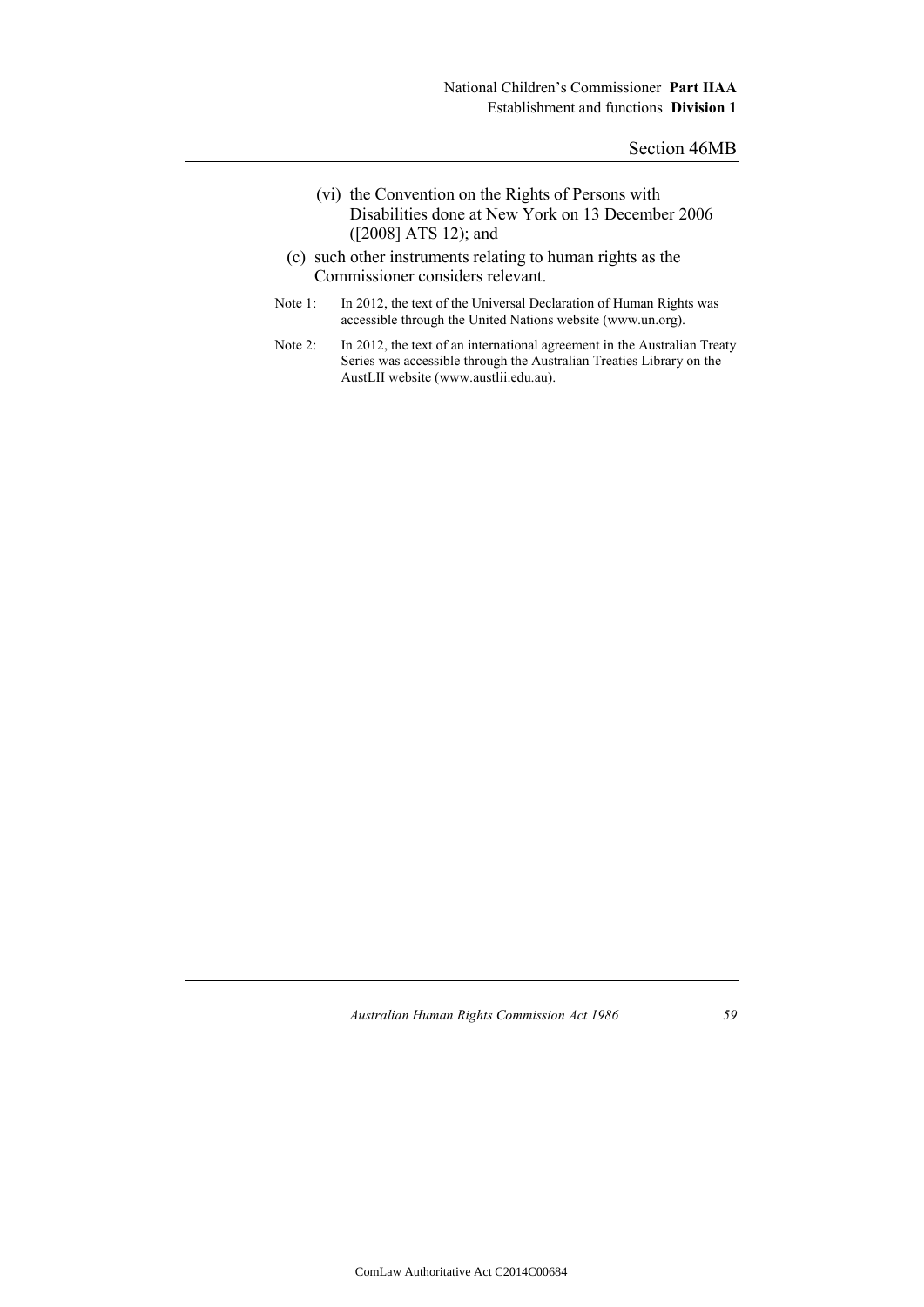- (vi) the Convention on the Rights of Persons with Disabilities done at New York on 13 December 2006 ([2008] ATS 12); and
- (c) such other instruments relating to human rights as the Commissioner considers relevant.
- Note 1: In 2012, the text of the Universal Declaration of Human Rights was accessible through the United Nations website (www.un.org).
- Note 2: In 2012, the text of an international agreement in the Australian Treaty Series was accessible through the Australian Treaties Library on the AustLII website (www.austlii.edu.au).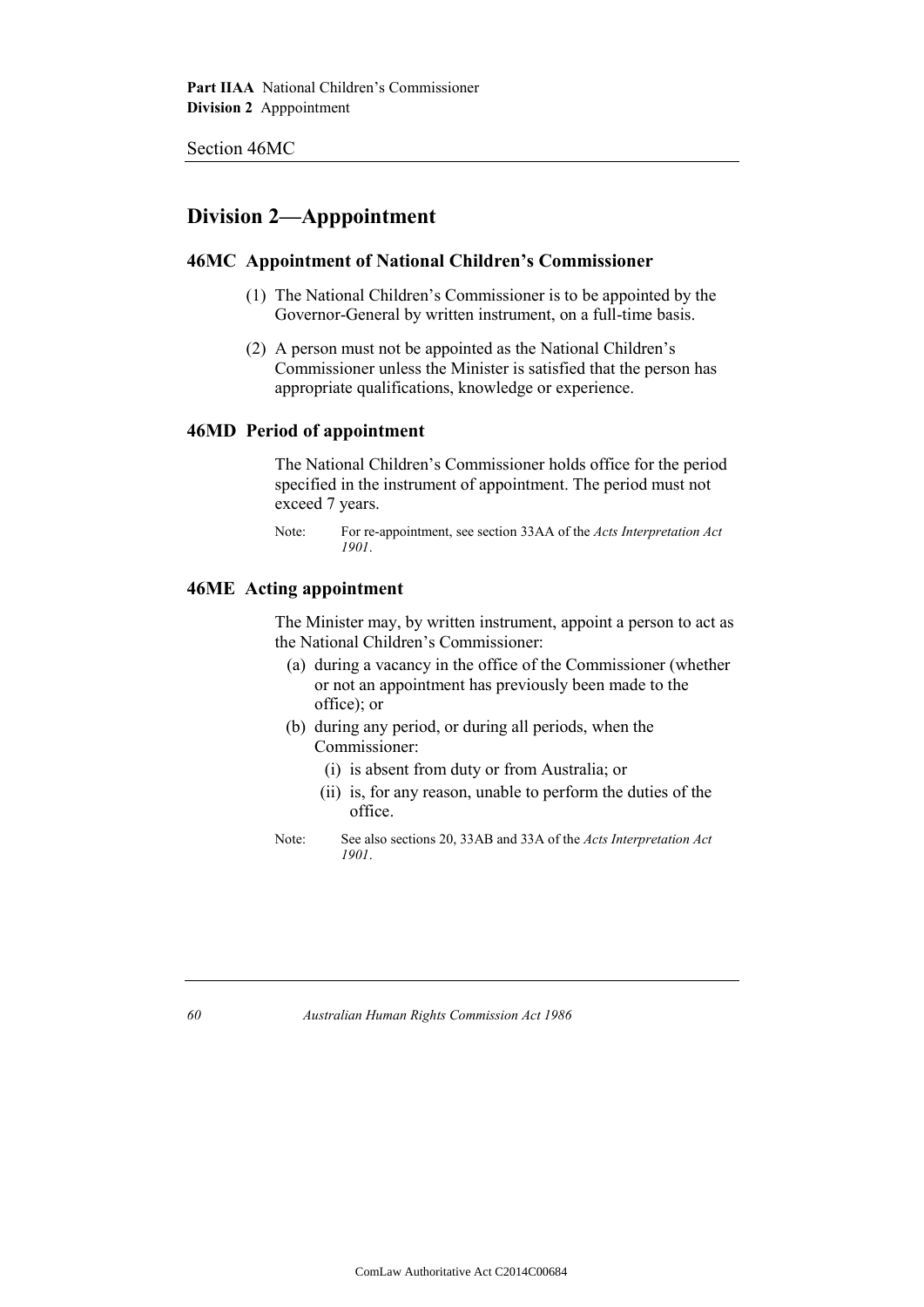Section 46MC

# **Division 2—Apppointment**

### **46MC Appointment of National Children's Commissioner**

- (1) The National Children's Commissioner is to be appointed by the Governor-General by written instrument, on a full-time basis.
- (2) A person must not be appointed as the National Children's Commissioner unless the Minister is satisfied that the person has appropriate qualifications, knowledge or experience.

## **46MD Period of appointment**

The National Children's Commissioner holds office for the period specified in the instrument of appointment. The period must not exceed 7 years.

Note: For re-appointment, see section 33AA of the *Acts Interpretation Act 1901*.

### **46ME Acting appointment**

The Minister may, by written instrument, appoint a person to act as the National Children's Commissioner:

- (a) during a vacancy in the office of the Commissioner (whether or not an appointment has previously been made to the office); or
- (b) during any period, or during all periods, when the Commissioner:
	- (i) is absent from duty or from Australia; or
	- (ii) is, for any reason, unable to perform the duties of the office.
- Note: See also sections 20, 33AB and 33A of the *Acts Interpretation Act 1901*.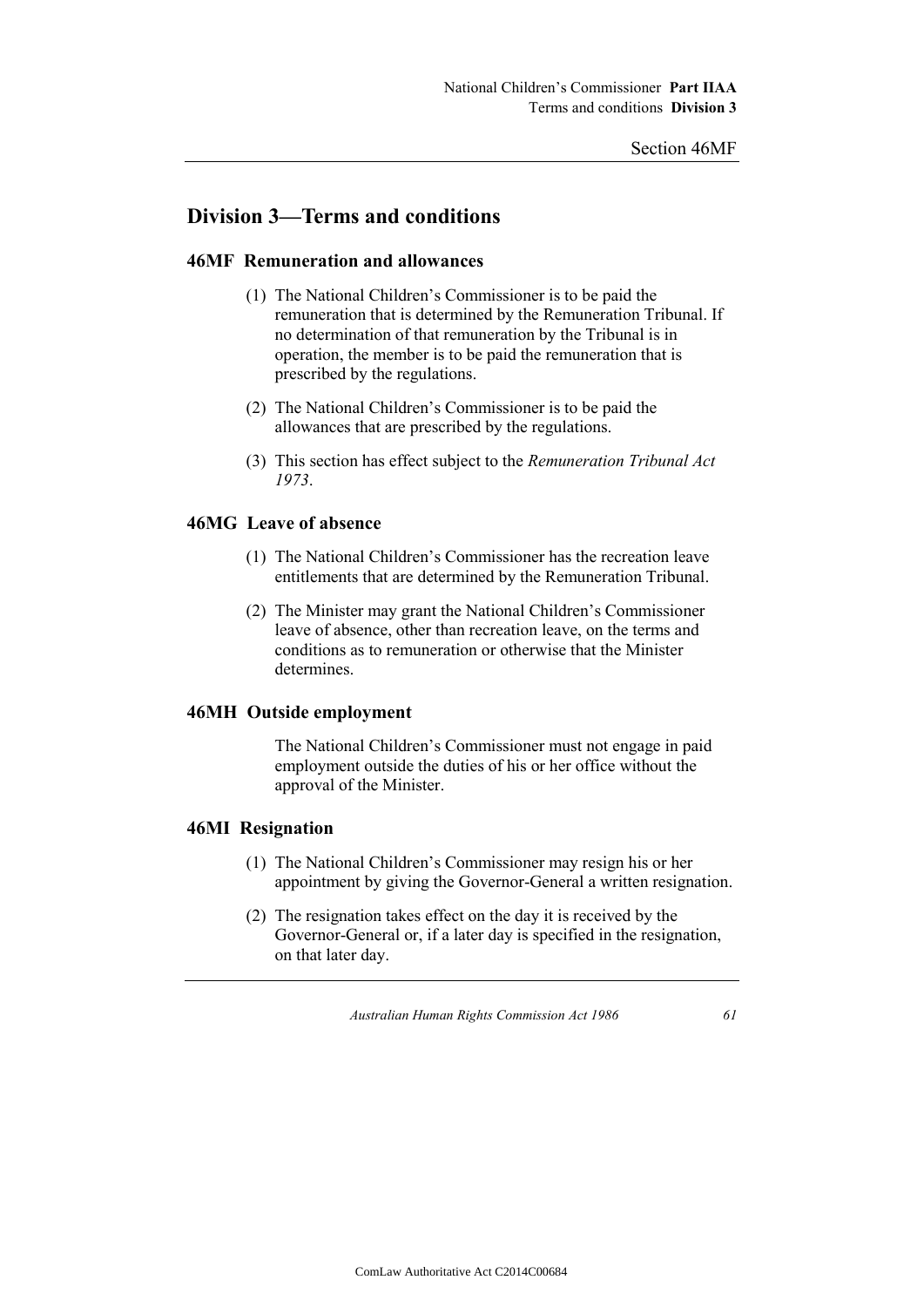# **Division 3—Terms and conditions**

## **46MF Remuneration and allowances**

- (1) The National Children's Commissioner is to be paid the remuneration that is determined by the Remuneration Tribunal. If no determination of that remuneration by the Tribunal is in operation, the member is to be paid the remuneration that is prescribed by the regulations.
- (2) The National Children's Commissioner is to be paid the allowances that are prescribed by the regulations.
- (3) This section has effect subject to the *Remuneration Tribunal Act 1973*.

# **46MG Leave of absence**

- (1) The National Children's Commissioner has the recreation leave entitlements that are determined by the Remuneration Tribunal.
- (2) The Minister may grant the National Children's Commissioner leave of absence, other than recreation leave, on the terms and conditions as to remuneration or otherwise that the Minister determines.

### **46MH Outside employment**

The National Children's Commissioner must not engage in paid employment outside the duties of his or her office without the approval of the Minister.

# **46MI Resignation**

- (1) The National Children's Commissioner may resign his or her appointment by giving the Governor-General a written resignation.
- (2) The resignation takes effect on the day it is received by the Governor-General or, if a later day is specified in the resignation, on that later day.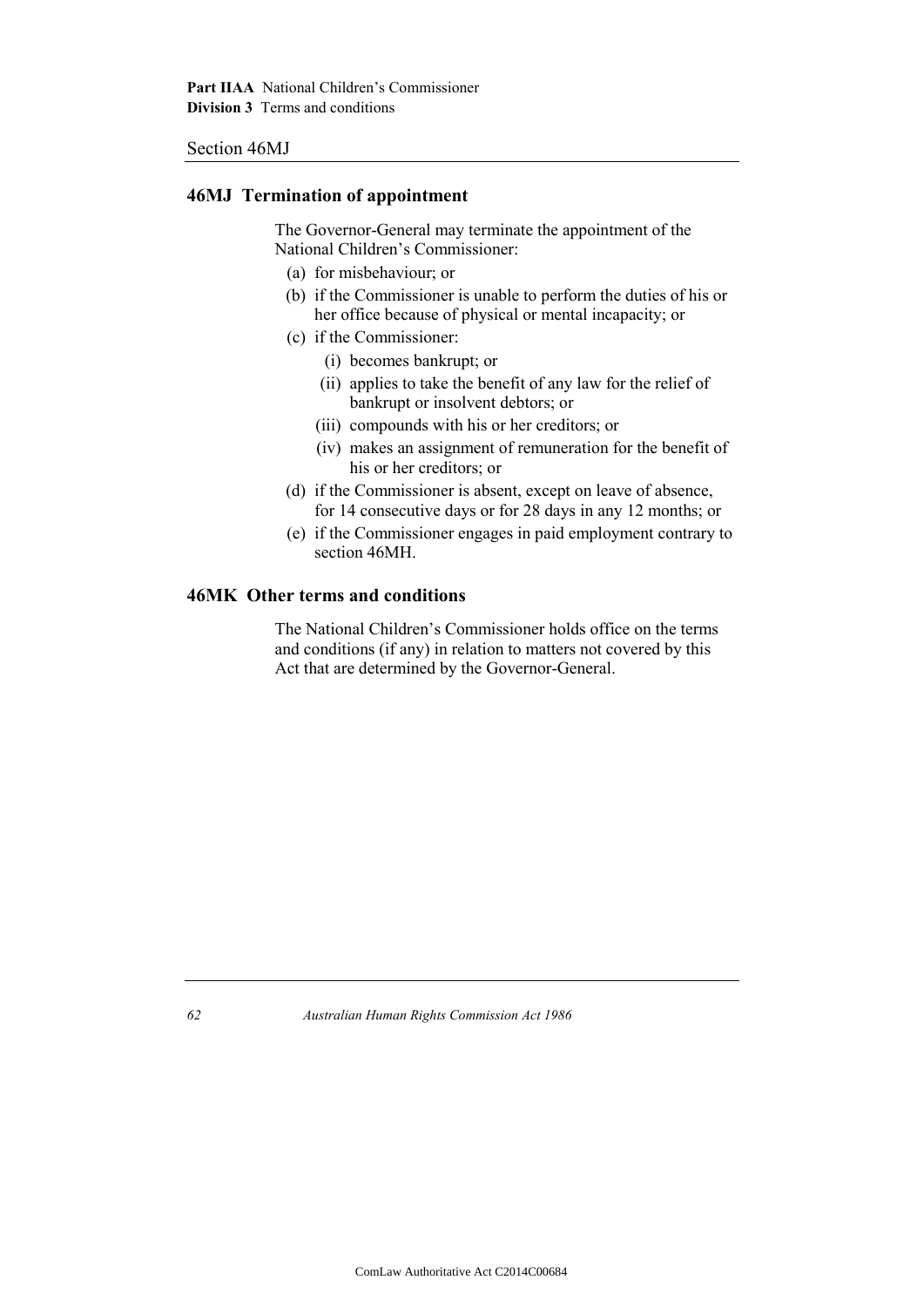Section 46MJ

### **46MJ Termination of appointment**

The Governor-General may terminate the appointment of the National Children's Commissioner:

- (a) for misbehaviour; or
- (b) if the Commissioner is unable to perform the duties of his or her office because of physical or mental incapacity; or
- (c) if the Commissioner:
	- (i) becomes bankrupt; or
	- (ii) applies to take the benefit of any law for the relief of bankrupt or insolvent debtors; or
	- (iii) compounds with his or her creditors; or
	- (iv) makes an assignment of remuneration for the benefit of his or her creditors; or
- (d) if the Commissioner is absent, except on leave of absence, for 14 consecutive days or for 28 days in any 12 months; or
- (e) if the Commissioner engages in paid employment contrary to section 46MH.

### **46MK Other terms and conditions**

The National Children's Commissioner holds office on the terms and conditions (if any) in relation to matters not covered by this Act that are determined by the Governor-General.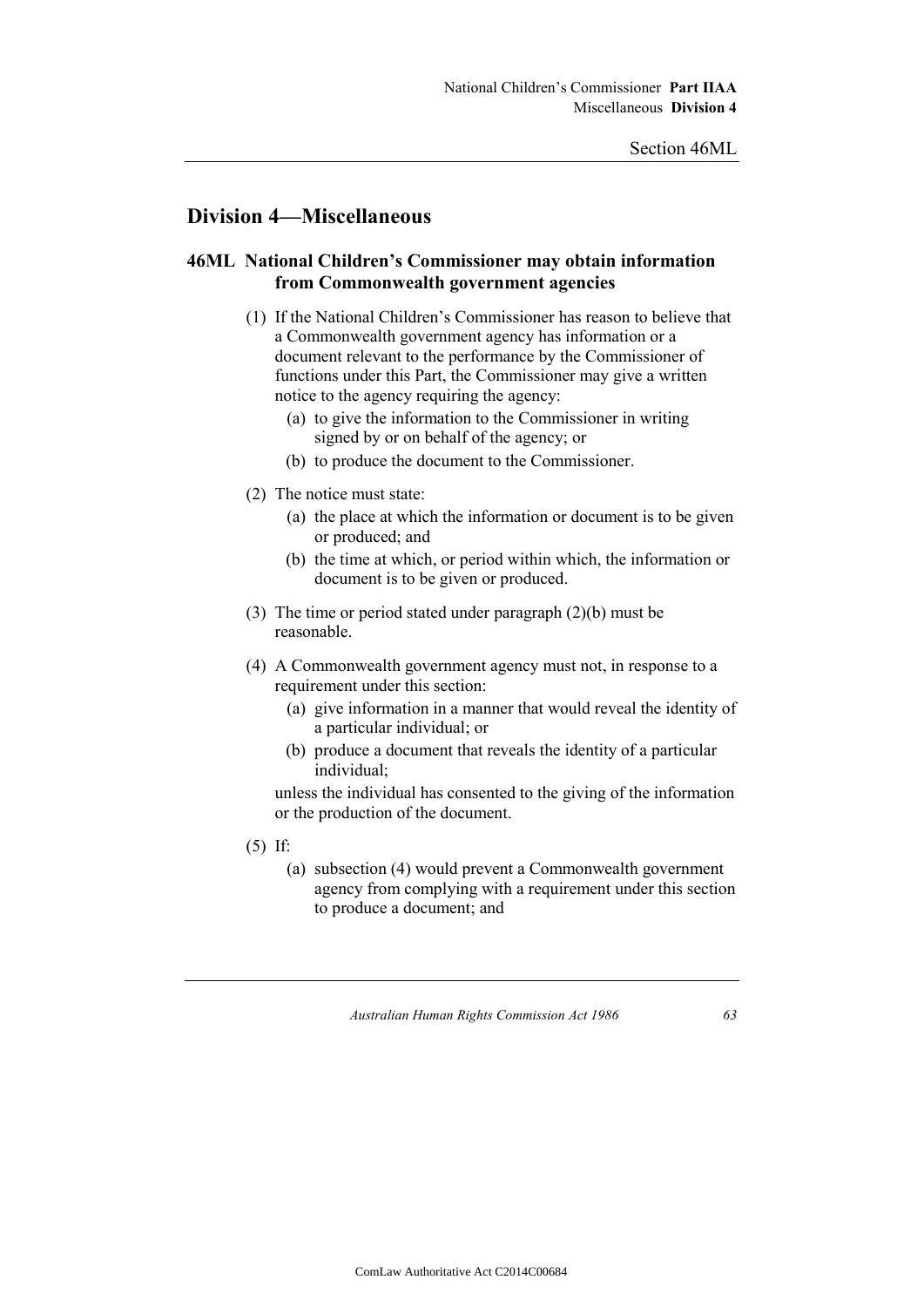# **Division 4—Miscellaneous**

# **46ML National Children's Commissioner may obtain information from Commonwealth government agencies**

- (1) If the National Children's Commissioner has reason to believe that a Commonwealth government agency has information or a document relevant to the performance by the Commissioner of functions under this Part, the Commissioner may give a written notice to the agency requiring the agency:
	- (a) to give the information to the Commissioner in writing signed by or on behalf of the agency; or
	- (b) to produce the document to the Commissioner.
- (2) The notice must state:
	- (a) the place at which the information or document is to be given or produced; and
	- (b) the time at which, or period within which, the information or document is to be given or produced.
- (3) The time or period stated under paragraph (2)(b) must be reasonable.
- (4) A Commonwealth government agency must not, in response to a requirement under this section:
	- (a) give information in a manner that would reveal the identity of a particular individual; or
	- (b) produce a document that reveals the identity of a particular individual;

unless the individual has consented to the giving of the information or the production of the document.

- (5) If:
	- (a) subsection (4) would prevent a Commonwealth government agency from complying with a requirement under this section to produce a document; and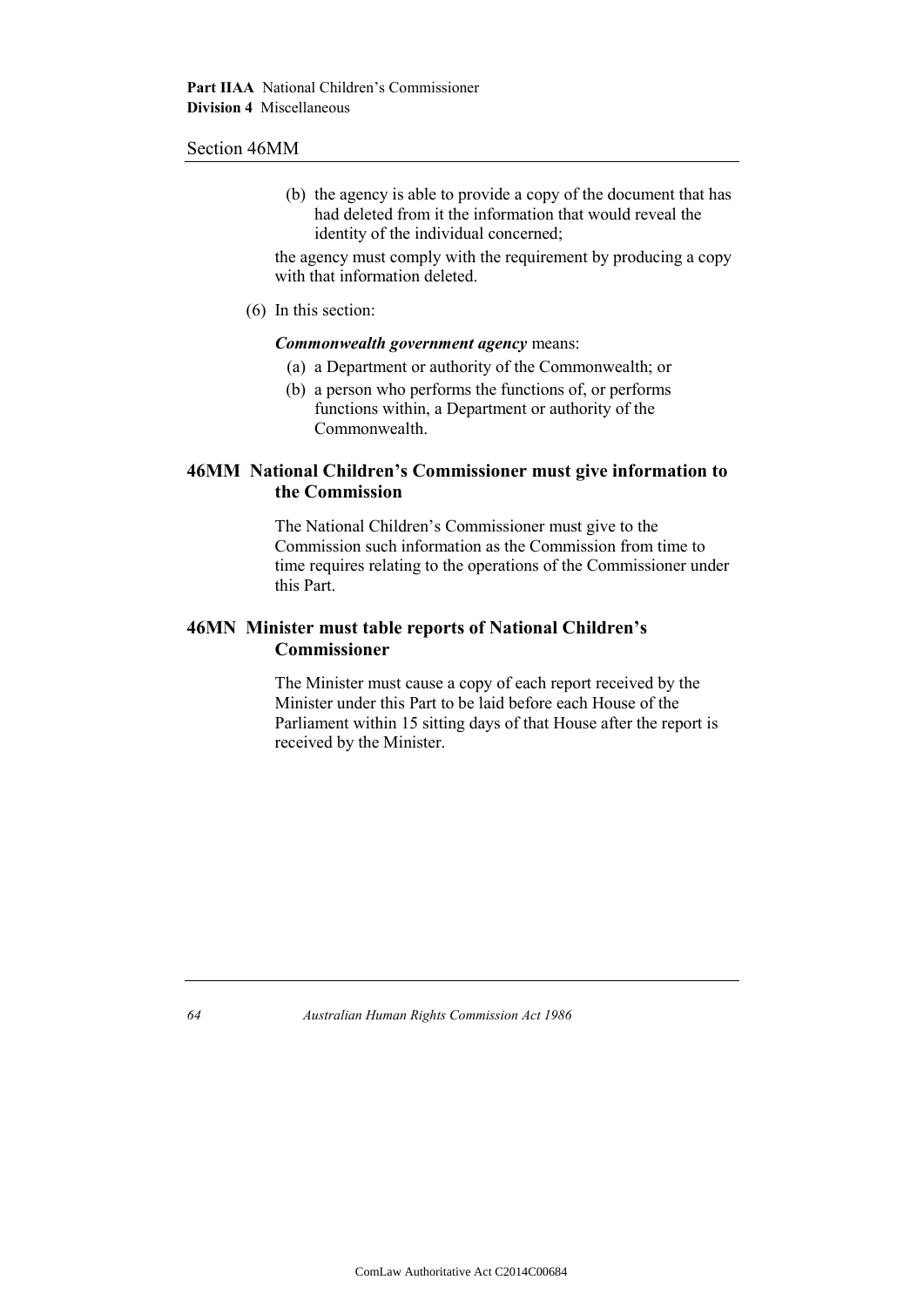### Section 46MM

(b) the agency is able to provide a copy of the document that has had deleted from it the information that would reveal the identity of the individual concerned;

the agency must comply with the requirement by producing a copy with that information deleted.

(6) In this section:

### *Commonwealth government agency* means:

- (a) a Department or authority of the Commonwealth; or
- (b) a person who performs the functions of, or performs functions within, a Department or authority of the Commonwealth.

# **46MM National Children's Commissioner must give information to the Commission**

The National Children's Commissioner must give to the Commission such information as the Commission from time to time requires relating to the operations of the Commissioner under this Part.

# **46MN Minister must table reports of National Children's Commissioner**

The Minister must cause a copy of each report received by the Minister under this Part to be laid before each House of the Parliament within 15 sitting days of that House after the report is received by the Minister.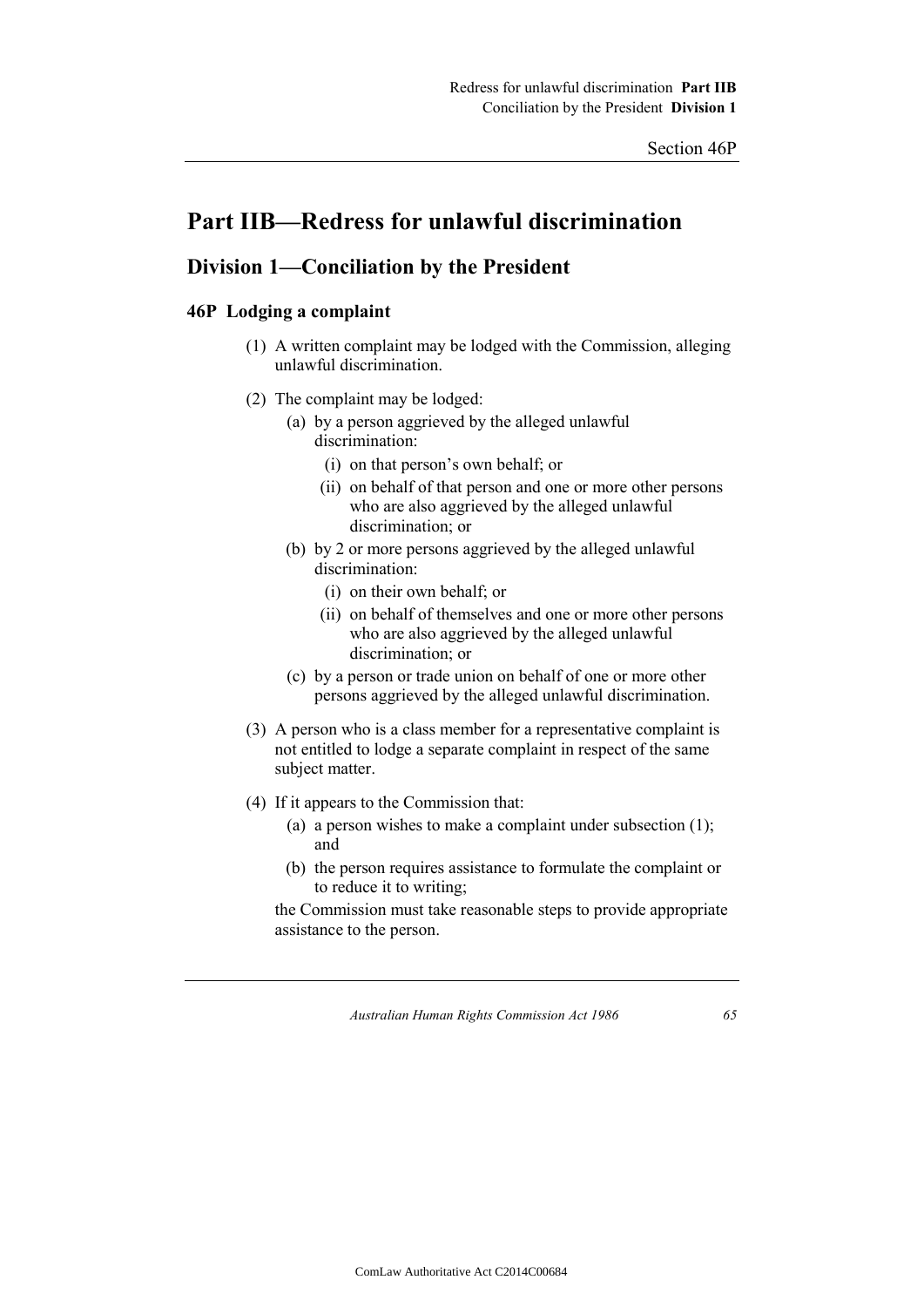# **Part IIB—Redress for unlawful discrimination**

# **Division 1—Conciliation by the President**

# **46P Lodging a complaint**

- (1) A written complaint may be lodged with the Commission, alleging unlawful discrimination.
- (2) The complaint may be lodged:
	- (a) by a person aggrieved by the alleged unlawful discrimination:
		- (i) on that person's own behalf; or
		- (ii) on behalf of that person and one or more other persons who are also aggrieved by the alleged unlawful discrimination; or
	- (b) by 2 or more persons aggrieved by the alleged unlawful discrimination:
		- (i) on their own behalf; or
		- (ii) on behalf of themselves and one or more other persons who are also aggrieved by the alleged unlawful discrimination; or
	- (c) by a person or trade union on behalf of one or more other persons aggrieved by the alleged unlawful discrimination.
- (3) A person who is a class member for a representative complaint is not entitled to lodge a separate complaint in respect of the same subject matter.
- (4) If it appears to the Commission that:
	- (a) a person wishes to make a complaint under subsection (1); and
	- (b) the person requires assistance to formulate the complaint or to reduce it to writing;

the Commission must take reasonable steps to provide appropriate assistance to the person.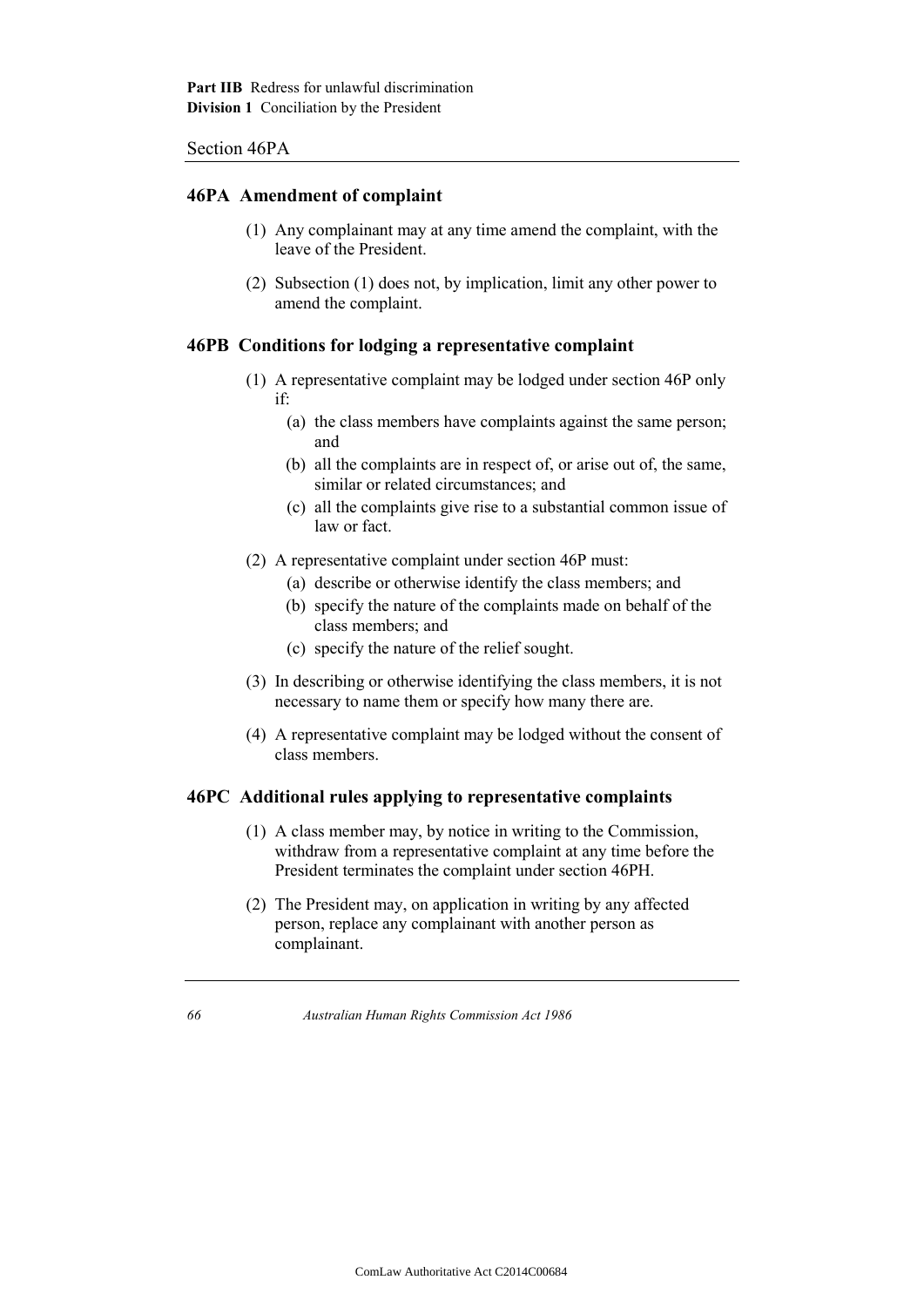#### Section 46PA

#### **46PA Amendment of complaint**

- (1) Any complainant may at any time amend the complaint, with the leave of the President.
- (2) Subsection (1) does not, by implication, limit any other power to amend the complaint.

### **46PB Conditions for lodging a representative complaint**

- (1) A representative complaint may be lodged under section 46P only if:
	- (a) the class members have complaints against the same person; and
	- (b) all the complaints are in respect of, or arise out of, the same, similar or related circumstances; and
	- (c) all the complaints give rise to a substantial common issue of law or fact.
- (2) A representative complaint under section 46P must:
	- (a) describe or otherwise identify the class members; and
	- (b) specify the nature of the complaints made on behalf of the class members; and
	- (c) specify the nature of the relief sought.
- (3) In describing or otherwise identifying the class members, it is not necessary to name them or specify how many there are.
- (4) A representative complaint may be lodged without the consent of class members.

#### **46PC Additional rules applying to representative complaints**

- (1) A class member may, by notice in writing to the Commission, withdraw from a representative complaint at any time before the President terminates the complaint under section 46PH.
- (2) The President may, on application in writing by any affected person, replace any complainant with another person as complainant.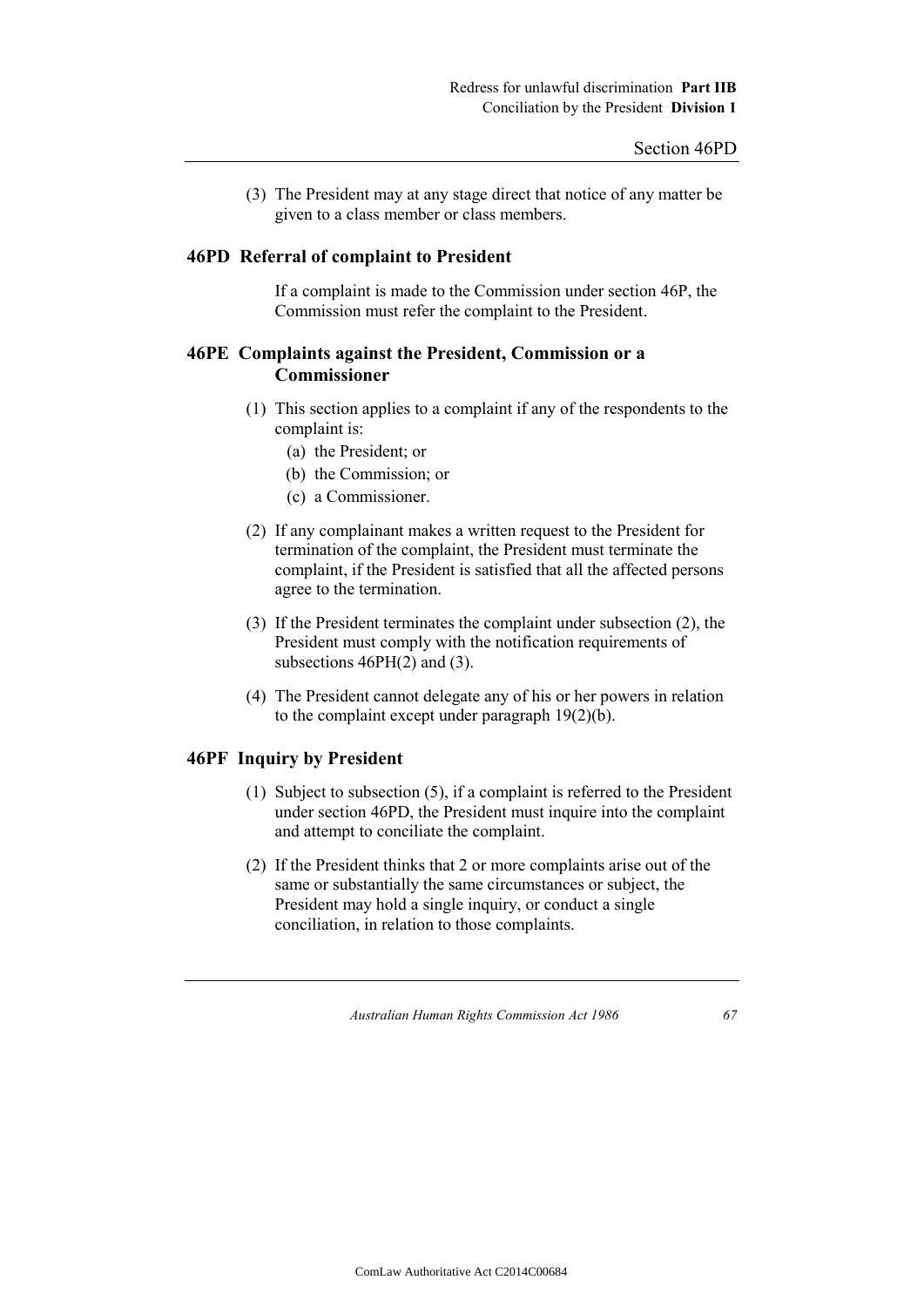(3) The President may at any stage direct that notice of any matter be given to a class member or class members.

#### **46PD Referral of complaint to President**

If a complaint is made to the Commission under section 46P, the Commission must refer the complaint to the President.

# **46PE Complaints against the President, Commission or a Commissioner**

- (1) This section applies to a complaint if any of the respondents to the complaint is:
	- (a) the President; or
	- (b) the Commission; or
	- (c) a Commissioner.
- (2) If any complainant makes a written request to the President for termination of the complaint, the President must terminate the complaint, if the President is satisfied that all the affected persons agree to the termination.
- (3) If the President terminates the complaint under subsection (2), the President must comply with the notification requirements of subsections 46PH(2) and (3).
- (4) The President cannot delegate any of his or her powers in relation to the complaint except under paragraph 19(2)(b).

# **46PF Inquiry by President**

- (1) Subject to subsection (5), if a complaint is referred to the President under section 46PD, the President must inquire into the complaint and attempt to conciliate the complaint.
- (2) If the President thinks that 2 or more complaints arise out of the same or substantially the same circumstances or subject, the President may hold a single inquiry, or conduct a single conciliation, in relation to those complaints.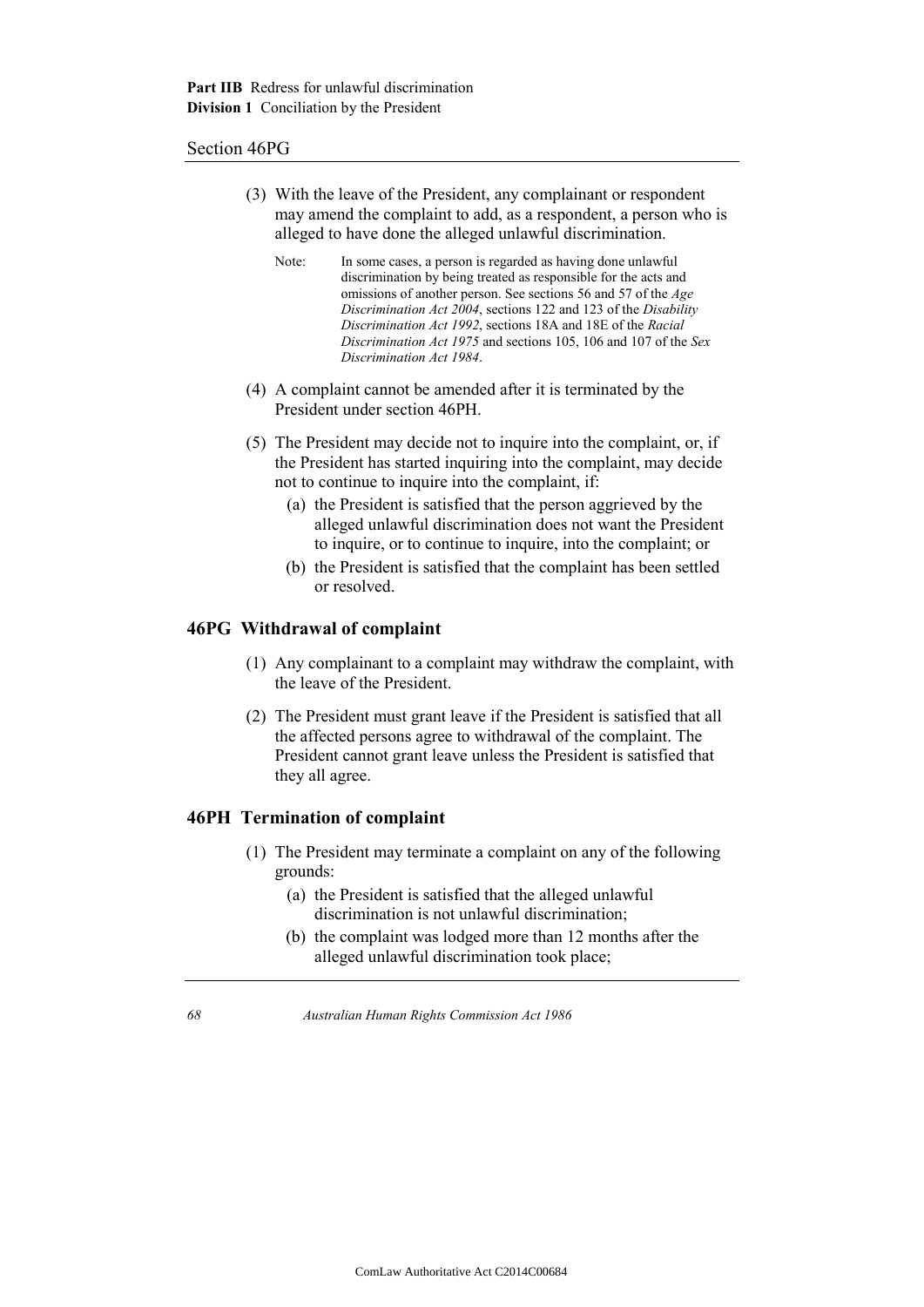#### Section 46PG

- (3) With the leave of the President, any complainant or respondent may amend the complaint to add, as a respondent, a person who is alleged to have done the alleged unlawful discrimination.
	- Note: In some cases, a person is regarded as having done unlawful discrimination by being treated as responsible for the acts and omissions of another person. See sections 56 and 57 of the *Age Discrimination Act 2004*, sections 122 and 123 of the *Disability Discrimination Act 1992*, sections 18A and 18E of the *Racial Discrimination Act 1975* and sections 105, 106 and 107 of the *Sex Discrimination Act 1984*.
- (4) A complaint cannot be amended after it is terminated by the President under section 46PH.
- (5) The President may decide not to inquire into the complaint, or, if the President has started inquiring into the complaint, may decide not to continue to inquire into the complaint, if:
	- (a) the President is satisfied that the person aggrieved by the alleged unlawful discrimination does not want the President to inquire, or to continue to inquire, into the complaint; or
	- (b) the President is satisfied that the complaint has been settled or resolved.

#### **46PG Withdrawal of complaint**

- (1) Any complainant to a complaint may withdraw the complaint, with the leave of the President.
- (2) The President must grant leave if the President is satisfied that all the affected persons agree to withdrawal of the complaint. The President cannot grant leave unless the President is satisfied that they all agree.

# **46PH Termination of complaint**

- (1) The President may terminate a complaint on any of the following grounds:
	- (a) the President is satisfied that the alleged unlawful discrimination is not unlawful discrimination;
	- (b) the complaint was lodged more than 12 months after the alleged unlawful discrimination took place;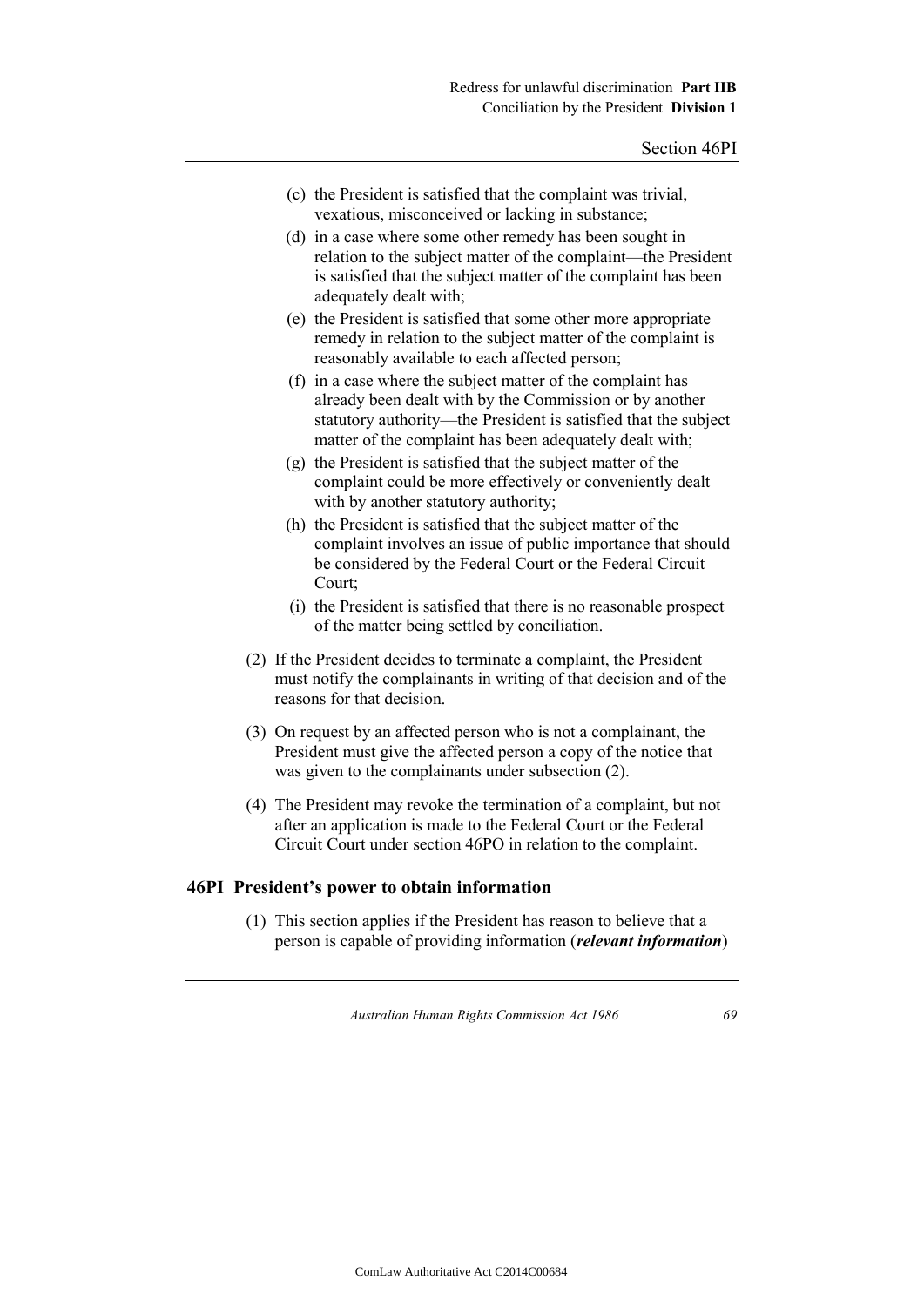- (c) the President is satisfied that the complaint was trivial, vexatious, misconceived or lacking in substance;
- (d) in a case where some other remedy has been sought in relation to the subject matter of the complaint—the President is satisfied that the subject matter of the complaint has been adequately dealt with;
- (e) the President is satisfied that some other more appropriate remedy in relation to the subject matter of the complaint is reasonably available to each affected person;
- (f) in a case where the subject matter of the complaint has already been dealt with by the Commission or by another statutory authority—the President is satisfied that the subject matter of the complaint has been adequately dealt with;
- (g) the President is satisfied that the subject matter of the complaint could be more effectively or conveniently dealt with by another statutory authority;
- (h) the President is satisfied that the subject matter of the complaint involves an issue of public importance that should be considered by the Federal Court or the Federal Circuit Court;
- (i) the President is satisfied that there is no reasonable prospect of the matter being settled by conciliation.
- (2) If the President decides to terminate a complaint, the President must notify the complainants in writing of that decision and of the reasons for that decision.
- (3) On request by an affected person who is not a complainant, the President must give the affected person a copy of the notice that was given to the complainants under subsection (2).
- (4) The President may revoke the termination of a complaint, but not after an application is made to the Federal Court or the Federal Circuit Court under section 46PO in relation to the complaint.

### **46PI President's power to obtain information**

(1) This section applies if the President has reason to believe that a person is capable of providing information (*relevant information*)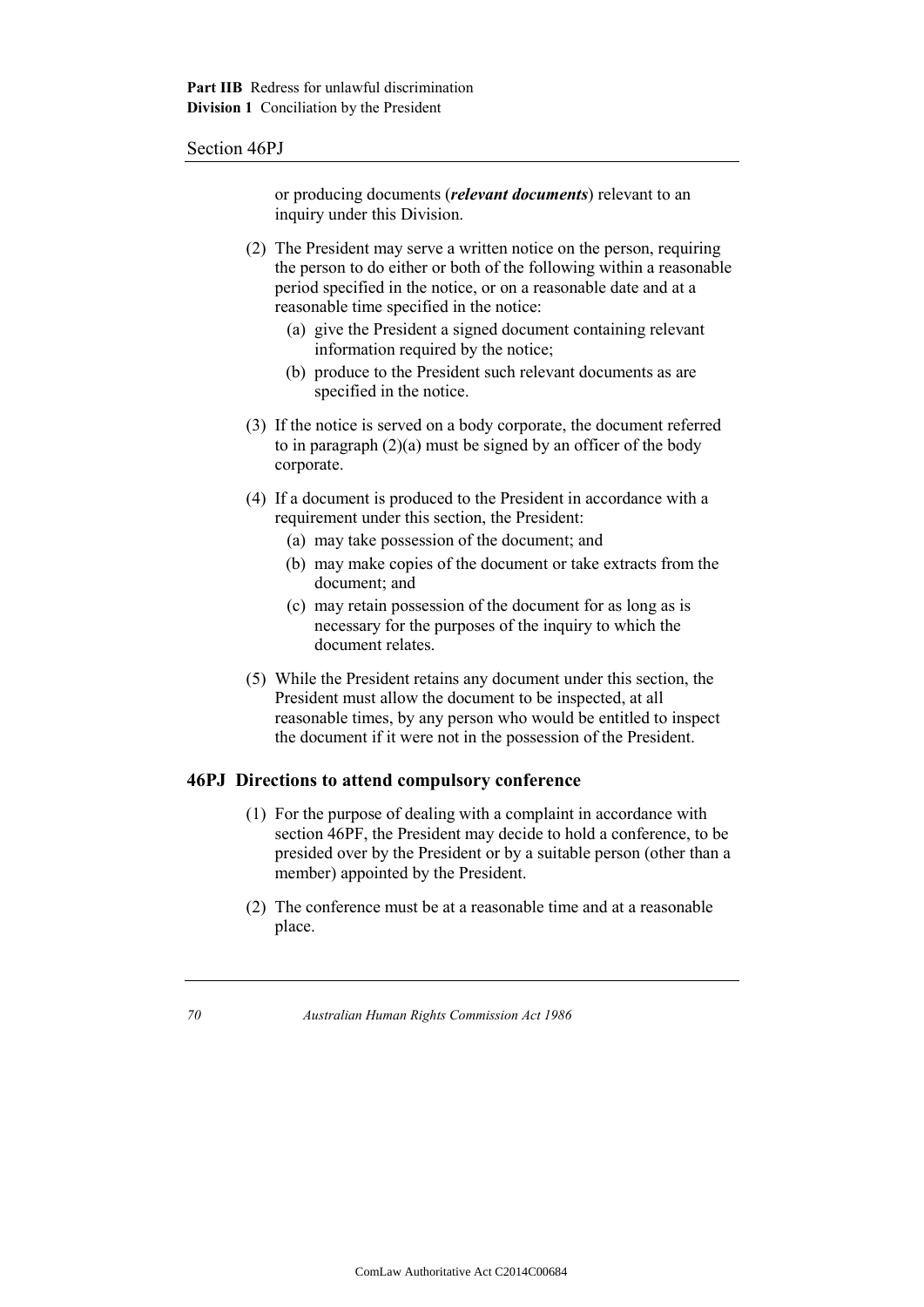#### Section 46PJ

or producing documents (*relevant documents*) relevant to an inquiry under this Division.

- (2) The President may serve a written notice on the person, requiring the person to do either or both of the following within a reasonable period specified in the notice, or on a reasonable date and at a reasonable time specified in the notice:
	- (a) give the President a signed document containing relevant information required by the notice;
	- (b) produce to the President such relevant documents as are specified in the notice.
- (3) If the notice is served on a body corporate, the document referred to in paragraph (2)(a) must be signed by an officer of the body corporate.
- (4) If a document is produced to the President in accordance with a requirement under this section, the President:
	- (a) may take possession of the document; and
	- (b) may make copies of the document or take extracts from the document; and
	- (c) may retain possession of the document for as long as is necessary for the purposes of the inquiry to which the document relates.
- (5) While the President retains any document under this section, the President must allow the document to be inspected, at all reasonable times, by any person who would be entitled to inspect the document if it were not in the possession of the President.

#### **46PJ Directions to attend compulsory conference**

- (1) For the purpose of dealing with a complaint in accordance with section 46PF, the President may decide to hold a conference, to be presided over by the President or by a suitable person (other than a member) appointed by the President.
- (2) The conference must be at a reasonable time and at a reasonable place.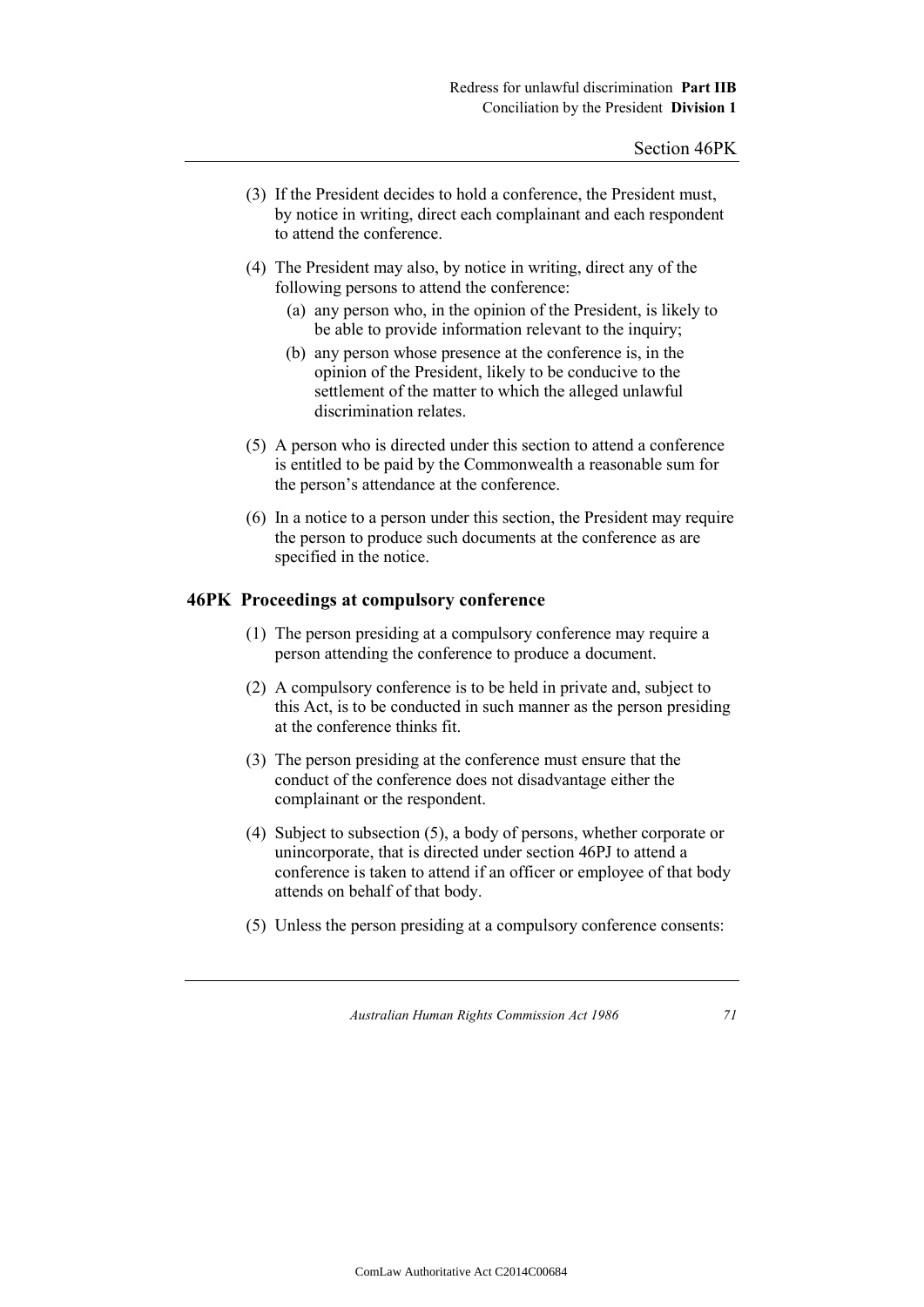- (3) If the President decides to hold a conference, the President must, by notice in writing, direct each complainant and each respondent to attend the conference.
- (4) The President may also, by notice in writing, direct any of the following persons to attend the conference:
	- (a) any person who, in the opinion of the President, is likely to be able to provide information relevant to the inquiry;
	- (b) any person whose presence at the conference is, in the opinion of the President, likely to be conducive to the settlement of the matter to which the alleged unlawful discrimination relates.
- (5) A person who is directed under this section to attend a conference is entitled to be paid by the Commonwealth a reasonable sum for the person's attendance at the conference.
- (6) In a notice to a person under this section, the President may require the person to produce such documents at the conference as are specified in the notice.

### **46PK Proceedings at compulsory conference**

- (1) The person presiding at a compulsory conference may require a person attending the conference to produce a document.
- (2) A compulsory conference is to be held in private and, subject to this Act, is to be conducted in such manner as the person presiding at the conference thinks fit.
- (3) The person presiding at the conference must ensure that the conduct of the conference does not disadvantage either the complainant or the respondent.
- (4) Subject to subsection (5), a body of persons, whether corporate or unincorporate, that is directed under section 46PJ to attend a conference is taken to attend if an officer or employee of that body attends on behalf of that body.
- (5) Unless the person presiding at a compulsory conference consents: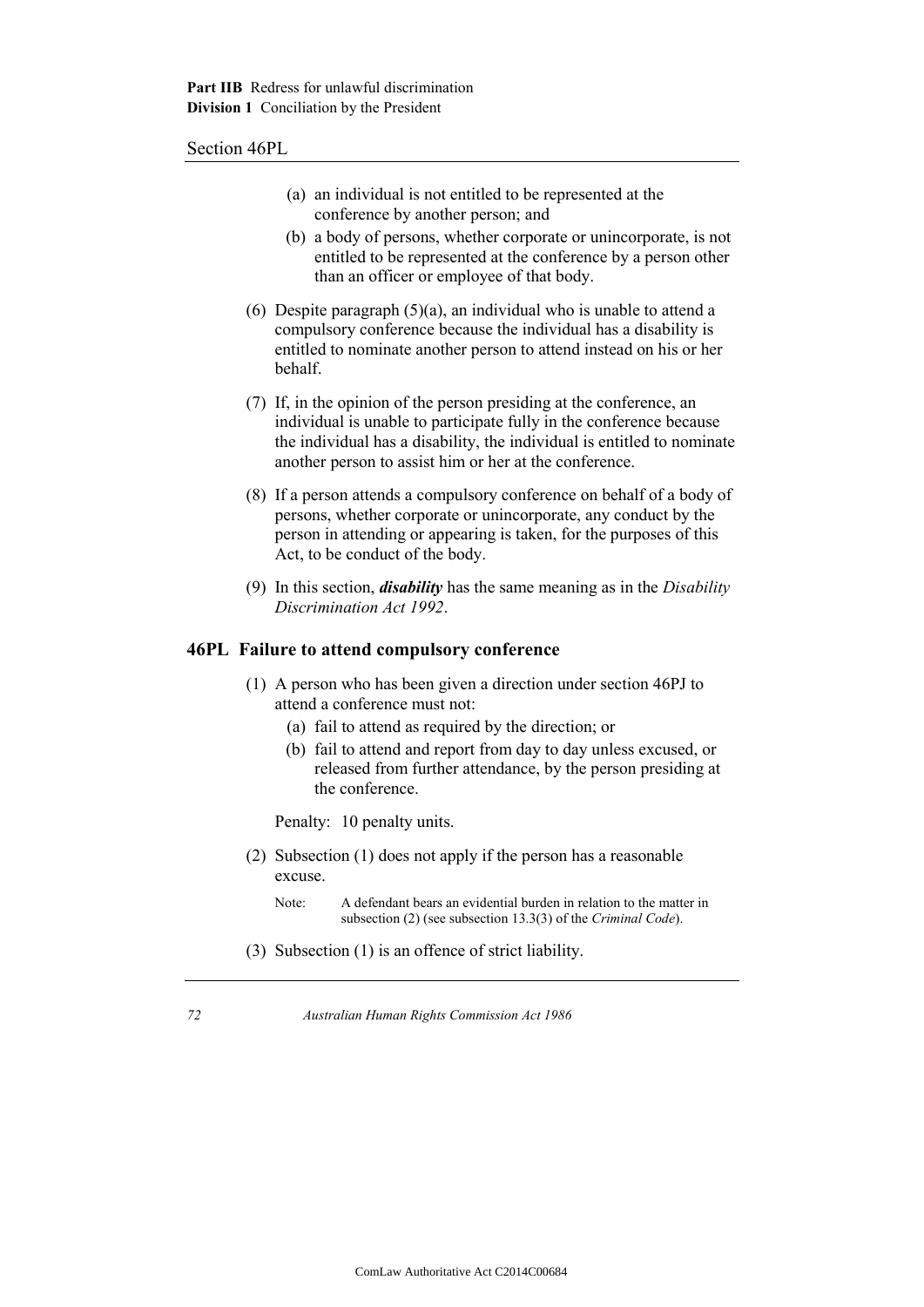#### Section 46PL

- (a) an individual is not entitled to be represented at the conference by another person; and
- (b) a body of persons, whether corporate or unincorporate, is not entitled to be represented at the conference by a person other than an officer or employee of that body.
- (6) Despite paragraph  $(5)(a)$ , an individual who is unable to attend a compulsory conference because the individual has a disability is entitled to nominate another person to attend instead on his or her behalf.
- (7) If, in the opinion of the person presiding at the conference, an individual is unable to participate fully in the conference because the individual has a disability, the individual is entitled to nominate another person to assist him or her at the conference.
- (8) If a person attends a compulsory conference on behalf of a body of persons, whether corporate or unincorporate, any conduct by the person in attending or appearing is taken, for the purposes of this Act, to be conduct of the body.
- (9) In this section, *disability* has the same meaning as in the *Disability Discrimination Act 1992*.

#### **46PL Failure to attend compulsory conference**

- (1) A person who has been given a direction under section 46PJ to attend a conference must not:
	- (a) fail to attend as required by the direction; or
	- (b) fail to attend and report from day to day unless excused, or released from further attendance, by the person presiding at the conference.

Penalty: 10 penalty units.

- (2) Subsection (1) does not apply if the person has a reasonable excuse.
	- Note: A defendant bears an evidential burden in relation to the matter in subsection (2) (see subsection 13.3(3) of the *Criminal Code*).
- (3) Subsection (1) is an offence of strict liability.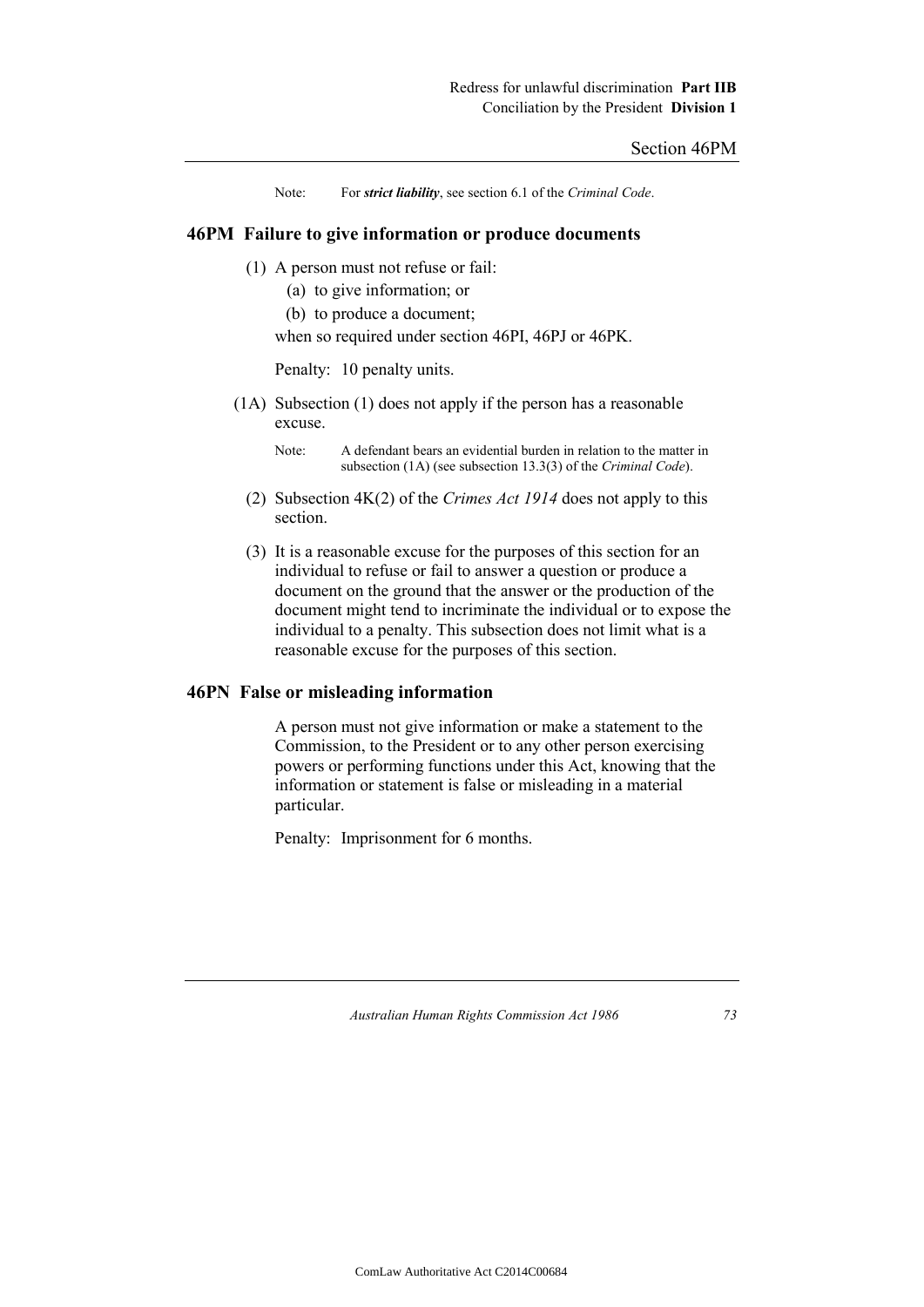Note: For *strict liability*, see section 6.1 of the *Criminal Code*.

### **46PM Failure to give information or produce documents**

- (1) A person must not refuse or fail:
	- (a) to give information; or
	- (b) to produce a document;

when so required under section 46PI, 46PJ or 46PK.

Penalty: 10 penalty units.

(1A) Subsection (1) does not apply if the person has a reasonable excuse.

- (2) Subsection 4K(2) of the *Crimes Act 1914* does not apply to this section.
- (3) It is a reasonable excuse for the purposes of this section for an individual to refuse or fail to answer a question or produce a document on the ground that the answer or the production of the document might tend to incriminate the individual or to expose the individual to a penalty. This subsection does not limit what is a reasonable excuse for the purposes of this section.

#### **46PN False or misleading information**

A person must not give information or make a statement to the Commission, to the President or to any other person exercising powers or performing functions under this Act, knowing that the information or statement is false or misleading in a material particular.

Penalty: Imprisonment for 6 months.

Note: A defendant bears an evidential burden in relation to the matter in subsection (1A) (see subsection 13.3(3) of the *Criminal Code*).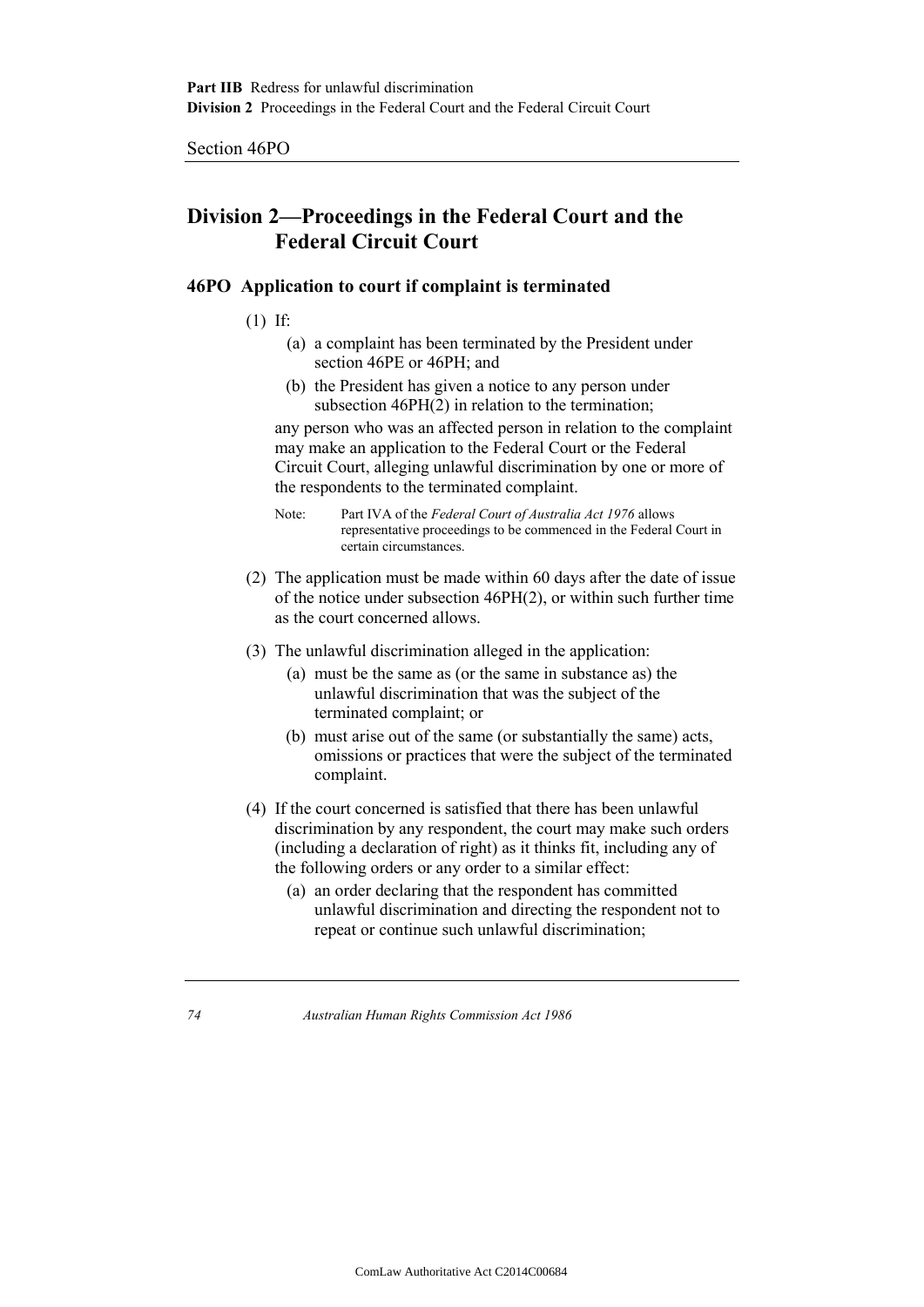Section 46PO

# **Division 2—Proceedings in the Federal Court and the Federal Circuit Court**

# **46PO Application to court if complaint is terminated**

(1) If:

- (a) a complaint has been terminated by the President under section 46PE or 46PH; and
- (b) the President has given a notice to any person under subsection 46PH(2) in relation to the termination;

any person who was an affected person in relation to the complaint may make an application to the Federal Court or the Federal Circuit Court, alleging unlawful discrimination by one or more of the respondents to the terminated complaint.

- Note: Part IVA of the *Federal Court of Australia Act 1976* allows representative proceedings to be commenced in the Federal Court in certain circumstances.
- (2) The application must be made within 60 days after the date of issue of the notice under subsection 46PH(2), or within such further time as the court concerned allows.
- (3) The unlawful discrimination alleged in the application:
	- (a) must be the same as (or the same in substance as) the unlawful discrimination that was the subject of the terminated complaint; or
	- (b) must arise out of the same (or substantially the same) acts, omissions or practices that were the subject of the terminated complaint.
- (4) If the court concerned is satisfied that there has been unlawful discrimination by any respondent, the court may make such orders (including a declaration of right) as it thinks fit, including any of the following orders or any order to a similar effect:
	- (a) an order declaring that the respondent has committed unlawful discrimination and directing the respondent not to repeat or continue such unlawful discrimination;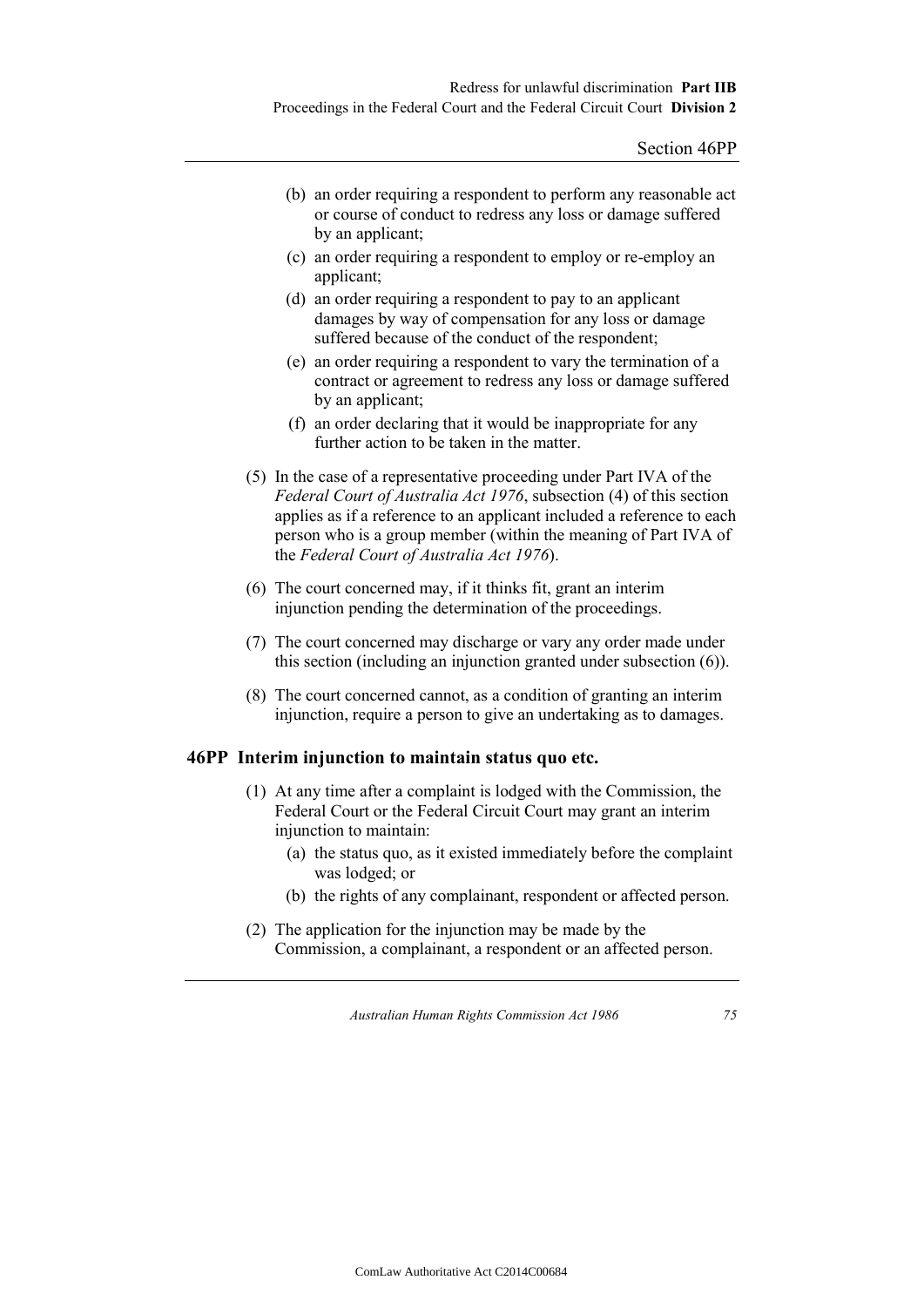- (b) an order requiring a respondent to perform any reasonable act or course of conduct to redress any loss or damage suffered by an applicant;
- (c) an order requiring a respondent to employ or re-employ an applicant;
- (d) an order requiring a respondent to pay to an applicant damages by way of compensation for any loss or damage suffered because of the conduct of the respondent;
- (e) an order requiring a respondent to vary the termination of a contract or agreement to redress any loss or damage suffered by an applicant;
- (f) an order declaring that it would be inappropriate for any further action to be taken in the matter.
- (5) In the case of a representative proceeding under Part IVA of the *Federal Court of Australia Act 1976*, subsection (4) of this section applies as if a reference to an applicant included a reference to each person who is a group member (within the meaning of Part IVA of the *Federal Court of Australia Act 1976*).
- (6) The court concerned may, if it thinks fit, grant an interim injunction pending the determination of the proceedings.
- (7) The court concerned may discharge or vary any order made under this section (including an injunction granted under subsection (6)).
- (8) The court concerned cannot, as a condition of granting an interim injunction, require a person to give an undertaking as to damages.

# **46PP Interim injunction to maintain status quo etc.**

- (1) At any time after a complaint is lodged with the Commission, the Federal Court or the Federal Circuit Court may grant an interim injunction to maintain:
	- (a) the status quo, as it existed immediately before the complaint was lodged; or
	- (b) the rights of any complainant, respondent or affected person.
- (2) The application for the injunction may be made by the Commission, a complainant, a respondent or an affected person.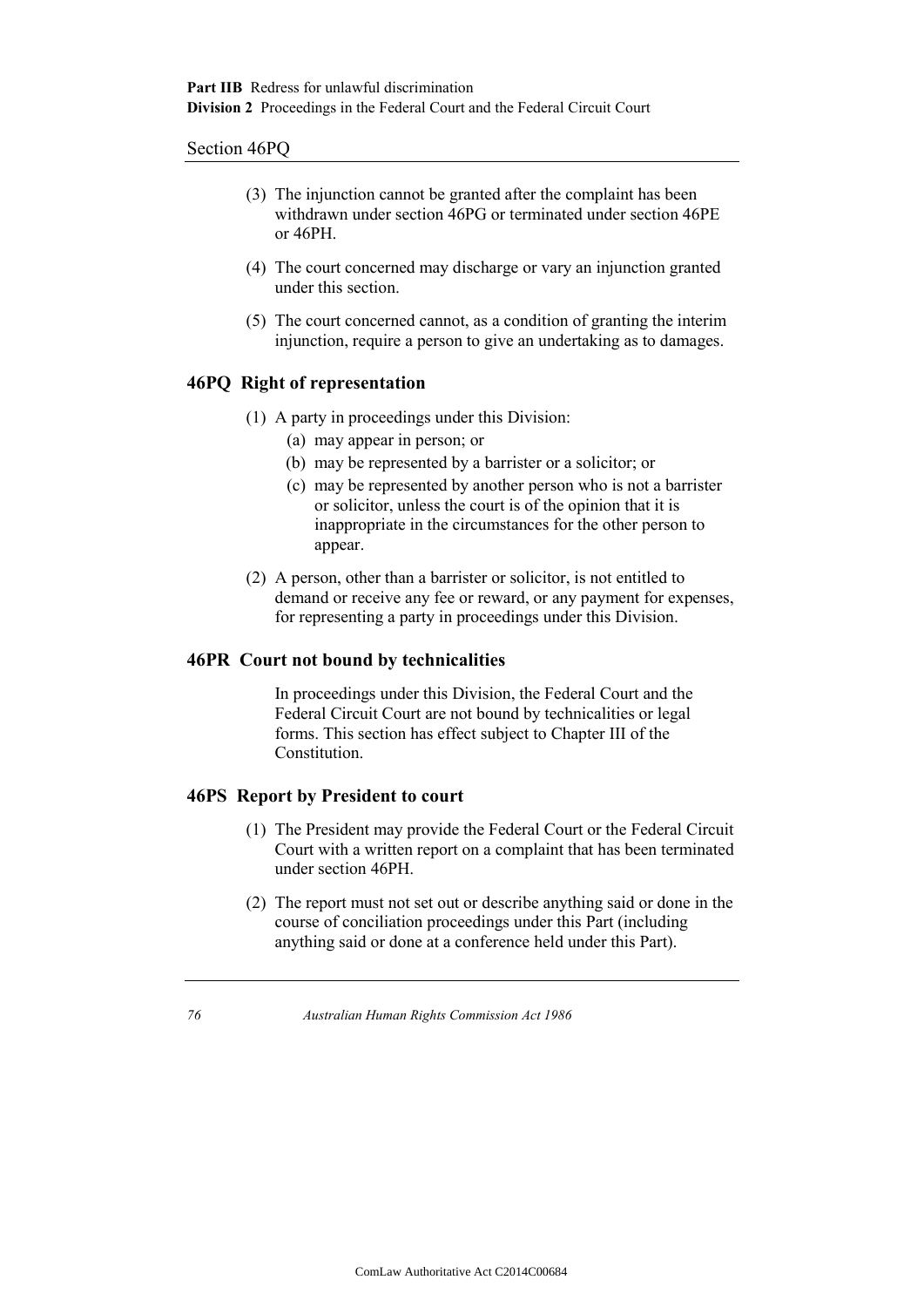Section 46PQ

- (3) The injunction cannot be granted after the complaint has been withdrawn under section 46PG or terminated under section 46PE or 46PH.
- (4) The court concerned may discharge or vary an injunction granted under this section.
- (5) The court concerned cannot, as a condition of granting the interim injunction, require a person to give an undertaking as to damages.

# **46PQ Right of representation**

- (1) A party in proceedings under this Division:
	- (a) may appear in person; or
	- (b) may be represented by a barrister or a solicitor; or
	- (c) may be represented by another person who is not a barrister or solicitor, unless the court is of the opinion that it is inappropriate in the circumstances for the other person to appear.
- (2) A person, other than a barrister or solicitor, is not entitled to demand or receive any fee or reward, or any payment for expenses, for representing a party in proceedings under this Division.

# **46PR Court not bound by technicalities**

In proceedings under this Division, the Federal Court and the Federal Circuit Court are not bound by technicalities or legal forms. This section has effect subject to Chapter III of the Constitution.

# **46PS Report by President to court**

- (1) The President may provide the Federal Court or the Federal Circuit Court with a written report on a complaint that has been terminated under section 46PH.
- (2) The report must not set out or describe anything said or done in the course of conciliation proceedings under this Part (including anything said or done at a conference held under this Part).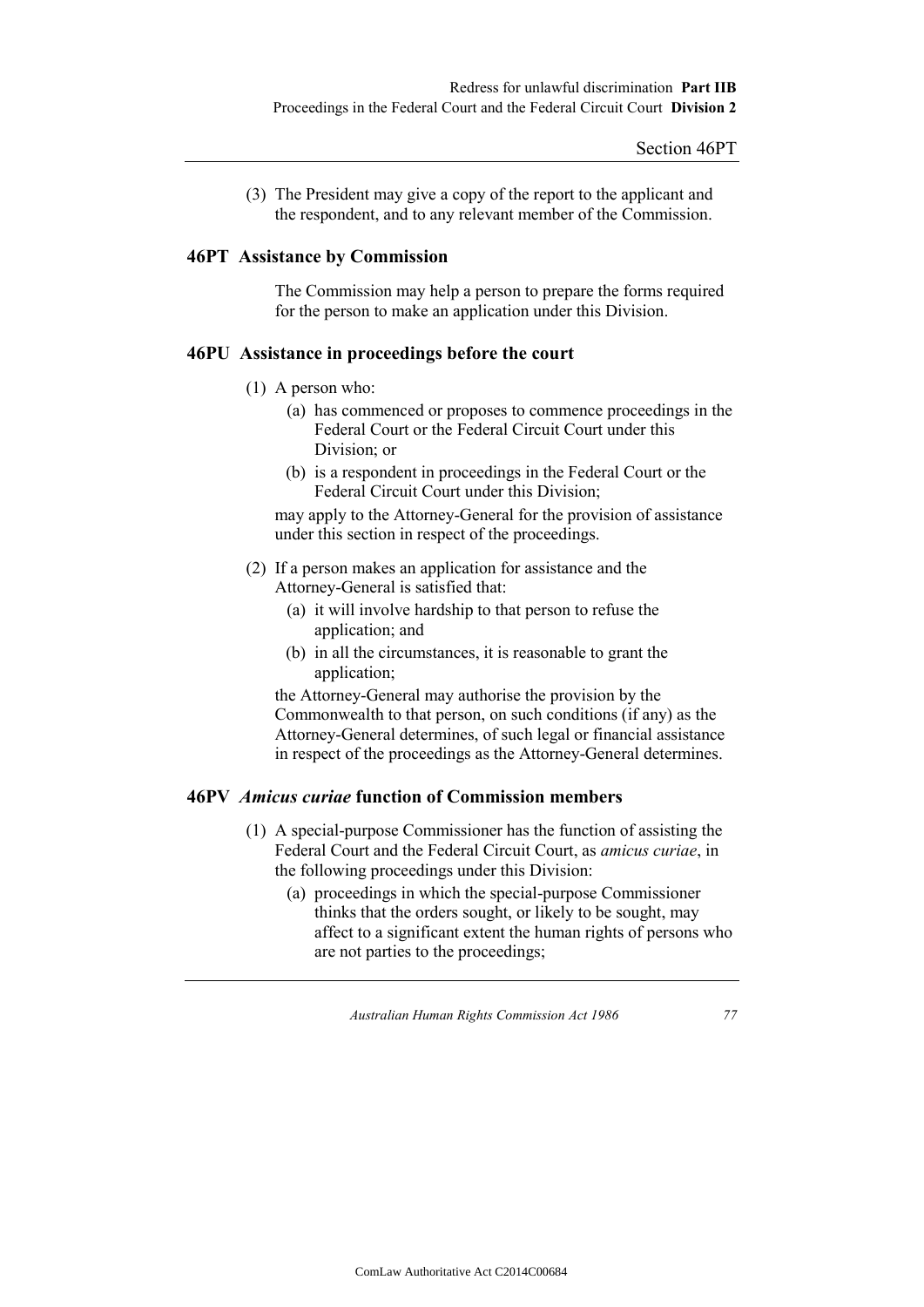(3) The President may give a copy of the report to the applicant and the respondent, and to any relevant member of the Commission.

# **46PT Assistance by Commission**

The Commission may help a person to prepare the forms required for the person to make an application under this Division.

### **46PU Assistance in proceedings before the court**

- (1) A person who:
	- (a) has commenced or proposes to commence proceedings in the Federal Court or the Federal Circuit Court under this Division; or
	- (b) is a respondent in proceedings in the Federal Court or the Federal Circuit Court under this Division;

may apply to the Attorney-General for the provision of assistance under this section in respect of the proceedings.

- (2) If a person makes an application for assistance and the Attorney-General is satisfied that:
	- (a) it will involve hardship to that person to refuse the application; and
	- (b) in all the circumstances, it is reasonable to grant the application;

the Attorney-General may authorise the provision by the Commonwealth to that person, on such conditions (if any) as the Attorney-General determines, of such legal or financial assistance in respect of the proceedings as the Attorney-General determines.

# **46PV** *Amicus curiae* **function of Commission members**

- (1) A special-purpose Commissioner has the function of assisting the Federal Court and the Federal Circuit Court, as *amicus curiae*, in the following proceedings under this Division:
	- (a) proceedings in which the special-purpose Commissioner thinks that the orders sought, or likely to be sought, may affect to a significant extent the human rights of persons who are not parties to the proceedings;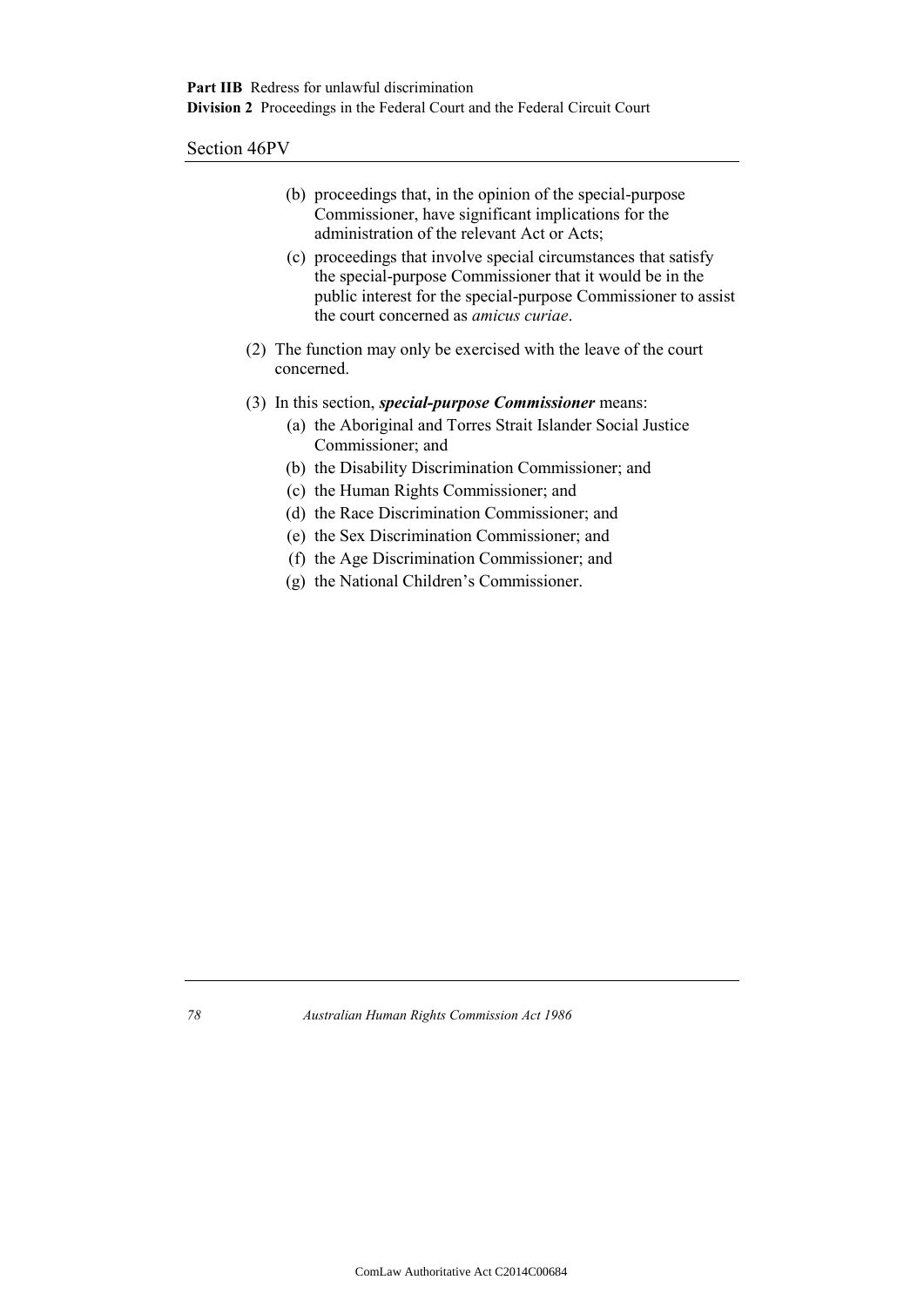Section 46PV

- (b) proceedings that, in the opinion of the special-purpose Commissioner, have significant implications for the administration of the relevant Act or Acts;
- (c) proceedings that involve special circumstances that satisfy the special-purpose Commissioner that it would be in the public interest for the special-purpose Commissioner to assist the court concerned as *amicus curiae*.
- (2) The function may only be exercised with the leave of the court concerned.
- (3) In this section, *special-purpose Commissioner* means:
	- (a) the Aboriginal and Torres Strait Islander Social Justice Commissioner; and
	- (b) the Disability Discrimination Commissioner; and
	- (c) the Human Rights Commissioner; and
	- (d) the Race Discrimination Commissioner; and
	- (e) the Sex Discrimination Commissioner; and
	- (f) the Age Discrimination Commissioner; and
	- (g) the National Children's Commissioner.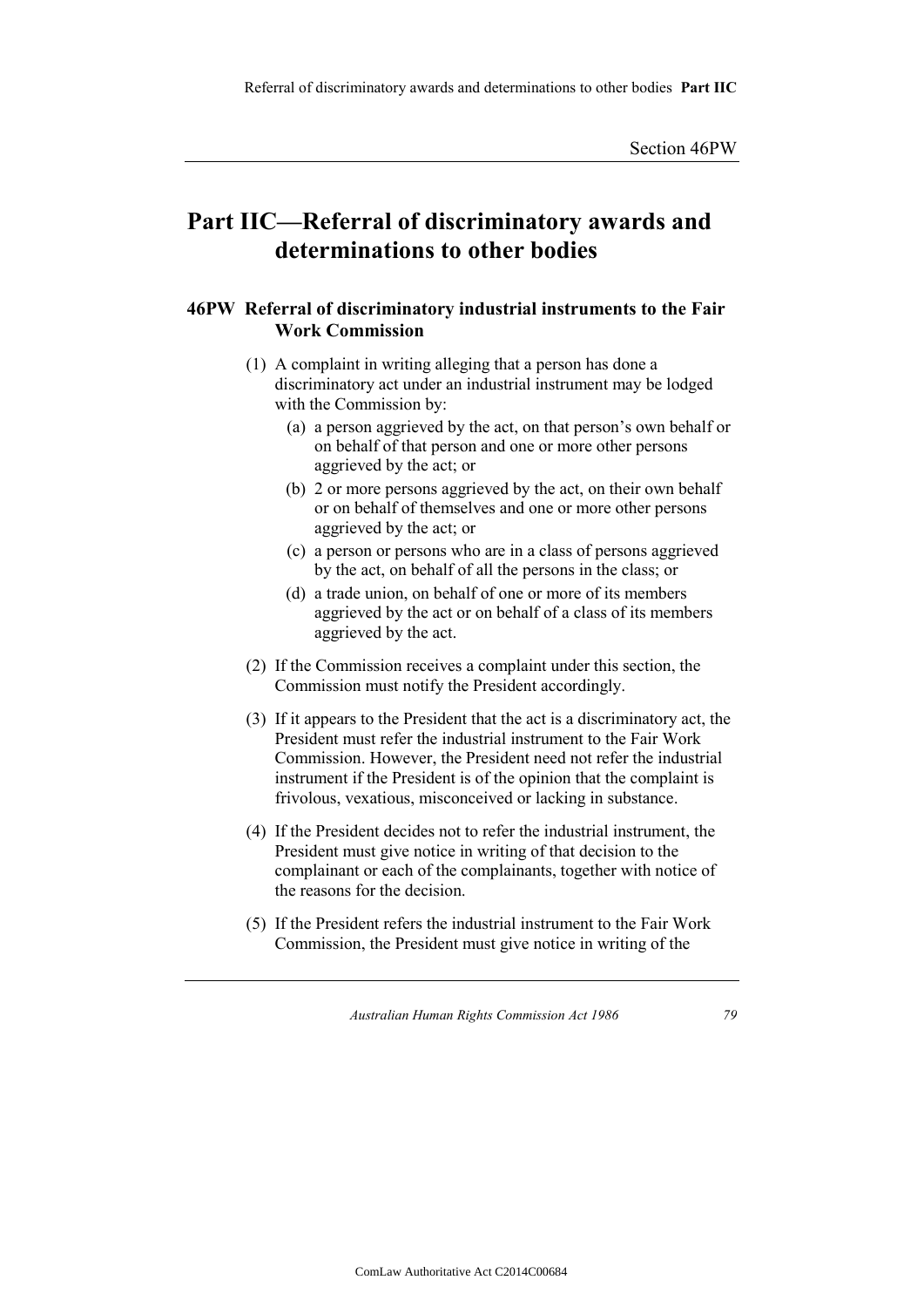# **Part IIC—Referral of discriminatory awards and determinations to other bodies**

# **46PW Referral of discriminatory industrial instruments to the Fair Work Commission**

- (1) A complaint in writing alleging that a person has done a discriminatory act under an industrial instrument may be lodged with the Commission by:
	- (a) a person aggrieved by the act, on that person's own behalf or on behalf of that person and one or more other persons aggrieved by the act; or
	- (b) 2 or more persons aggrieved by the act, on their own behalf or on behalf of themselves and one or more other persons aggrieved by the act; or
	- (c) a person or persons who are in a class of persons aggrieved by the act, on behalf of all the persons in the class; or
	- (d) a trade union, on behalf of one or more of its members aggrieved by the act or on behalf of a class of its members aggrieved by the act.
- (2) If the Commission receives a complaint under this section, the Commission must notify the President accordingly.
- (3) If it appears to the President that the act is a discriminatory act, the President must refer the industrial instrument to the Fair Work Commission. However, the President need not refer the industrial instrument if the President is of the opinion that the complaint is frivolous, vexatious, misconceived or lacking in substance.
- (4) If the President decides not to refer the industrial instrument, the President must give notice in writing of that decision to the complainant or each of the complainants, together with notice of the reasons for the decision.
- (5) If the President refers the industrial instrument to the Fair Work Commission, the President must give notice in writing of the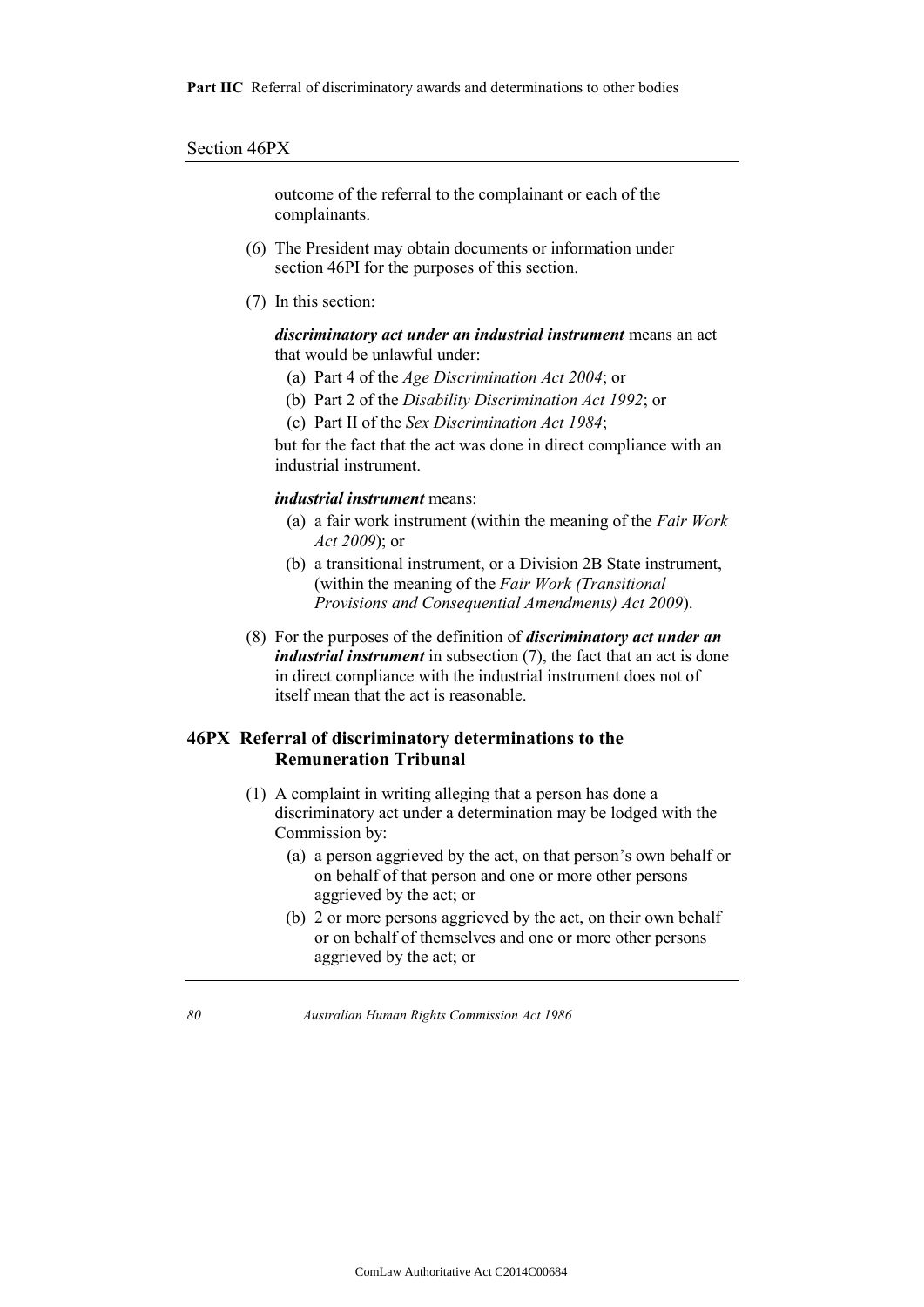outcome of the referral to the complainant or each of the complainants.

- (6) The President may obtain documents or information under section 46PI for the purposes of this section.
- (7) In this section:

*discriminatory act under an industrial instrument* means an act that would be unlawful under:

- (a) Part 4 of the *Age Discrimination Act 2004*; or
- (b) Part 2 of the *Disability Discrimination Act 1992*; or
- (c) Part II of the *Sex Discrimination Act 1984*;

but for the fact that the act was done in direct compliance with an industrial instrument.

#### *industrial instrument* means:

- (a) a fair work instrument (within the meaning of the *Fair Work Act 2009*); or
- (b) a transitional instrument, or a Division 2B State instrument, (within the meaning of the *Fair Work (Transitional Provisions and Consequential Amendments) Act 2009*).
- (8) For the purposes of the definition of *discriminatory act under an industrial instrument* in subsection (7), the fact that an act is done in direct compliance with the industrial instrument does not of itself mean that the act is reasonable.

# **46PX Referral of discriminatory determinations to the Remuneration Tribunal**

- (1) A complaint in writing alleging that a person has done a discriminatory act under a determination may be lodged with the Commission by:
	- (a) a person aggrieved by the act, on that person's own behalf or on behalf of that person and one or more other persons aggrieved by the act; or
	- (b) 2 or more persons aggrieved by the act, on their own behalf or on behalf of themselves and one or more other persons aggrieved by the act; or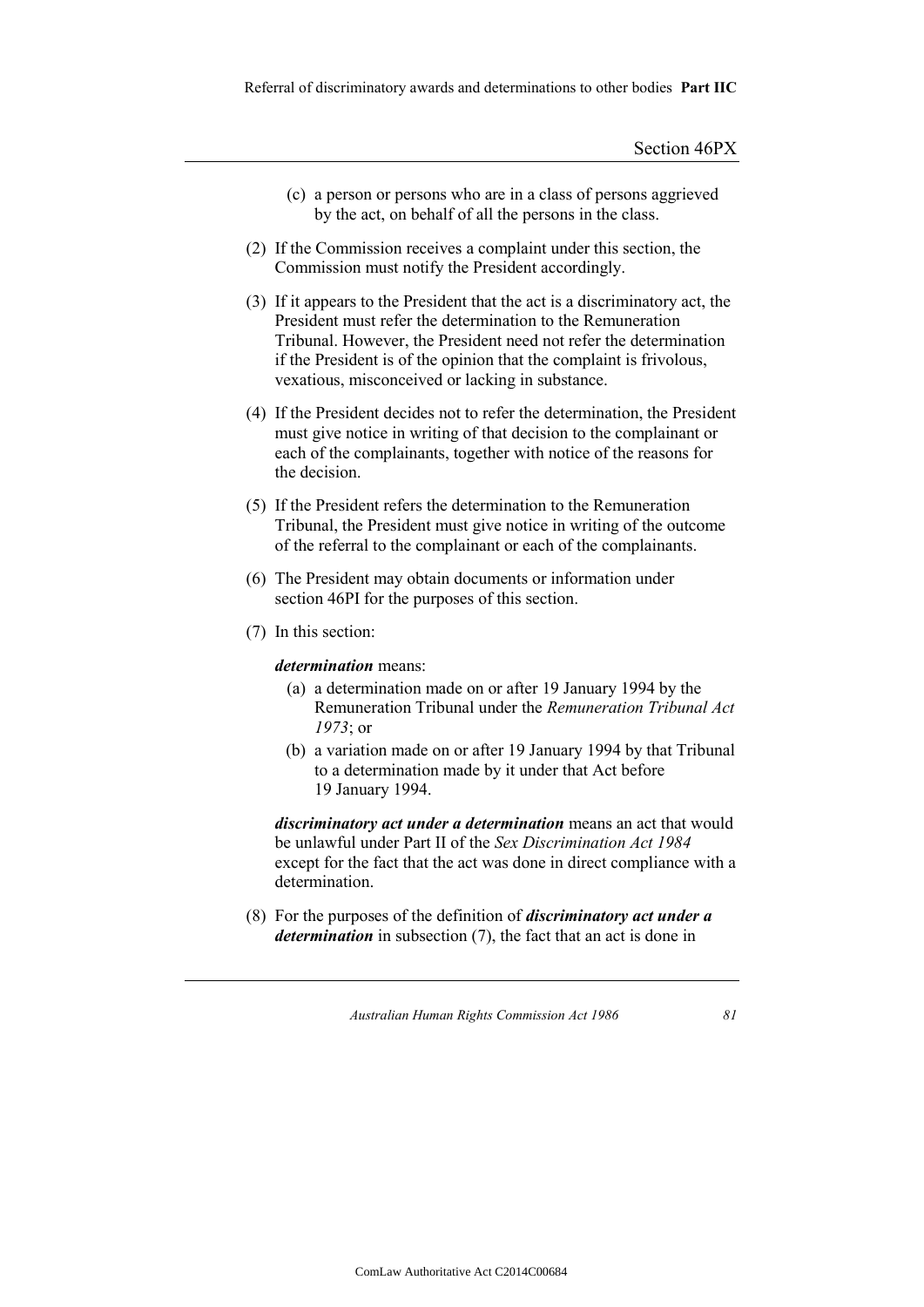- (c) a person or persons who are in a class of persons aggrieved by the act, on behalf of all the persons in the class.
- (2) If the Commission receives a complaint under this section, the Commission must notify the President accordingly.
- (3) If it appears to the President that the act is a discriminatory act, the President must refer the determination to the Remuneration Tribunal. However, the President need not refer the determination if the President is of the opinion that the complaint is frivolous, vexatious, misconceived or lacking in substance.
- (4) If the President decides not to refer the determination, the President must give notice in writing of that decision to the complainant or each of the complainants, together with notice of the reasons for the decision.
- (5) If the President refers the determination to the Remuneration Tribunal, the President must give notice in writing of the outcome of the referral to the complainant or each of the complainants.
- (6) The President may obtain documents or information under section 46PI for the purposes of this section.
- (7) In this section:

#### *determination* means:

- (a) a determination made on or after 19 January 1994 by the Remuneration Tribunal under the *Remuneration Tribunal Act 1973*; or
- (b) a variation made on or after 19 January 1994 by that Tribunal to a determination made by it under that Act before 19 January 1994.

*discriminatory act under a determination* means an act that would be unlawful under Part II of the *Sex Discrimination Act 1984*  except for the fact that the act was done in direct compliance with a determination.

(8) For the purposes of the definition of *discriminatory act under a determination* in subsection (7), the fact that an act is done in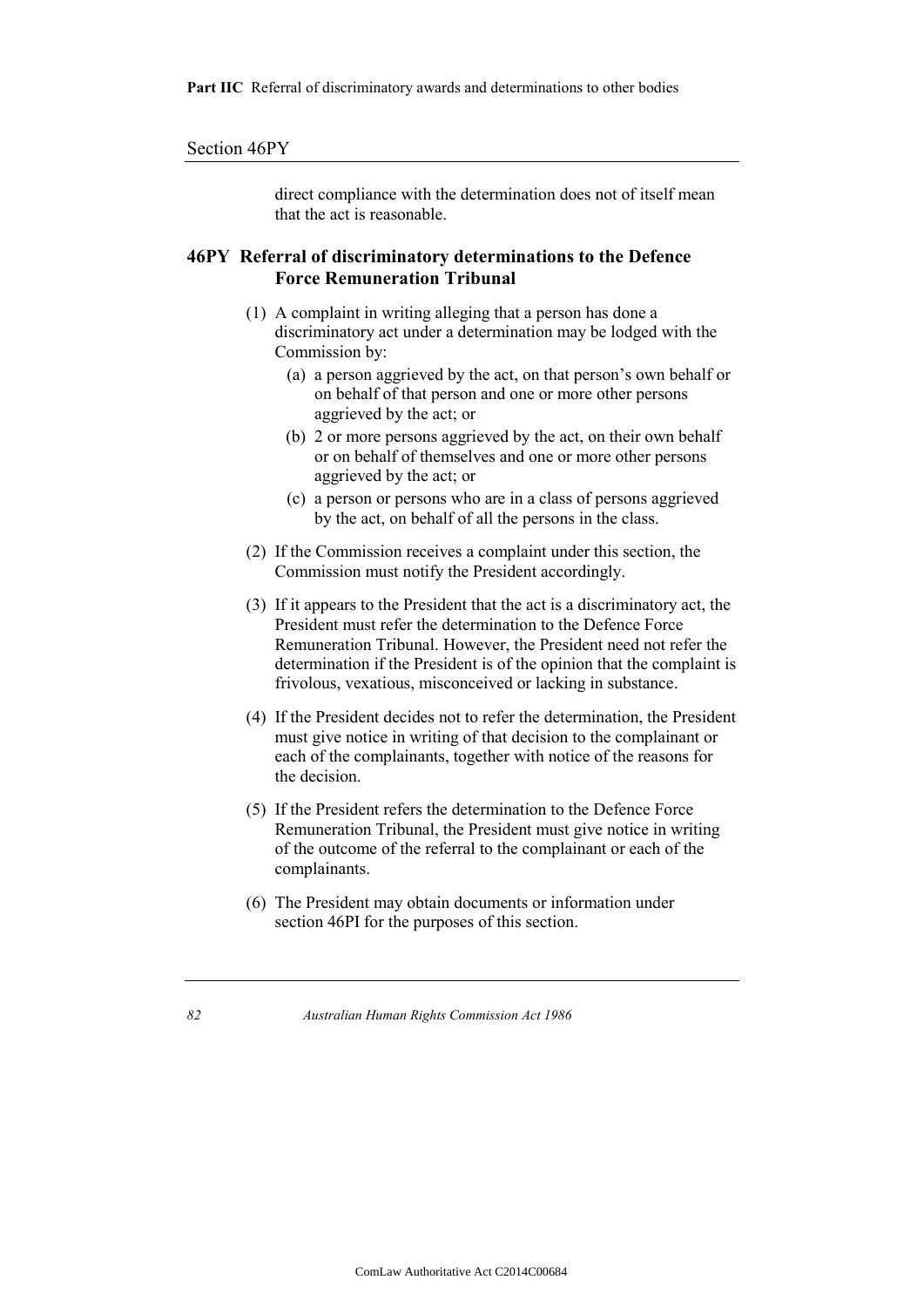#### Section 46PY

direct compliance with the determination does not of itself mean that the act is reasonable.

# **46PY Referral of discriminatory determinations to the Defence Force Remuneration Tribunal**

- (1) A complaint in writing alleging that a person has done a discriminatory act under a determination may be lodged with the Commission by:
	- (a) a person aggrieved by the act, on that person's own behalf or on behalf of that person and one or more other persons aggrieved by the act; or
	- (b) 2 or more persons aggrieved by the act, on their own behalf or on behalf of themselves and one or more other persons aggrieved by the act; or
	- (c) a person or persons who are in a class of persons aggrieved by the act, on behalf of all the persons in the class.
- (2) If the Commission receives a complaint under this section, the Commission must notify the President accordingly.
- (3) If it appears to the President that the act is a discriminatory act, the President must refer the determination to the Defence Force Remuneration Tribunal. However, the President need not refer the determination if the President is of the opinion that the complaint is frivolous, vexatious, misconceived or lacking in substance.
- (4) If the President decides not to refer the determination, the President must give notice in writing of that decision to the complainant or each of the complainants, together with notice of the reasons for the decision.
- (5) If the President refers the determination to the Defence Force Remuneration Tribunal, the President must give notice in writing of the outcome of the referral to the complainant or each of the complainants.
- (6) The President may obtain documents or information under section 46PI for the purposes of this section.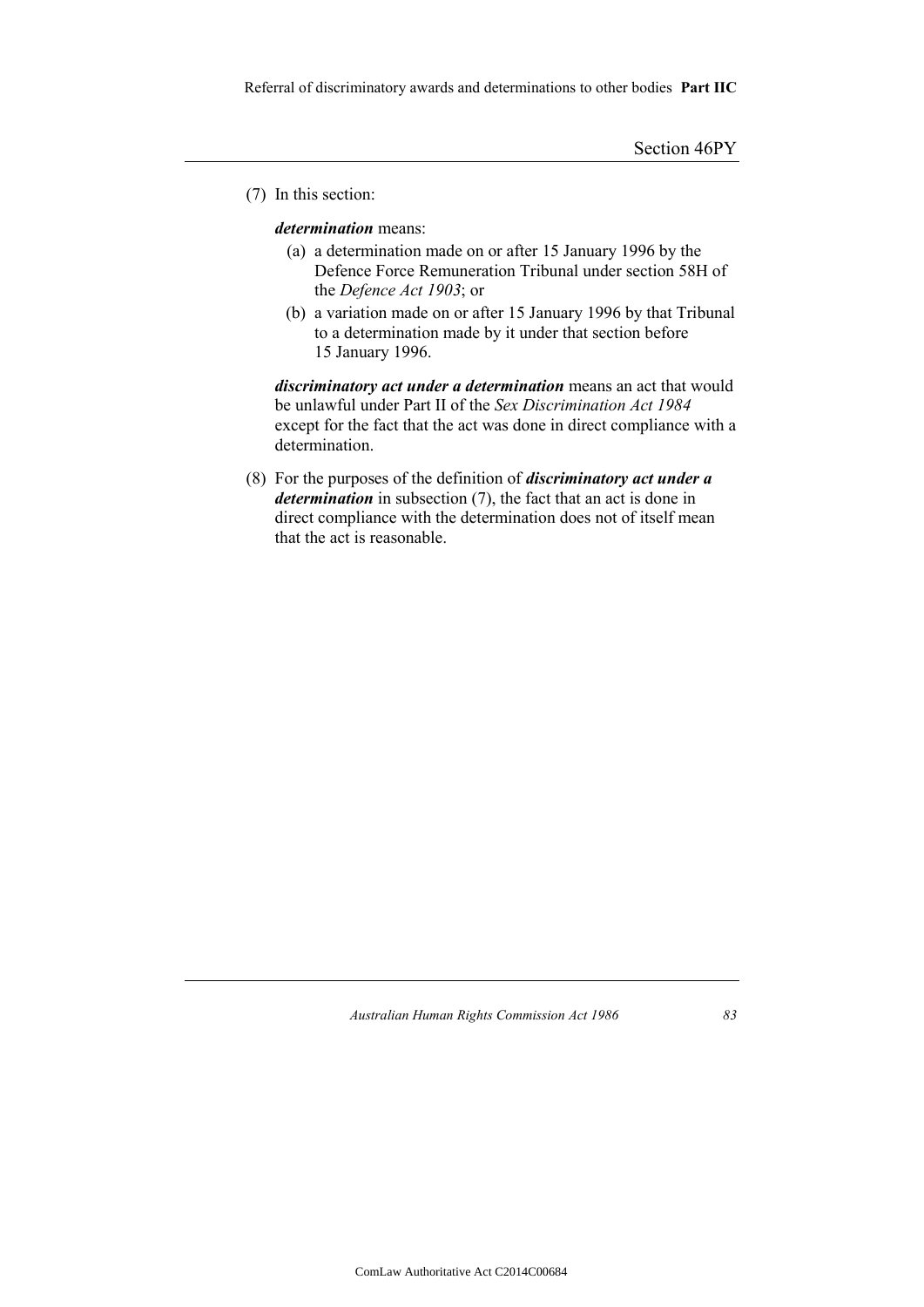(7) In this section:

*determination* means:

- (a) a determination made on or after 15 January 1996 by the Defence Force Remuneration Tribunal under section 58H of the *Defence Act 1903*; or
- (b) a variation made on or after 15 January 1996 by that Tribunal to a determination made by it under that section before 15 January 1996.

*discriminatory act under a determination* means an act that would be unlawful under Part II of the *Sex Discrimination Act 1984* except for the fact that the act was done in direct compliance with a determination.

(8) For the purposes of the definition of *discriminatory act under a determination* in subsection (7), the fact that an act is done in direct compliance with the determination does not of itself mean that the act is reasonable.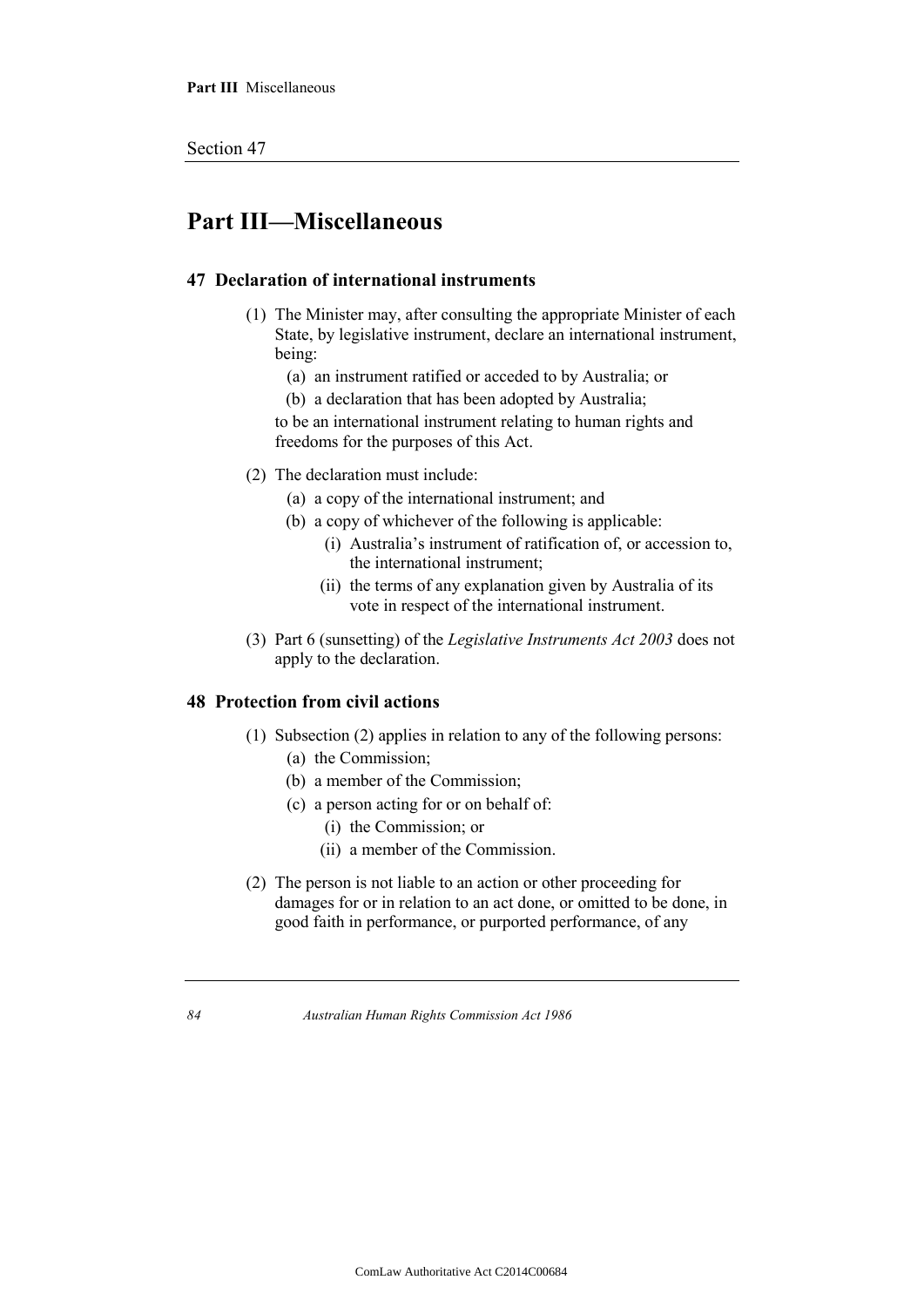# **Part III—Miscellaneous**

# **47 Declaration of international instruments**

- (1) The Minister may, after consulting the appropriate Minister of each State, by legislative instrument, declare an international instrument, being:
	- (a) an instrument ratified or acceded to by Australia; or
	- (b) a declaration that has been adopted by Australia;

to be an international instrument relating to human rights and freedoms for the purposes of this Act.

- (2) The declaration must include:
	- (a) a copy of the international instrument; and
	- (b) a copy of whichever of the following is applicable:
		- (i) Australia's instrument of ratification of, or accession to, the international instrument;
		- (ii) the terms of any explanation given by Australia of its vote in respect of the international instrument.
- (3) Part 6 (sunsetting) of the *Legislative Instruments Act 2003* does not apply to the declaration.

# **48 Protection from civil actions**

- (1) Subsection (2) applies in relation to any of the following persons:
	- (a) the Commission;
	- (b) a member of the Commission;
	- (c) a person acting for or on behalf of:
		- (i) the Commission; or
		- (ii) a member of the Commission.
- (2) The person is not liable to an action or other proceeding for damages for or in relation to an act done, or omitted to be done, in good faith in performance, or purported performance, of any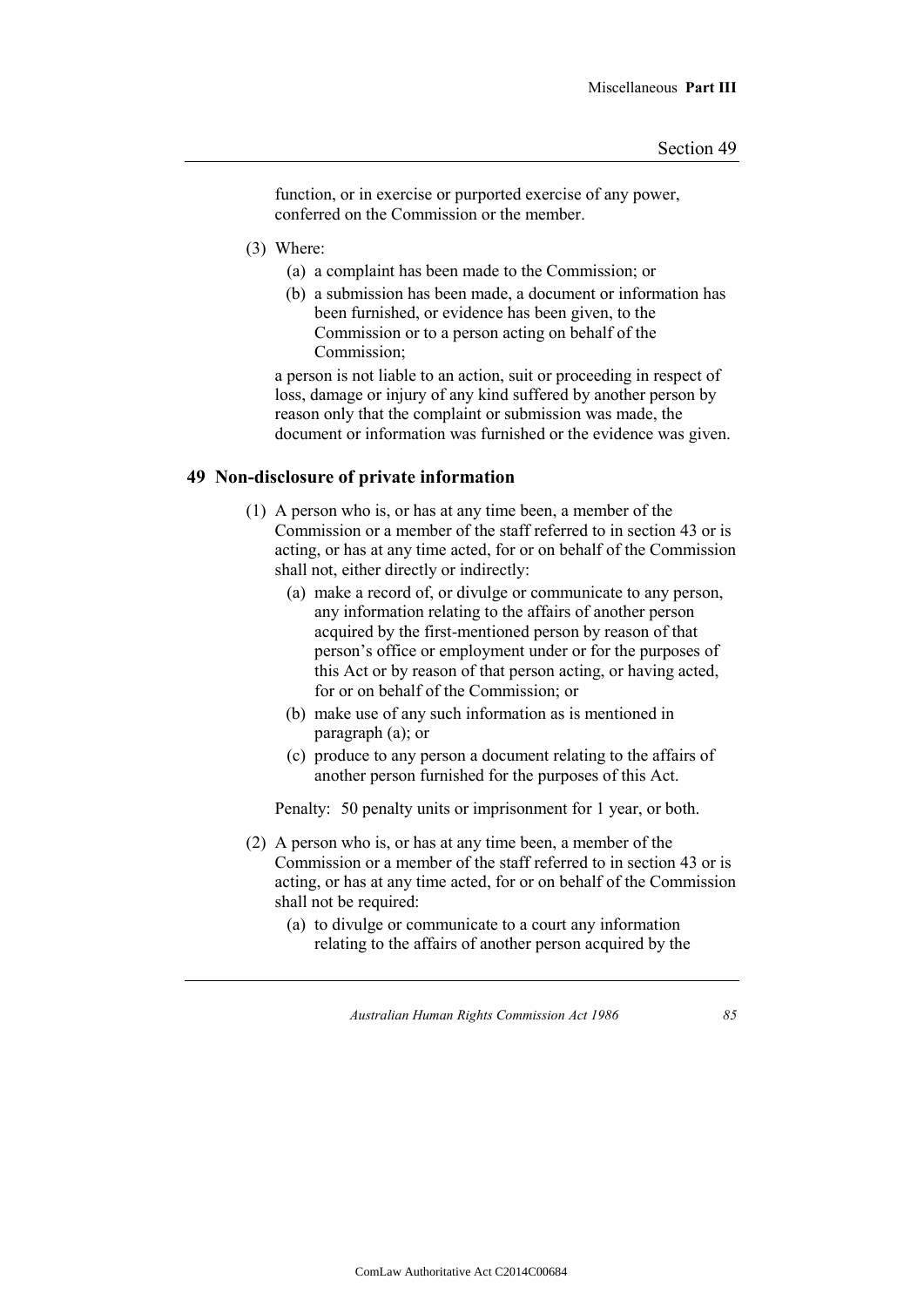function, or in exercise or purported exercise of any power, conferred on the Commission or the member.

- (3) Where:
	- (a) a complaint has been made to the Commission; or
	- (b) a submission has been made, a document or information has been furnished, or evidence has been given, to the Commission or to a person acting on behalf of the Commission;

a person is not liable to an action, suit or proceeding in respect of loss, damage or injury of any kind suffered by another person by reason only that the complaint or submission was made, the document or information was furnished or the evidence was given.

# **49 Non-disclosure of private information**

- (1) A person who is, or has at any time been, a member of the Commission or a member of the staff referred to in section 43 or is acting, or has at any time acted, for or on behalf of the Commission shall not, either directly or indirectly:
	- (a) make a record of, or divulge or communicate to any person, any information relating to the affairs of another person acquired by the first-mentioned person by reason of that person's office or employment under or for the purposes of this Act or by reason of that person acting, or having acted, for or on behalf of the Commission; or
	- (b) make use of any such information as is mentioned in paragraph (a); or
	- (c) produce to any person a document relating to the affairs of another person furnished for the purposes of this Act.

Penalty: 50 penalty units or imprisonment for 1 year, or both.

- (2) A person who is, or has at any time been, a member of the Commission or a member of the staff referred to in section 43 or is acting, or has at any time acted, for or on behalf of the Commission shall not be required:
	- (a) to divulge or communicate to a court any information relating to the affairs of another person acquired by the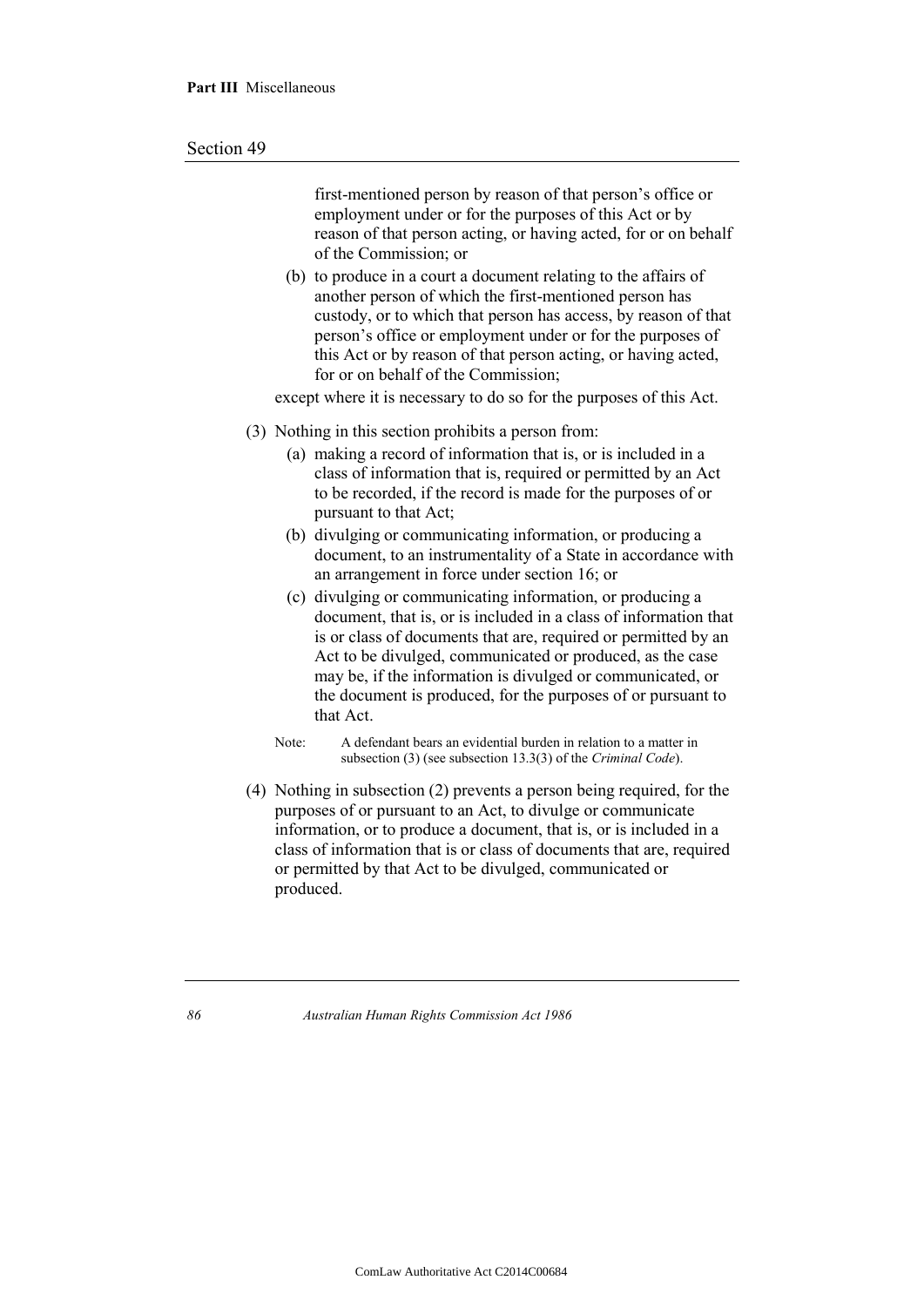first-mentioned person by reason of that person's office or employment under or for the purposes of this Act or by reason of that person acting, or having acted, for or on behalf of the Commission; or

(b) to produce in a court a document relating to the affairs of another person of which the first-mentioned person has custody, or to which that person has access, by reason of that person's office or employment under or for the purposes of this Act or by reason of that person acting, or having acted, for or on behalf of the Commission;

except where it is necessary to do so for the purposes of this Act.

- (3) Nothing in this section prohibits a person from:
	- (a) making a record of information that is, or is included in a class of information that is, required or permitted by an Act to be recorded, if the record is made for the purposes of or pursuant to that Act;
	- (b) divulging or communicating information, or producing a document, to an instrumentality of a State in accordance with an arrangement in force under section 16; or
	- (c) divulging or communicating information, or producing a document, that is, or is included in a class of information that is or class of documents that are, required or permitted by an Act to be divulged, communicated or produced, as the case may be, if the information is divulged or communicated, or the document is produced, for the purposes of or pursuant to that Act.
	- Note: A defendant bears an evidential burden in relation to a matter in subsection (3) (see subsection 13.3(3) of the *Criminal Code*).
- (4) Nothing in subsection (2) prevents a person being required, for the purposes of or pursuant to an Act, to divulge or communicate information, or to produce a document, that is, or is included in a class of information that is or class of documents that are, required or permitted by that Act to be divulged, communicated or produced.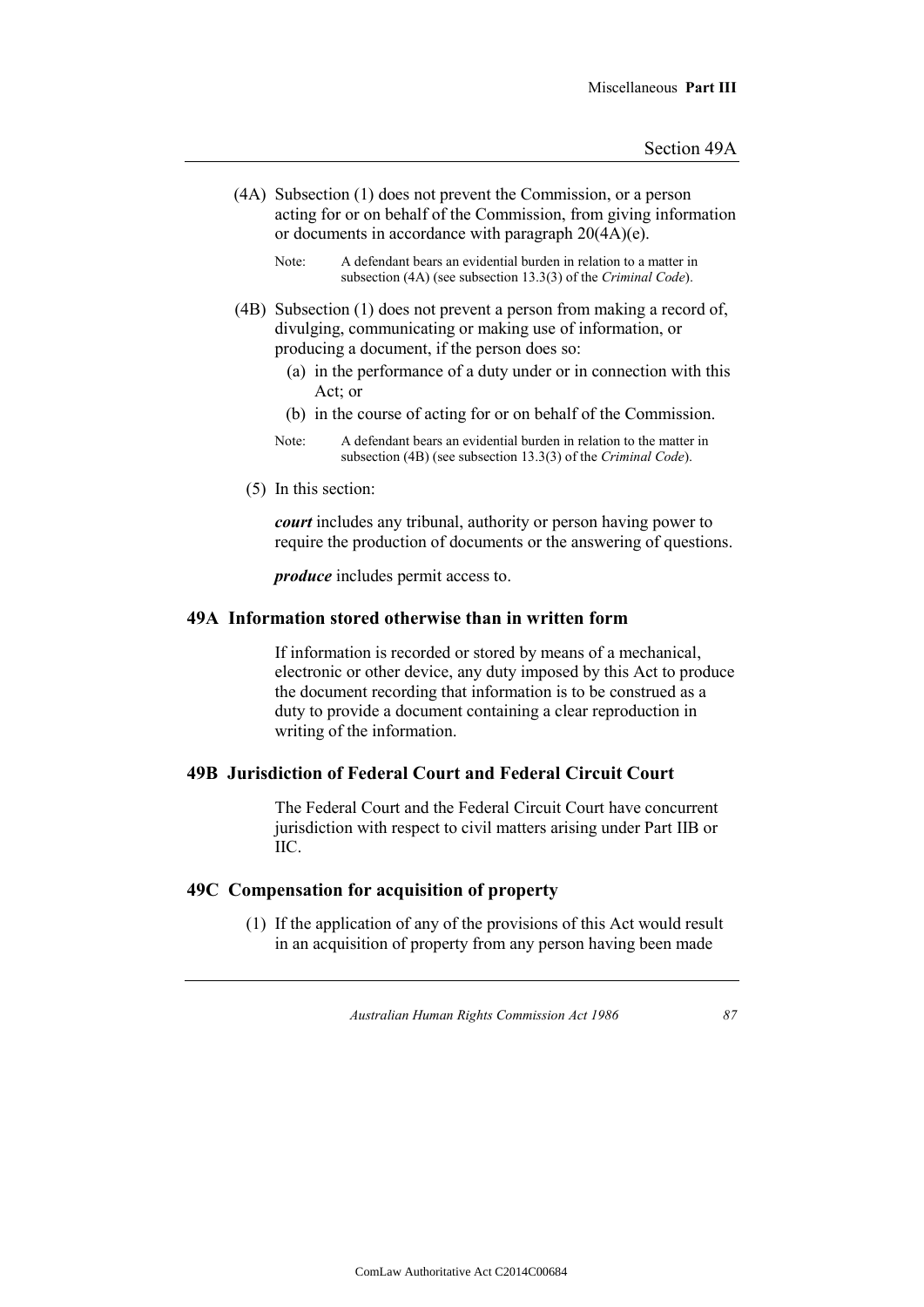- (4A) Subsection (1) does not prevent the Commission, or a person acting for or on behalf of the Commission, from giving information or documents in accordance with paragraph 20(4A)(e).
	- Note: A defendant bears an evidential burden in relation to a matter in subsection (4A) (see subsection 13.3(3) of the *Criminal Code*).
- (4B) Subsection (1) does not prevent a person from making a record of, divulging, communicating or making use of information, or producing a document, if the person does so:
	- (a) in the performance of a duty under or in connection with this Act; or
	- (b) in the course of acting for or on behalf of the Commission.
	- Note: A defendant bears an evidential burden in relation to the matter in subsection (4B) (see subsection 13.3(3) of the *Criminal Code*).
	- (5) In this section:

*court* includes any tribunal, authority or person having power to require the production of documents or the answering of questions.

*produce* includes permit access to.

#### **49A Information stored otherwise than in written form**

If information is recorded or stored by means of a mechanical, electronic or other device, any duty imposed by this Act to produce the document recording that information is to be construed as a duty to provide a document containing a clear reproduction in writing of the information.

# **49B Jurisdiction of Federal Court and Federal Circuit Court**

The Federal Court and the Federal Circuit Court have concurrent jurisdiction with respect to civil matters arising under Part IIB or IIC.

#### **49C Compensation for acquisition of property**

(1) If the application of any of the provisions of this Act would result in an acquisition of property from any person having been made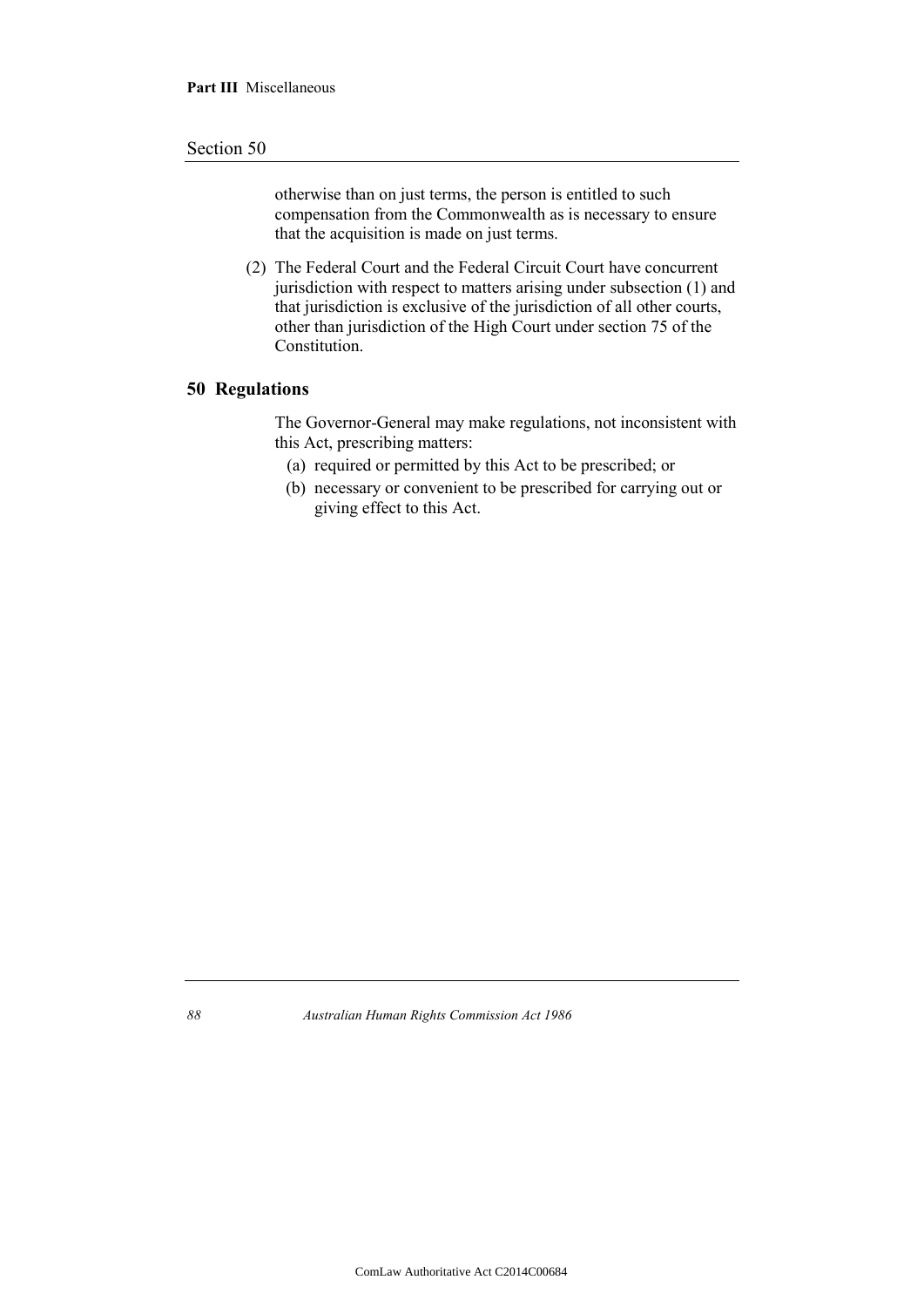#### Section 50

otherwise than on just terms, the person is entitled to such compensation from the Commonwealth as is necessary to ensure that the acquisition is made on just terms.

(2) The Federal Court and the Federal Circuit Court have concurrent jurisdiction with respect to matters arising under subsection (1) and that jurisdiction is exclusive of the jurisdiction of all other courts, other than jurisdiction of the High Court under section 75 of the Constitution.

### **50 Regulations**

The Governor-General may make regulations, not inconsistent with this Act, prescribing matters:

- (a) required or permitted by this Act to be prescribed; or
- (b) necessary or convenient to be prescribed for carrying out or giving effect to this Act.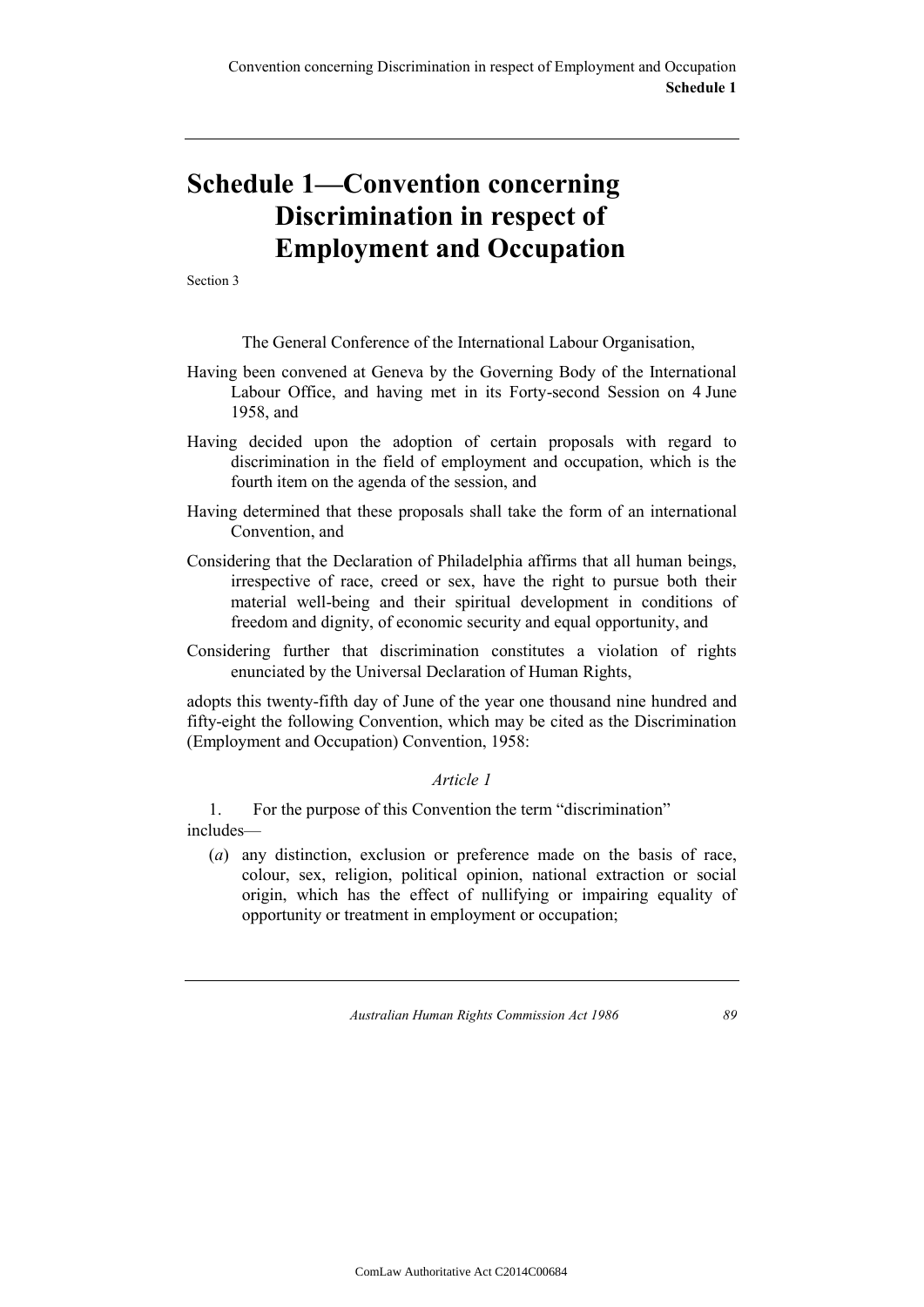# **Schedule 1—Convention concerning Discrimination in respect of Employment and Occupation**

Section 3

The General Conference of the International Labour Organisation,

- Having been convened at Geneva by the Governing Body of the International Labour Office, and having met in its Forty-second Session on 4 June 1958, and
- Having decided upon the adoption of certain proposals with regard to discrimination in the field of employment and occupation, which is the fourth item on the agenda of the session, and
- Having determined that these proposals shall take the form of an international Convention, and
- Considering that the Declaration of Philadelphia affirms that all human beings, irrespective of race, creed or sex, have the right to pursue both their material well-being and their spiritual development in conditions of freedom and dignity, of economic security and equal opportunity, and
- Considering further that discrimination constitutes a violation of rights enunciated by the Universal Declaration of Human Rights,

adopts this twenty-fifth day of June of the year one thousand nine hundred and fifty-eight the following Convention, which may be cited as the Discrimination (Employment and Occupation) Convention, 1958:

### *Article 1*

1. For the purpose of this Convention the term "discrimination" includes—

(*a*) any distinction, exclusion or preference made on the basis of race, colour, sex, religion, political opinion, national extraction or social origin, which has the effect of nullifying or impairing equality of opportunity or treatment in employment or occupation;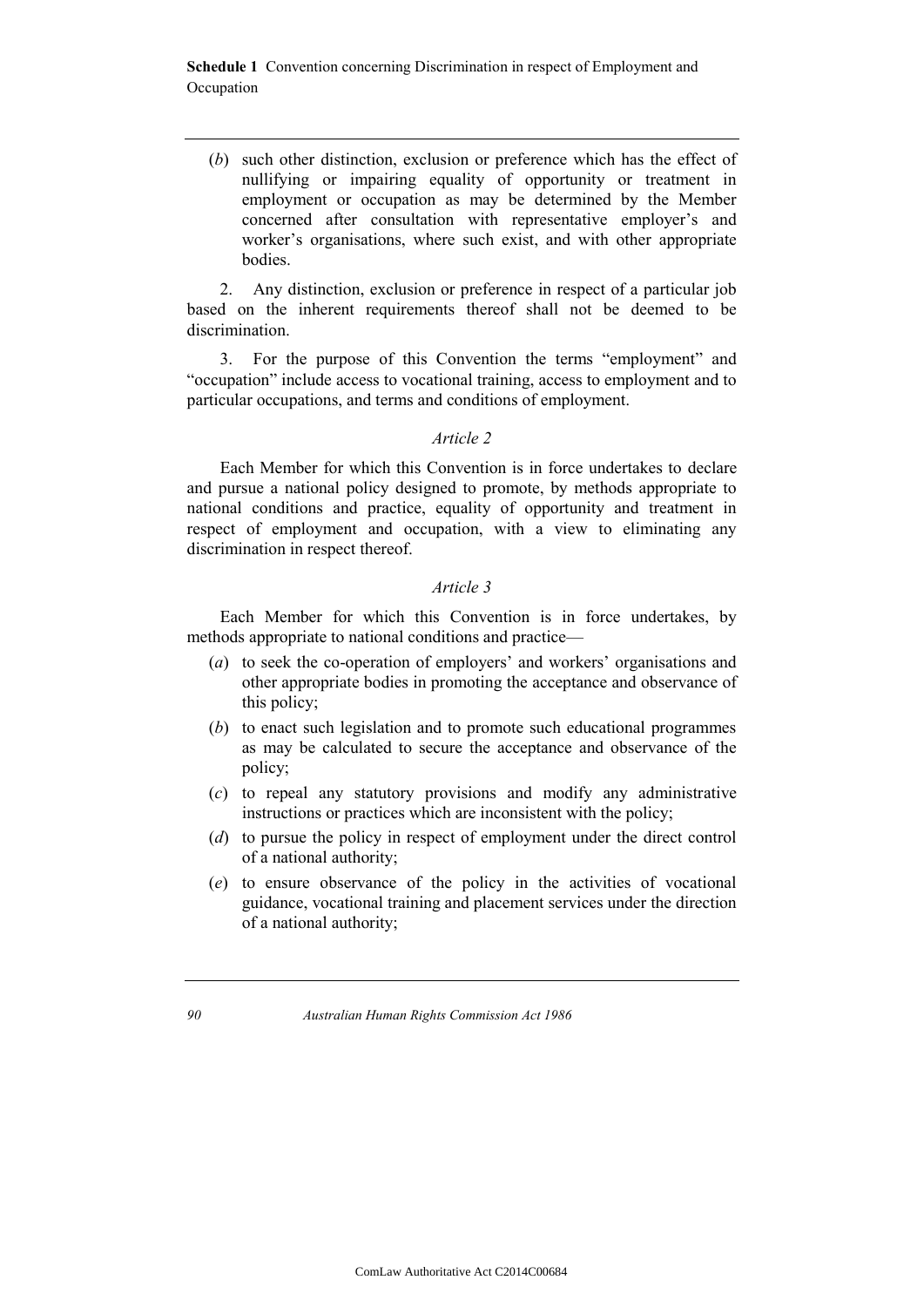(*b*) such other distinction, exclusion or preference which has the effect of nullifying or impairing equality of opportunity or treatment in employment or occupation as may be determined by the Member concerned after consultation with representative employer's and worker's organisations, where such exist, and with other appropriate bodies.

2. Any distinction, exclusion or preference in respect of a particular job based on the inherent requirements thereof shall not be deemed to be discrimination.

3. For the purpose of this Convention the terms "employment" and "occupation" include access to vocational training, access to employment and to particular occupations, and terms and conditions of employment.

#### *Article 2*

Each Member for which this Convention is in force undertakes to declare and pursue a national policy designed to promote, by methods appropriate to national conditions and practice, equality of opportunity and treatment in respect of employment and occupation, with a view to eliminating any discrimination in respect thereof.

## *Article 3*

Each Member for which this Convention is in force undertakes, by methods appropriate to national conditions and practice—

- (*a*) to seek the co-operation of employers' and workers' organisations and other appropriate bodies in promoting the acceptance and observance of this policy;
- (*b*) to enact such legislation and to promote such educational programmes as may be calculated to secure the acceptance and observance of the policy;
- (*c*) to repeal any statutory provisions and modify any administrative instructions or practices which are inconsistent with the policy;
- (*d*) to pursue the policy in respect of employment under the direct control of a national authority;
- (*e*) to ensure observance of the policy in the activities of vocational guidance, vocational training and placement services under the direction of a national authority;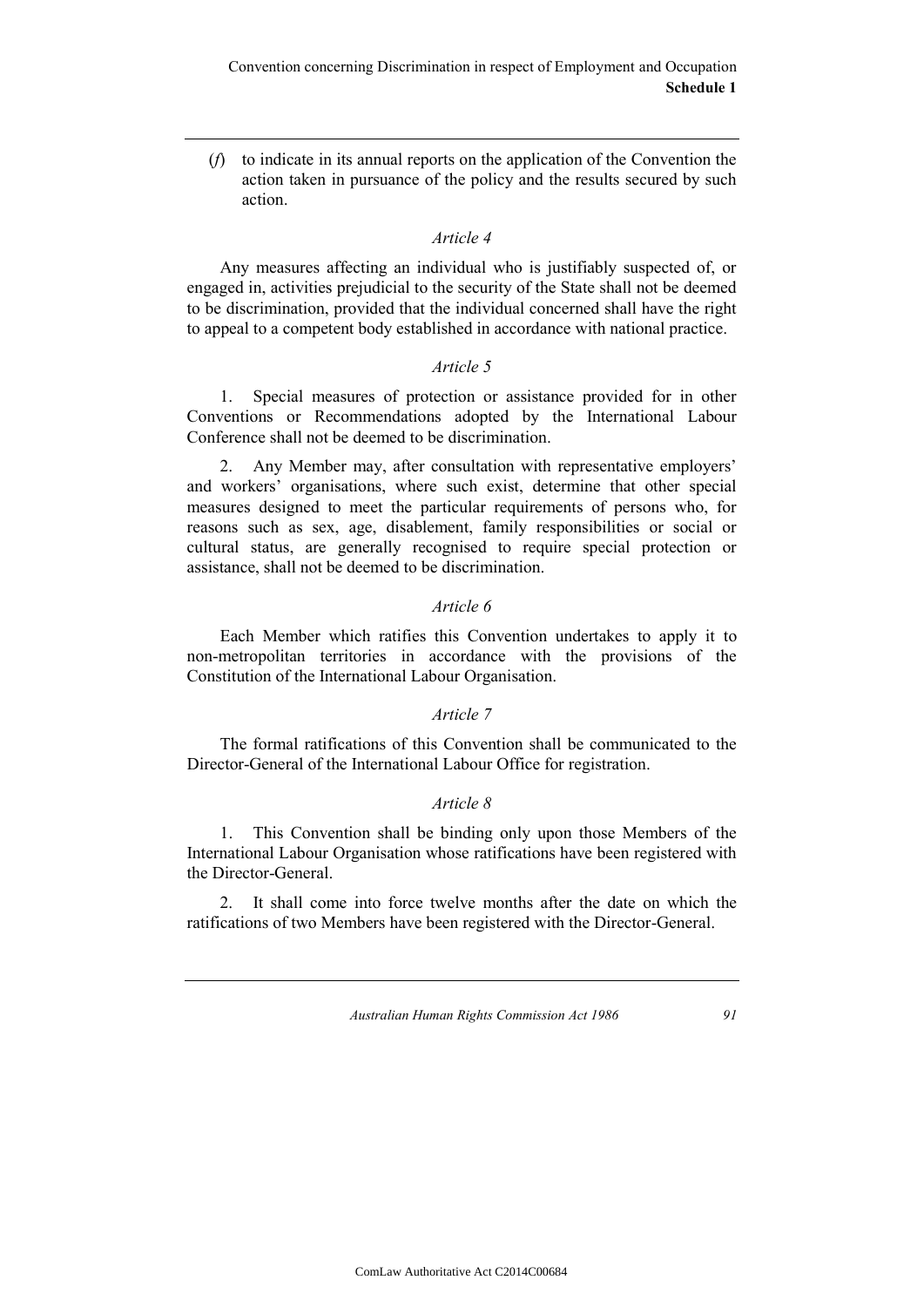(*f*) to indicate in its annual reports on the application of the Convention the action taken in pursuance of the policy and the results secured by such action.

### *Article 4*

Any measures affecting an individual who is justifiably suspected of, or engaged in, activities prejudicial to the security of the State shall not be deemed to be discrimination, provided that the individual concerned shall have the right to appeal to a competent body established in accordance with national practice.

#### *Article 5*

1. Special measures of protection or assistance provided for in other Conventions or Recommendations adopted by the International Labour Conference shall not be deemed to be discrimination.

2. Any Member may, after consultation with representative employers' and workers' organisations, where such exist, determine that other special measures designed to meet the particular requirements of persons who, for reasons such as sex, age, disablement, family responsibilities or social or cultural status, are generally recognised to require special protection or assistance, shall not be deemed to be discrimination.

# *Article 6*

Each Member which ratifies this Convention undertakes to apply it to non-metropolitan territories in accordance with the provisions of the Constitution of the International Labour Organisation.

#### *Article 7*

The formal ratifications of this Convention shall be communicated to the Director-General of the International Labour Office for registration.

#### *Article 8*

1. This Convention shall be binding only upon those Members of the International Labour Organisation whose ratifications have been registered with the Director-General.

It shall come into force twelve months after the date on which the ratifications of two Members have been registered with the Director-General.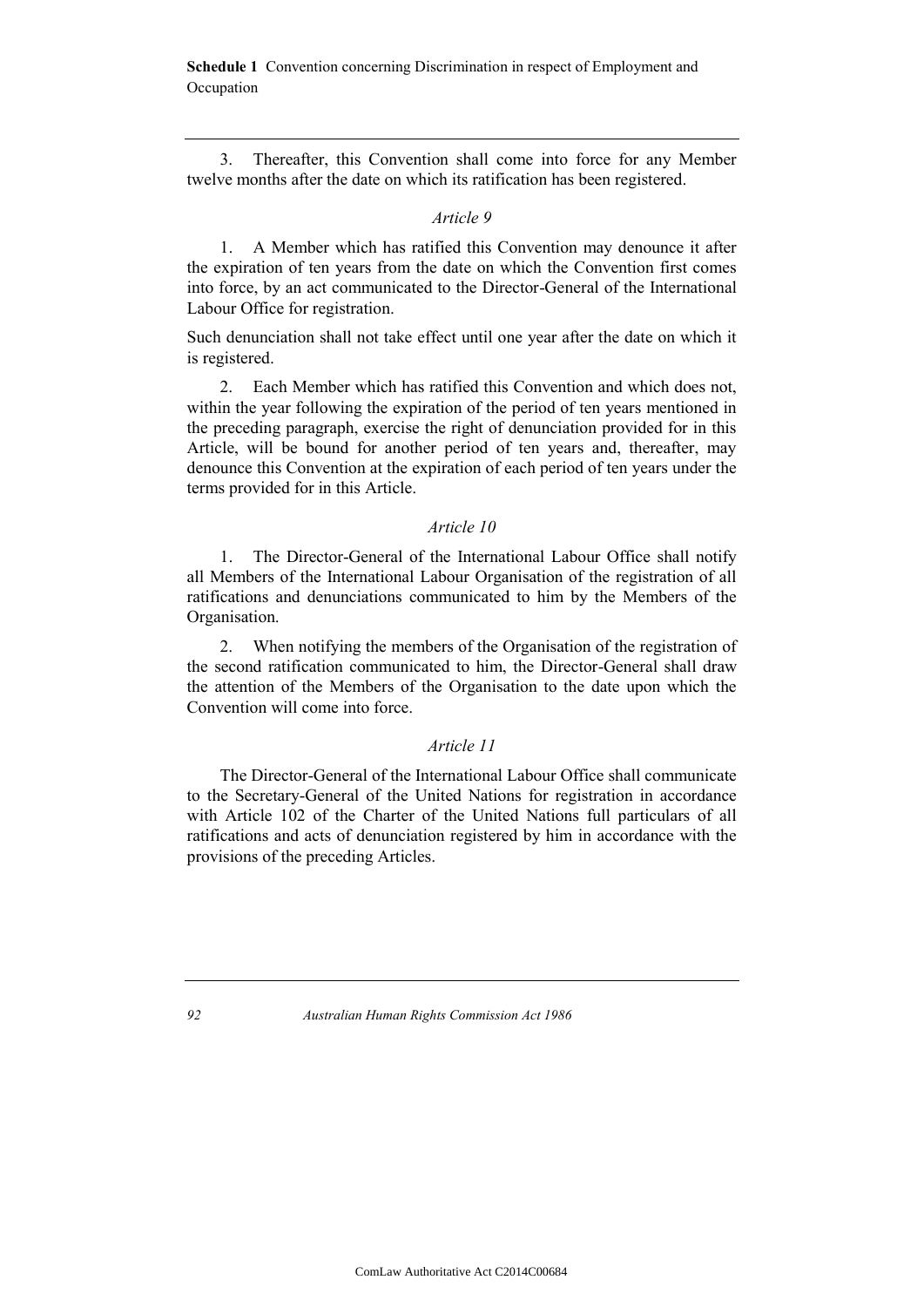3. Thereafter, this Convention shall come into force for any Member twelve months after the date on which its ratification has been registered.

#### *Article 9*

1. A Member which has ratified this Convention may denounce it after the expiration of ten years from the date on which the Convention first comes into force, by an act communicated to the Director-General of the International Labour Office for registration.

Such denunciation shall not take effect until one year after the date on which it is registered.

2. Each Member which has ratified this Convention and which does not, within the year following the expiration of the period of ten years mentioned in the preceding paragraph, exercise the right of denunciation provided for in this Article, will be bound for another period of ten years and, thereafter, may denounce this Convention at the expiration of each period of ten years under the terms provided for in this Article.

#### *Article 10*

1. The Director-General of the International Labour Office shall notify all Members of the International Labour Organisation of the registration of all ratifications and denunciations communicated to him by the Members of the Organisation.

2. When notifying the members of the Organisation of the registration of the second ratification communicated to him, the Director-General shall draw the attention of the Members of the Organisation to the date upon which the Convention will come into force.

# *Article 11*

The Director-General of the International Labour Office shall communicate to the Secretary-General of the United Nations for registration in accordance with Article 102 of the Charter of the United Nations full particulars of all ratifications and acts of denunciation registered by him in accordance with the provisions of the preceding Articles.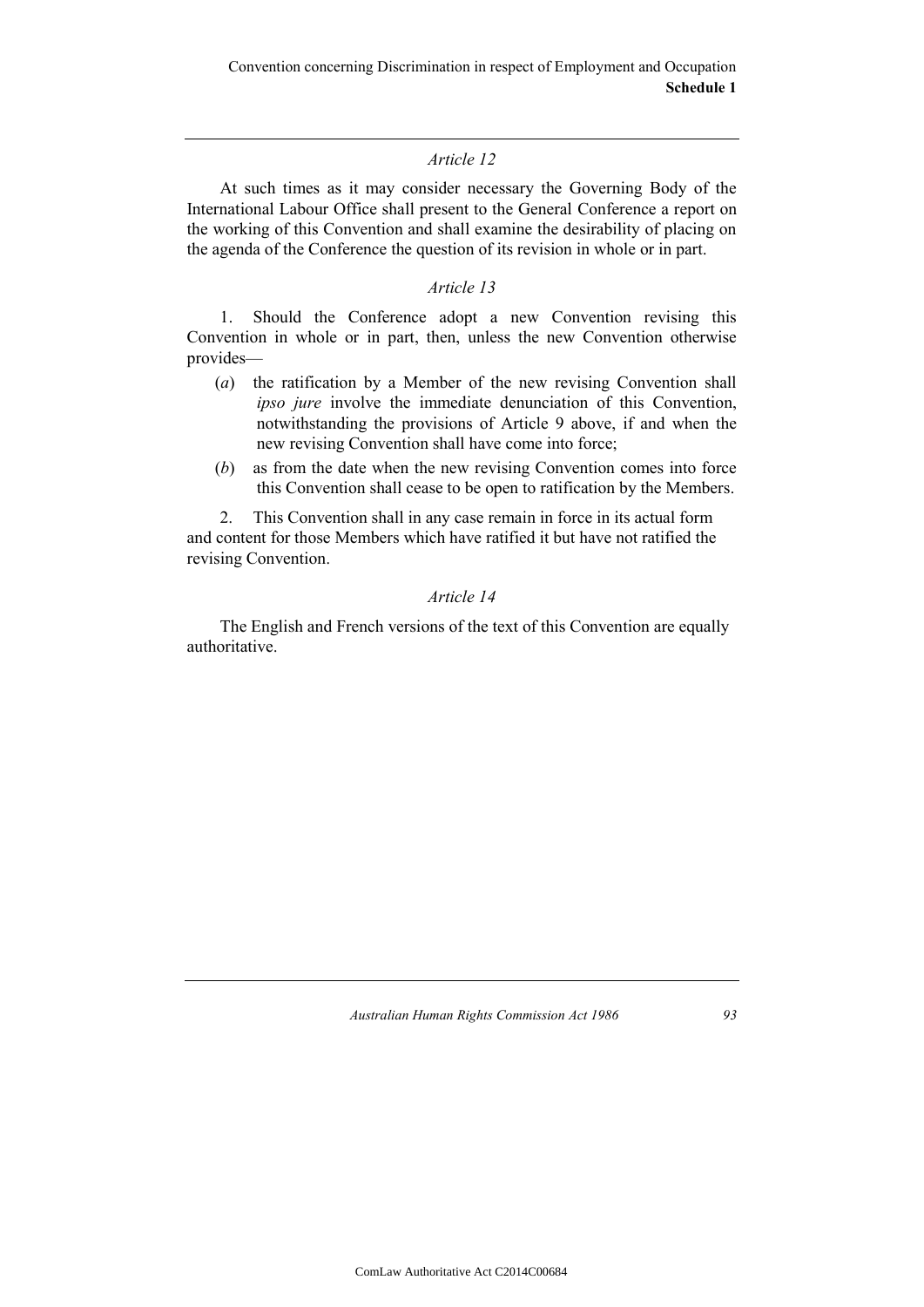# *Article 12*

At such times as it may consider necessary the Governing Body of the International Labour Office shall present to the General Conference a report on the working of this Convention and shall examine the desirability of placing on the agenda of the Conference the question of its revision in whole or in part.

# *Article 13*

1. Should the Conference adopt a new Convention revising this Convention in whole or in part, then, unless the new Convention otherwise provides—

- (*a*) the ratification by a Member of the new revising Convention shall *ipso jure* involve the immediate denunciation of this Convention, notwithstanding the provisions of Article 9 above, if and when the new revising Convention shall have come into force;
- (*b*) as from the date when the new revising Convention comes into force this Convention shall cease to be open to ratification by the Members.

2. This Convention shall in any case remain in force in its actual form and content for those Members which have ratified it but have not ratified the revising Convention.

# *Article 14*

The English and French versions of the text of this Convention are equally authoritative.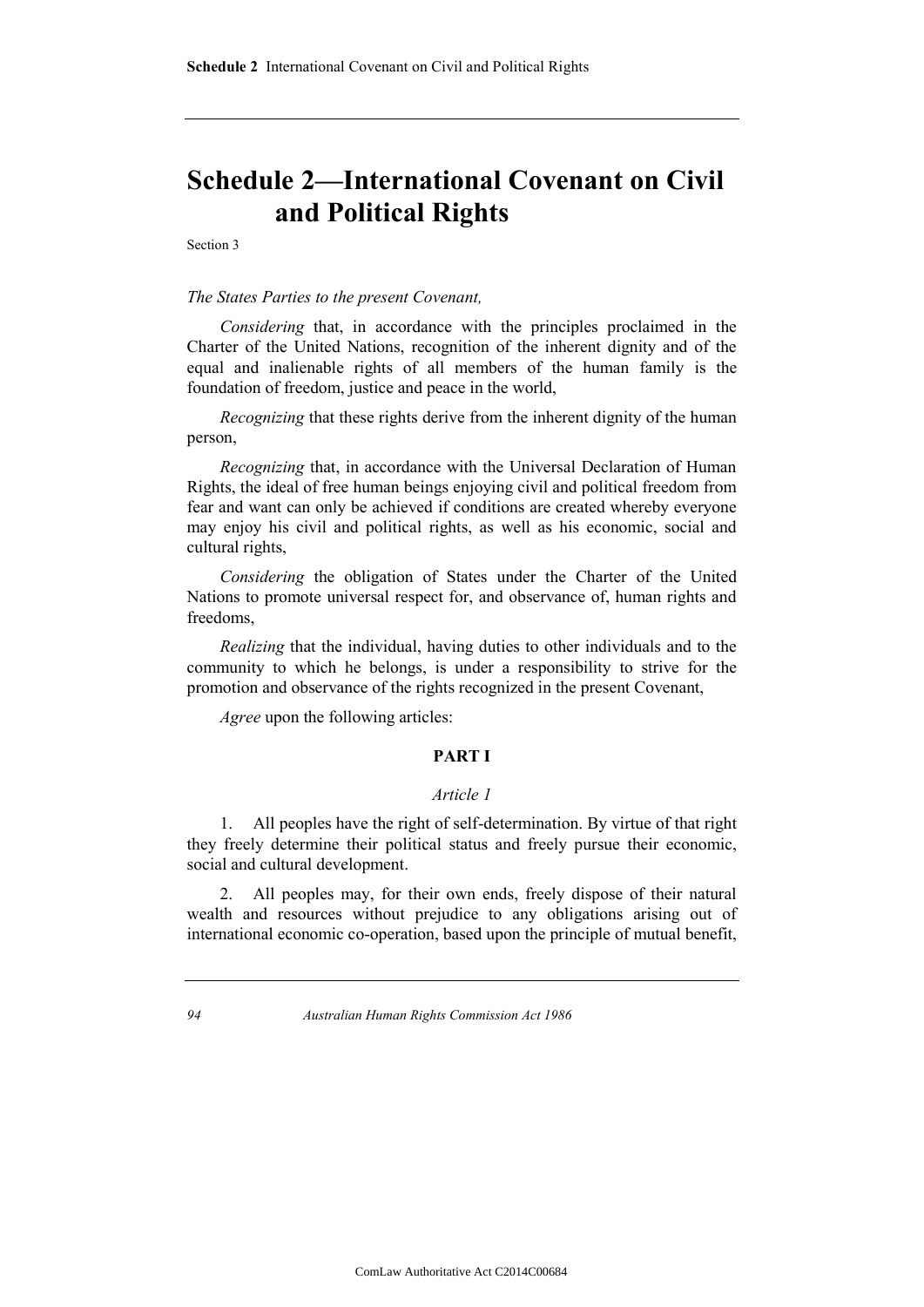# **Schedule 2—International Covenant on Civil and Political Rights**

Section 3

#### *The States Parties to the present Covenant,*

*Considering* that, in accordance with the principles proclaimed in the Charter of the United Nations, recognition of the inherent dignity and of the equal and inalienable rights of all members of the human family is the foundation of freedom, justice and peace in the world,

*Recognizing* that these rights derive from the inherent dignity of the human person,

*Recognizing* that, in accordance with the Universal Declaration of Human Rights, the ideal of free human beings enjoying civil and political freedom from fear and want can only be achieved if conditions are created whereby everyone may enjoy his civil and political rights, as well as his economic, social and cultural rights,

*Considering* the obligation of States under the Charter of the United Nations to promote universal respect for, and observance of, human rights and freedoms,

*Realizing* that the individual, having duties to other individuals and to the community to which he belongs, is under a responsibility to strive for the promotion and observance of the rights recognized in the present Covenant,

*Agree* upon the following articles:

# **PART I**

#### *Article 1*

1. All peoples have the right of self-determination. By virtue of that right they freely determine their political status and freely pursue their economic, social and cultural development.

2. All peoples may, for their own ends, freely dispose of their natural wealth and resources without prejudice to any obligations arising out of international economic co-operation, based upon the principle of mutual benefit,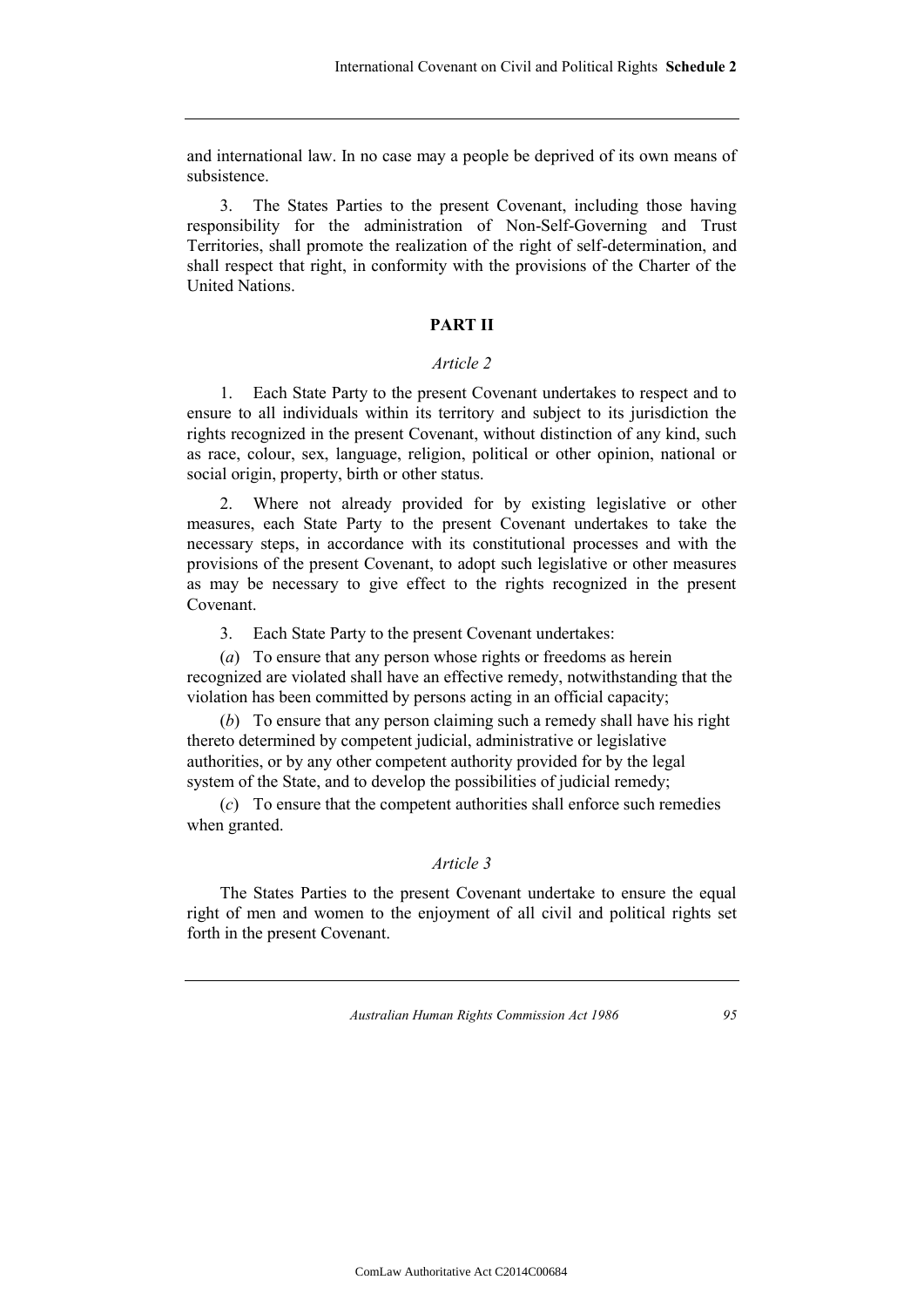and international law. In no case may a people be deprived of its own means of subsistence.

3. The States Parties to the present Covenant, including those having responsibility for the administration of Non-Self-Governing and Trust Territories, shall promote the realization of the right of self-determination, and shall respect that right, in conformity with the provisions of the Charter of the United Nations.

#### **PART II**

#### *Article 2*

1. Each State Party to the present Covenant undertakes to respect and to ensure to all individuals within its territory and subject to its jurisdiction the rights recognized in the present Covenant, without distinction of any kind, such as race, colour, sex, language, religion, political or other opinion, national or social origin, property, birth or other status.

2. Where not already provided for by existing legislative or other measures, each State Party to the present Covenant undertakes to take the necessary steps, in accordance with its constitutional processes and with the provisions of the present Covenant, to adopt such legislative or other measures as may be necessary to give effect to the rights recognized in the present Covenant.

3. Each State Party to the present Covenant undertakes:

(*a*) To ensure that any person whose rights or freedoms as herein recognized are violated shall have an effective remedy, notwithstanding that the violation has been committed by persons acting in an official capacity;

(*b*) To ensure that any person claiming such a remedy shall have his right thereto determined by competent judicial, administrative or legislative authorities, or by any other competent authority provided for by the legal system of the State, and to develop the possibilities of judicial remedy;

(*c*) To ensure that the competent authorities shall enforce such remedies when granted.

#### *Article 3*

The States Parties to the present Covenant undertake to ensure the equal right of men and women to the enjoyment of all civil and political rights set forth in the present Covenant.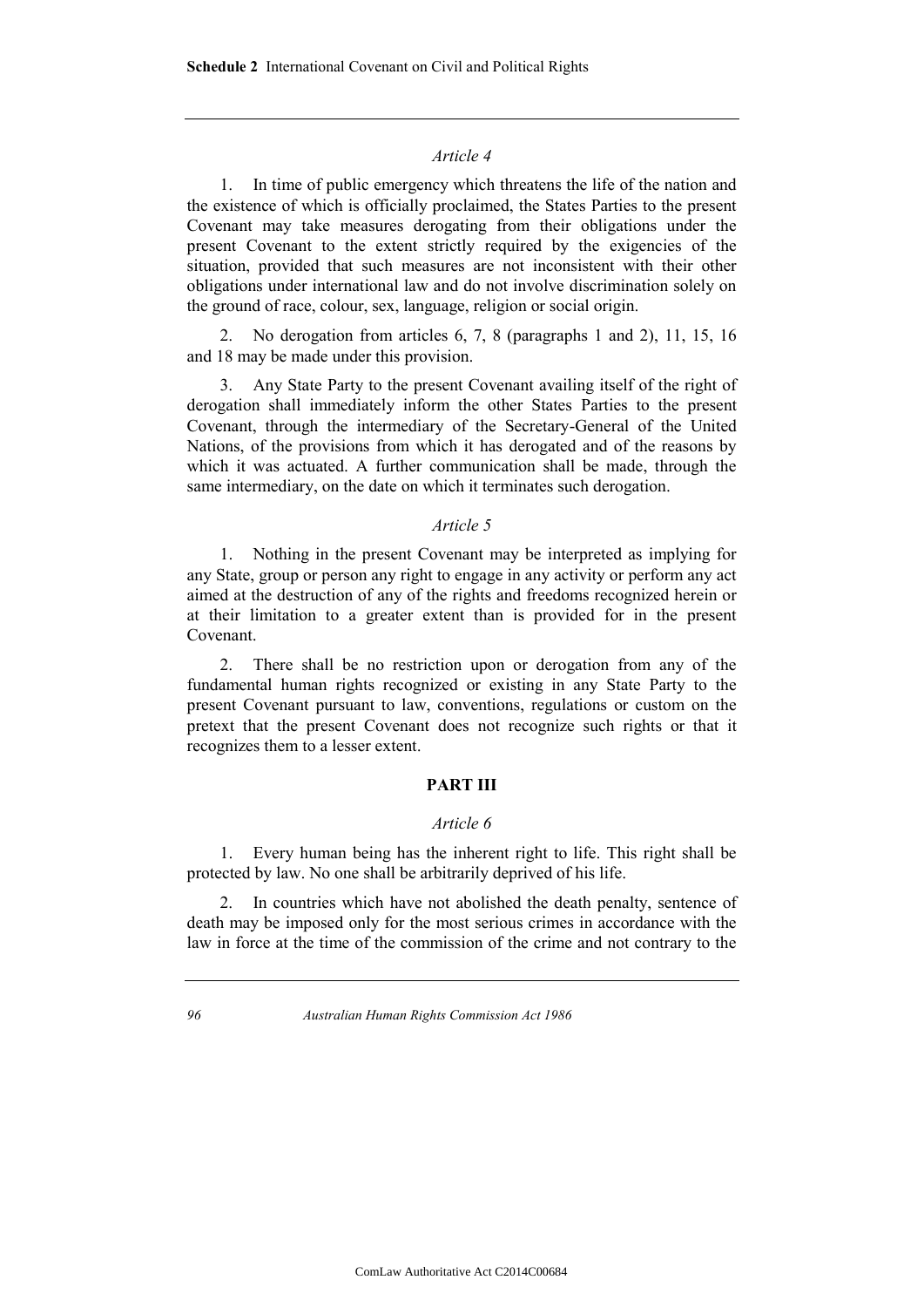#### *Article 4*

1. In time of public emergency which threatens the life of the nation and the existence of which is officially proclaimed, the States Parties to the present Covenant may take measures derogating from their obligations under the present Covenant to the extent strictly required by the exigencies of the situation, provided that such measures are not inconsistent with their other obligations under international law and do not involve discrimination solely on the ground of race, colour, sex, language, religion or social origin.

2. No derogation from articles 6, 7, 8 (paragraphs 1 and 2), 11, 15, 16 and 18 may be made under this provision.

3. Any State Party to the present Covenant availing itself of the right of derogation shall immediately inform the other States Parties to the present Covenant, through the intermediary of the Secretary-General of the United Nations, of the provisions from which it has derogated and of the reasons by which it was actuated. A further communication shall be made, through the same intermediary, on the date on which it terminates such derogation.

#### *Article 5*

1. Nothing in the present Covenant may be interpreted as implying for any State, group or person any right to engage in any activity or perform any act aimed at the destruction of any of the rights and freedoms recognized herein or at their limitation to a greater extent than is provided for in the present Covenant.

2. There shall be no restriction upon or derogation from any of the fundamental human rights recognized or existing in any State Party to the present Covenant pursuant to law, conventions, regulations or custom on the pretext that the present Covenant does not recognize such rights or that it recognizes them to a lesser extent.

#### **PART III**

# *Article 6*

1. Every human being has the inherent right to life. This right shall be protected by law. No one shall be arbitrarily deprived of his life.

2. In countries which have not abolished the death penalty, sentence of death may be imposed only for the most serious crimes in accordance with the law in force at the time of the commission of the crime and not contrary to the

*96 Australian Human Rights Commission Act 1986*

ComLaw Authoritative Act C2014C00684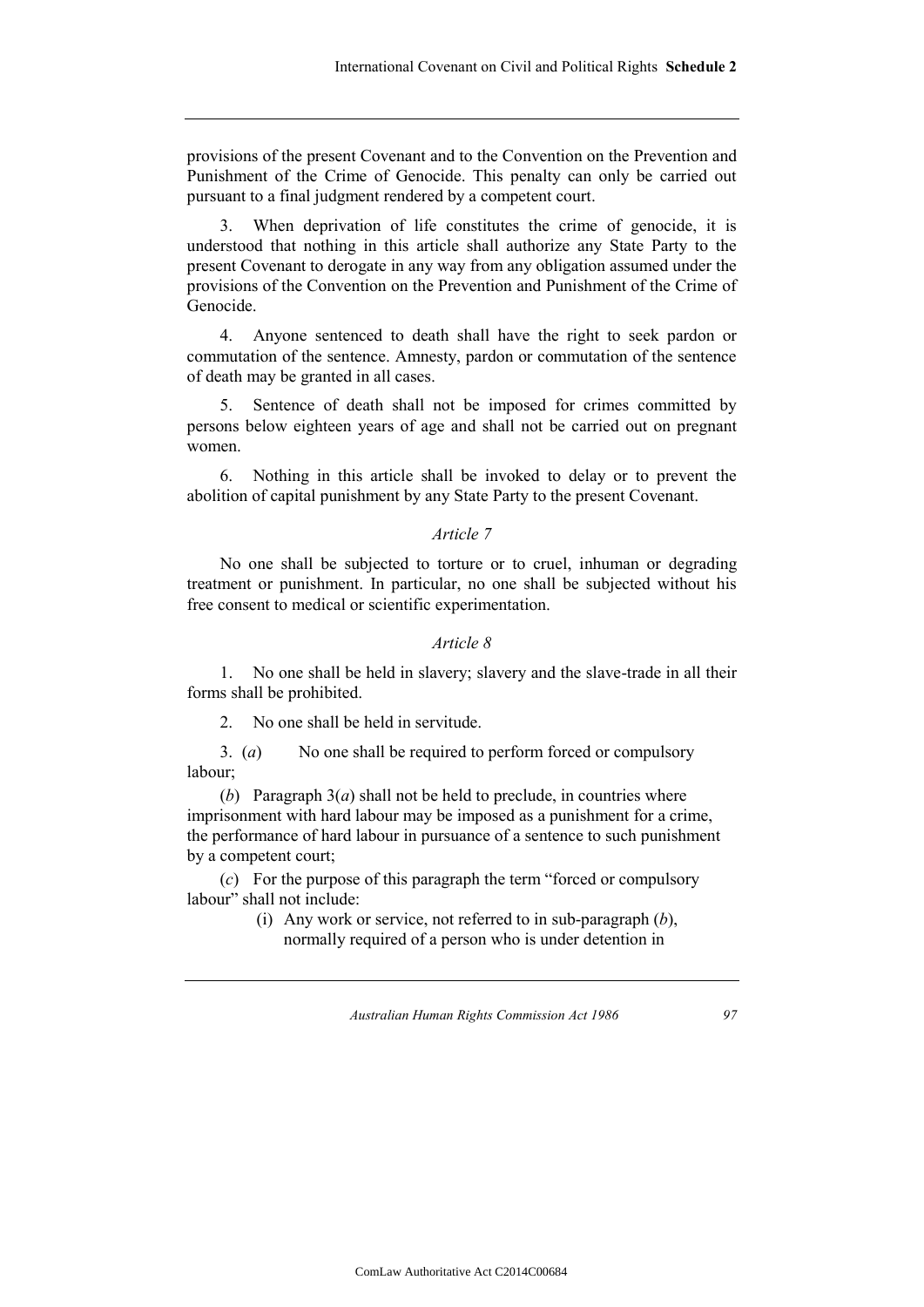provisions of the present Covenant and to the Convention on the Prevention and Punishment of the Crime of Genocide. This penalty can only be carried out pursuant to a final judgment rendered by a competent court.

3. When deprivation of life constitutes the crime of genocide, it is understood that nothing in this article shall authorize any State Party to the present Covenant to derogate in any way from any obligation assumed under the provisions of the Convention on the Prevention and Punishment of the Crime of Genocide.

4. Anyone sentenced to death shall have the right to seek pardon or commutation of the sentence. Amnesty, pardon or commutation of the sentence of death may be granted in all cases.

5. Sentence of death shall not be imposed for crimes committed by persons below eighteen years of age and shall not be carried out on pregnant women.

6. Nothing in this article shall be invoked to delay or to prevent the abolition of capital punishment by any State Party to the present Covenant.

### *Article 7*

No one shall be subjected to torture or to cruel, inhuman or degrading treatment or punishment. In particular, no one shall be subjected without his free consent to medical or scientific experimentation.

#### *Article 8*

1. No one shall be held in slavery; slavery and the slave-trade in all their forms shall be prohibited.

2. No one shall be held in servitude.

3. (*a*) No one shall be required to perform forced or compulsory labour;

(*b*) Paragraph 3(*a*) shall not be held to preclude, in countries where imprisonment with hard labour may be imposed as a punishment for a crime, the performance of hard labour in pursuance of a sentence to such punishment by a competent court;

 $(c)$  For the purpose of this paragraph the term "forced or compulsory" labour" shall not include:

> (i) Any work or service, not referred to in sub-paragraph (*b*), normally required of a person who is under detention in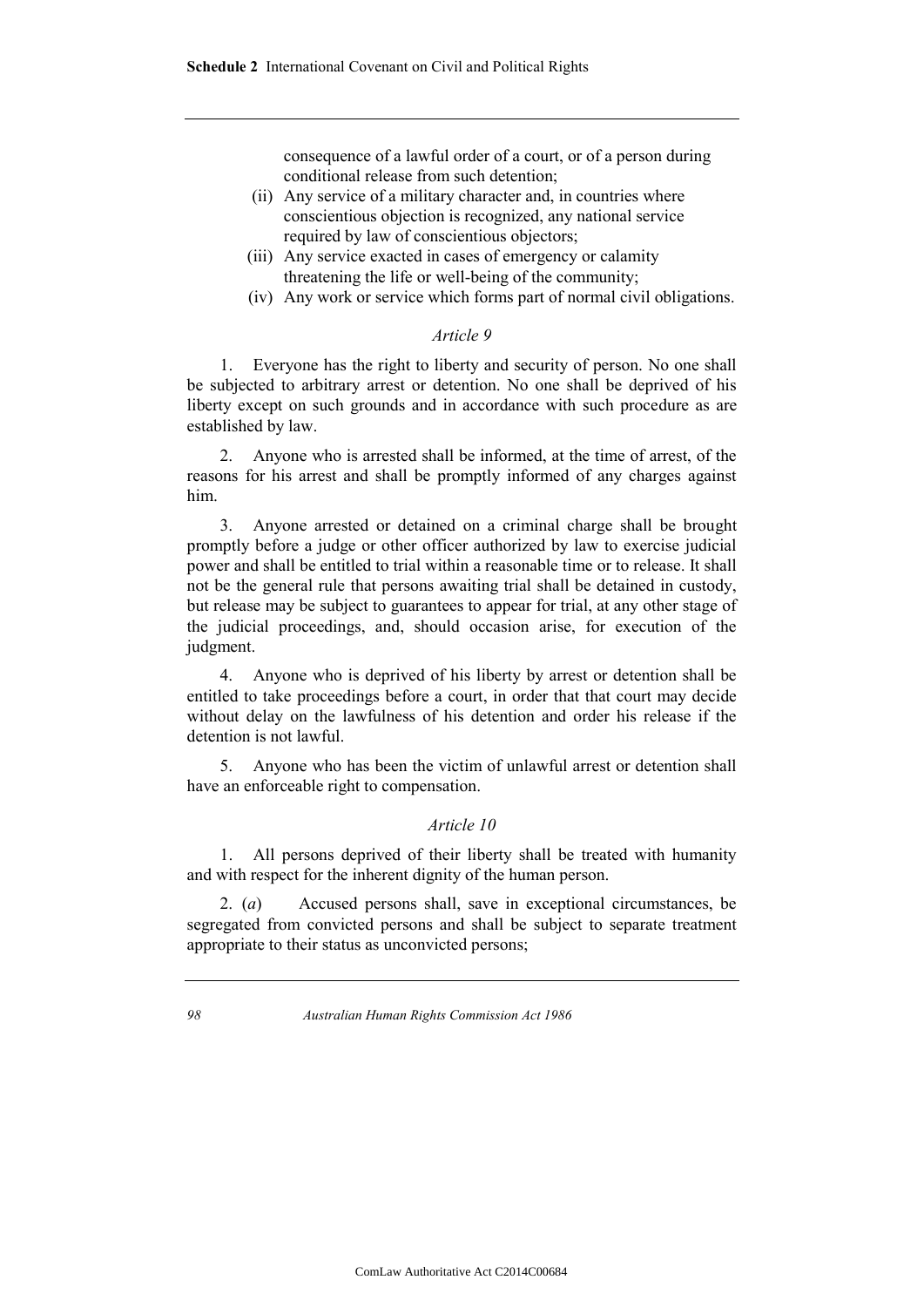consequence of a lawful order of a court, or of a person during conditional release from such detention;

- (ii) Any service of a military character and, in countries where conscientious objection is recognized, any national service required by law of conscientious objectors;
- (iii) Any service exacted in cases of emergency or calamity threatening the life or well-being of the community;
- (iv) Any work or service which forms part of normal civil obligations.

#### *Article 9*

1. Everyone has the right to liberty and security of person. No one shall be subjected to arbitrary arrest or detention. No one shall be deprived of his liberty except on such grounds and in accordance with such procedure as are established by law.

2. Anyone who is arrested shall be informed, at the time of arrest, of the reasons for his arrest and shall be promptly informed of any charges against him.

3. Anyone arrested or detained on a criminal charge shall be brought promptly before a judge or other officer authorized by law to exercise judicial power and shall be entitled to trial within a reasonable time or to release. It shall not be the general rule that persons awaiting trial shall be detained in custody, but release may be subject to guarantees to appear for trial, at any other stage of the judicial proceedings, and, should occasion arise, for execution of the judgment.

4. Anyone who is deprived of his liberty by arrest or detention shall be entitled to take proceedings before a court, in order that that court may decide without delay on the lawfulness of his detention and order his release if the detention is not lawful.

5. Anyone who has been the victim of unlawful arrest or detention shall have an enforceable right to compensation.

#### *Article 10*

1. All persons deprived of their liberty shall be treated with humanity and with respect for the inherent dignity of the human person.

2. (*a*) Accused persons shall, save in exceptional circumstances, be segregated from convicted persons and shall be subject to separate treatment appropriate to their status as unconvicted persons;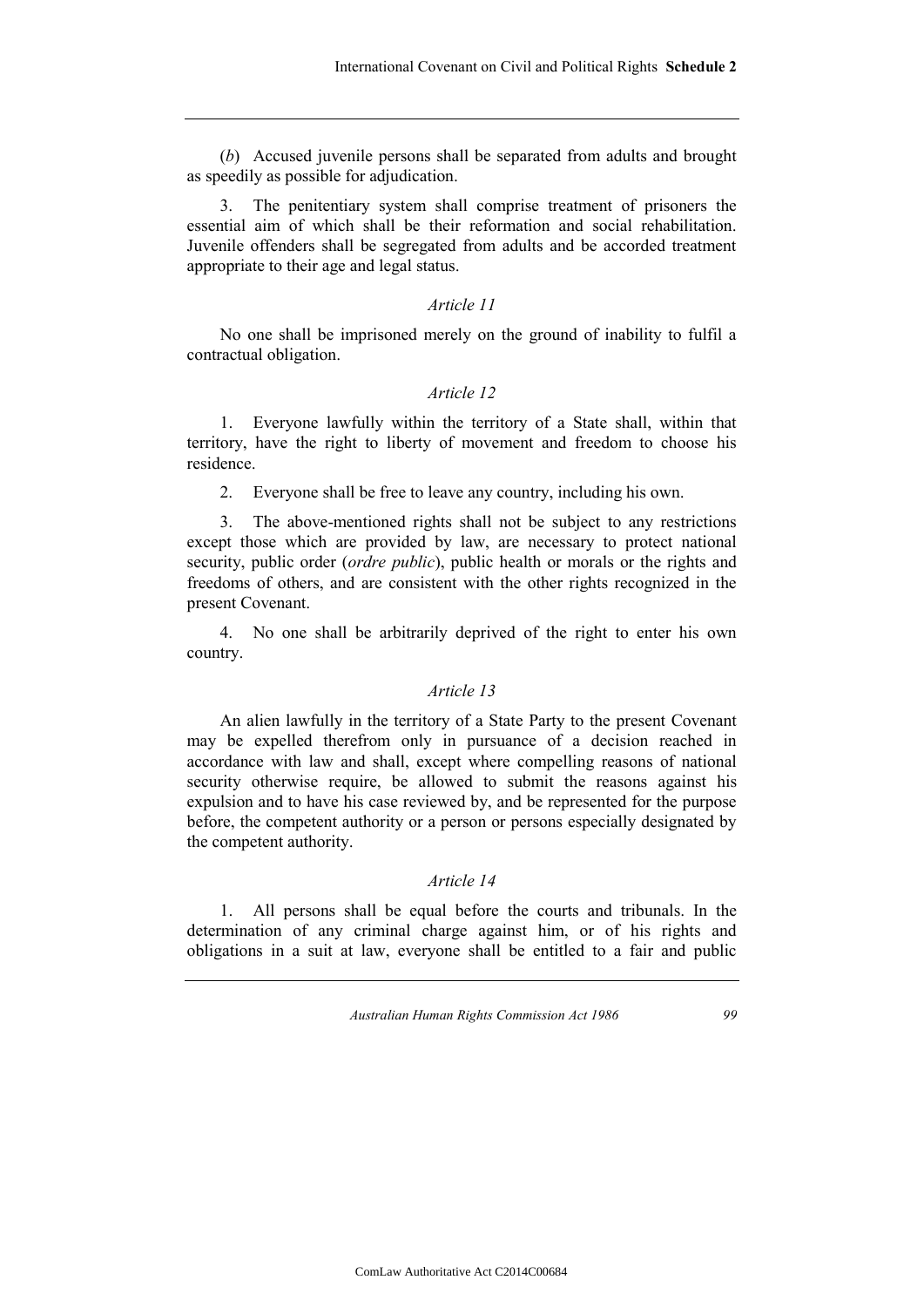(*b*) Accused juvenile persons shall be separated from adults and brought as speedily as possible for adjudication.

The penitentiary system shall comprise treatment of prisoners the essential aim of which shall be their reformation and social rehabilitation. Juvenile offenders shall be segregated from adults and be accorded treatment appropriate to their age and legal status.

#### *Article 11*

No one shall be imprisoned merely on the ground of inability to fulfil a contractual obligation.

## *Article 12*

1. Everyone lawfully within the territory of a State shall, within that territory, have the right to liberty of movement and freedom to choose his residence.

2. Everyone shall be free to leave any country, including his own.

3. The above-mentioned rights shall not be subject to any restrictions except those which are provided by law, are necessary to protect national security, public order (*ordre public*), public health or morals or the rights and freedoms of others, and are consistent with the other rights recognized in the present Covenant.

4. No one shall be arbitrarily deprived of the right to enter his own country.

#### *Article 13*

An alien lawfully in the territory of a State Party to the present Covenant may be expelled therefrom only in pursuance of a decision reached in accordance with law and shall, except where compelling reasons of national security otherwise require, be allowed to submit the reasons against his expulsion and to have his case reviewed by, and be represented for the purpose before, the competent authority or a person or persons especially designated by the competent authority.

### *Article 14*

1. All persons shall be equal before the courts and tribunals. In the determination of any criminal charge against him, or of his rights and obligations in a suit at law, everyone shall be entitled to a fair and public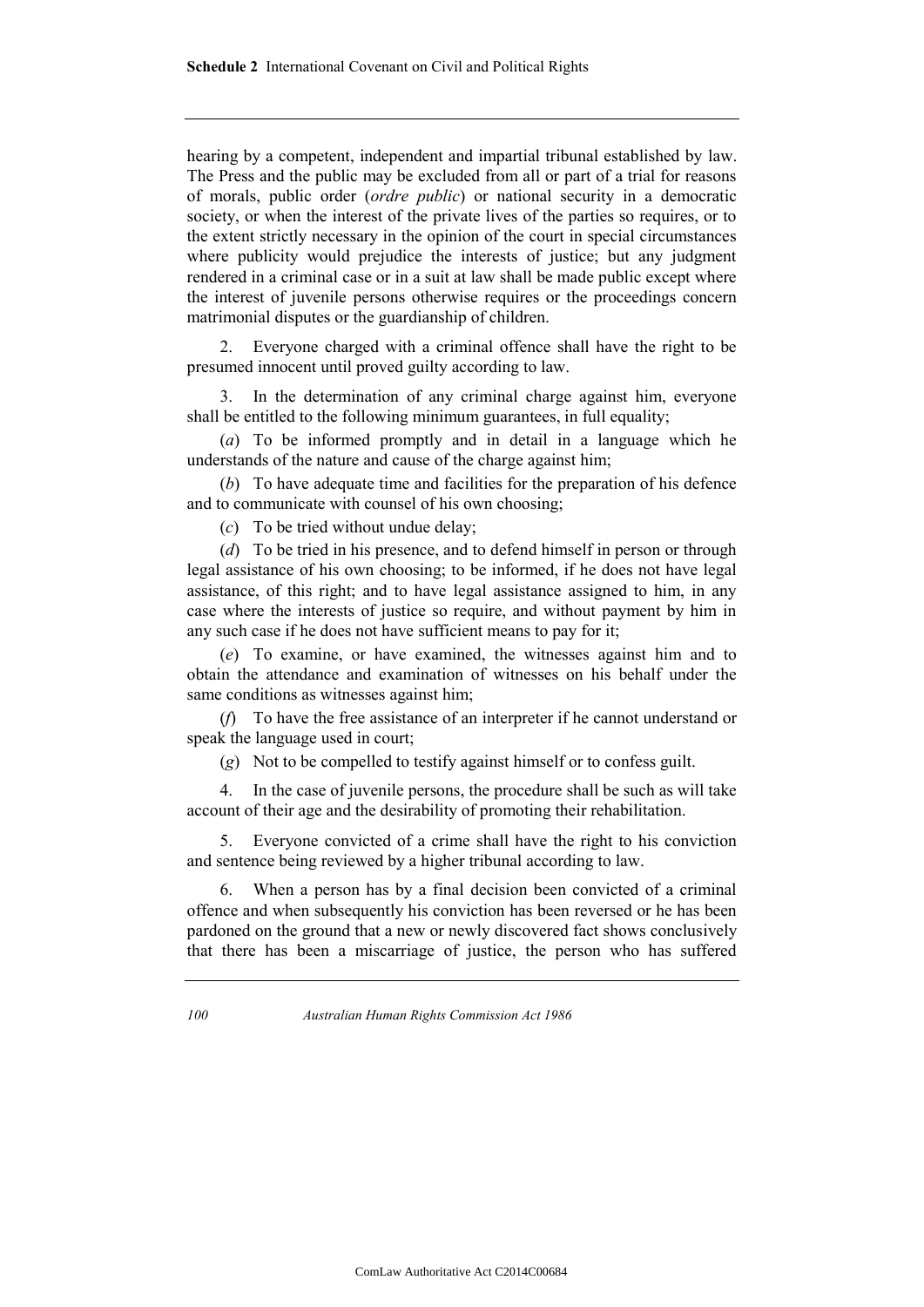hearing by a competent, independent and impartial tribunal established by law. The Press and the public may be excluded from all or part of a trial for reasons of morals, public order (*ordre public*) or national security in a democratic society, or when the interest of the private lives of the parties so requires, or to the extent strictly necessary in the opinion of the court in special circumstances where publicity would prejudice the interests of justice; but any judgment rendered in a criminal case or in a suit at law shall be made public except where the interest of juvenile persons otherwise requires or the proceedings concern matrimonial disputes or the guardianship of children.

2. Everyone charged with a criminal offence shall have the right to be presumed innocent until proved guilty according to law.

3. In the determination of any criminal charge against him, everyone shall be entitled to the following minimum guarantees, in full equality;

(*a*) To be informed promptly and in detail in a language which he understands of the nature and cause of the charge against him;

(*b*) To have adequate time and facilities for the preparation of his defence and to communicate with counsel of his own choosing;

(*c*) To be tried without undue delay;

(*d*) To be tried in his presence, and to defend himself in person or through legal assistance of his own choosing; to be informed, if he does not have legal assistance, of this right; and to have legal assistance assigned to him, in any case where the interests of justice so require, and without payment by him in any such case if he does not have sufficient means to pay for it;

(*e*) To examine, or have examined, the witnesses against him and to obtain the attendance and examination of witnesses on his behalf under the same conditions as witnesses against him;

(*f*) To have the free assistance of an interpreter if he cannot understand or speak the language used in court;

(*g*) Not to be compelled to testify against himself or to confess guilt.

4. In the case of juvenile persons, the procedure shall be such as will take account of their age and the desirability of promoting their rehabilitation.

5. Everyone convicted of a crime shall have the right to his conviction and sentence being reviewed by a higher tribunal according to law.

6. When a person has by a final decision been convicted of a criminal offence and when subsequently his conviction has been reversed or he has been pardoned on the ground that a new or newly discovered fact shows conclusively that there has been a miscarriage of justice, the person who has suffered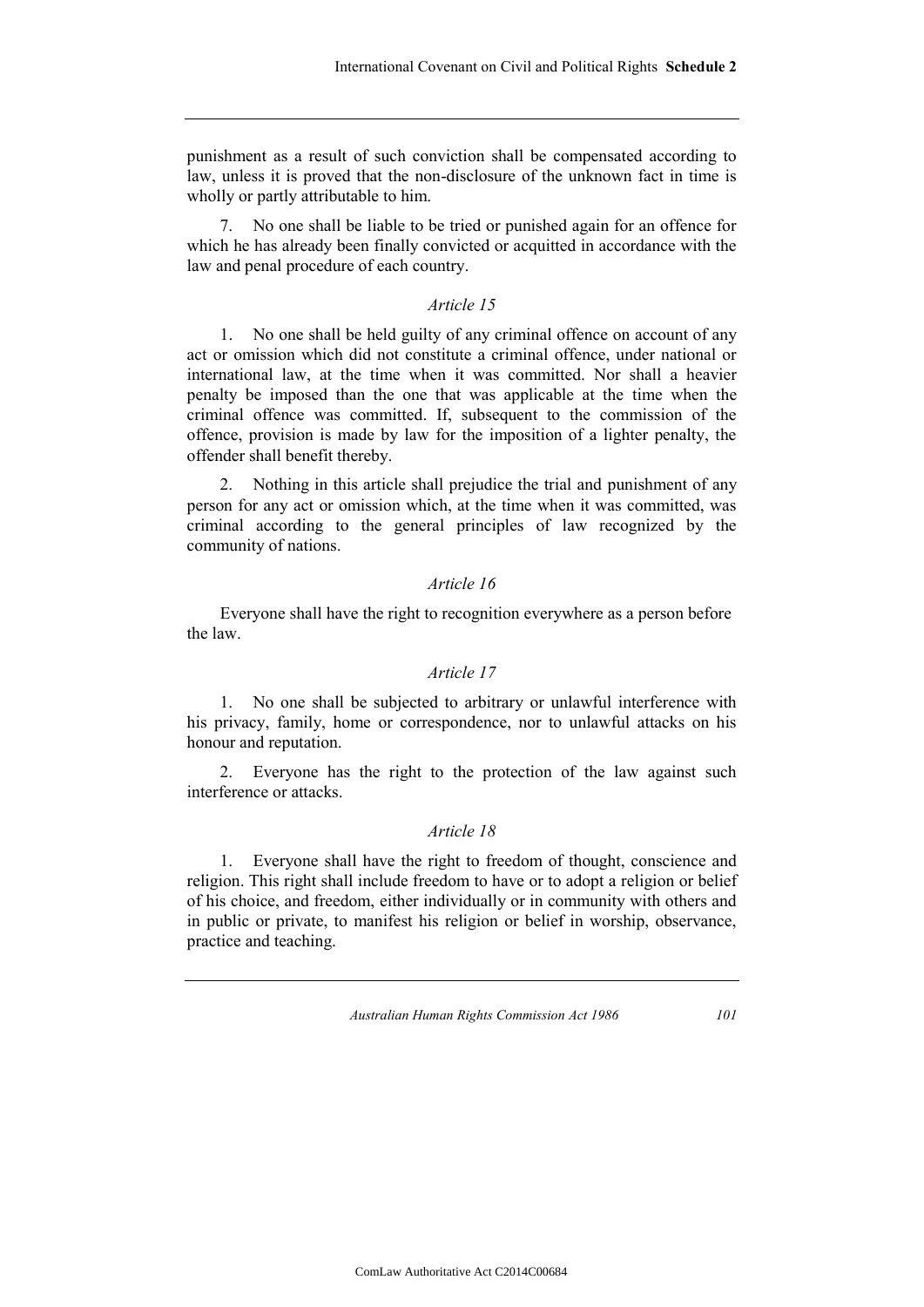punishment as a result of such conviction shall be compensated according to law, unless it is proved that the non-disclosure of the unknown fact in time is wholly or partly attributable to him.

7. No one shall be liable to be tried or punished again for an offence for which he has already been finally convicted or acquitted in accordance with the law and penal procedure of each country.

#### *Article 15*

1. No one shall be held guilty of any criminal offence on account of any act or omission which did not constitute a criminal offence, under national or international law, at the time when it was committed. Nor shall a heavier penalty be imposed than the one that was applicable at the time when the criminal offence was committed. If, subsequent to the commission of the offence, provision is made by law for the imposition of a lighter penalty, the offender shall benefit thereby.

2. Nothing in this article shall prejudice the trial and punishment of any person for any act or omission which, at the time when it was committed, was criminal according to the general principles of law recognized by the community of nations.

## *Article 16*

Everyone shall have the right to recognition everywhere as a person before the law.

## *Article 17*

1. No one shall be subjected to arbitrary or unlawful interference with his privacy, family, home or correspondence, nor to unlawful attacks on his honour and reputation.

2. Everyone has the right to the protection of the law against such interference or attacks.

#### *Article 18*

1. Everyone shall have the right to freedom of thought, conscience and religion. This right shall include freedom to have or to adopt a religion or belief of his choice, and freedom, either individually or in community with others and in public or private, to manifest his religion or belief in worship, observance, practice and teaching.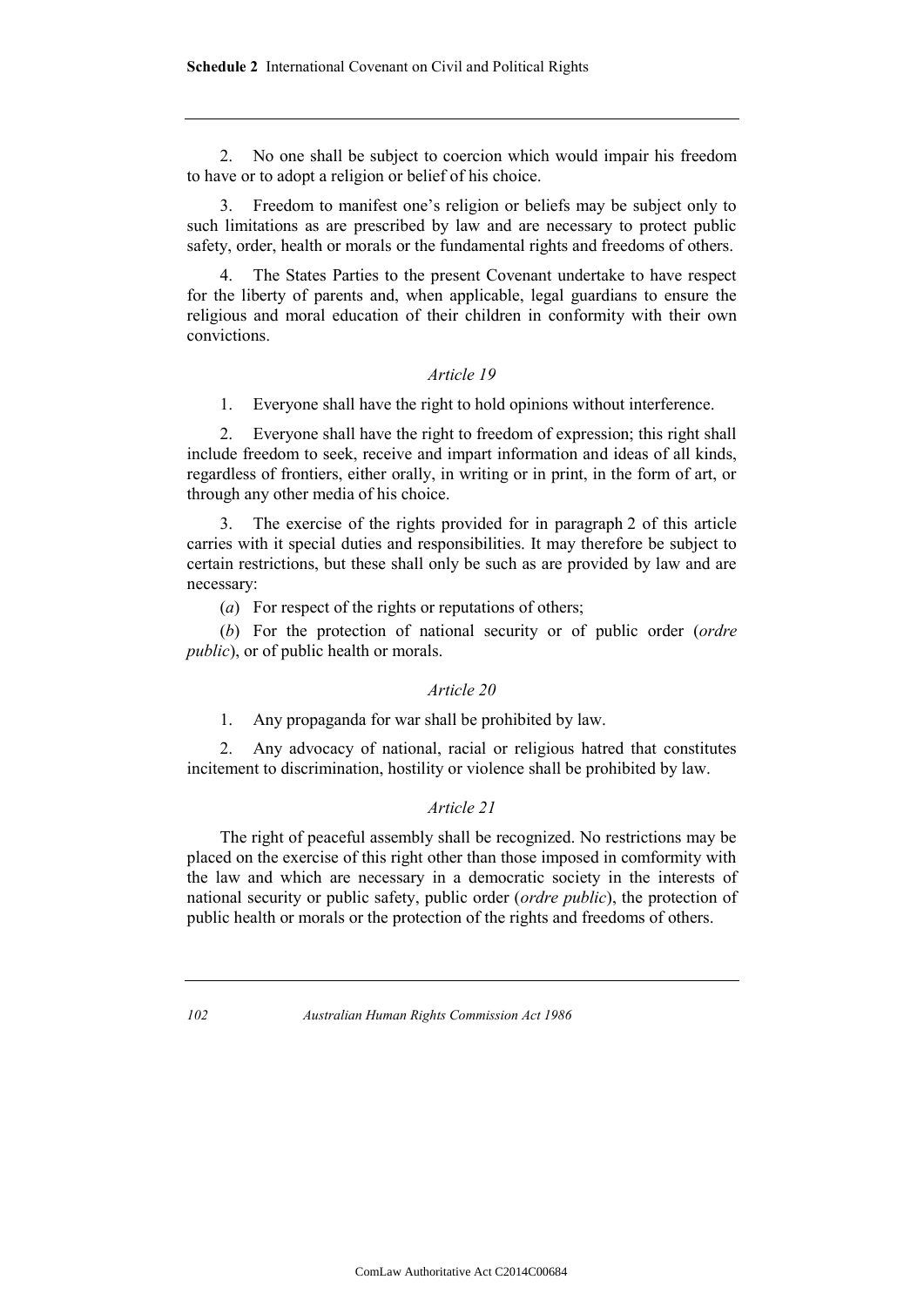2. No one shall be subject to coercion which would impair his freedom to have or to adopt a religion or belief of his choice.

3. Freedom to manifest one's religion or beliefs may be subject only to such limitations as are prescribed by law and are necessary to protect public safety, order, health or morals or the fundamental rights and freedoms of others.

The States Parties to the present Covenant undertake to have respect for the liberty of parents and, when applicable, legal guardians to ensure the religious and moral education of their children in conformity with their own convictions.

#### *Article 19*

1. Everyone shall have the right to hold opinions without interference.

2. Everyone shall have the right to freedom of expression; this right shall include freedom to seek, receive and impart information and ideas of all kinds, regardless of frontiers, either orally, in writing or in print, in the form of art, or through any other media of his choice.

3. The exercise of the rights provided for in paragraph 2 of this article carries with it special duties and responsibilities. It may therefore be subject to certain restrictions, but these shall only be such as are provided by law and are necessary:

(*a*) For respect of the rights or reputations of others;

(*b*) For the protection of national security or of public order (*ordre public*), or of public health or morals.

#### *Article 20*

1. Any propaganda for war shall be prohibited by law.

2. Any advocacy of national, racial or religious hatred that constitutes incitement to discrimination, hostility or violence shall be prohibited by law.

## *Article 21*

The right of peaceful assembly shall be recognized. No restrictions may be placed on the exercise of this right other than those imposed in comformity with the law and which are necessary in a democratic society in the interests of national security or public safety, public order (*ordre public*), the protection of public health or morals or the protection of the rights and freedoms of others.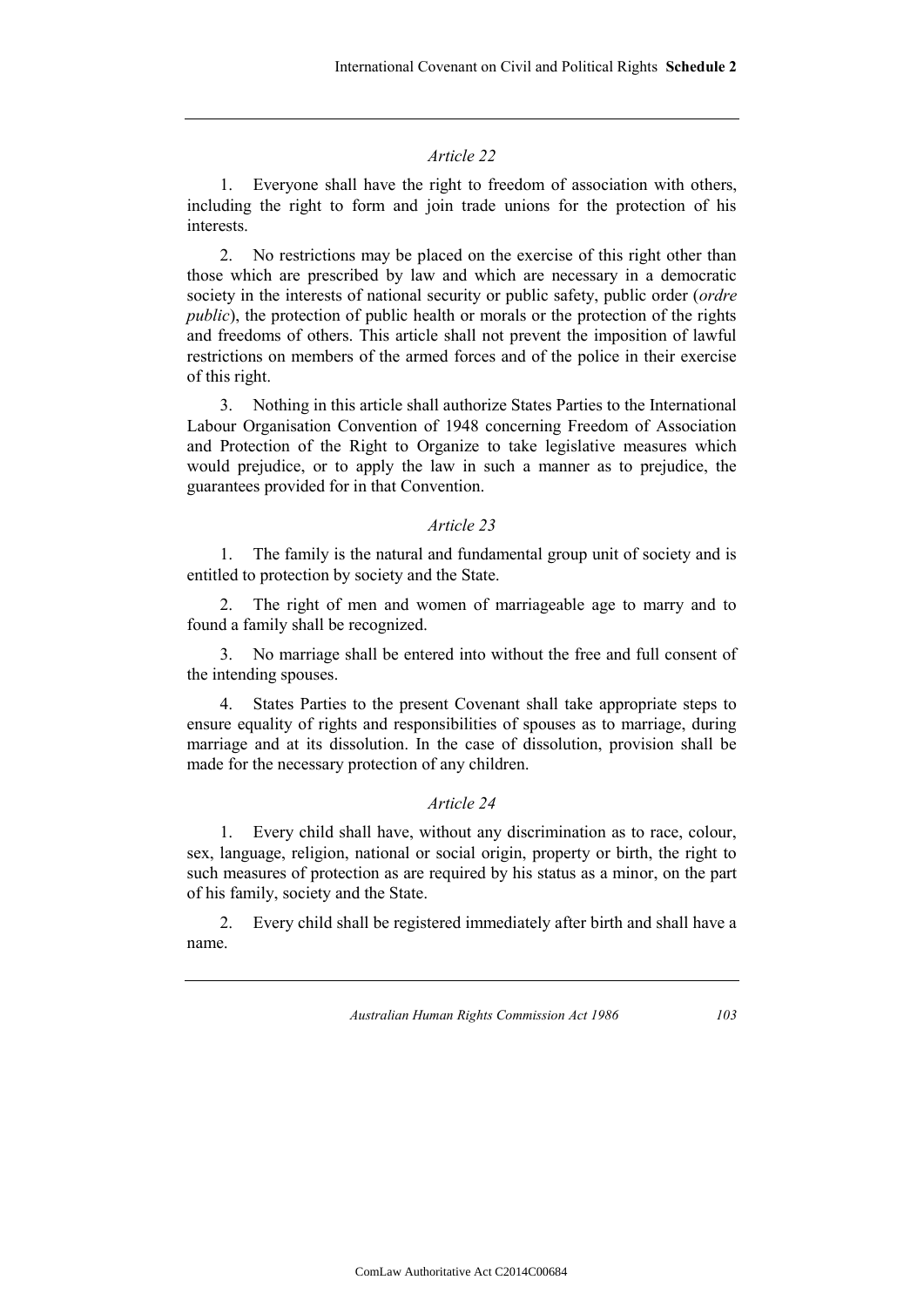## *Article 22*

1. Everyone shall have the right to freedom of association with others, including the right to form and join trade unions for the protection of his interests.

2. No restrictions may be placed on the exercise of this right other than those which are prescribed by law and which are necessary in a democratic society in the interests of national security or public safety, public order (*ordre public*), the protection of public health or morals or the protection of the rights and freedoms of others. This article shall not prevent the imposition of lawful restrictions on members of the armed forces and of the police in their exercise of this right.

3. Nothing in this article shall authorize States Parties to the International Labour Organisation Convention of 1948 concerning Freedom of Association and Protection of the Right to Organize to take legislative measures which would prejudice, or to apply the law in such a manner as to prejudice, the guarantees provided for in that Convention.

## *Article 23*

1. The family is the natural and fundamental group unit of society and is entitled to protection by society and the State.

2. The right of men and women of marriageable age to marry and to found a family shall be recognized.

3. No marriage shall be entered into without the free and full consent of the intending spouses.

4. States Parties to the present Covenant shall take appropriate steps to ensure equality of rights and responsibilities of spouses as to marriage, during marriage and at its dissolution. In the case of dissolution, provision shall be made for the necessary protection of any children.

#### *Article 24*

1. Every child shall have, without any discrimination as to race, colour, sex, language, religion, national or social origin, property or birth, the right to such measures of protection as are required by his status as a minor, on the part of his family, society and the State.

2. Every child shall be registered immediately after birth and shall have a name.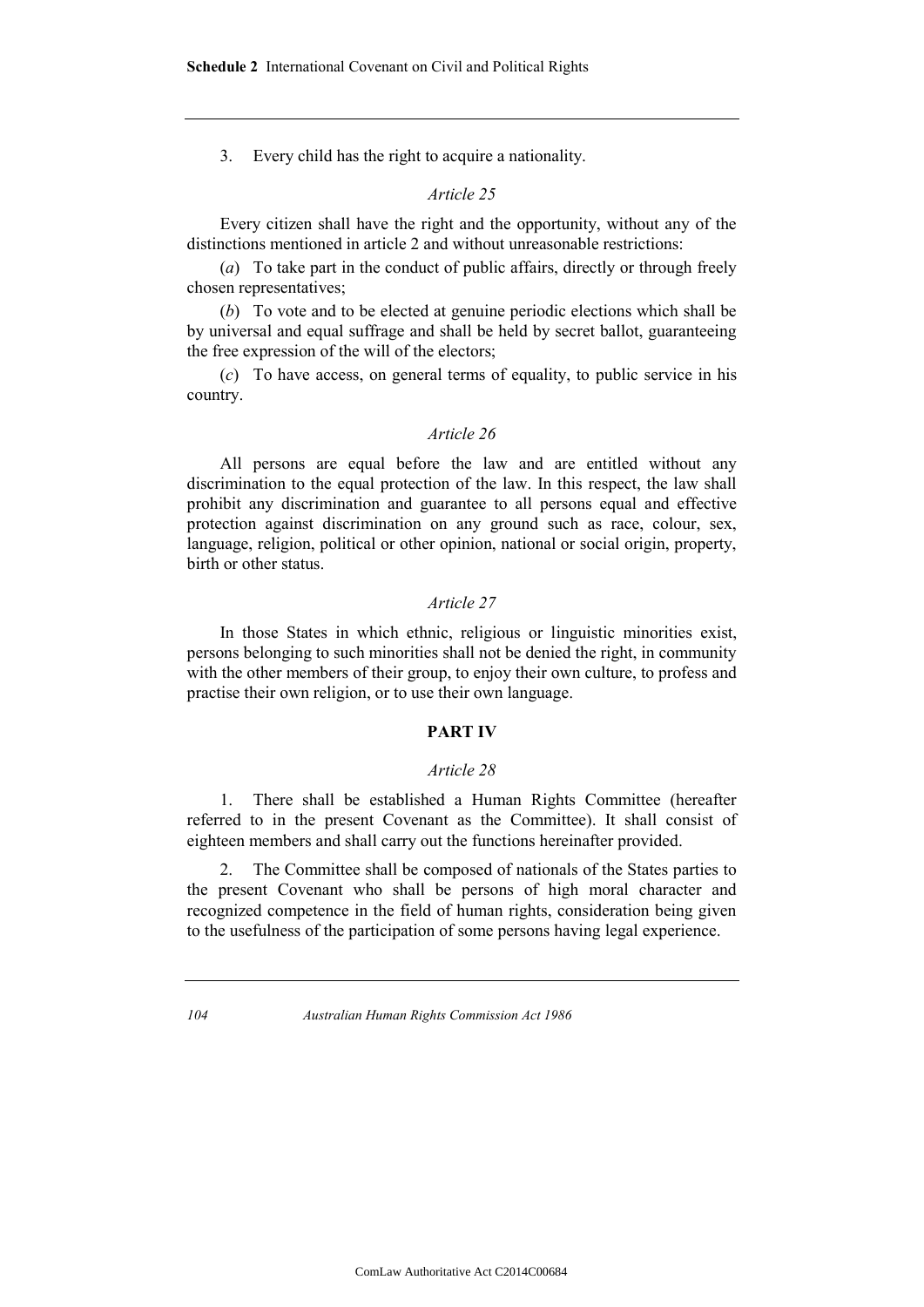3. Every child has the right to acquire a nationality.

### *Article 25*

Every citizen shall have the right and the opportunity, without any of the distinctions mentioned in article 2 and without unreasonable restrictions:

(*a*) To take part in the conduct of public affairs, directly or through freely chosen representatives;

(*b*) To vote and to be elected at genuine periodic elections which shall be by universal and equal suffrage and shall be held by secret ballot, guaranteeing the free expression of the will of the electors;

(*c*) To have access, on general terms of equality, to public service in his country.

## *Article 26*

All persons are equal before the law and are entitled without any discrimination to the equal protection of the law. In this respect, the law shall prohibit any discrimination and guarantee to all persons equal and effective protection against discrimination on any ground such as race, colour, sex, language, religion, political or other opinion, national or social origin, property, birth or other status.

## *Article 27*

In those States in which ethnic, religious or linguistic minorities exist, persons belonging to such minorities shall not be denied the right, in community with the other members of their group, to enjoy their own culture, to profess and practise their own religion, or to use their own language.

#### **PART IV**

#### *Article 28*

1. There shall be established a Human Rights Committee (hereafter referred to in the present Covenant as the Committee). It shall consist of eighteen members and shall carry out the functions hereinafter provided.

2. The Committee shall be composed of nationals of the States parties to the present Covenant who shall be persons of high moral character and recognized competence in the field of human rights, consideration being given to the usefulness of the participation of some persons having legal experience.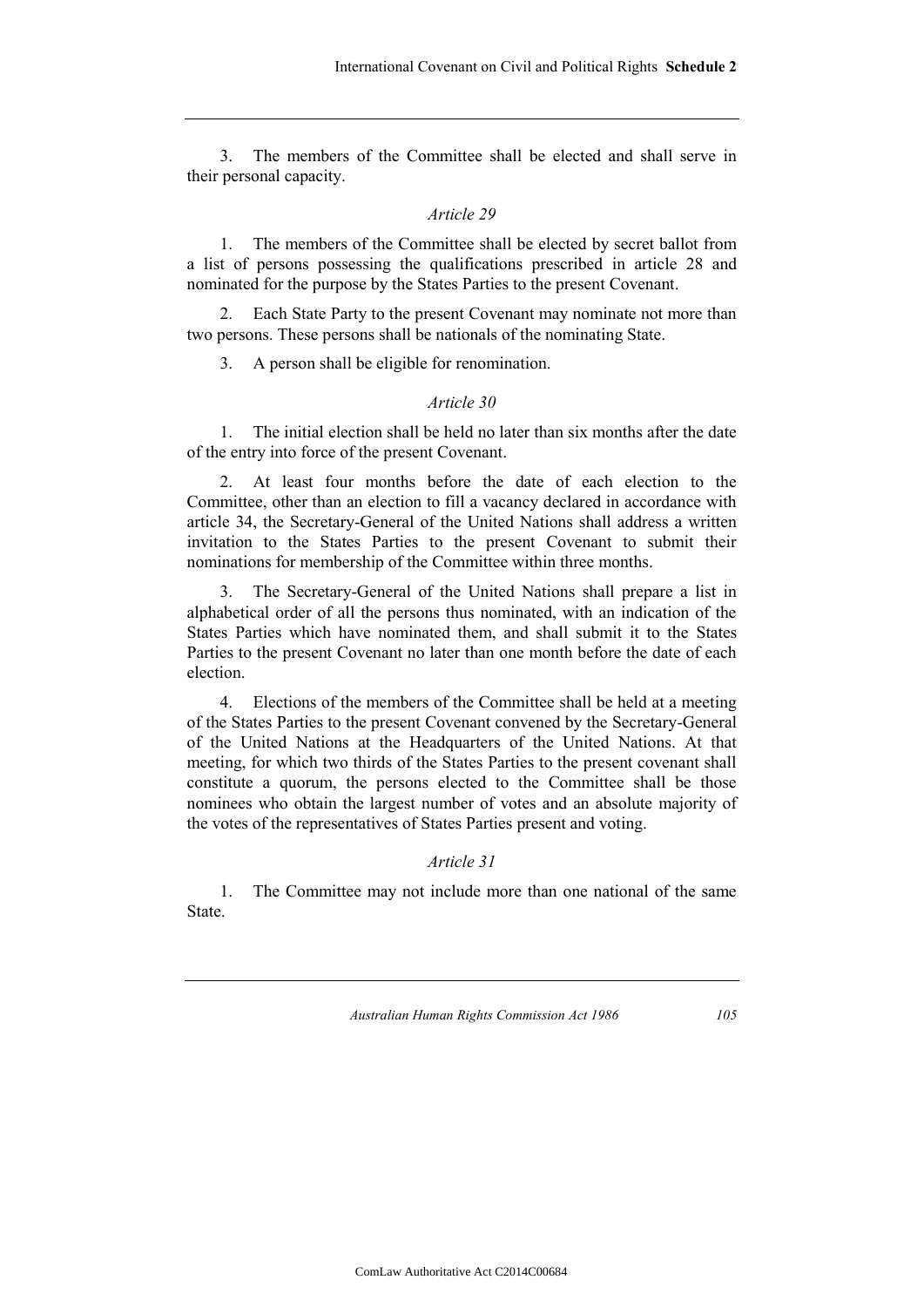3. The members of the Committee shall be elected and shall serve in their personal capacity.

## *Article 29*

1. The members of the Committee shall be elected by secret ballot from a list of persons possessing the qualifications prescribed in article 28 and nominated for the purpose by the States Parties to the present Covenant.

2. Each State Party to the present Covenant may nominate not more than two persons. These persons shall be nationals of the nominating State.

3. A person shall be eligible for renomination.

### *Article 30*

1. The initial election shall be held no later than six months after the date of the entry into force of the present Covenant.

2. At least four months before the date of each election to the Committee, other than an election to fill a vacancy declared in accordance with article 34, the Secretary-General of the United Nations shall address a written invitation to the States Parties to the present Covenant to submit their nominations for membership of the Committee within three months.

3. The Secretary-General of the United Nations shall prepare a list in alphabetical order of all the persons thus nominated, with an indication of the States Parties which have nominated them, and shall submit it to the States Parties to the present Covenant no later than one month before the date of each election.

4. Elections of the members of the Committee shall be held at a meeting of the States Parties to the present Covenant convened by the Secretary-General of the United Nations at the Headquarters of the United Nations. At that meeting, for which two thirds of the States Parties to the present covenant shall constitute a quorum, the persons elected to the Committee shall be those nominees who obtain the largest number of votes and an absolute majority of the votes of the representatives of States Parties present and voting.

## *Article 31*

1. The Committee may not include more than one national of the same State.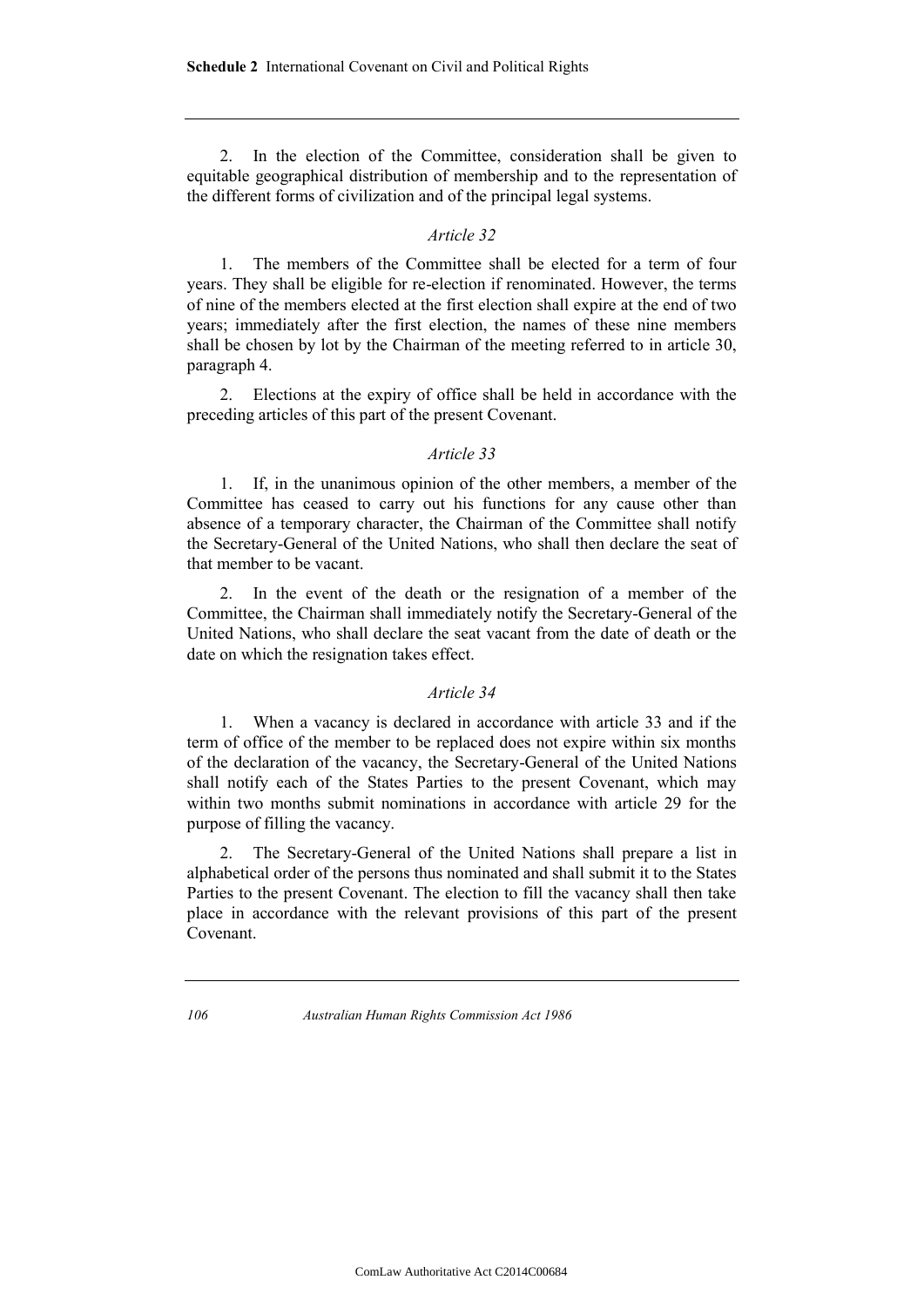2. In the election of the Committee, consideration shall be given to equitable geographical distribution of membership and to the representation of the different forms of civilization and of the principal legal systems.

### *Article 32*

1. The members of the Committee shall be elected for a term of four years. They shall be eligible for re-election if renominated. However, the terms of nine of the members elected at the first election shall expire at the end of two years; immediately after the first election, the names of these nine members shall be chosen by lot by the Chairman of the meeting referred to in article 30, paragraph 4.

2. Elections at the expiry of office shall be held in accordance with the preceding articles of this part of the present Covenant.

## *Article 33*

1. If, in the unanimous opinion of the other members, a member of the Committee has ceased to carry out his functions for any cause other than absence of a temporary character, the Chairman of the Committee shall notify the Secretary-General of the United Nations, who shall then declare the seat of that member to be vacant.

2. In the event of the death or the resignation of a member of the Committee, the Chairman shall immediately notify the Secretary-General of the United Nations, who shall declare the seat vacant from the date of death or the date on which the resignation takes effect.

#### *Article 34*

1. When a vacancy is declared in accordance with article 33 and if the term of office of the member to be replaced does not expire within six months of the declaration of the vacancy, the Secretary-General of the United Nations shall notify each of the States Parties to the present Covenant, which may within two months submit nominations in accordance with article 29 for the purpose of filling the vacancy.

2. The Secretary-General of the United Nations shall prepare a list in alphabetical order of the persons thus nominated and shall submit it to the States Parties to the present Covenant. The election to fill the vacancy shall then take place in accordance with the relevant provisions of this part of the present Covenant.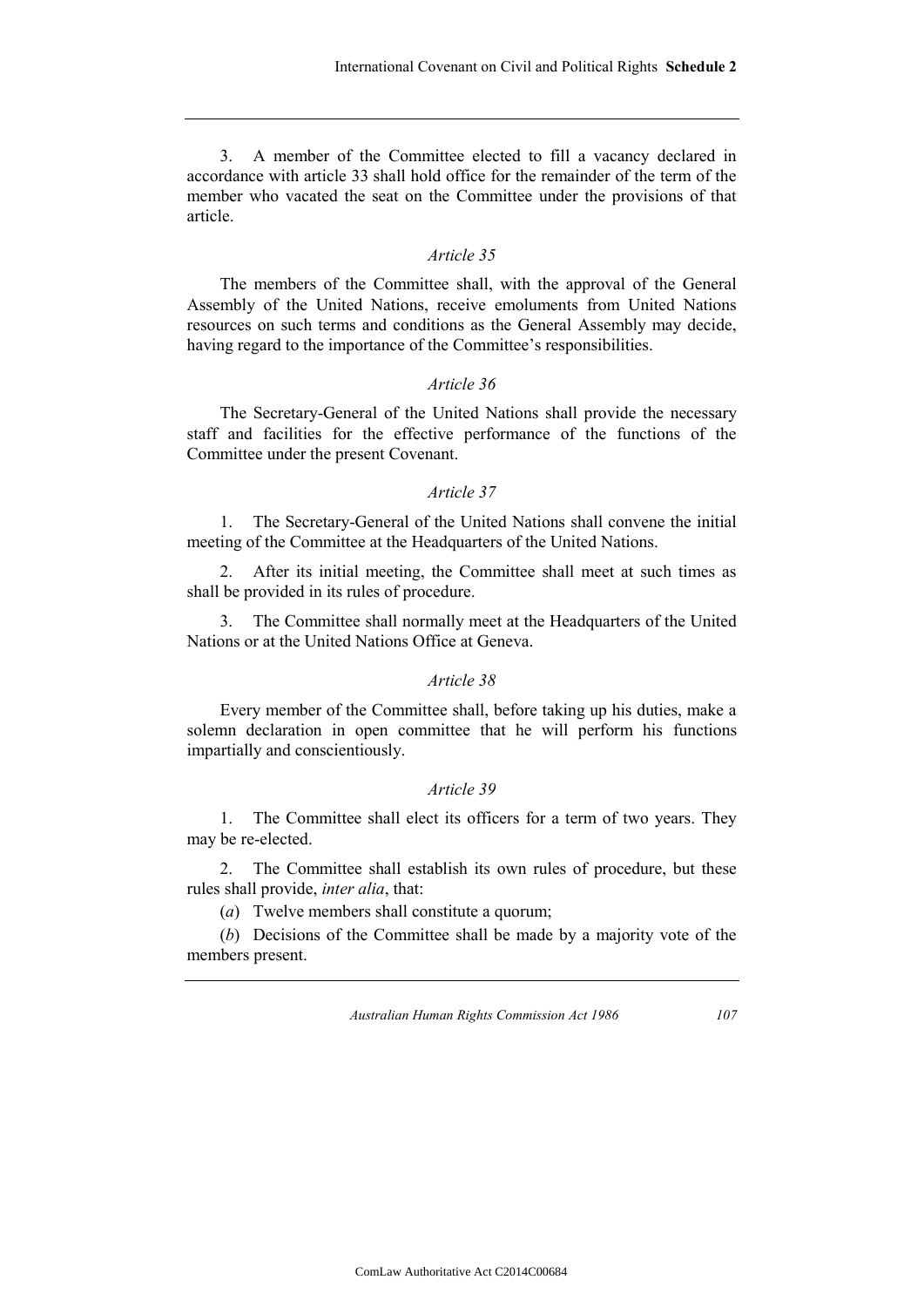3. A member of the Committee elected to fill a vacancy declared in accordance with article 33 shall hold office for the remainder of the term of the member who vacated the seat on the Committee under the provisions of that article.

### *Article 35*

The members of the Committee shall, with the approval of the General Assembly of the United Nations, receive emoluments from United Nations resources on such terms and conditions as the General Assembly may decide, having regard to the importance of the Committee's responsibilities.

## *Article 36*

The Secretary-General of the United Nations shall provide the necessary staff and facilities for the effective performance of the functions of the Committee under the present Covenant.

#### *Article 37*

1. The Secretary-General of the United Nations shall convene the initial meeting of the Committee at the Headquarters of the United Nations.

2. After its initial meeting, the Committee shall meet at such times as shall be provided in its rules of procedure.

3. The Committee shall normally meet at the Headquarters of the United Nations or at the United Nations Office at Geneva.

## *Article 38*

Every member of the Committee shall, before taking up his duties, make a solemn declaration in open committee that he will perform his functions impartially and conscientiously.

## *Article 39*

1. The Committee shall elect its officers for a term of two years. They may be re-elected.

2. The Committee shall establish its own rules of procedure, but these rules shall provide, *inter alia*, that:

(*a*) Twelve members shall constitute a quorum;

(*b*) Decisions of the Committee shall be made by a majority vote of the members present.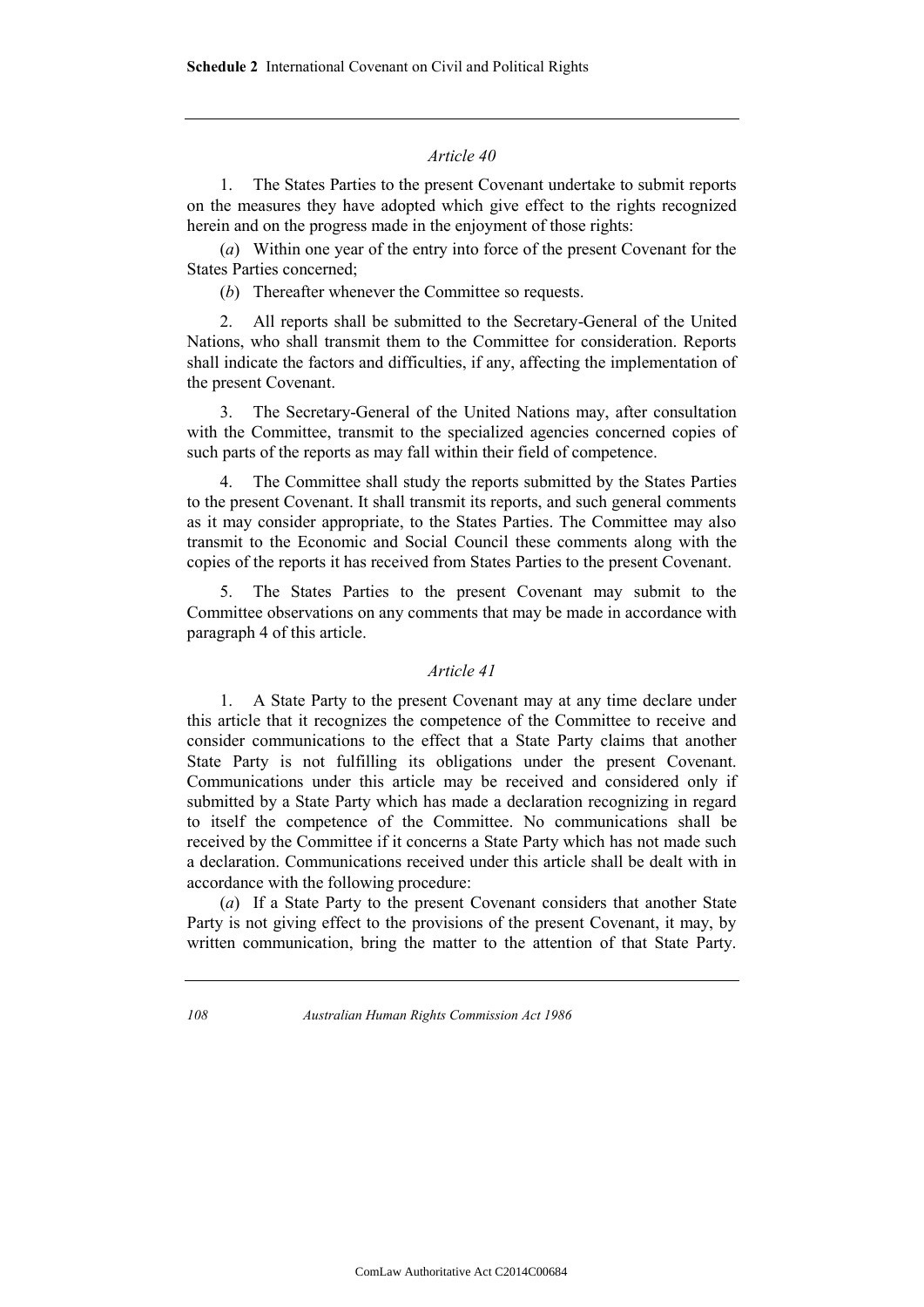#### *Article 40*

1. The States Parties to the present Covenant undertake to submit reports on the measures they have adopted which give effect to the rights recognized herein and on the progress made in the enjoyment of those rights:

(*a*) Within one year of the entry into force of the present Covenant for the States Parties concerned;

(*b*) Thereafter whenever the Committee so requests.

2. All reports shall be submitted to the Secretary-General of the United Nations, who shall transmit them to the Committee for consideration. Reports shall indicate the factors and difficulties, if any, affecting the implementation of the present Covenant.

3. The Secretary-General of the United Nations may, after consultation with the Committee, transmit to the specialized agencies concerned copies of such parts of the reports as may fall within their field of competence.

The Committee shall study the reports submitted by the States Parties to the present Covenant. It shall transmit its reports, and such general comments as it may consider appropriate, to the States Parties. The Committee may also transmit to the Economic and Social Council these comments along with the copies of the reports it has received from States Parties to the present Covenant.

The States Parties to the present Covenant may submit to the Committee observations on any comments that may be made in accordance with paragraph 4 of this article.

## *Article 41*

1. A State Party to the present Covenant may at any time declare under this article that it recognizes the competence of the Committee to receive and consider communications to the effect that a State Party claims that another State Party is not fulfilling its obligations under the present Covenant. Communications under this article may be received and considered only if submitted by a State Party which has made a declaration recognizing in regard to itself the competence of the Committee. No communications shall be received by the Committee if it concerns a State Party which has not made such a declaration. Communications received under this article shall be dealt with in accordance with the following procedure:

(*a*) If a State Party to the present Covenant considers that another State Party is not giving effect to the provisions of the present Covenant, it may, by written communication, bring the matter to the attention of that State Party.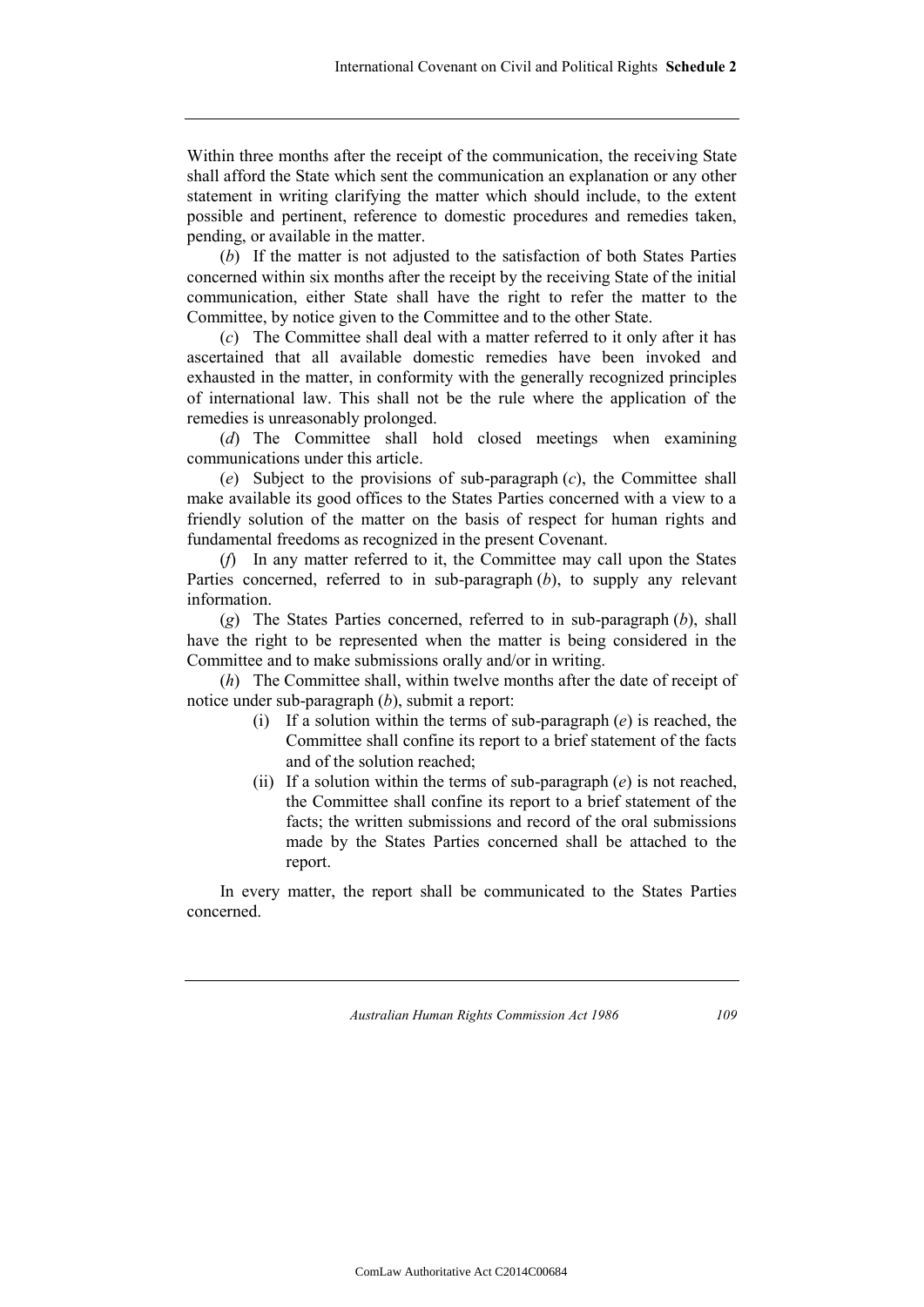Within three months after the receipt of the communication, the receiving State shall afford the State which sent the communication an explanation or any other statement in writing clarifying the matter which should include, to the extent possible and pertinent, reference to domestic procedures and remedies taken, pending, or available in the matter.

(*b*) If the matter is not adjusted to the satisfaction of both States Parties concerned within six months after the receipt by the receiving State of the initial communication, either State shall have the right to refer the matter to the Committee, by notice given to the Committee and to the other State.

(*c*) The Committee shall deal with a matter referred to it only after it has ascertained that all available domestic remedies have been invoked and exhausted in the matter, in conformity with the generally recognized principles of international law. This shall not be the rule where the application of the remedies is unreasonably prolonged.

(*d*) The Committee shall hold closed meetings when examining communications under this article.

(*e*) Subject to the provisions of sub-paragraph (*c*), the Committee shall make available its good offices to the States Parties concerned with a view to a friendly solution of the matter on the basis of respect for human rights and fundamental freedoms as recognized in the present Covenant.

(*f*) In any matter referred to it, the Committee may call upon the States Parties concerned, referred to in sub-paragraph (*b*), to supply any relevant information.

(*g*) The States Parties concerned, referred to in sub-paragraph (*b*), shall have the right to be represented when the matter is being considered in the Committee and to make submissions orally and/or in writing.

(*h*) The Committee shall, within twelve months after the date of receipt of notice under sub-paragraph (*b*), submit a report:

- (i) If a solution within the terms of sub-paragraph (*e*) is reached, the Committee shall confine its report to a brief statement of the facts and of the solution reached;
- (ii) If a solution within the terms of sub-paragraph (*e*) is not reached, the Committee shall confine its report to a brief statement of the facts; the written submissions and record of the oral submissions made by the States Parties concerned shall be attached to the report.

In every matter, the report shall be communicated to the States Parties concerned.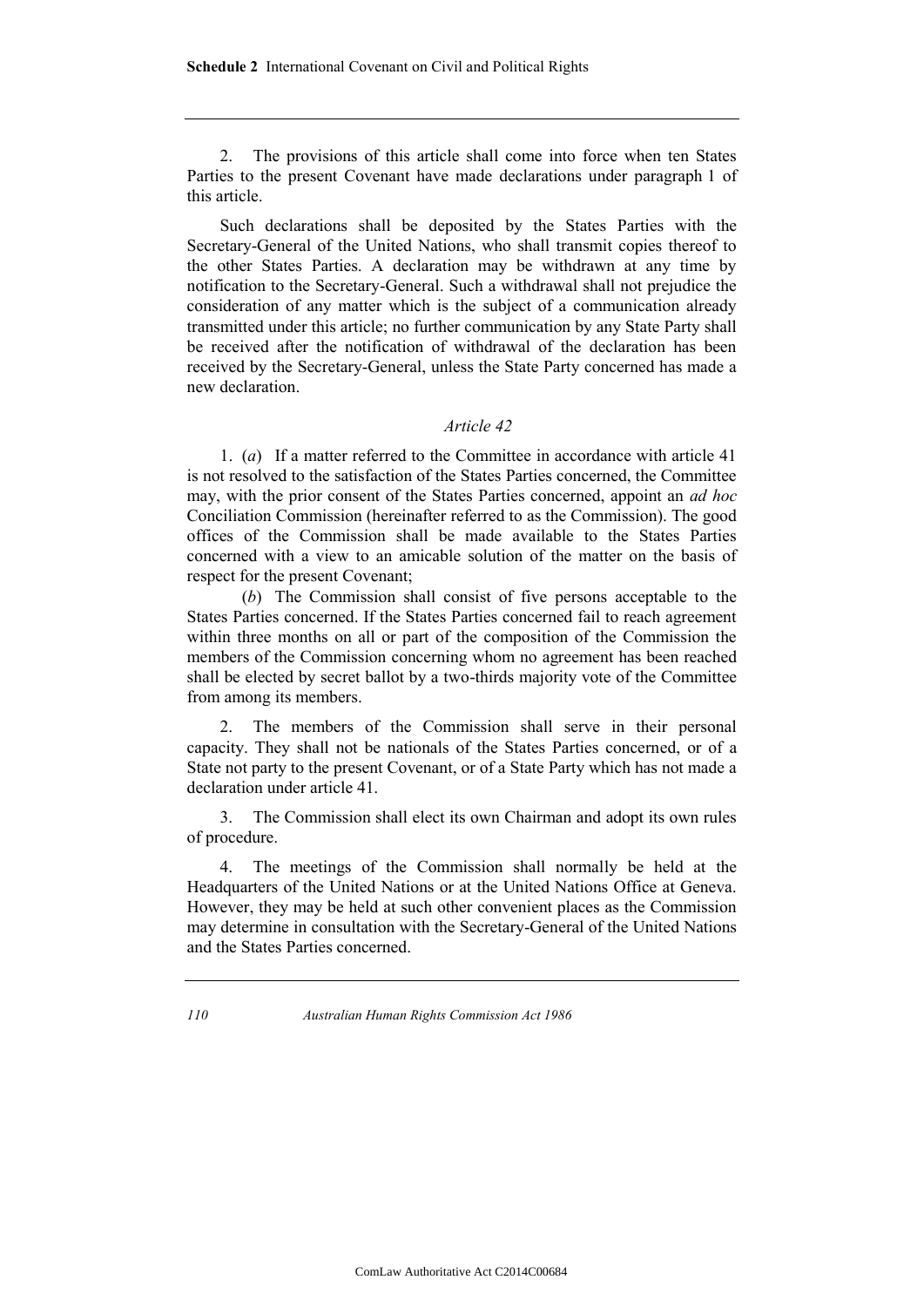**Schedule 2** International Covenant on Civil and Political Rights

2. The provisions of this article shall come into force when ten States Parties to the present Covenant have made declarations under paragraph 1 of this article.

Such declarations shall be deposited by the States Parties with the Secretary-General of the United Nations, who shall transmit copies thereof to the other States Parties. A declaration may be withdrawn at any time by notification to the Secretary-General. Such a withdrawal shall not prejudice the consideration of any matter which is the subject of a communication already transmitted under this article; no further communication by any State Party shall be received after the notification of withdrawal of the declaration has been received by the Secretary-General, unless the State Party concerned has made a new declaration.

#### *Article 42*

1. (*a*) If a matter referred to the Committee in accordance with article 41 is not resolved to the satisfaction of the States Parties concerned, the Committee may, with the prior consent of the States Parties concerned, appoint an *ad hoc* Conciliation Commission (hereinafter referred to as the Commission). The good offices of the Commission shall be made available to the States Parties concerned with a view to an amicable solution of the matter on the basis of respect for the present Covenant;

(*b*) The Commission shall consist of five persons acceptable to the States Parties concerned. If the States Parties concerned fail to reach agreement within three months on all or part of the composition of the Commission the members of the Commission concerning whom no agreement has been reached shall be elected by secret ballot by a two-thirds majority vote of the Committee from among its members.

2. The members of the Commission shall serve in their personal capacity. They shall not be nationals of the States Parties concerned, or of a State not party to the present Covenant, or of a State Party which has not made a declaration under article 41.

3. The Commission shall elect its own Chairman and adopt its own rules of procedure.

4. The meetings of the Commission shall normally be held at the Headquarters of the United Nations or at the United Nations Office at Geneva. However, they may be held at such other convenient places as the Commission may determine in consultation with the Secretary-General of the United Nations and the States Parties concerned.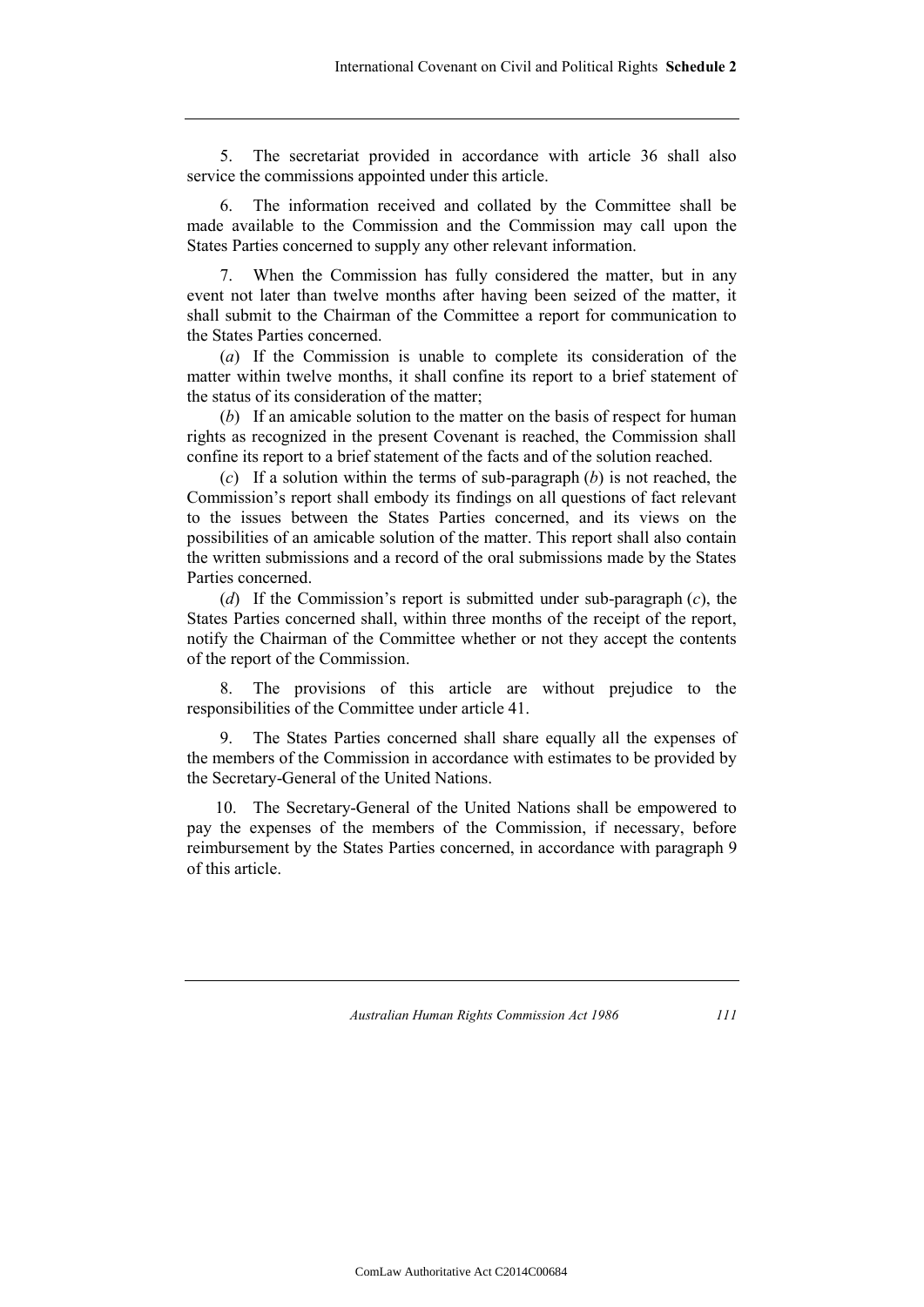5. The secretariat provided in accordance with article 36 shall also service the commissions appointed under this article.

6. The information received and collated by the Committee shall be made available to the Commission and the Commission may call upon the States Parties concerned to supply any other relevant information.

When the Commission has fully considered the matter, but in any event not later than twelve months after having been seized of the matter, it shall submit to the Chairman of the Committee a report for communication to the States Parties concerned.

(*a*) If the Commission is unable to complete its consideration of the matter within twelve months, it shall confine its report to a brief statement of the status of its consideration of the matter;

(*b*) If an amicable solution to the matter on the basis of respect for human rights as recognized in the present Covenant is reached, the Commission shall confine its report to a brief statement of the facts and of the solution reached.

(*c*) If a solution within the terms of sub-paragraph (*b*) is not reached, the Commission's report shall embody its findings on all questions of fact relevant to the issues between the States Parties concerned, and its views on the possibilities of an amicable solution of the matter. This report shall also contain the written submissions and a record of the oral submissions made by the States Parties concerned.

(*d*) If the Commission's report is submitted under sub-paragraph (*c*), the States Parties concerned shall, within three months of the receipt of the report, notify the Chairman of the Committee whether or not they accept the contents of the report of the Commission.

The provisions of this article are without prejudice to the responsibilities of the Committee under article 41.

9. The States Parties concerned shall share equally all the expenses of the members of the Commission in accordance with estimates to be provided by the Secretary-General of the United Nations.

10. The Secretary-General of the United Nations shall be empowered to pay the expenses of the members of the Commission, if necessary, before reimbursement by the States Parties concerned, in accordance with paragraph 9 of this article.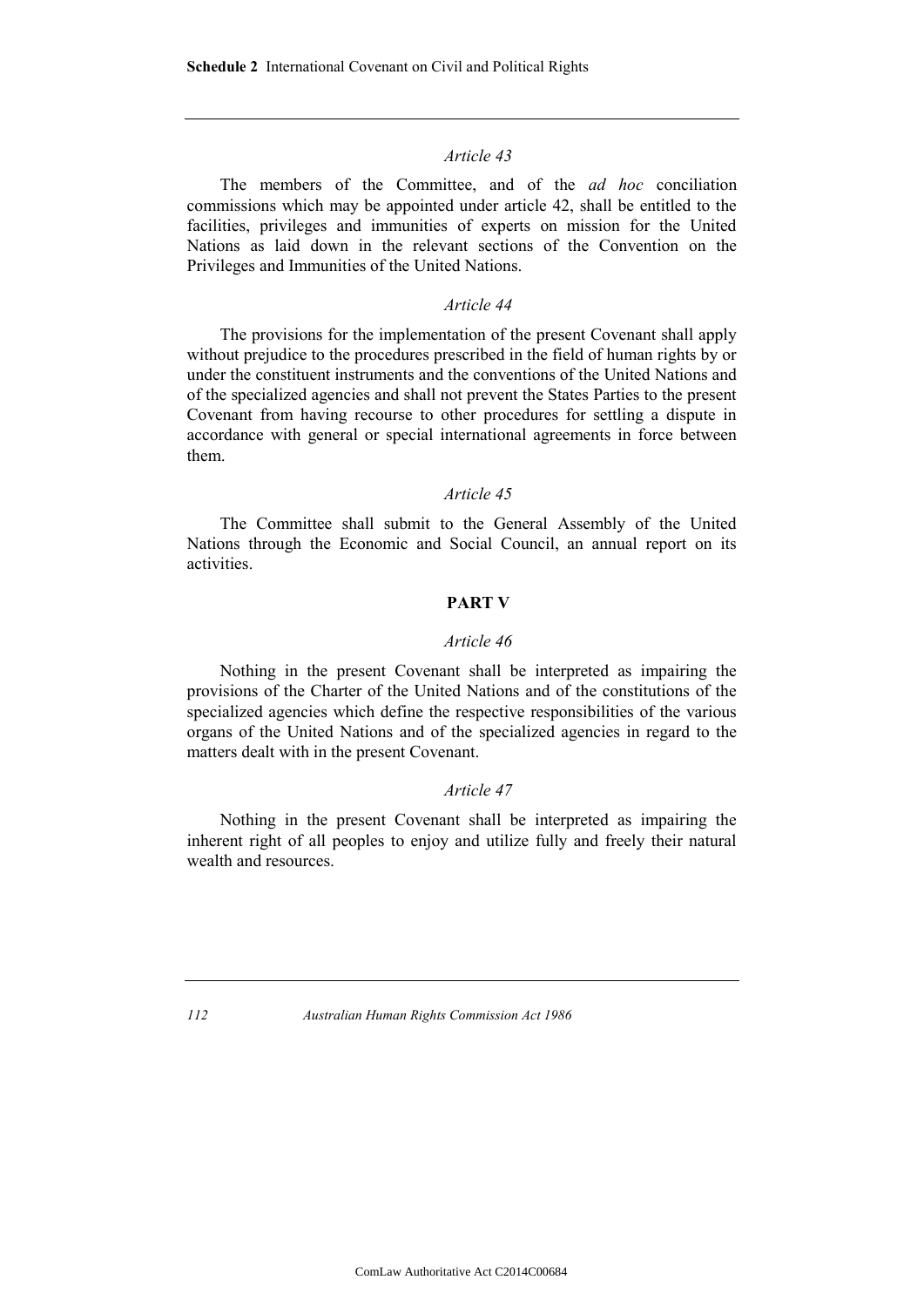#### *Article 43*

The members of the Committee, and of the *ad hoc* conciliation commissions which may be appointed under article 42, shall be entitled to the facilities, privileges and immunities of experts on mission for the United Nations as laid down in the relevant sections of the Convention on the Privileges and Immunities of the United Nations.

#### *Article 44*

The provisions for the implementation of the present Covenant shall apply without prejudice to the procedures prescribed in the field of human rights by or under the constituent instruments and the conventions of the United Nations and of the specialized agencies and shall not prevent the States Parties to the present Covenant from having recourse to other procedures for settling a dispute in accordance with general or special international agreements in force between them.

## *Article 45*

The Committee shall submit to the General Assembly of the United Nations through the Economic and Social Council, an annual report on its activities.

## **PART V**

### *Article 46*

Nothing in the present Covenant shall be interpreted as impairing the provisions of the Charter of the United Nations and of the constitutions of the specialized agencies which define the respective responsibilities of the various organs of the United Nations and of the specialized agencies in regard to the matters dealt with in the present Covenant.

## *Article 47*

Nothing in the present Covenant shall be interpreted as impairing the inherent right of all peoples to enjoy and utilize fully and freely their natural wealth and resources.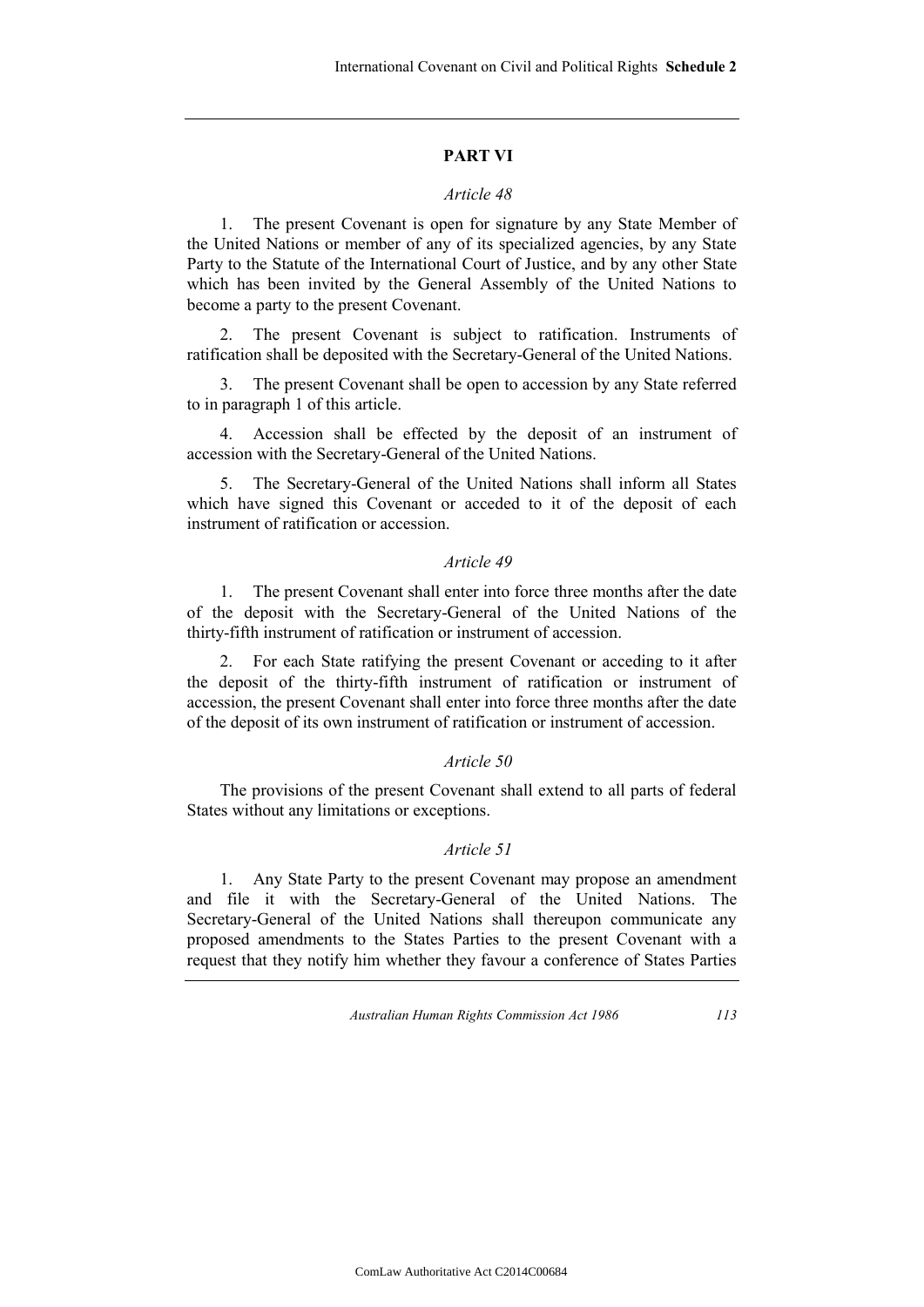## **PART VI**

## *Article 48*

1. The present Covenant is open for signature by any State Member of the United Nations or member of any of its specialized agencies, by any State Party to the Statute of the International Court of Justice, and by any other State which has been invited by the General Assembly of the United Nations to become a party to the present Covenant.

2. The present Covenant is subject to ratification. Instruments of ratification shall be deposited with the Secretary-General of the United Nations.

3. The present Covenant shall be open to accession by any State referred to in paragraph 1 of this article.

4. Accession shall be effected by the deposit of an instrument of accession with the Secretary-General of the United Nations.

5. The Secretary-General of the United Nations shall inform all States which have signed this Covenant or acceded to it of the deposit of each instrument of ratification or accession.

### *Article 49*

1. The present Covenant shall enter into force three months after the date of the deposit with the Secretary-General of the United Nations of the thirty-fifth instrument of ratification or instrument of accession.

2. For each State ratifying the present Covenant or acceding to it after the deposit of the thirty-fifth instrument of ratification or instrument of accession, the present Covenant shall enter into force three months after the date of the deposit of its own instrument of ratification or instrument of accession.

## *Article 50*

The provisions of the present Covenant shall extend to all parts of federal States without any limitations or exceptions.

## *Article 51*

1. Any State Party to the present Covenant may propose an amendment and file it with the Secretary-General of the United Nations. The Secretary-General of the United Nations shall thereupon communicate any proposed amendments to the States Parties to the present Covenant with a request that they notify him whether they favour a conference of States Parties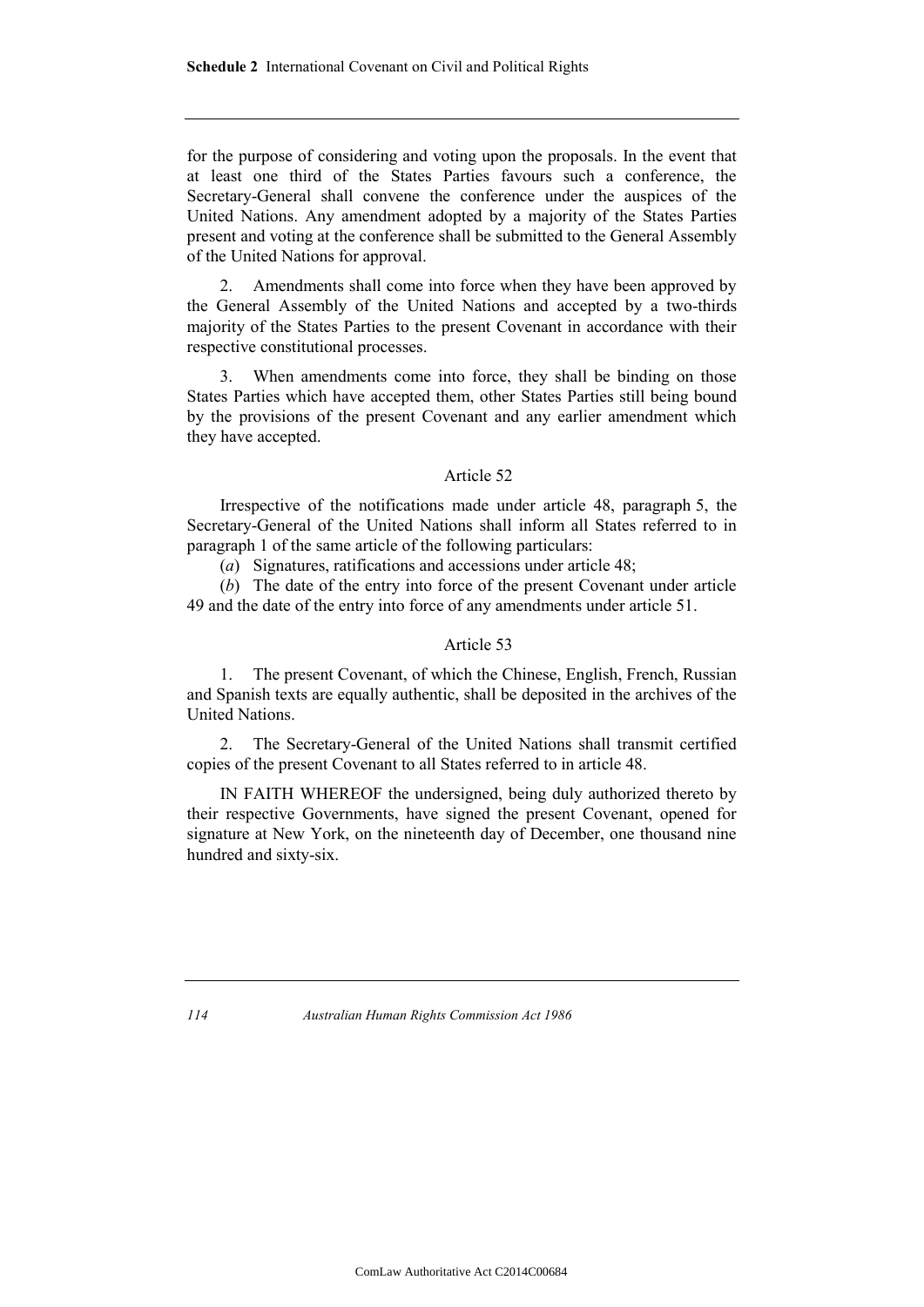for the purpose of considering and voting upon the proposals. In the event that at least one third of the States Parties favours such a conference, the Secretary-General shall convene the conference under the auspices of the United Nations. Any amendment adopted by a majority of the States Parties present and voting at the conference shall be submitted to the General Assembly of the United Nations for approval.

2. Amendments shall come into force when they have been approved by the General Assembly of the United Nations and accepted by a two-thirds majority of the States Parties to the present Covenant in accordance with their respective constitutional processes.

3. When amendments come into force, they shall be binding on those States Parties which have accepted them, other States Parties still being bound by the provisions of the present Covenant and any earlier amendment which they have accepted.

#### Article 52

Irrespective of the notifications made under article 48, paragraph 5, the Secretary-General of the United Nations shall inform all States referred to in paragraph 1 of the same article of the following particulars:

(*a*) Signatures, ratifications and accessions under article 48;

(*b*) The date of the entry into force of the present Covenant under article 49 and the date of the entry into force of any amendments under article 51.

#### Article 53

1. The present Covenant, of which the Chinese, English, French, Russian and Spanish texts are equally authentic, shall be deposited in the archives of the United Nations.

2. The Secretary-General of the United Nations shall transmit certified copies of the present Covenant to all States referred to in article 48.

IN FAITH WHEREOF the undersigned, being duly authorized thereto by their respective Governments, have signed the present Covenant, opened for signature at New York, on the nineteenth day of December, one thousand nine hundred and sixty-six.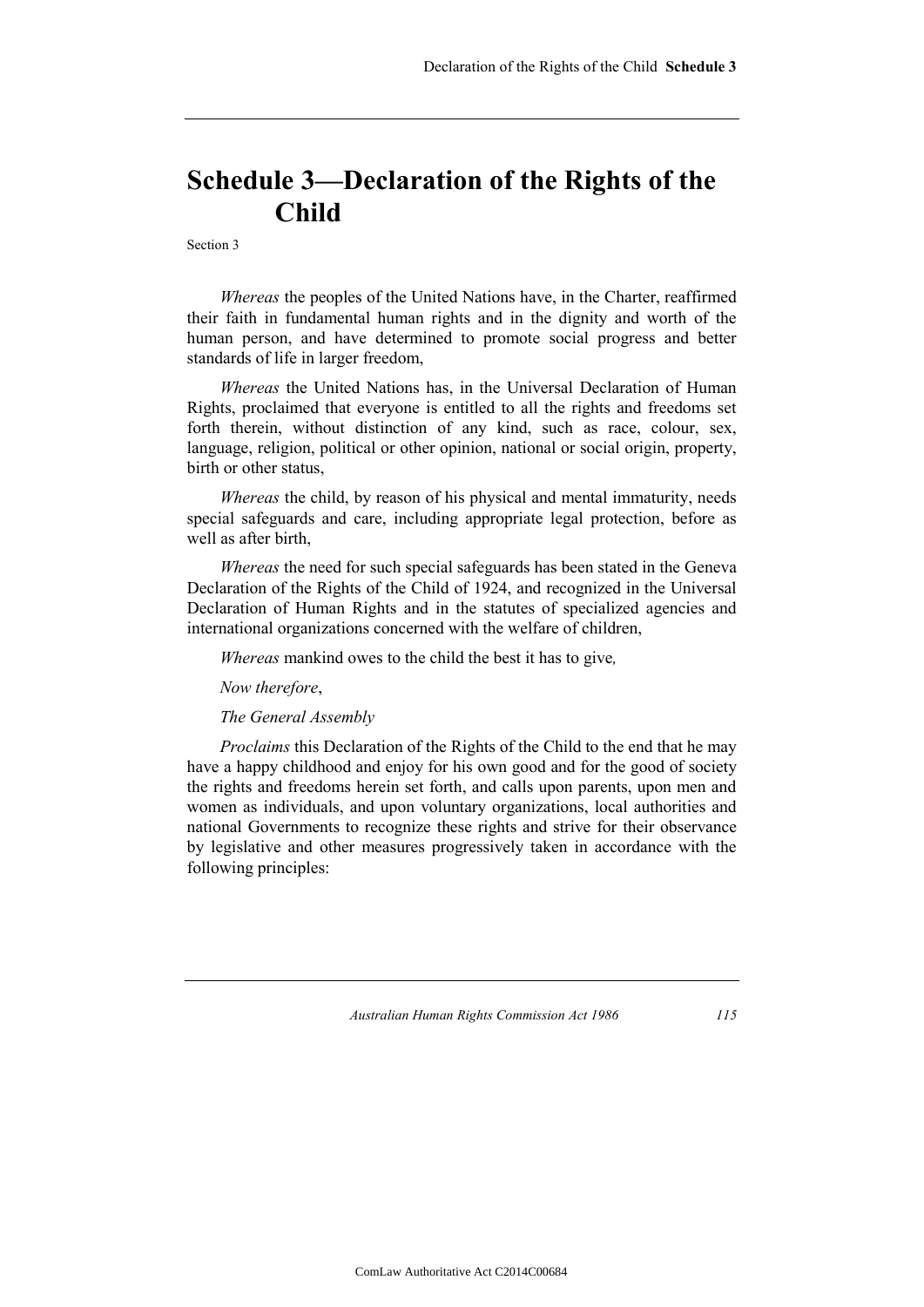# **Schedule 3—Declaration of the Rights of the Child**

Section 3

*Whereas* the peoples of the United Nations have, in the Charter, reaffirmed their faith in fundamental human rights and in the dignity and worth of the human person, and have determined to promote social progress and better standards of life in larger freedom,

*Whereas* the United Nations has, in the Universal Declaration of Human Rights, proclaimed that everyone is entitled to all the rights and freedoms set forth therein, without distinction of any kind, such as race, colour, sex, language, religion, political or other opinion, national or social origin, property, birth or other status.

*Whereas* the child, by reason of his physical and mental immaturity, needs special safeguards and care, including appropriate legal protection, before as well as after birth,

*Whereas* the need for such special safeguards has been stated in the Geneva Declaration of the Rights of the Child of 1924, and recognized in the Universal Declaration of Human Rights and in the statutes of specialized agencies and international organizations concerned with the welfare of children,

*Whereas* mankind owes to the child the best it has to give*,* 

*Now therefore*,

*The General Assembly* 

*Proclaims* this Declaration of the Rights of the Child to the end that he may have a happy childhood and enjoy for his own good and for the good of society the rights and freedoms herein set forth, and calls upon parents, upon men and women as individuals, and upon voluntary organizations, local authorities and national Governments to recognize these rights and strive for their observance by legislative and other measures progressively taken in accordance with the following principles: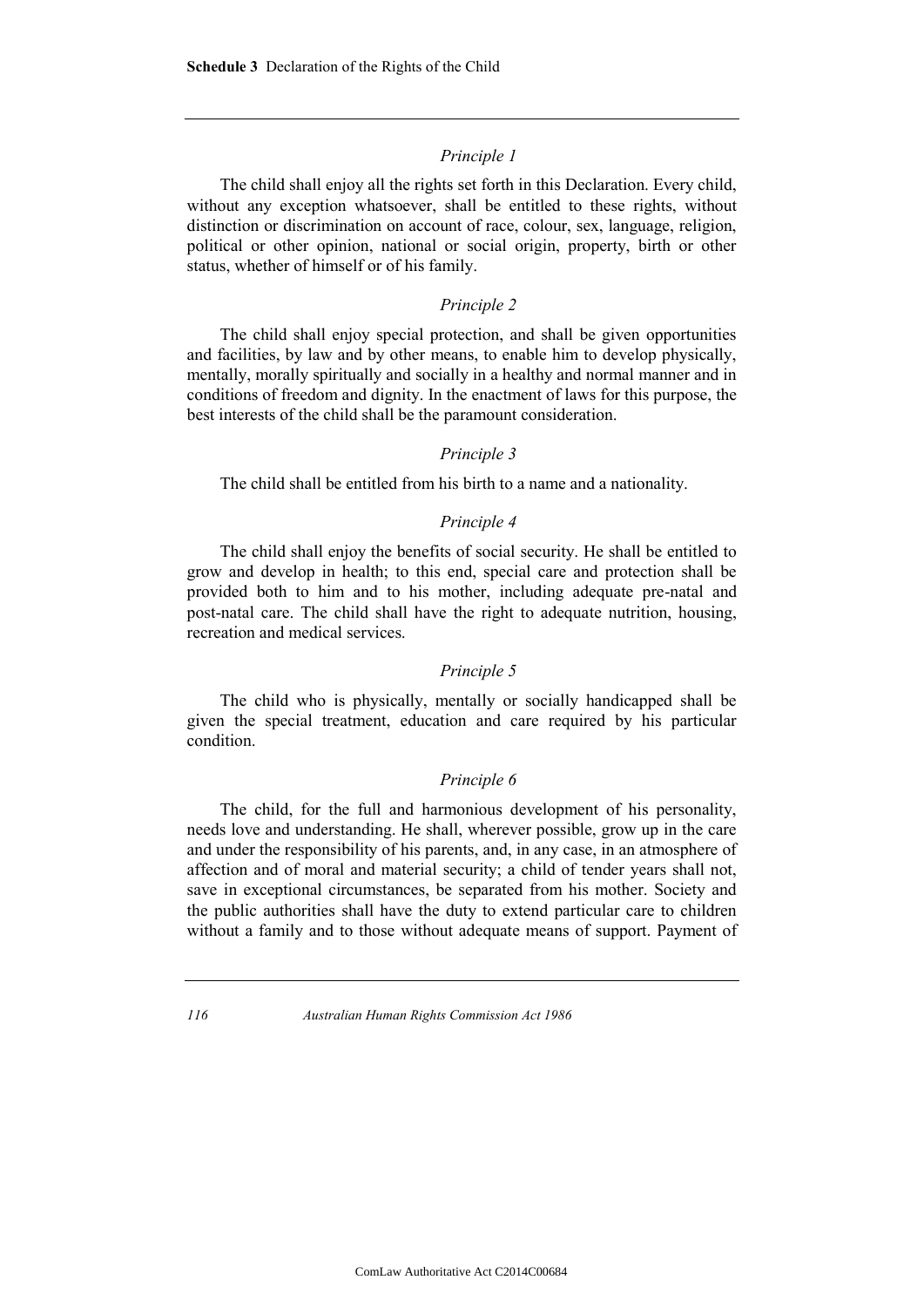#### *Principle 1*

The child shall enjoy all the rights set forth in this Declaration. Every child, without any exception whatsoever, shall be entitled to these rights, without distinction or discrimination on account of race, colour, sex, language, religion, political or other opinion, national or social origin, property, birth or other status, whether of himself or of his family.

## *Principle 2*

The child shall enjoy special protection, and shall be given opportunities and facilities, by law and by other means, to enable him to develop physically, mentally, morally spiritually and socially in a healthy and normal manner and in conditions of freedom and dignity. In the enactment of laws for this purpose, the best interests of the child shall be the paramount consideration.

## *Principle 3*

The child shall be entitled from his birth to a name and a nationality.

## *Principle 4*

The child shall enjoy the benefits of social security. He shall be entitled to grow and develop in health; to this end, special care and protection shall be provided both to him and to his mother, including adequate pre-natal and post-natal care. The child shall have the right to adequate nutrition, housing, recreation and medical services.

## *Principle 5*

The child who is physically, mentally or socially handicapped shall be given the special treatment, education and care required by his particular condition.

## *Principle 6*

The child, for the full and harmonious development of his personality, needs love and understanding. He shall, wherever possible, grow up in the care and under the responsibility of his parents, and, in any case, in an atmosphere of affection and of moral and material security; a child of tender years shall not, save in exceptional circumstances, be separated from his mother. Society and the public authorities shall have the duty to extend particular care to children without a family and to those without adequate means of support. Payment of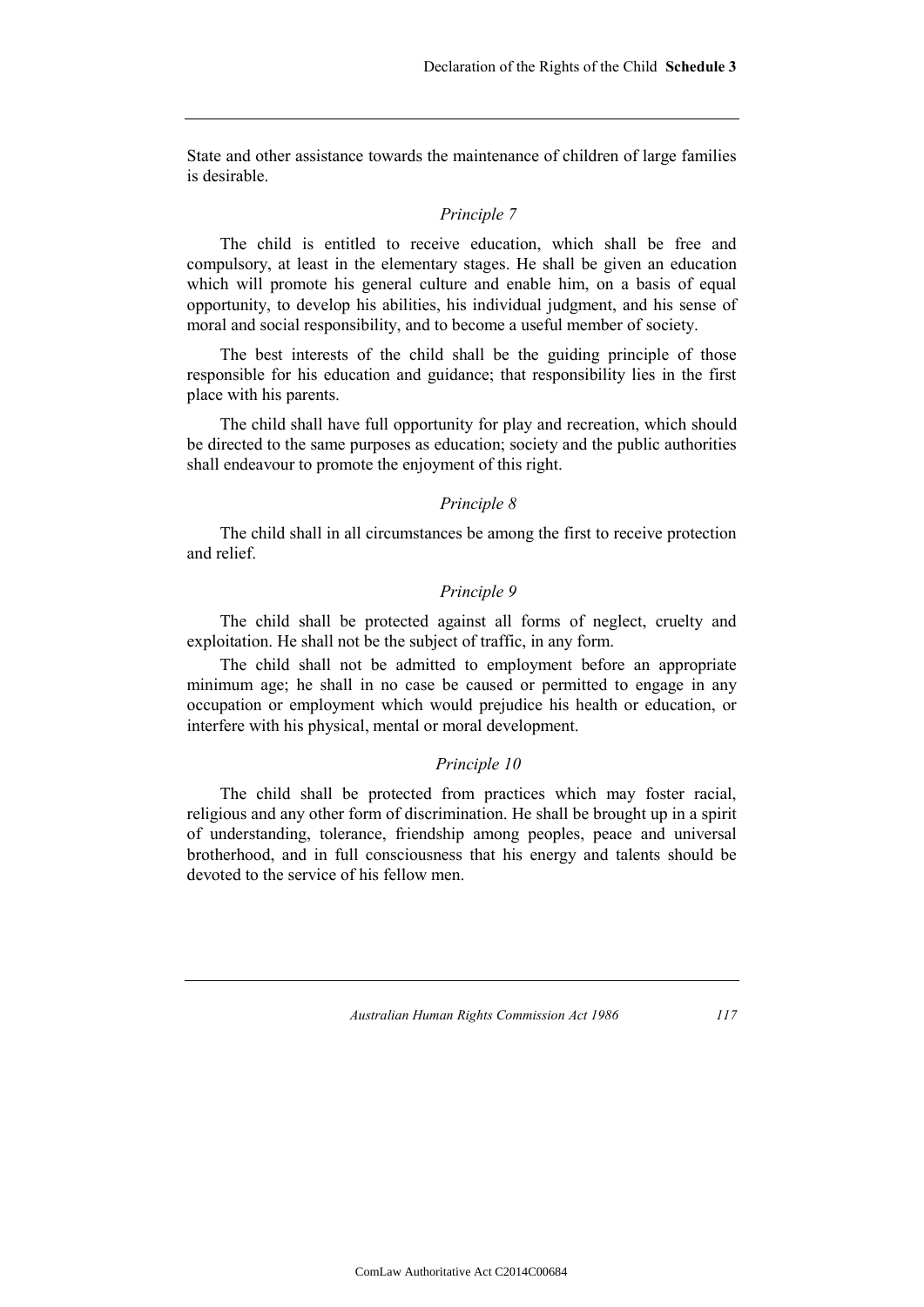State and other assistance towards the maintenance of children of large families is desirable.

## *Principle 7*

The child is entitled to receive education, which shall be free and compulsory, at least in the elementary stages. He shall be given an education which will promote his general culture and enable him, on a basis of equal opportunity, to develop his abilities, his individual judgment, and his sense of moral and social responsibility, and to become a useful member of society.

The best interests of the child shall be the guiding principle of those responsible for his education and guidance; that responsibility lies in the first place with his parents.

The child shall have full opportunity for play and recreation, which should be directed to the same purposes as education; society and the public authorities shall endeavour to promote the enjoyment of this right.

## *Principle 8*

The child shall in all circumstances be among the first to receive protection and relief.

## *Principle 9*

The child shall be protected against all forms of neglect, cruelty and exploitation. He shall not be the subject of traffic, in any form.

The child shall not be admitted to employment before an appropriate minimum age; he shall in no case be caused or permitted to engage in any occupation or employment which would prejudice his health or education, or interfere with his physical, mental or moral development.

## *Principle 10*

The child shall be protected from practices which may foster racial, religious and any other form of discrimination. He shall be brought up in a spirit of understanding, tolerance, friendship among peoples, peace and universal brotherhood, and in full consciousness that his energy and talents should be devoted to the service of his fellow men.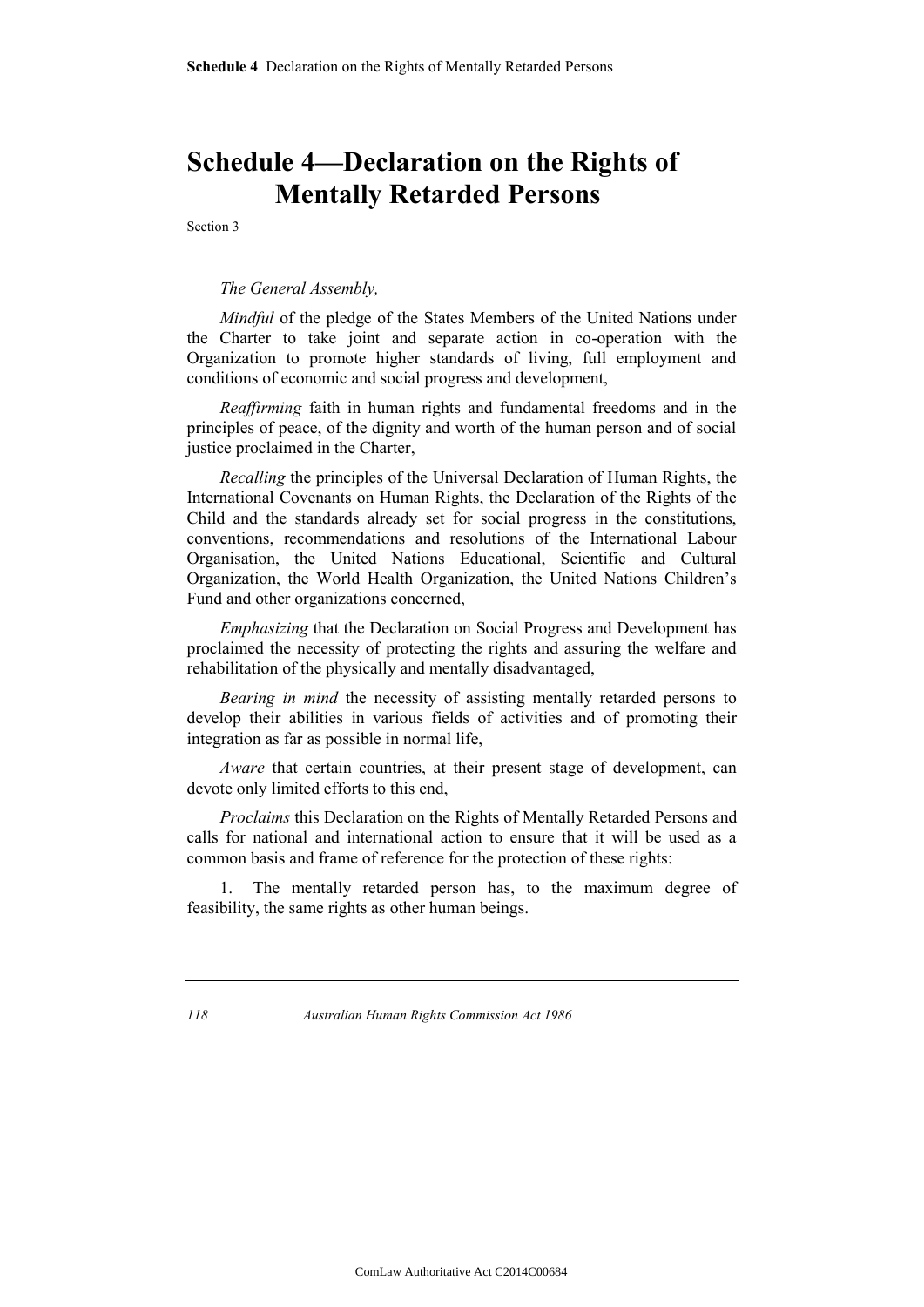# **Schedule 4—Declaration on the Rights of Mentally Retarded Persons**

Section 3

### *The General Assembly,*

*Mindful* of the pledge of the States Members of the United Nations under the Charter to take joint and separate action in co-operation with the Organization to promote higher standards of living, full employment and conditions of economic and social progress and development,

*Reaffirming* faith in human rights and fundamental freedoms and in the principles of peace, of the dignity and worth of the human person and of social justice proclaimed in the Charter,

*Recalling* the principles of the Universal Declaration of Human Rights, the International Covenants on Human Rights, the Declaration of the Rights of the Child and the standards already set for social progress in the constitutions, conventions, recommendations and resolutions of the International Labour Organisation, the United Nations Educational, Scientific and Cultural Organization, the World Health Organization, the United Nations Children's Fund and other organizations concerned,

*Emphasizing* that the Declaration on Social Progress and Development has proclaimed the necessity of protecting the rights and assuring the welfare and rehabilitation of the physically and mentally disadvantaged,

*Bearing in mind* the necessity of assisting mentally retarded persons to develop their abilities in various fields of activities and of promoting their integration as far as possible in normal life,

*Aware* that certain countries, at their present stage of development, can devote only limited efforts to this end,

*Proclaims* this Declaration on the Rights of Mentally Retarded Persons and calls for national and international action to ensure that it will be used as a common basis and frame of reference for the protection of these rights:

1. The mentally retarded person has, to the maximum degree of feasibility, the same rights as other human beings.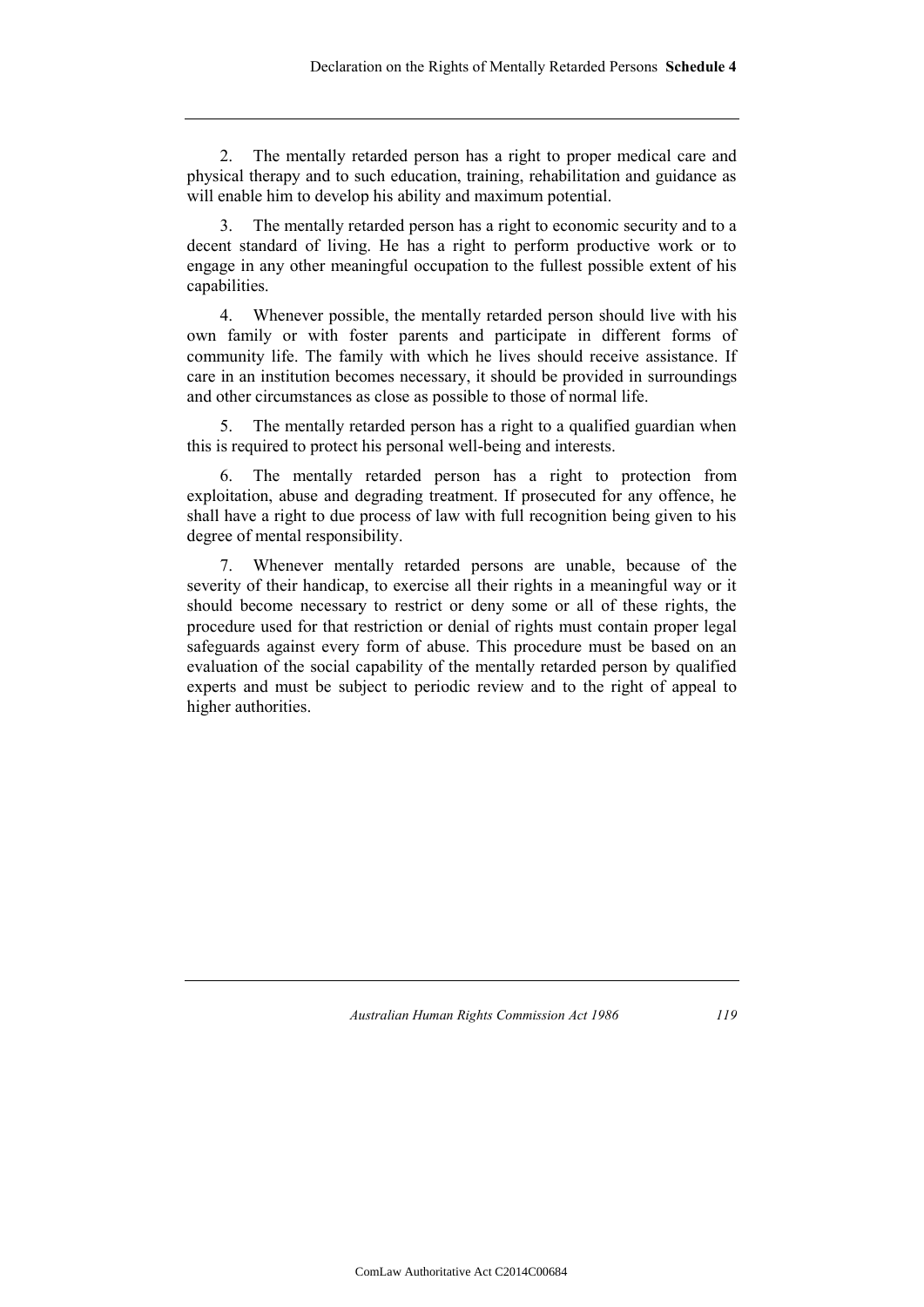2. The mentally retarded person has a right to proper medical care and physical therapy and to such education, training, rehabilitation and guidance as will enable him to develop his ability and maximum potential.

3. The mentally retarded person has a right to economic security and to a decent standard of living. He has a right to perform productive work or to engage in any other meaningful occupation to the fullest possible extent of his capabilities.

4. Whenever possible, the mentally retarded person should live with his own family or with foster parents and participate in different forms of community life. The family with which he lives should receive assistance. If care in an institution becomes necessary, it should be provided in surroundings and other circumstances as close as possible to those of normal life.

5. The mentally retarded person has a right to a qualified guardian when this is required to protect his personal well-being and interests.

The mentally retarded person has a right to protection from exploitation, abuse and degrading treatment. If prosecuted for any offence, he shall have a right to due process of law with full recognition being given to his degree of mental responsibility.

7. Whenever mentally retarded persons are unable, because of the severity of their handicap, to exercise all their rights in a meaningful way or it should become necessary to restrict or deny some or all of these rights, the procedure used for that restriction or denial of rights must contain proper legal safeguards against every form of abuse. This procedure must be based on an evaluation of the social capability of the mentally retarded person by qualified experts and must be subject to periodic review and to the right of appeal to higher authorities.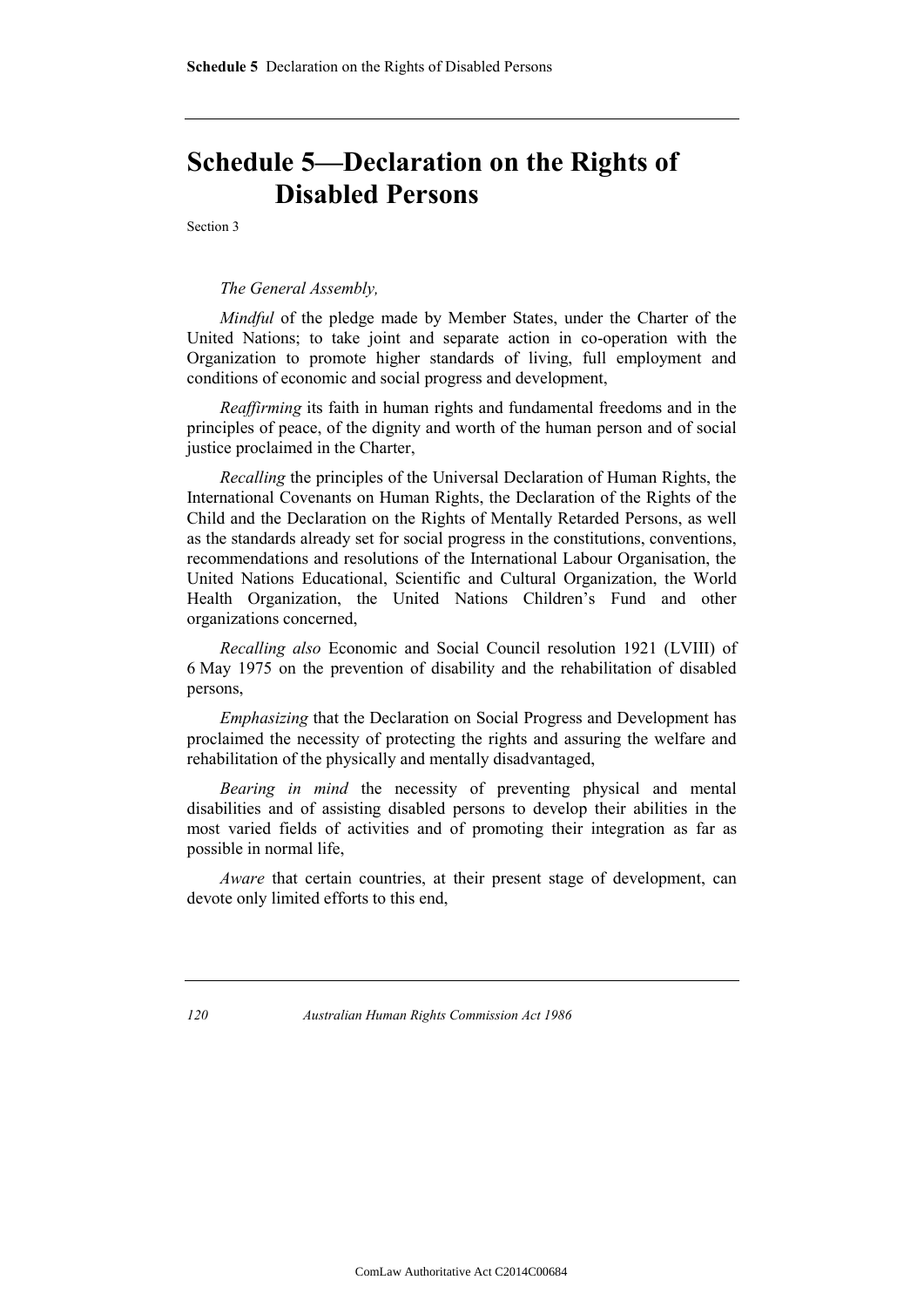# **Schedule 5—Declaration on the Rights of Disabled Persons**

Section 3

#### *The General Assembly,*

*Mindful* of the pledge made by Member States, under the Charter of the United Nations; to take joint and separate action in co-operation with the Organization to promote higher standards of living, full employment and conditions of economic and social progress and development,

*Reaffirming* its faith in human rights and fundamental freedoms and in the principles of peace, of the dignity and worth of the human person and of social justice proclaimed in the Charter,

*Recalling* the principles of the Universal Declaration of Human Rights, the International Covenants on Human Rights, the Declaration of the Rights of the Child and the Declaration on the Rights of Mentally Retarded Persons, as well as the standards already set for social progress in the constitutions, conventions, recommendations and resolutions of the International Labour Organisation, the United Nations Educational, Scientific and Cultural Organization, the World Health Organization, the United Nations Children's Fund and other organizations concerned,

*Recalling also* Economic and Social Council resolution 1921 (LVIII) of 6 May 1975 on the prevention of disability and the rehabilitation of disabled persons,

*Emphasizing* that the Declaration on Social Progress and Development has proclaimed the necessity of protecting the rights and assuring the welfare and rehabilitation of the physically and mentally disadvantaged,

*Bearing in mind* the necessity of preventing physical and mental disabilities and of assisting disabled persons to develop their abilities in the most varied fields of activities and of promoting their integration as far as possible in normal life,

*Aware* that certain countries, at their present stage of development, can devote only limited efforts to this end,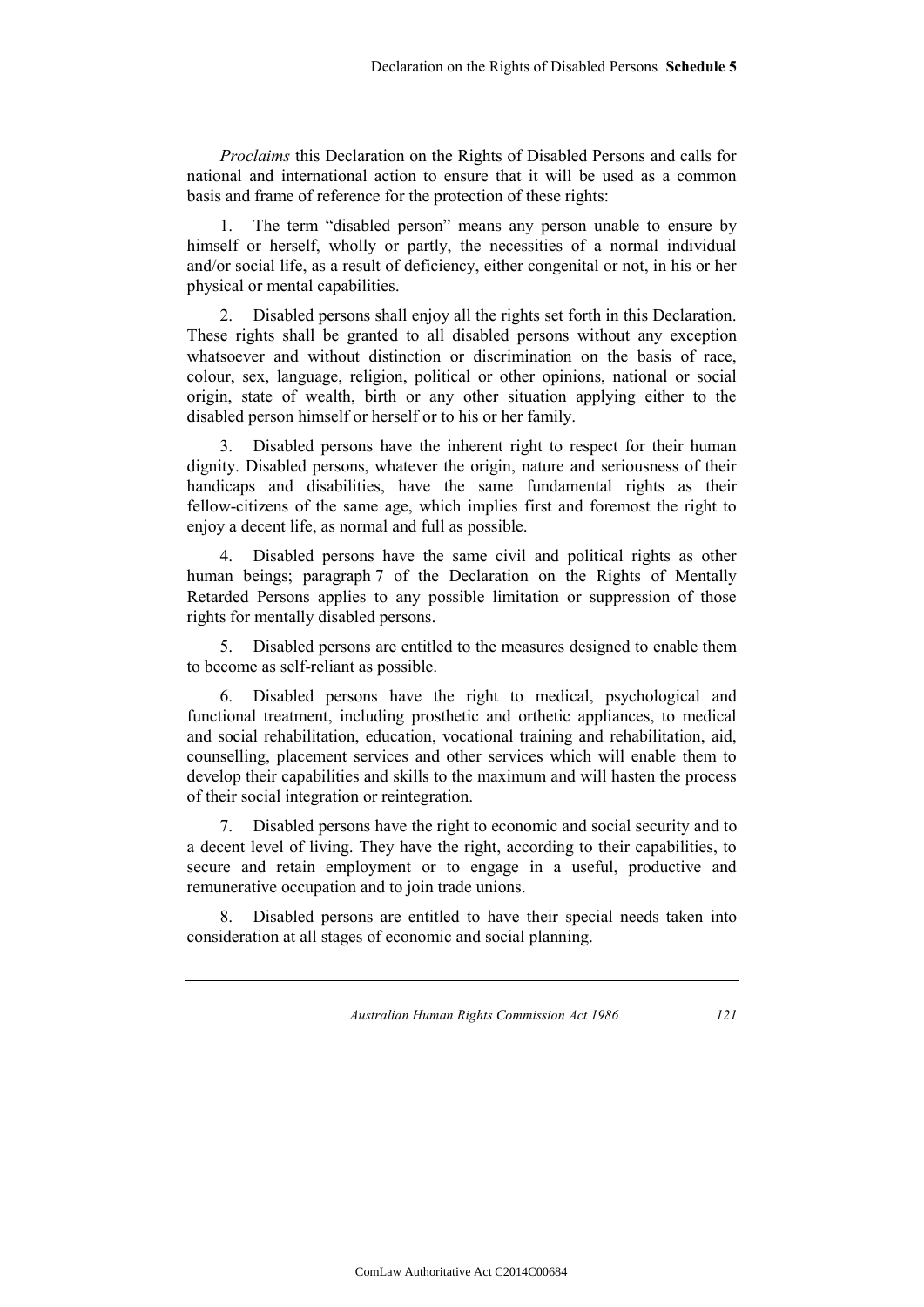*Proclaims* this Declaration on the Rights of Disabled Persons and calls for national and international action to ensure that it will be used as a common basis and frame of reference for the protection of these rights:

1. The term "disabled person" means any person unable to ensure by himself or herself, wholly or partly, the necessities of a normal individual and/or social life, as a result of deficiency, either congenital or not, in his or her physical or mental capabilities.

2. Disabled persons shall enjoy all the rights set forth in this Declaration. These rights shall be granted to all disabled persons without any exception whatsoever and without distinction or discrimination on the basis of race, colour, sex, language, religion, political or other opinions, national or social origin, state of wealth, birth or any other situation applying either to the disabled person himself or herself or to his or her family.

Disabled persons have the inherent right to respect for their human dignity. Disabled persons, whatever the origin, nature and seriousness of their handicaps and disabilities, have the same fundamental rights as their fellow-citizens of the same age, which implies first and foremost the right to enjoy a decent life, as normal and full as possible.

4. Disabled persons have the same civil and political rights as other human beings; paragraph 7 of the Declaration on the Rights of Mentally Retarded Persons applies to any possible limitation or suppression of those rights for mentally disabled persons.

5. Disabled persons are entitled to the measures designed to enable them to become as self-reliant as possible.

6. Disabled persons have the right to medical, psychological and functional treatment, including prosthetic and orthetic appliances, to medical and social rehabilitation, education, vocational training and rehabilitation, aid, counselling, placement services and other services which will enable them to develop their capabilities and skills to the maximum and will hasten the process of their social integration or reintegration.

7. Disabled persons have the right to economic and social security and to a decent level of living. They have the right, according to their capabilities, to secure and retain employment or to engage in a useful, productive and remunerative occupation and to join trade unions.

8. Disabled persons are entitled to have their special needs taken into consideration at all stages of economic and social planning.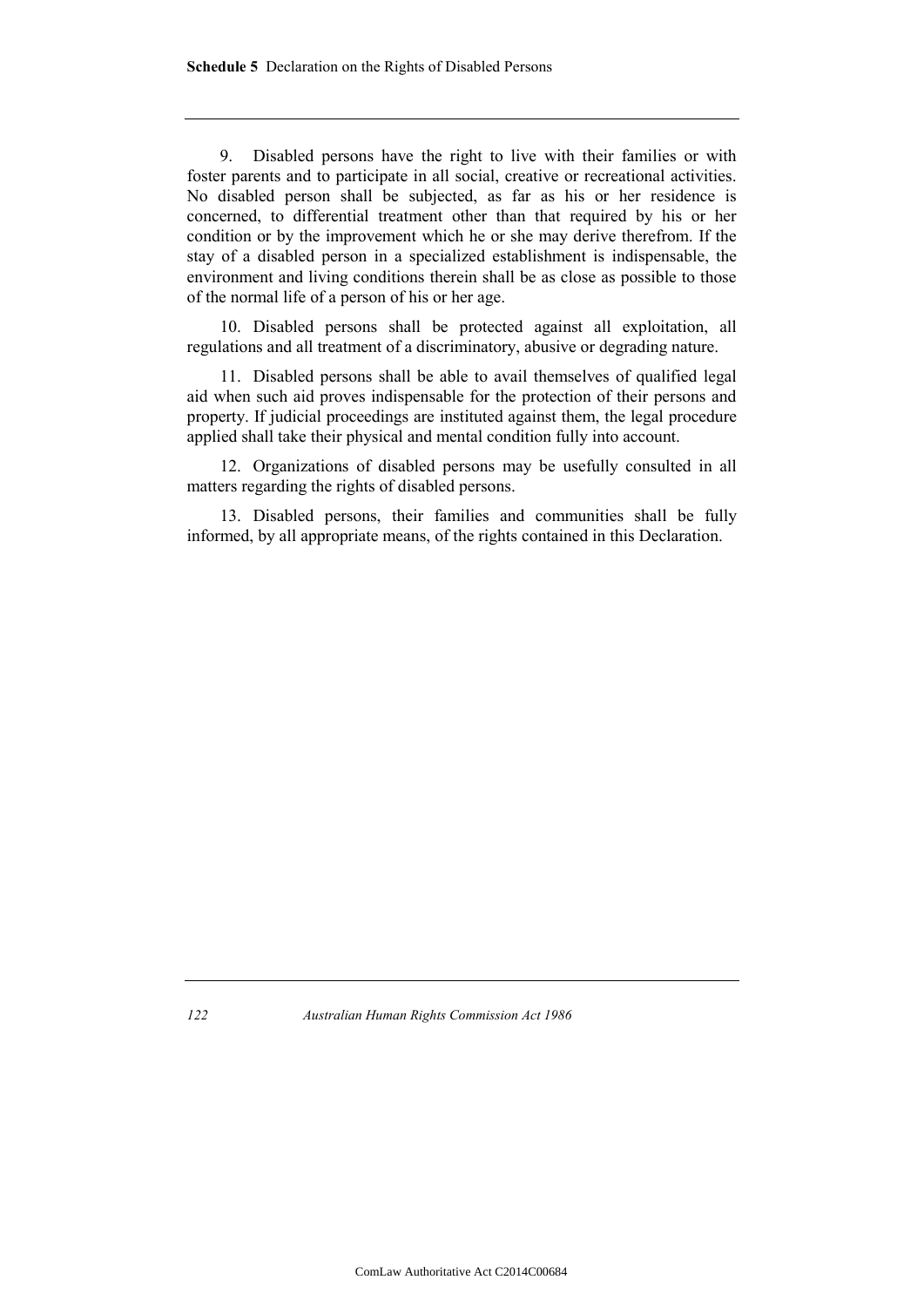9. Disabled persons have the right to live with their families or with foster parents and to participate in all social, creative or recreational activities. No disabled person shall be subjected, as far as his or her residence is concerned, to differential treatment other than that required by his or her condition or by the improvement which he or she may derive therefrom. If the stay of a disabled person in a specialized establishment is indispensable, the environment and living conditions therein shall be as close as possible to those of the normal life of a person of his or her age.

10. Disabled persons shall be protected against all exploitation, all regulations and all treatment of a discriminatory, abusive or degrading nature.

11. Disabled persons shall be able to avail themselves of qualified legal aid when such aid proves indispensable for the protection of their persons and property. If judicial proceedings are instituted against them, the legal procedure applied shall take their physical and mental condition fully into account.

12. Organizations of disabled persons may be usefully consulted in all matters regarding the rights of disabled persons.

13. Disabled persons, their families and communities shall be fully informed, by all appropriate means, of the rights contained in this Declaration.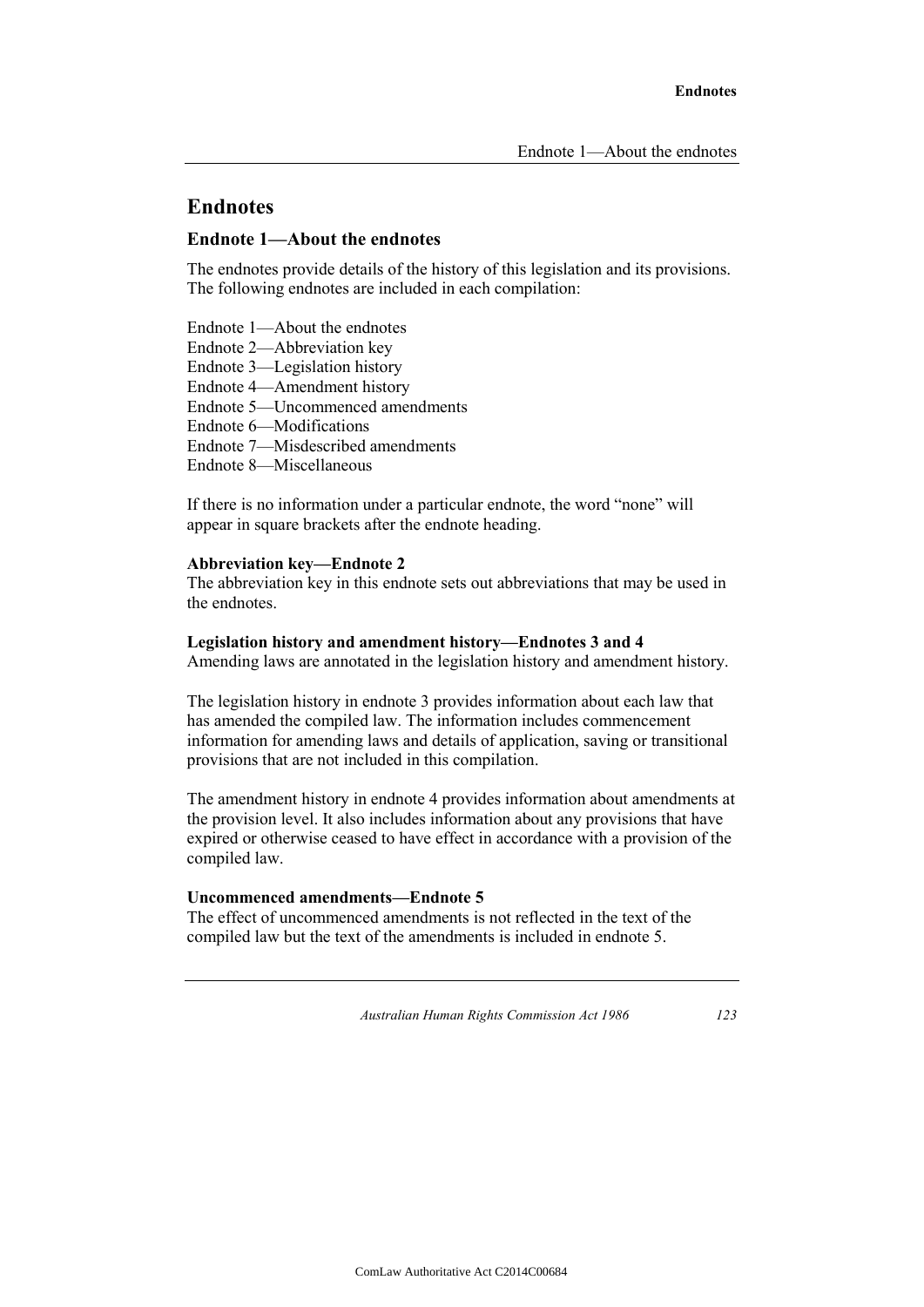## **Endnotes**

## **Endnote 1—About the endnotes**

The endnotes provide details of the history of this legislation and its provisions. The following endnotes are included in each compilation:

Endnote 1—About the endnotes

Endnote 2—Abbreviation key

Endnote 3—Legislation history

Endnote 4—Amendment history

Endnote 5—Uncommenced amendments

Endnote 6—Modifications

Endnote 7—Misdescribed amendments

Endnote 8—Miscellaneous

If there is no information under a particular endnote, the word "none" will appear in square brackets after the endnote heading.

#### **Abbreviation key—Endnote 2**

The abbreviation key in this endnote sets out abbreviations that may be used in the endnotes.

## **Legislation history and amendment history—Endnotes 3 and 4**

Amending laws are annotated in the legislation history and amendment history.

The legislation history in endnote 3 provides information about each law that has amended the compiled law. The information includes commencement information for amending laws and details of application, saving or transitional provisions that are not included in this compilation.

The amendment history in endnote 4 provides information about amendments at the provision level. It also includes information about any provisions that have expired or otherwise ceased to have effect in accordance with a provision of the compiled law.

## **Uncommenced amendments—Endnote 5**

The effect of uncommenced amendments is not reflected in the text of the compiled law but the text of the amendments is included in endnote 5.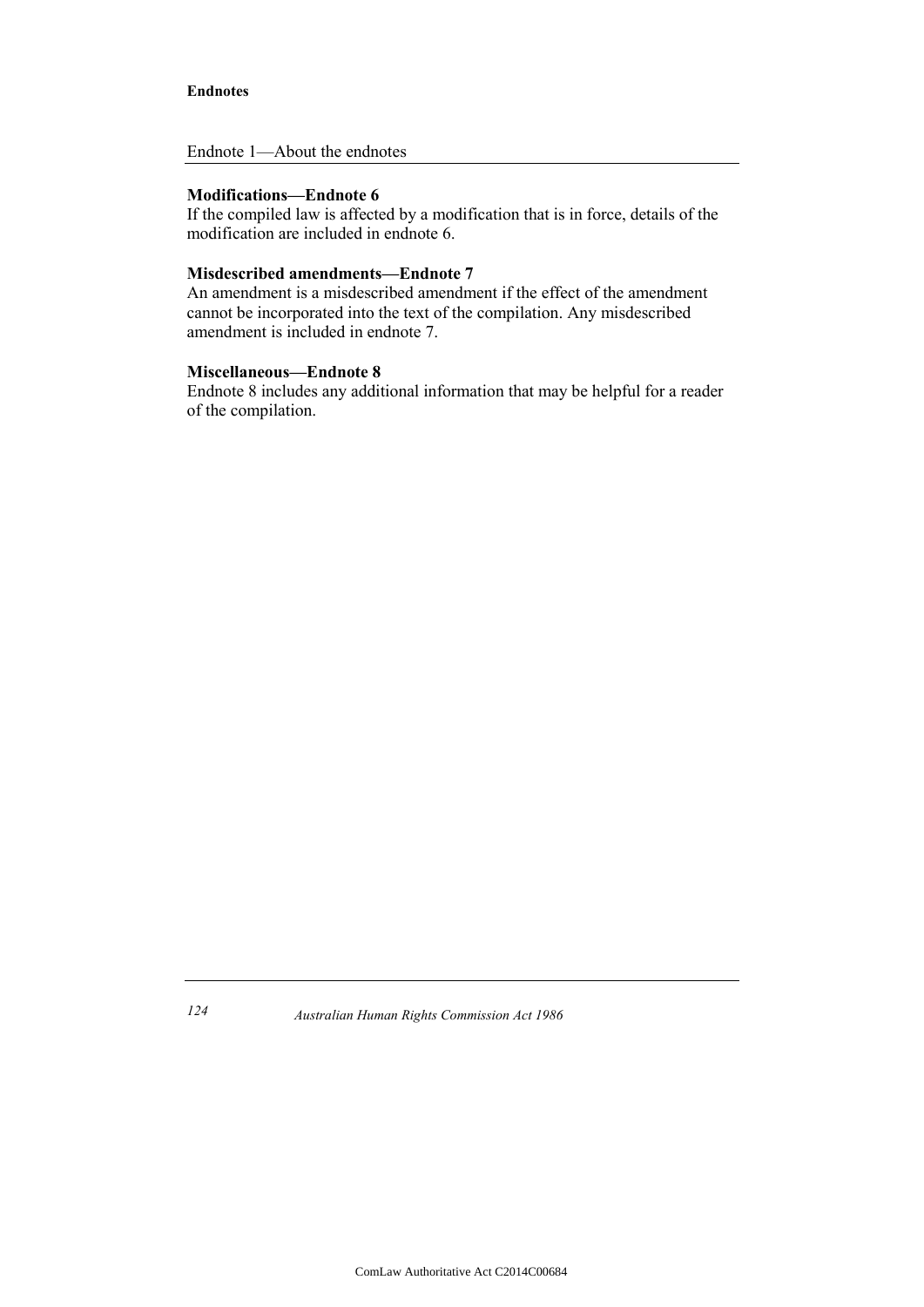Endnote 1—About the endnotes

## **Modifications—Endnote 6**

If the compiled law is affected by a modification that is in force, details of the modification are included in endnote 6.

## **Misdescribed amendments—Endnote 7**

An amendment is a misdescribed amendment if the effect of the amendment cannot be incorporated into the text of the compilation. Any misdescribed amendment is included in endnote 7.

### **Miscellaneous—Endnote 8**

Endnote 8 includes any additional information that may be helpful for a reader of the compilation.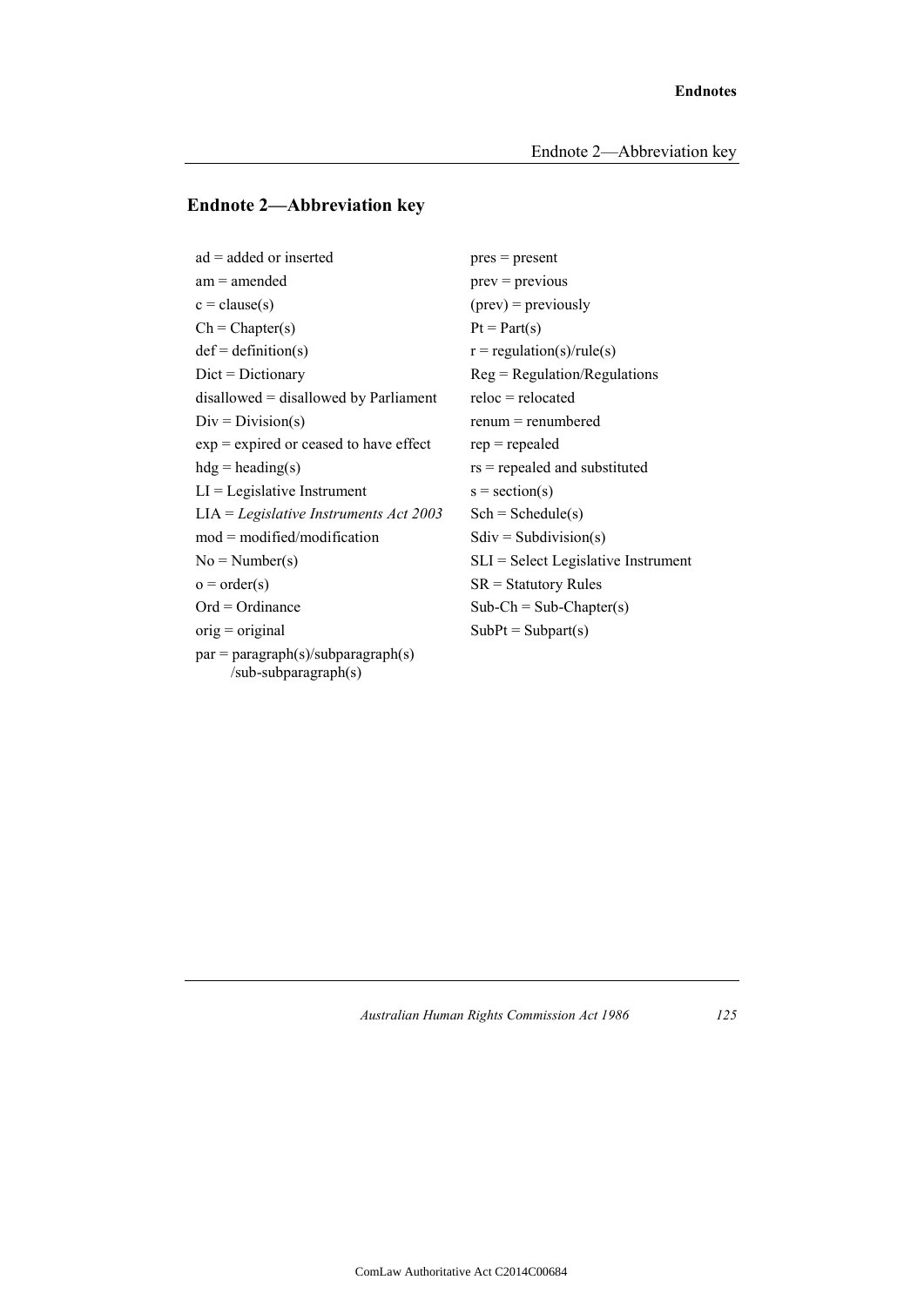## **Endnote 2—Abbreviation key**

| $ad = added$ or inserted                 | $pres = present$                          |
|------------------------------------------|-------------------------------------------|
| $am = amended$                           | $prev = previous$                         |
| $c = clause(s)$                          | $(\text{prev})$ = previously              |
| $Ch = Chapter(s)$                        | $Pt = Part(s)$                            |
| $def = definition(s)$                    | $r = \text{regulation}(s)/\text{rule}(s)$ |
| $Dict = Dictionary$                      | $Reg = Regulation/Regularions$            |
| $disallowed = disallowed by Parliament$  | $reloc = relocated$                       |
| $Div = Division(s)$                      | $renum = renumbered$                      |
| $exp = expired$ or ceased to have effect | $rep = repeated$                          |
| $hdg = heading(s)$                       | $rs$ = repealed and substituted           |
| $LI =$ Legislative Instrument            | $s = section(s)$                          |
| $LIA = Legislative Instruments Act 2003$ | $Sch = Schedule(s)$                       |
| $mod = modified/modification$            | $Sdiv = Subdivision(s)$                   |
| $No = Number(s)$                         | $SLI = Select$ Legislative Instrument     |
| $o = order(s)$                           | $SR =$ Statutory Rules                    |
| $Ord = Ordinance$                        | $Sub-Ch = Sub-Chapter(s)$                 |
| $orig = original$                        | $SubPt = Subpart(s)$                      |
| $par = paragraph(s)/subparagraph(s)$     |                                           |

/sub-subparagraph(s)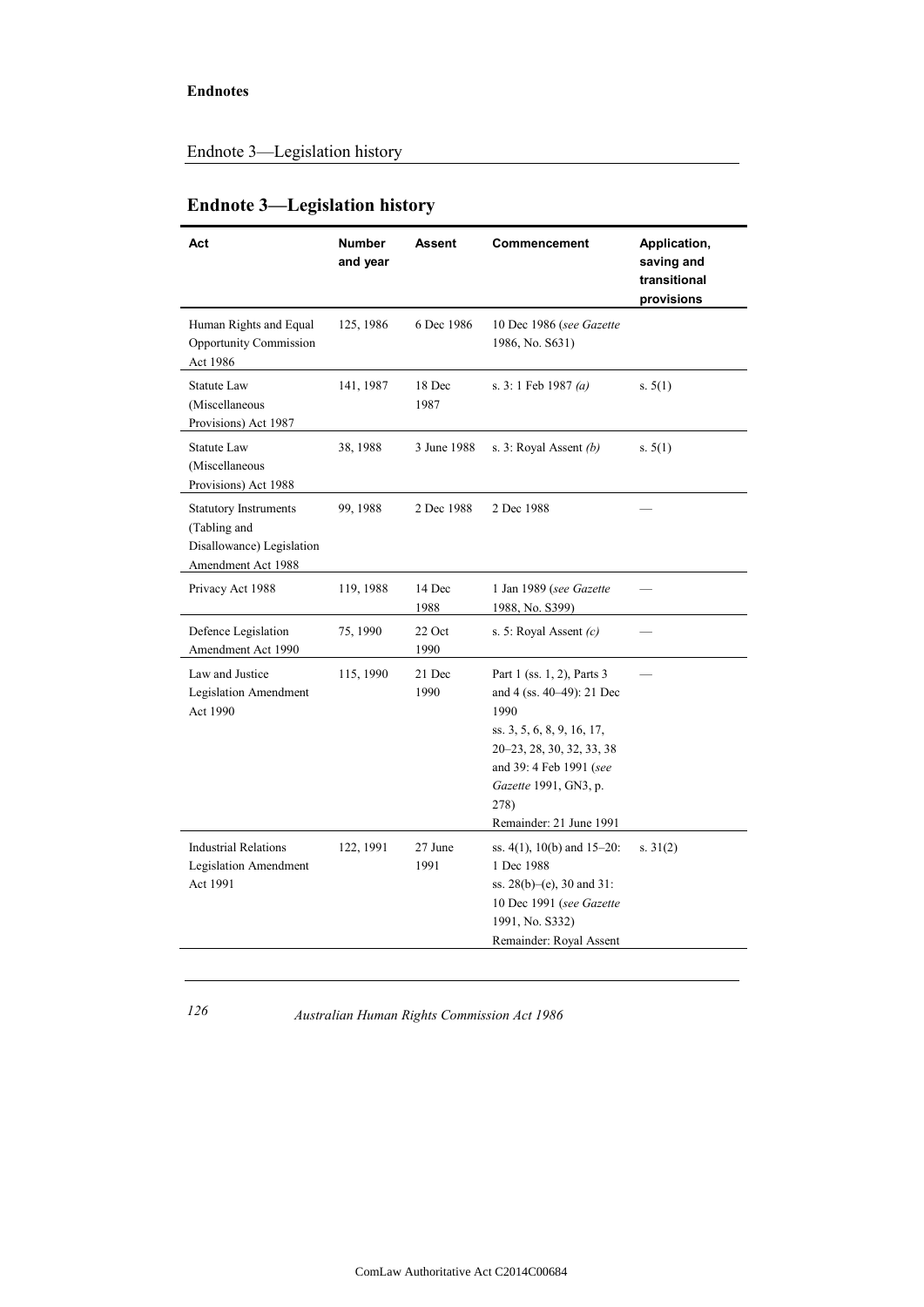| Act                                                                                             | <b>Number</b><br>and year | <b>Assent</b>   | Commencement                                                                                                                                                                                                      | Application,<br>saving and<br>transitional<br>provisions |
|-------------------------------------------------------------------------------------------------|---------------------------|-----------------|-------------------------------------------------------------------------------------------------------------------------------------------------------------------------------------------------------------------|----------------------------------------------------------|
| Human Rights and Equal<br><b>Opportunity Commission</b><br>Act 1986                             | 125, 1986                 | 6 Dec 1986      | 10 Dec 1986 (see Gazette<br>1986, No. S631)                                                                                                                                                                       |                                                          |
| <b>Statute Law</b><br>(Miscellaneous<br>Provisions) Act 1987                                    | 141, 1987                 | 18 Dec<br>1987  | s. 3: 1 Feb 1987 (a)                                                                                                                                                                                              | s. $5(1)$                                                |
| Statute Law<br>(Miscellaneous<br>Provisions) Act 1988                                           | 38, 1988                  | 3 June 1988     | s. 3: Royal Assent $(b)$                                                                                                                                                                                          | s. $5(1)$                                                |
| <b>Statutory Instruments</b><br>(Tabling and<br>Disallowance) Legislation<br>Amendment Act 1988 | 99, 1988                  | 2 Dec 1988      | 2 Dec 1988                                                                                                                                                                                                        |                                                          |
| Privacy Act 1988                                                                                | 119, 1988                 | 14 Dec<br>1988  | 1 Jan 1989 (see Gazette<br>1988, No. S399)                                                                                                                                                                        |                                                          |
| Defence Legislation<br>Amendment Act 1990                                                       | 75, 1990                  | 22 Oct<br>1990  | s. 5: Royal Assent $(c)$                                                                                                                                                                                          |                                                          |
| Law and Justice<br><b>Legislation Amendment</b><br>Act 1990                                     | 115, 1990                 | 21 Dec<br>1990  | Part 1 (ss. 1, 2), Parts 3<br>and 4 (ss. 40-49): 21 Dec<br>1990<br>ss. 3, 5, 6, 8, 9, 16, 17,<br>20-23, 28, 30, 32, 33, 38<br>and 39: 4 Feb 1991 (see<br>Gazette 1991, GN3, p.<br>278)<br>Remainder: 21 June 1991 |                                                          |
| <b>Industrial Relations</b><br><b>Legislation Amendment</b><br>Act 1991                         | 122, 1991                 | 27 June<br>1991 | ss. 4(1), 10(b) and 15-20:<br>1 Dec 1988<br>ss. $28(b)$ –(e), 30 and 31:<br>10 Dec 1991 (see Gazette<br>1991, No. S332)<br>Remainder: Royal Assent                                                                | s. $31(2)$                                               |

## **Endnote 3—Legislation history**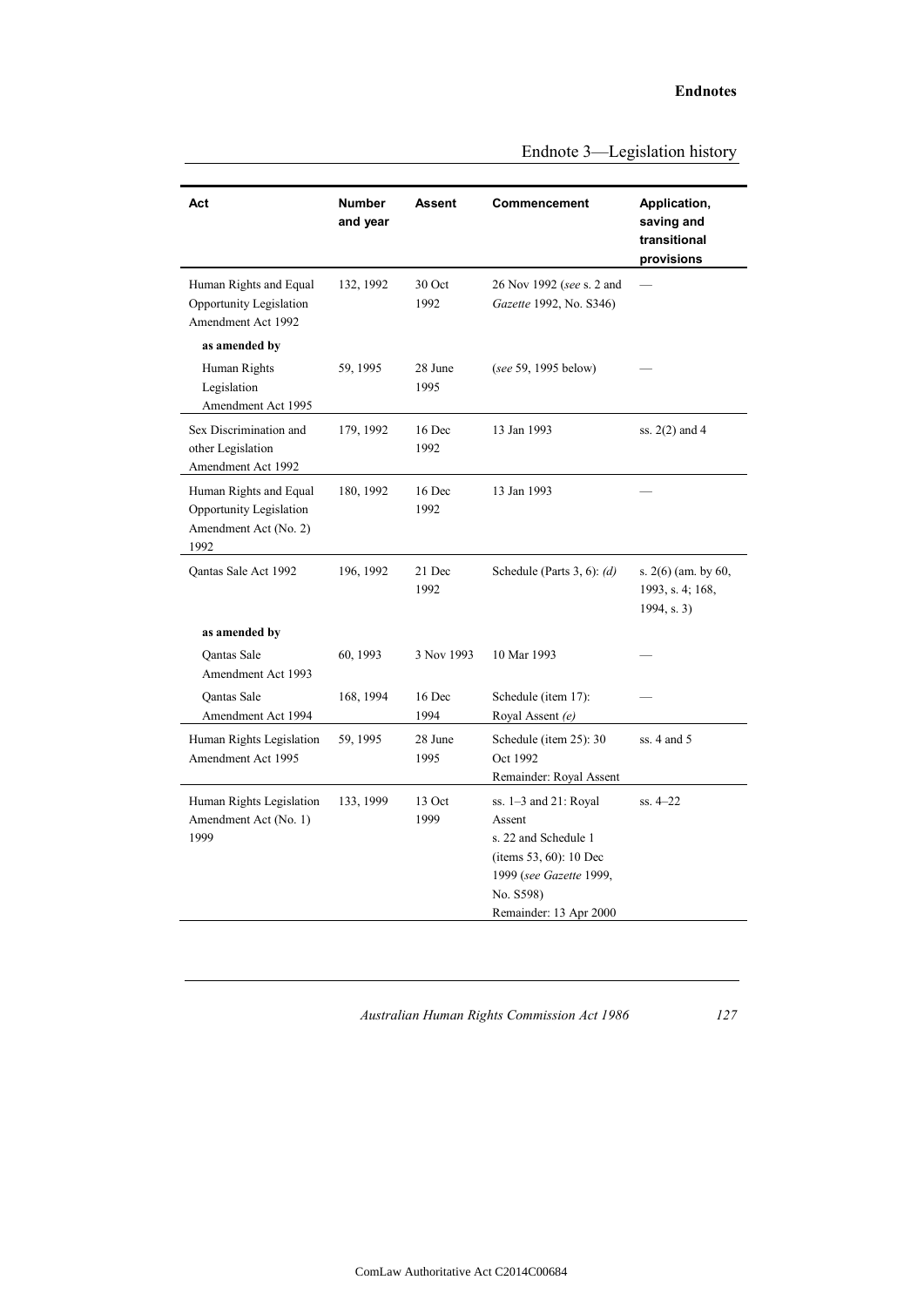| Act                                                                                | <b>Number</b><br>and year | <b>Assent</b>   | Commencement                                                                                                                                             | Application,<br>saving and<br>transitional<br>provisions |
|------------------------------------------------------------------------------------|---------------------------|-----------------|----------------------------------------------------------------------------------------------------------------------------------------------------------|----------------------------------------------------------|
| Human Rights and Equal<br>Opportunity Legislation<br>Amendment Act 1992            | 132, 1992                 | 30 Oct<br>1992  | 26 Nov 1992 (see s. 2 and<br>Gazette 1992, No. S346)                                                                                                     |                                                          |
| as amended by                                                                      |                           |                 |                                                                                                                                                          |                                                          |
| Human Rights<br>Legislation<br>Amendment Act 1995                                  | 59, 1995                  | 28 June<br>1995 | (see 59, 1995 below)                                                                                                                                     |                                                          |
| Sex Discrimination and<br>other Legislation<br>Amendment Act 1992                  | 179, 1992                 | 16 Dec<br>1992  | 13 Jan 1993                                                                                                                                              | ss. $2(2)$ and 4                                         |
| Human Rights and Equal<br>Opportunity Legislation<br>Amendment Act (No. 2)<br>1992 | 180, 1992                 | 16 Dec<br>1992  | 13 Jan 1993                                                                                                                                              |                                                          |
| Oantas Sale Act 1992                                                               | 196, 1992                 | 21 Dec<br>1992  | Schedule (Parts 3, 6): $(d)$                                                                                                                             | s. 2(6) (am. by 60,<br>1993, s. 4; 168,<br>1994, s. 3)   |
| as amended by                                                                      |                           |                 |                                                                                                                                                          |                                                          |
| Qantas Sale<br>Amendment Act 1993                                                  | 60, 1993                  | 3 Nov 1993      | 10 Mar 1993                                                                                                                                              |                                                          |
| Qantas Sale<br>Amendment Act 1994                                                  | 168, 1994                 | 16 Dec<br>1994  | Schedule (item 17):<br>Royal Assent (e)                                                                                                                  |                                                          |
| Human Rights Legislation<br>Amendment Act 1995                                     | 59, 1995                  | 28 June<br>1995 | Schedule (item 25): 30<br>Oct 1992<br>Remainder: Royal Assent                                                                                            | ss. 4 and 5                                              |
| Human Rights Legislation<br>Amendment Act (No. 1)<br>1999                          | 133, 1999                 | 13 Oct<br>1999  | ss. $1-3$ and $21$ : Royal<br>Assent<br>s. 22 and Schedule 1<br>(items 53, 60): 10 Dec<br>1999 (see Gazette 1999,<br>No. S598)<br>Remainder: 13 Apr 2000 | $ss. 4 - 22$                                             |

Endnote 3—Legislation history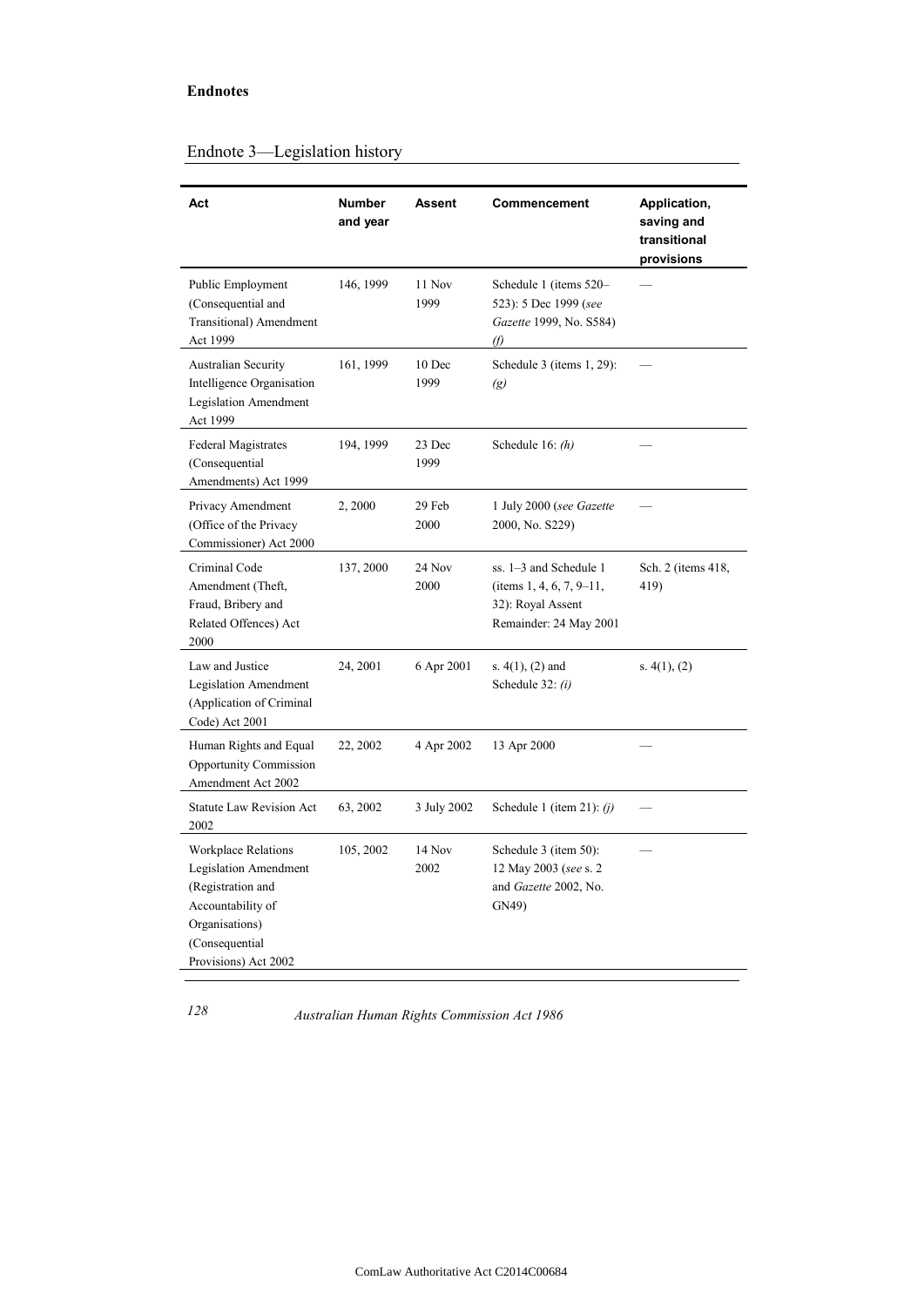## **Endnotes**

|  | Endnote 3—Legislation history |  |  |  |  |
|--|-------------------------------|--|--|--|--|
|--|-------------------------------|--|--|--|--|

| Act                                                                                                                                                       | <b>Number</b><br>and year | <b>Assent</b>    | Commencement                                                                                        | Application,<br>saving and<br>transitional<br>provisions |
|-----------------------------------------------------------------------------------------------------------------------------------------------------------|---------------------------|------------------|-----------------------------------------------------------------------------------------------------|----------------------------------------------------------|
| Public Employment<br>(Consequential and<br>Transitional) Amendment<br>Act 1999                                                                            | 146, 1999                 | $11$ Nov<br>1999 | Schedule 1 (items 520-<br>523): 5 Dec 1999 (see<br>Gazette 1999, No. S584)<br>(f)                   |                                                          |
| Australian Security<br>Intelligence Organisation<br>Legislation Amendment<br>Act 1999                                                                     | 161, 1999                 | 10 Dec<br>1999   | Schedule 3 (items 1, 29):<br>$\left( \mathbf{g} \right)$                                            |                                                          |
| <b>Federal Magistrates</b><br>(Consequential)<br>Amendments) Act 1999                                                                                     | 194, 1999                 | 23 Dec<br>1999   | Schedule 16: (h)                                                                                    |                                                          |
| Privacy Amendment<br>(Office of the Privacy<br>Commissioner) Act 2000                                                                                     | 2,2000                    | 29 Feb<br>2000   | 1 July 2000 (see Gazette<br>2000, No. S229)                                                         |                                                          |
| Criminal Code<br>Amendment (Theft,<br>Fraud, Bribery and<br>Related Offences) Act<br>2000                                                                 | 137, 2000                 | 24 Nov<br>2000   | ss. $1-3$ and Schedule 1<br>(items 1, 4, 6, 7, 9–11,<br>32): Royal Assent<br>Remainder: 24 May 2001 | Sch. 2 (items 418,<br>419)                               |
| Law and Justice<br>Legislation Amendment<br>(Application of Criminal<br>Code) Act 2001                                                                    | 24, 2001                  | 6 Apr 2001       | s. $4(1)$ , $(2)$ and<br>Schedule 32: (i)                                                           | s. $4(1)$ , $(2)$                                        |
| Human Rights and Equal<br><b>Opportunity Commission</b><br>Amendment Act 2002                                                                             | 22, 2002                  | 4 Apr 2002       | 13 Apr 2000                                                                                         |                                                          |
| <b>Statute Law Revision Act</b><br>2002                                                                                                                   | 63, 2002                  | 3 July 2002      | Schedule 1 (item 21): $(i)$                                                                         |                                                          |
| <b>Workplace Relations</b><br>Legislation Amendment<br>(Registration and<br>Accountability of<br>Organisations)<br>(Consequential<br>Provisions) Act 2002 | 105, 2002                 | 14 Nov<br>2002   | Schedule 3 (item 50):<br>12 May 2003 (see s. 2<br>and Gazette 2002, No.<br>GN49)                    |                                                          |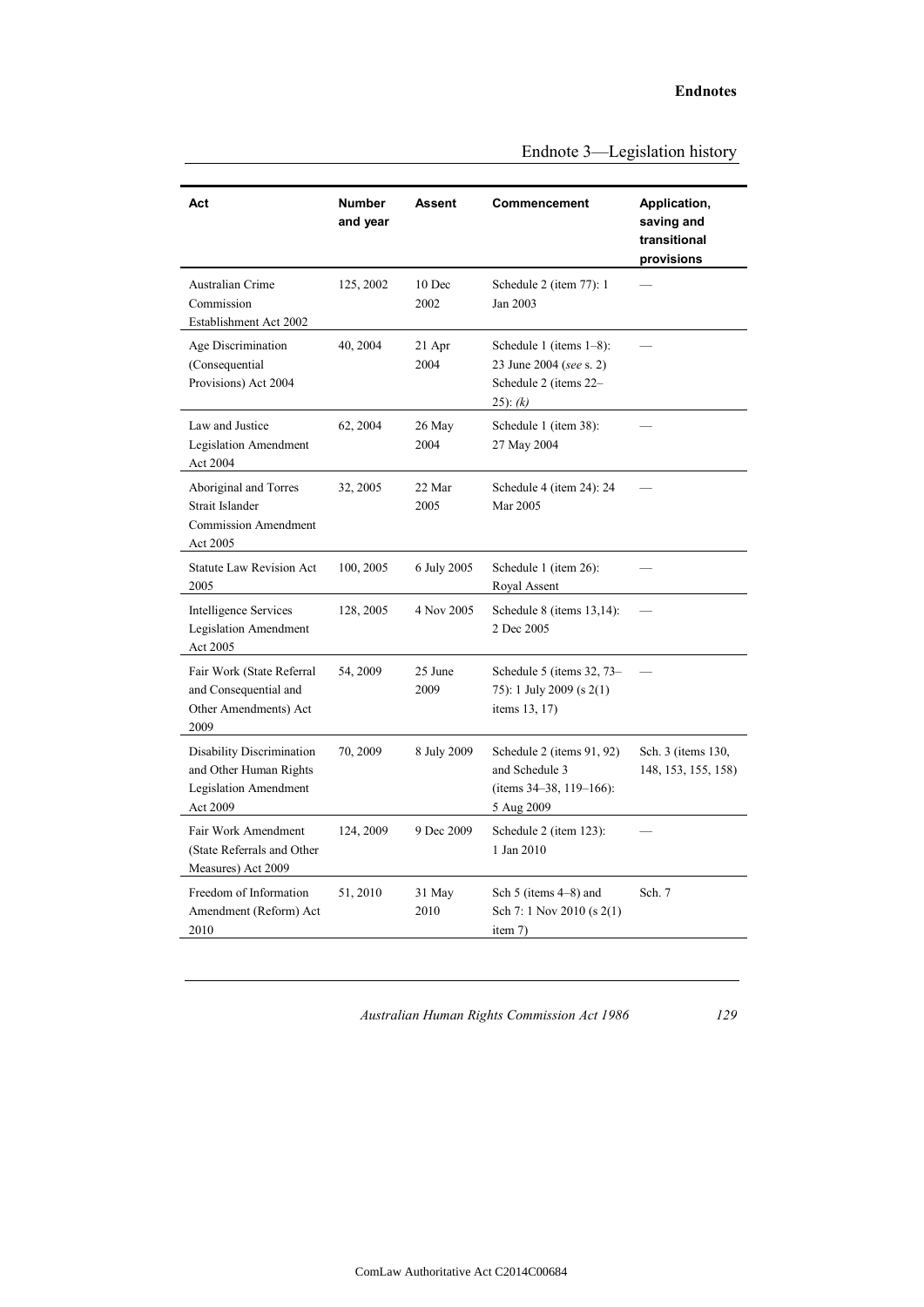| Act                                                                                      | <b>Number</b><br>and year | <b>Assent</b>   | Commencement                                                                                     | Application,<br>saving and<br>transitional<br>provisions |
|------------------------------------------------------------------------------------------|---------------------------|-----------------|--------------------------------------------------------------------------------------------------|----------------------------------------------------------|
| Australian Crime<br>Commission<br>Establishment Act 2002                                 | 125, 2002                 | 10 Dec<br>2002  | Schedule 2 (item 77): 1<br>Jan 2003                                                              |                                                          |
| Age Discrimination<br>(Consequential<br>Provisions) Act 2004                             | 40, 2004                  | 21 Apr<br>2004  | Schedule 1 (items $1-8$ ):<br>23 June 2004 (see s. 2)<br>Schedule 2 (items 22-<br>$(25)$ : $(k)$ |                                                          |
| Law and Justice<br>Legislation Amendment<br>Act 2004                                     | 62, 2004                  | 26 May<br>2004  | Schedule 1 (item 38):<br>27 May 2004                                                             |                                                          |
| Aboriginal and Torres<br>Strait Islander<br><b>Commission Amendment</b><br>Act 2005      | 32, 2005                  | 22 Mar<br>2005  | Schedule 4 (item 24): 24<br>Mar 2005                                                             |                                                          |
| <b>Statute Law Revision Act</b><br>2005                                                  | 100, 2005                 | 6 July 2005     | Schedule 1 (item 26):<br>Royal Assent                                                            |                                                          |
| <b>Intelligence Services</b><br>Legislation Amendment<br>Act 2005                        | 128, 2005                 | 4 Nov 2005      | Schedule 8 (items 13,14):<br>2 Dec 2005                                                          |                                                          |
| Fair Work (State Referral<br>and Consequential and<br>Other Amendments) Act<br>2009      | 54, 2009                  | 25 June<br>2009 | Schedule 5 (items 32, 73-<br>75): 1 July 2009 (s 2(1)<br>items 13, 17)                           |                                                          |
| Disability Discrimination<br>and Other Human Rights<br>Legislation Amendment<br>Act 2009 | 70, 2009                  | 8 July 2009     | Schedule 2 (items 91, 92)<br>and Schedule 3<br>(items $34-38$ , $119-166$ ):<br>5 Aug 2009       | Sch. 3 (items 130,<br>148, 153, 155, 158)                |
| Fair Work Amendment<br>(State Referrals and Other)<br>Measures) Act 2009                 | 124, 2009                 | 9 Dec 2009      | Schedule 2 (item 123):<br>1 Jan 2010                                                             |                                                          |
| Freedom of Information<br>Amendment (Reform) Act<br>2010                                 | 51, 2010                  | 31 May<br>2010  | Sch 5 (items 4–8) and<br>Sch 7: 1 Nov 2010 (s 2(1)<br>item 7)                                    | Sch. 7                                                   |

Endnote 3—Legislation history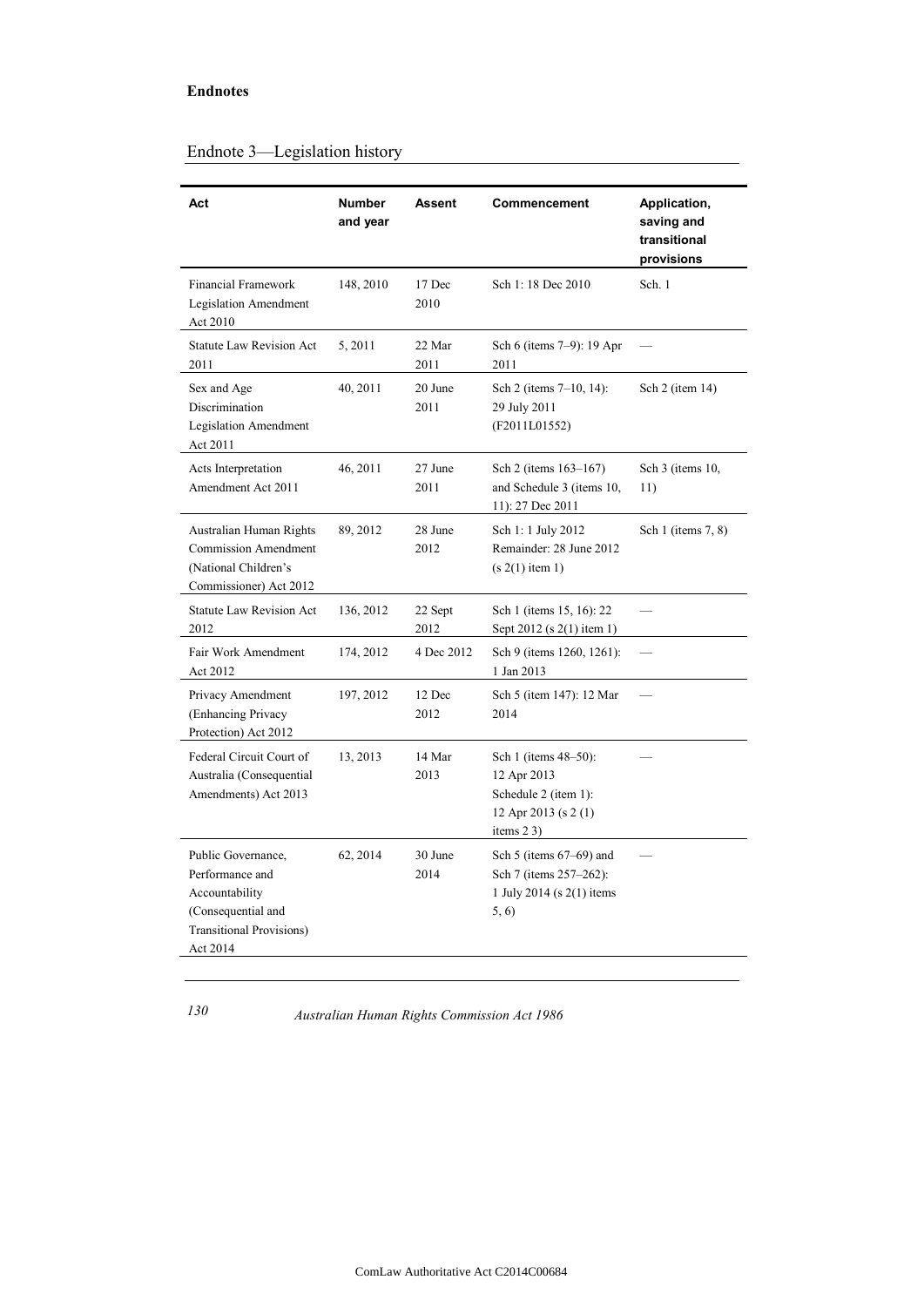## **Endnotes**

| Act                                                                                                                          | <b>Number</b><br>and year | <b>Assent</b>   | Commencement                                                                                         | Application,<br>saving and<br>transitional<br>provisions |
|------------------------------------------------------------------------------------------------------------------------------|---------------------------|-----------------|------------------------------------------------------------------------------------------------------|----------------------------------------------------------|
| <b>Financial Framework</b><br>Legislation Amendment<br>Act 2010                                                              | 148, 2010                 | 17 Dec<br>2010  | Sch 1: 18 Dec 2010                                                                                   | Sch. 1                                                   |
| <b>Statute Law Revision Act</b><br>2011                                                                                      | 5, 2011                   | 22 Mar<br>2011  | Sch 6 (items 7–9): 19 Apr<br>2011                                                                    |                                                          |
| Sex and Age<br>Discrimination<br>Legislation Amendment<br>Act 2011                                                           | 40, 2011                  | 20 June<br>2011 | Sch 2 (items 7-10, 14):<br>29 July 2011<br>(F2011L01552)                                             | Sch 2 (item 14)                                          |
| Acts Interpretation<br>Amendment Act 2011                                                                                    | 46, 2011                  | 27 June<br>2011 | Sch 2 (items 163–167)<br>and Schedule 3 (items 10,<br>11): 27 Dec 2011                               | Sch $3$ (items 10,<br>11)                                |
| Australian Human Rights<br><b>Commission Amendment</b><br>(National Children's<br>Commissioner) Act 2012                     | 89, 2012                  | 28 June<br>2012 | Sch 1: 1 July 2012<br>Remainder: 28 June 2012<br>$(s 2(1)$ item 1)                                   | Sch 1 (items $7, 8$ )                                    |
| <b>Statute Law Revision Act</b><br>2012                                                                                      | 136, 2012                 | 22 Sept<br>2012 | Sch 1 (items 15, 16): 22<br>Sept 2012 (s 2(1) item 1)                                                |                                                          |
| Fair Work Amendment<br>Act 2012                                                                                              | 174, 2012                 | 4 Dec 2012      | Sch 9 (items 1260, 1261):<br>1 Jan 2013                                                              |                                                          |
| Privacy Amendment<br>(Enhancing Privacy)<br>Protection) Act 2012                                                             | 197, 2012                 | 12 Dec<br>2012  | Sch 5 (item 147): 12 Mar<br>2014                                                                     |                                                          |
| Federal Circuit Court of<br>Australia (Consequential<br>Amendments) Act 2013                                                 | 13, 2013                  | 14 Mar<br>2013  | Sch 1 (items 48–50):<br>12 Apr 2013<br>Schedule 2 (item 1):<br>12 Apr 2013 (s $2(1)$ )<br>items 2 3) |                                                          |
| Public Governance,<br>Performance and<br>Accountability<br>(Consequential and<br><b>Transitional Provisions)</b><br>Act 2014 | 62, 2014                  | 30 June<br>2014 | Sch 5 (items $67-69$ ) and<br>Sch 7 (items 257–262):<br>1 July 2014 (s $2(1)$ items<br>(5, 6)        |                                                          |

## Endnote 3—Legislation history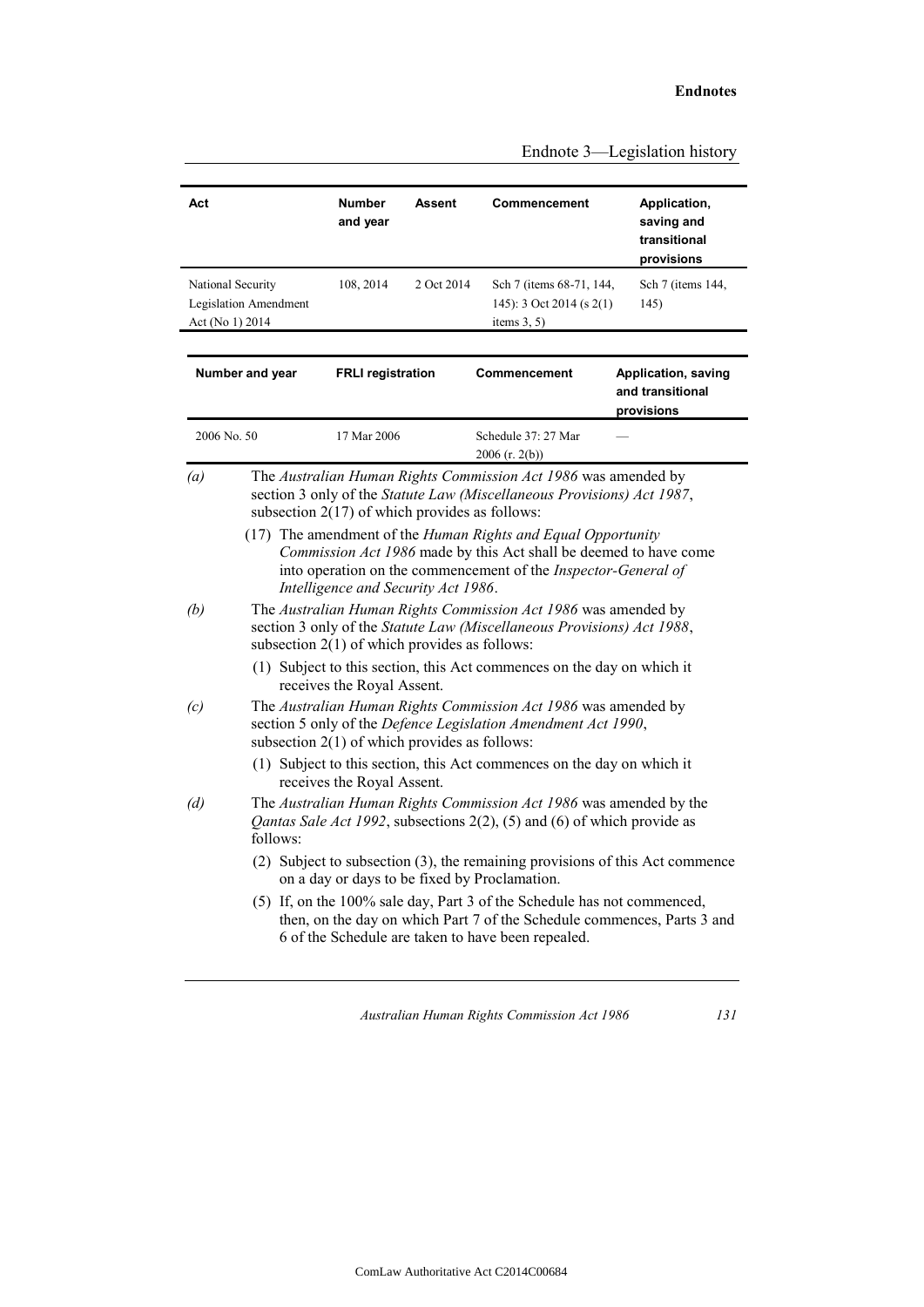|             |                                                               | <b>Number</b><br>and year                        | <b>Assent</b> | Commencement                                                                                                                                                                                               | Application,<br>saving and<br>transitional<br>provisions |
|-------------|---------------------------------------------------------------|--------------------------------------------------|---------------|------------------------------------------------------------------------------------------------------------------------------------------------------------------------------------------------------------|----------------------------------------------------------|
|             | National Security<br>Legislation Amendment<br>Act (No 1) 2014 | 108, 2014                                        | 2 Oct 2014    | Sch 7 (items 68-71, 144,<br>145): 3 Oct 2014 (s $2(1)$ )<br>items $3, 5$ )                                                                                                                                 | Sch 7 (items 144,<br>145)                                |
|             |                                                               |                                                  |               |                                                                                                                                                                                                            |                                                          |
|             | Number and year                                               | <b>FRLI registration</b>                         |               | Commencement                                                                                                                                                                                               | Application, saving<br>and transitional<br>provisions    |
| 2006 No. 50 |                                                               | 17 Mar 2006                                      |               | Schedule 37: 27 Mar<br>$2006$ (r. 2(b))                                                                                                                                                                    |                                                          |
|             | Intelligence and Security Act 1986.                           | subsection $2(17)$ of which provides as follows: |               | (17) The amendment of the Human Rights and Equal Opportunity<br>Commission Act 1986 made by this Act shall be deemed to have come<br>into operation on the commencement of the <i>Inspector-General of</i> |                                                          |

Endnote 3—Legislation history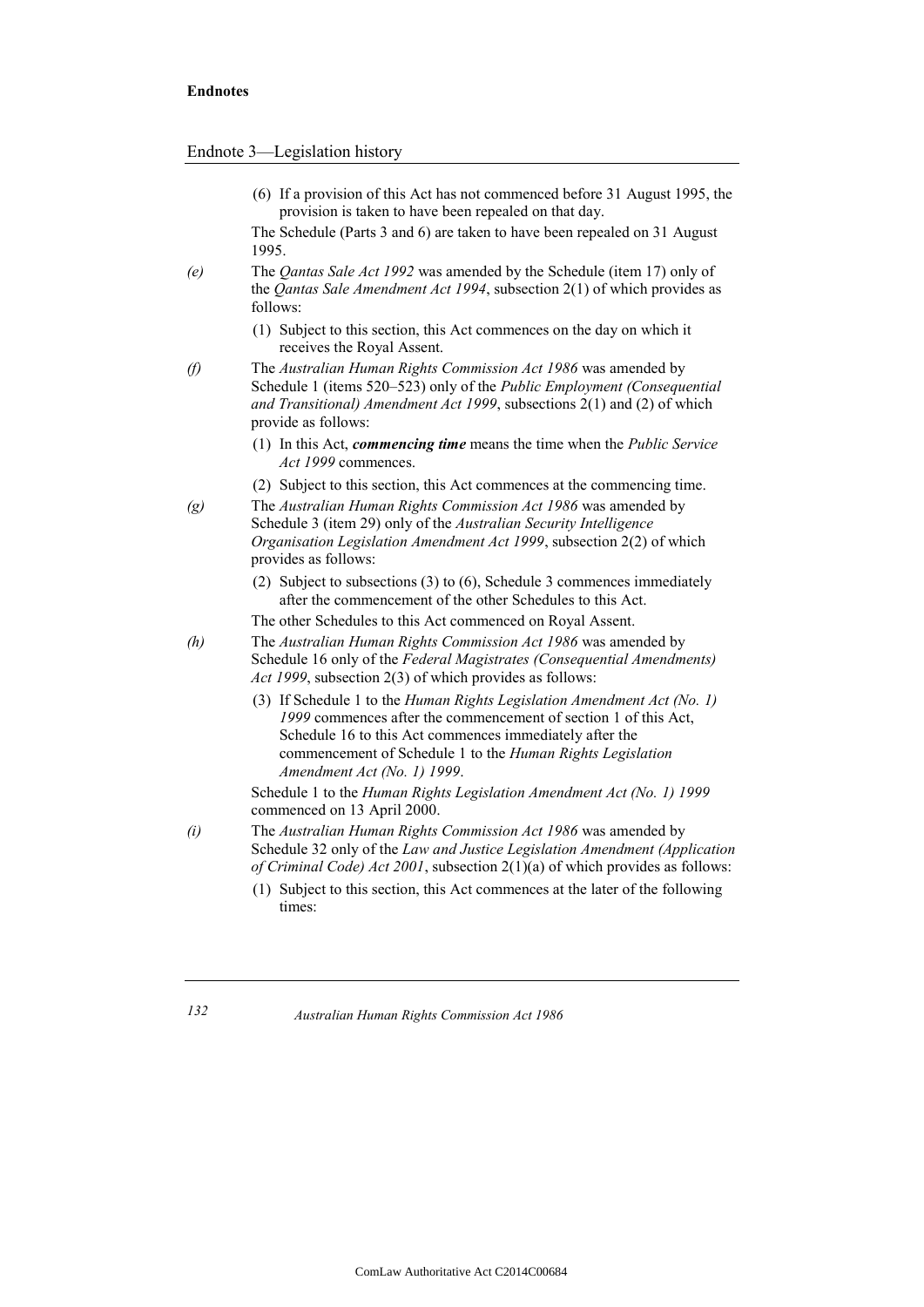Endnote 3—Legislation history

(6) If a provision of this Act has not commenced before 31 August 1995, the provision is taken to have been repealed on that day.

The Schedule (Parts 3 and 6) are taken to have been repealed on 31 August 1995.

- *(e)* The *Qantas Sale Act 1992* was amended by the Schedule (item 17) only of the *Qantas Sale Amendment Act 1994*, subsection 2(1) of which provides as follows:
	- (1) Subject to this section, this Act commences on the day on which it receives the Royal Assent.
- *(f)* The *Australian Human Rights Commission Act 1986* was amended by Schedule 1 (items 520–523) only of the *Public Employment (Consequential and Transitional) Amendment Act 1999*, subsections 2(1) and (2) of which provide as follows:
	- (1) In this Act, *commencing time* means the time when the *Public Service Act 1999* commences.
	- (2) Subject to this section, this Act commences at the commencing time.
- *(g)* The *Australian Human Rights Commission Act 1986* was amended by Schedule 3 (item 29) only of the *Australian Security Intelligence Organisation Legislation Amendment Act 1999*, subsection 2(2) of which provides as follows:
	- (2) Subject to subsections (3) to (6), Schedule 3 commences immediately after the commencement of the other Schedules to this Act.

The other Schedules to this Act commenced on Royal Assent.

- *(h)* The *Australian Human Rights Commission Act 1986* was amended by Schedule 16 only of the *Federal Magistrates (Consequential Amendments) Act 1999*, subsection 2(3) of which provides as follows:
	- (3) If Schedule 1 to the *Human Rights Legislation Amendment Act (No. 1) 1999* commences after the commencement of section 1 of this Act, Schedule 16 to this Act commences immediately after the commencement of Schedule 1 to the *Human Rights Legislation Amendment Act (No. 1) 1999*.

Schedule 1 to the *Human Rights Legislation Amendment Act (No. 1) 1999* commenced on 13 April 2000.

- *(i)* The *Australian Human Rights Commission Act 1986* was amended by Schedule 32 only of the *Law and Justice Legislation Amendment (Application of Criminal Code) Act 2001*, subsection 2(1)(a) of which provides as follows:
	- (1) Subject to this section, this Act commences at the later of the following times: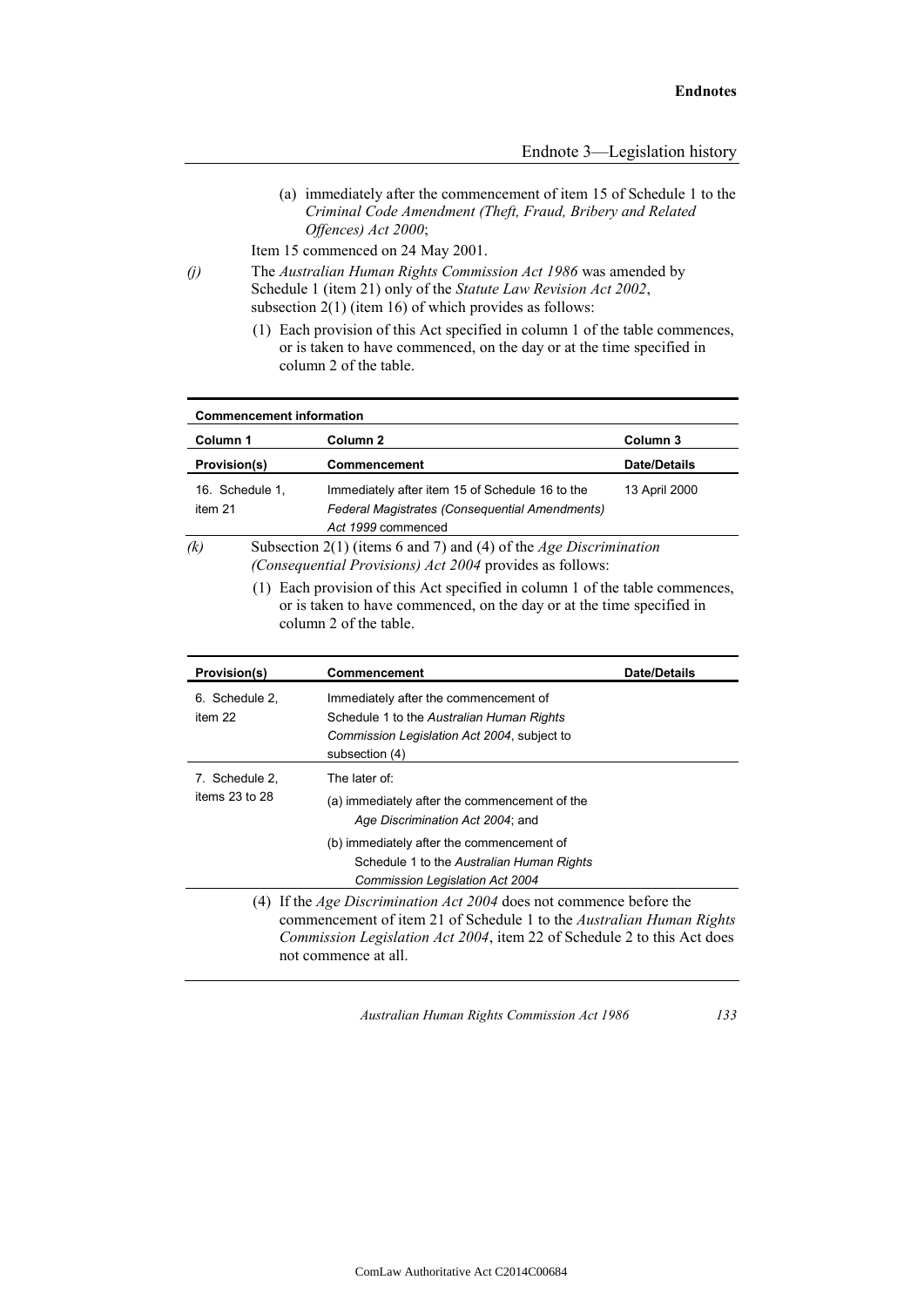(a) immediately after the commencement of item 15 of Schedule 1 to the *Criminal Code Amendment (Theft, Fraud, Bribery and Related Offences) Act 2000*;

Item 15 commenced on 24 May 2001.

- *(j)* The *Australian Human Rights Commission Act 1986* was amended by Schedule 1 (item 21) only of the *Statute Law Revision Act 2002*, subsection  $2(1)$  (item 16) of which provides as follows:
	- (1) Each provision of this Act specified in column 1 of the table commences, or is taken to have commenced, on the day or at the time specified in column 2 of the table.

| <b>Commencement information</b>  |                                                                                                                                                                                                                                                       |                     |
|----------------------------------|-------------------------------------------------------------------------------------------------------------------------------------------------------------------------------------------------------------------------------------------------------|---------------------|
| Column <sub>1</sub>              | Column <sub>2</sub>                                                                                                                                                                                                                                   | Column <sub>3</sub> |
| <b>Provision(s)</b>              | Commencement                                                                                                                                                                                                                                          | <b>Date/Details</b> |
| 16. Schedule 1,<br>item 21       | Immediately after item 15 of Schedule 16 to the<br><b>Federal Magistrates (Consequential Amendments)</b><br>Act 1999 commenced                                                                                                                        | 13 April 2000       |
| (k)                              | Subsection $2(1)$ (items 6 and 7) and (4) of the Age Discrimination<br>(Consequential Provisions) Act 2004 provides as follows:                                                                                                                       |                     |
|                                  | (1) Each provision of this Act specified in column 1 of the table commences,<br>or is taken to have commenced, on the day or at the time specified in<br>column 2 of the table.                                                                       |                     |
| <b>Provision(s)</b>              | Commencement                                                                                                                                                                                                                                          | <b>Date/Details</b> |
| 6. Schedule 2.<br>item 22        | Immediately after the commencement of<br>Schedule 1 to the Australian Human Rights<br>Commission Legislation Act 2004, subject to<br>subsection (4)                                                                                                   |                     |
| 7. Schedule 2,<br>items 23 to 28 | The later of:<br>(a) immediately after the commencement of the<br>Age Discrimination Act 2004; and<br>(b) immediately after the commencement of<br>Schedule 1 to the Australian Human Rights<br>Commission Legislation Act 2004                       |                     |
|                                  | (4) If the <i>Age Discrimination Act 2004</i> does not commence before the<br>commencement of item 21 of Schedule 1 to the Australian Human Rights<br>Commission Legislation Act 2004, item 22 of Schedule 2 to this Act does<br>not commence at all. |                     |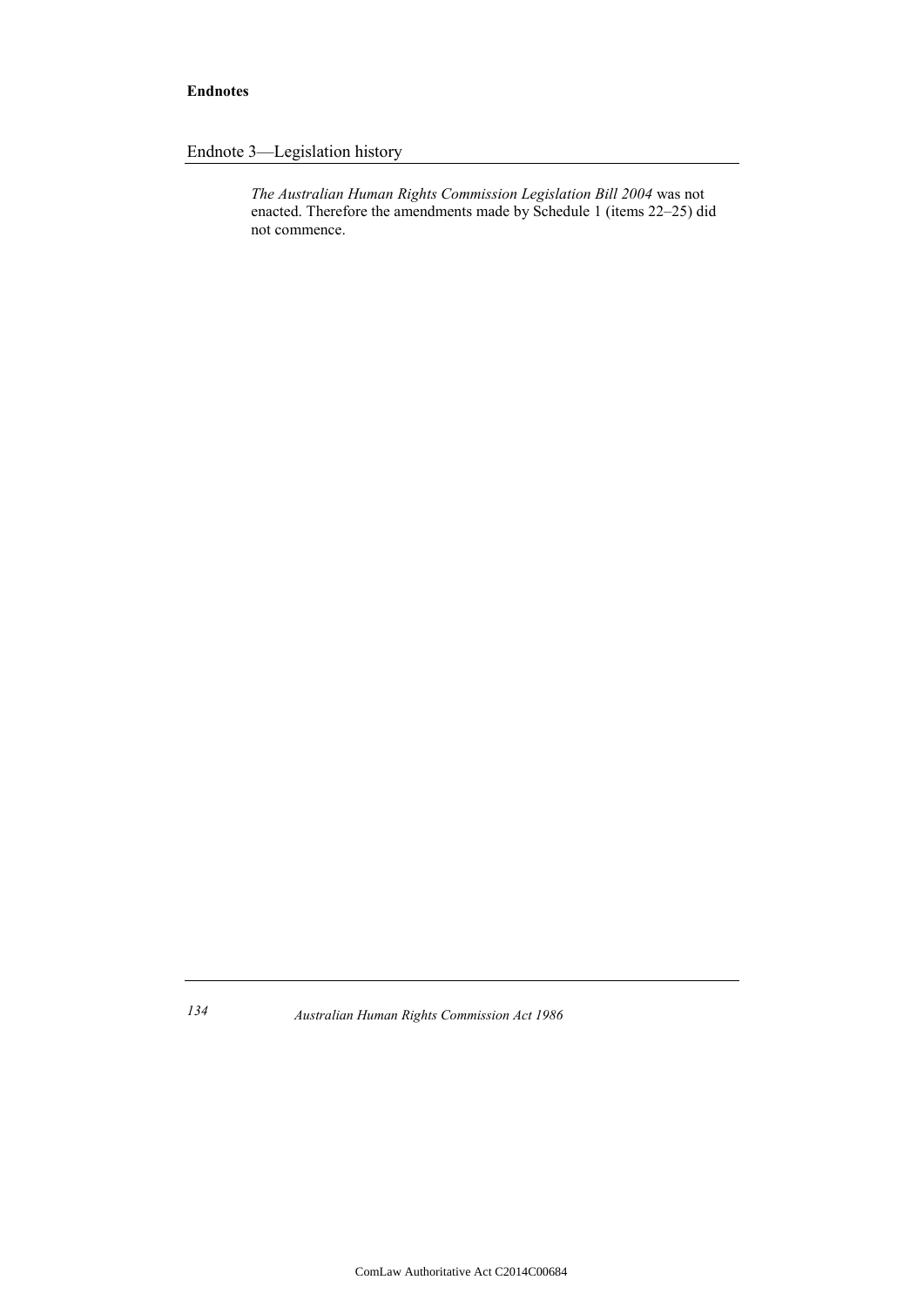#### **Endnotes**

## Endnote 3—Legislation history

*The Australian Human Rights Commission Legislation Bill 2004* was not enacted. Therefore the amendments made by Schedule 1 (items 22–25) did not commence.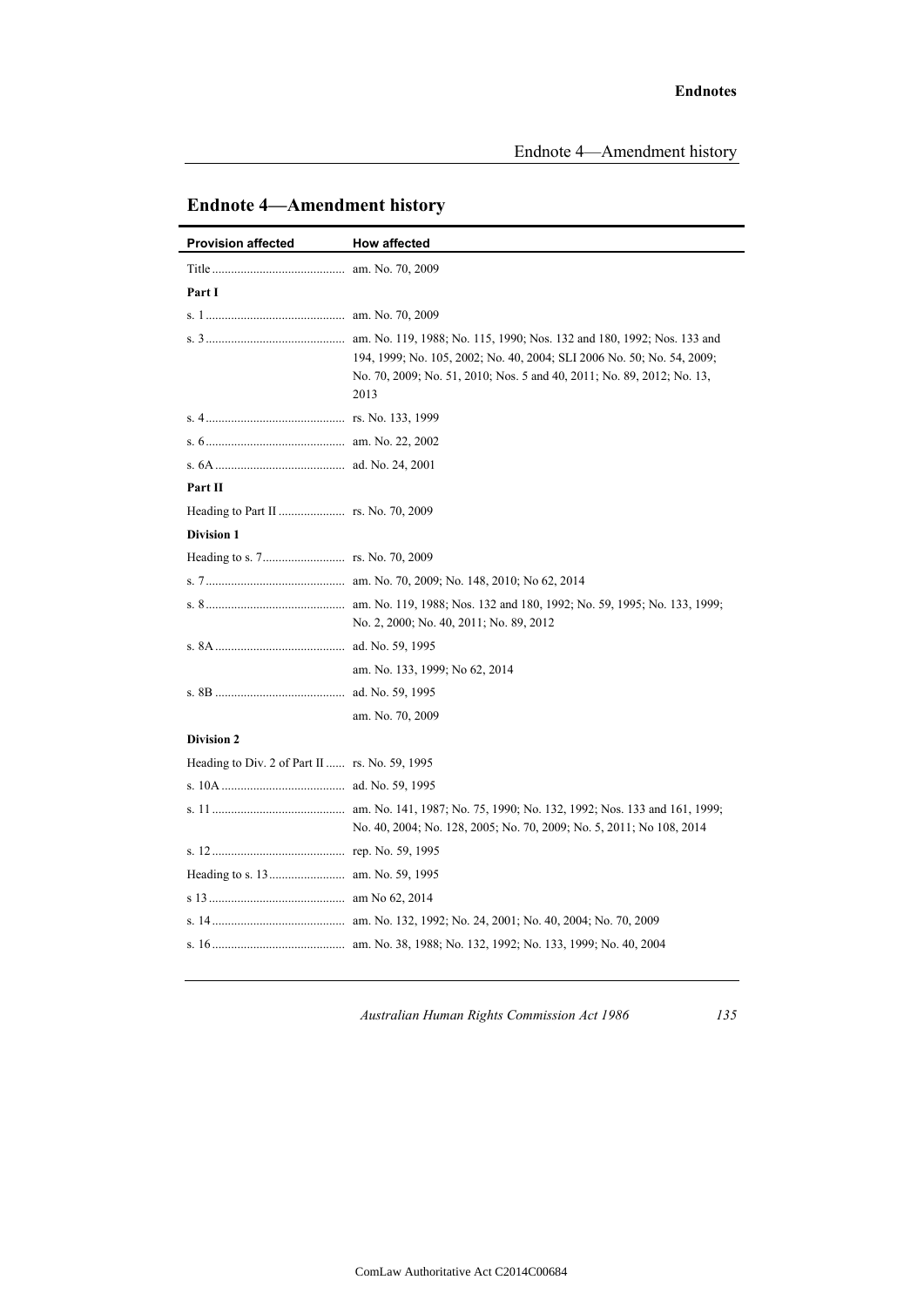| <b>Provision affected</b>                      | <b>How affected</b>                                                                                                                                      |
|------------------------------------------------|----------------------------------------------------------------------------------------------------------------------------------------------------------|
|                                                |                                                                                                                                                          |
| Part I                                         |                                                                                                                                                          |
|                                                |                                                                                                                                                          |
|                                                | 194, 1999; No. 105, 2002; No. 40, 2004; SLI 2006 No. 50; No. 54, 2009;<br>No. 70, 2009; No. 51, 2010; Nos. 5 and 40, 2011; No. 89, 2012; No. 13,<br>2013 |
|                                                |                                                                                                                                                          |
|                                                |                                                                                                                                                          |
|                                                |                                                                                                                                                          |
| Part II                                        |                                                                                                                                                          |
|                                                |                                                                                                                                                          |
| <b>Division 1</b>                              |                                                                                                                                                          |
|                                                |                                                                                                                                                          |
|                                                |                                                                                                                                                          |
|                                                | No. 2, 2000; No. 40, 2011; No. 89, 2012                                                                                                                  |
|                                                |                                                                                                                                                          |
|                                                | am. No. 133, 1999; No 62, 2014                                                                                                                           |
|                                                |                                                                                                                                                          |
|                                                | am. No. 70, 2009                                                                                                                                         |
| <b>Division 2</b>                              |                                                                                                                                                          |
| Heading to Div. 2 of Part II  rs. No. 59, 1995 |                                                                                                                                                          |
|                                                |                                                                                                                                                          |
|                                                | No. 40, 2004; No. 128, 2005; No. 70, 2009; No. 5, 2011; No 108, 2014                                                                                     |
|                                                |                                                                                                                                                          |
|                                                |                                                                                                                                                          |
|                                                |                                                                                                                                                          |
|                                                |                                                                                                                                                          |
|                                                |                                                                                                                                                          |

## **Endnote 4—Amendment history**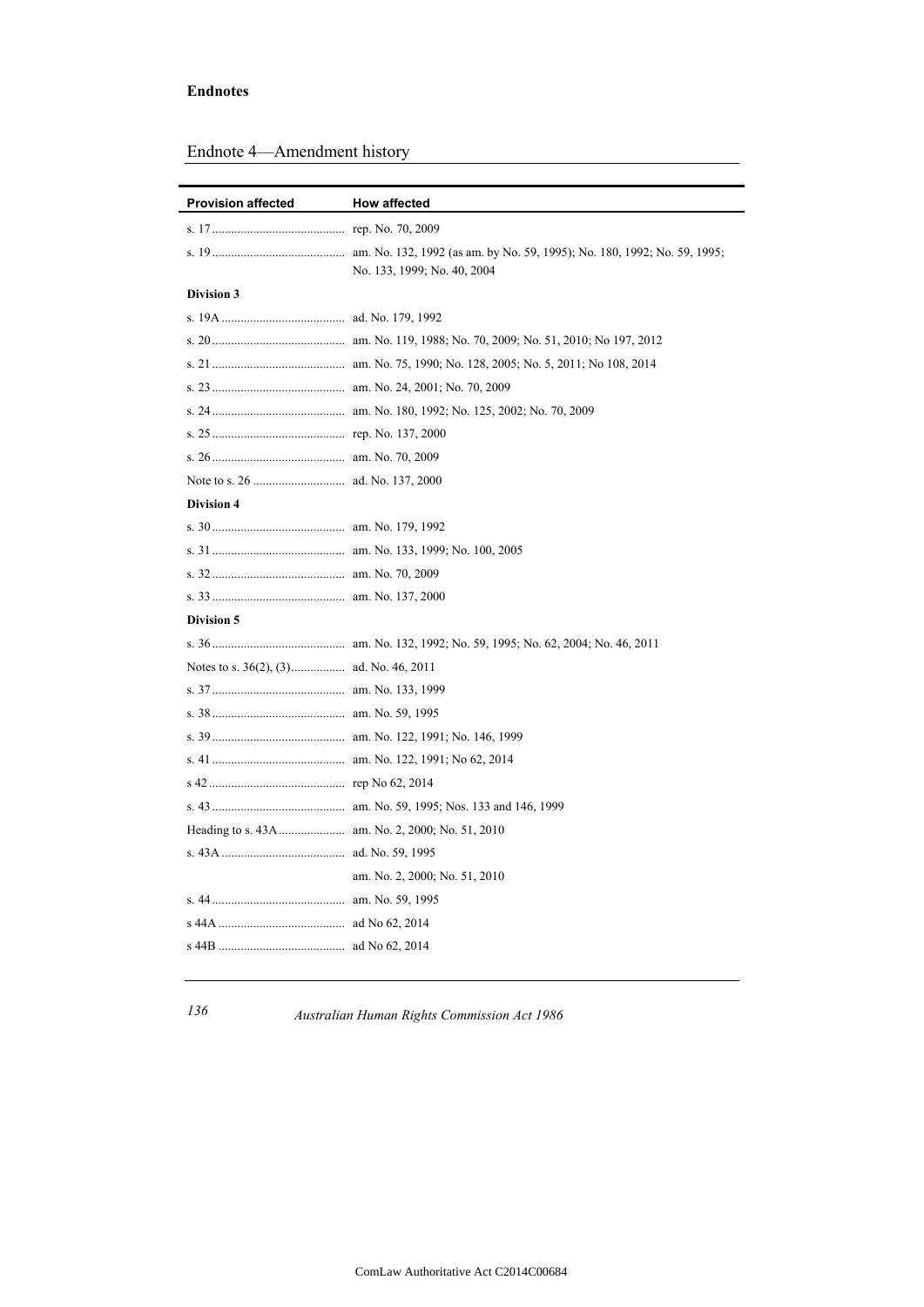## **Endnotes**

## Endnote 4—Amendment history

| No. 133, 1999; No. 40, 2004<br>Division 3<br><b>Division 4</b><br>Division 5<br>am. No. 2, 2000; No. 51, 2010 | <b>Provision affected</b> | How affected |
|---------------------------------------------------------------------------------------------------------------|---------------------------|--------------|
|                                                                                                               |                           |              |
|                                                                                                               |                           |              |
|                                                                                                               |                           |              |
|                                                                                                               |                           |              |
|                                                                                                               |                           |              |
|                                                                                                               |                           |              |
|                                                                                                               |                           |              |
|                                                                                                               |                           |              |
|                                                                                                               |                           |              |
|                                                                                                               |                           |              |
|                                                                                                               |                           |              |
|                                                                                                               |                           |              |
|                                                                                                               |                           |              |
|                                                                                                               |                           |              |
|                                                                                                               |                           |              |
|                                                                                                               |                           |              |
|                                                                                                               |                           |              |
|                                                                                                               |                           |              |
|                                                                                                               |                           |              |
|                                                                                                               |                           |              |
|                                                                                                               |                           |              |
|                                                                                                               |                           |              |
|                                                                                                               |                           |              |
|                                                                                                               |                           |              |
|                                                                                                               |                           |              |
|                                                                                                               |                           |              |
|                                                                                                               |                           |              |
|                                                                                                               |                           |              |
|                                                                                                               |                           |              |
|                                                                                                               |                           |              |
|                                                                                                               |                           |              |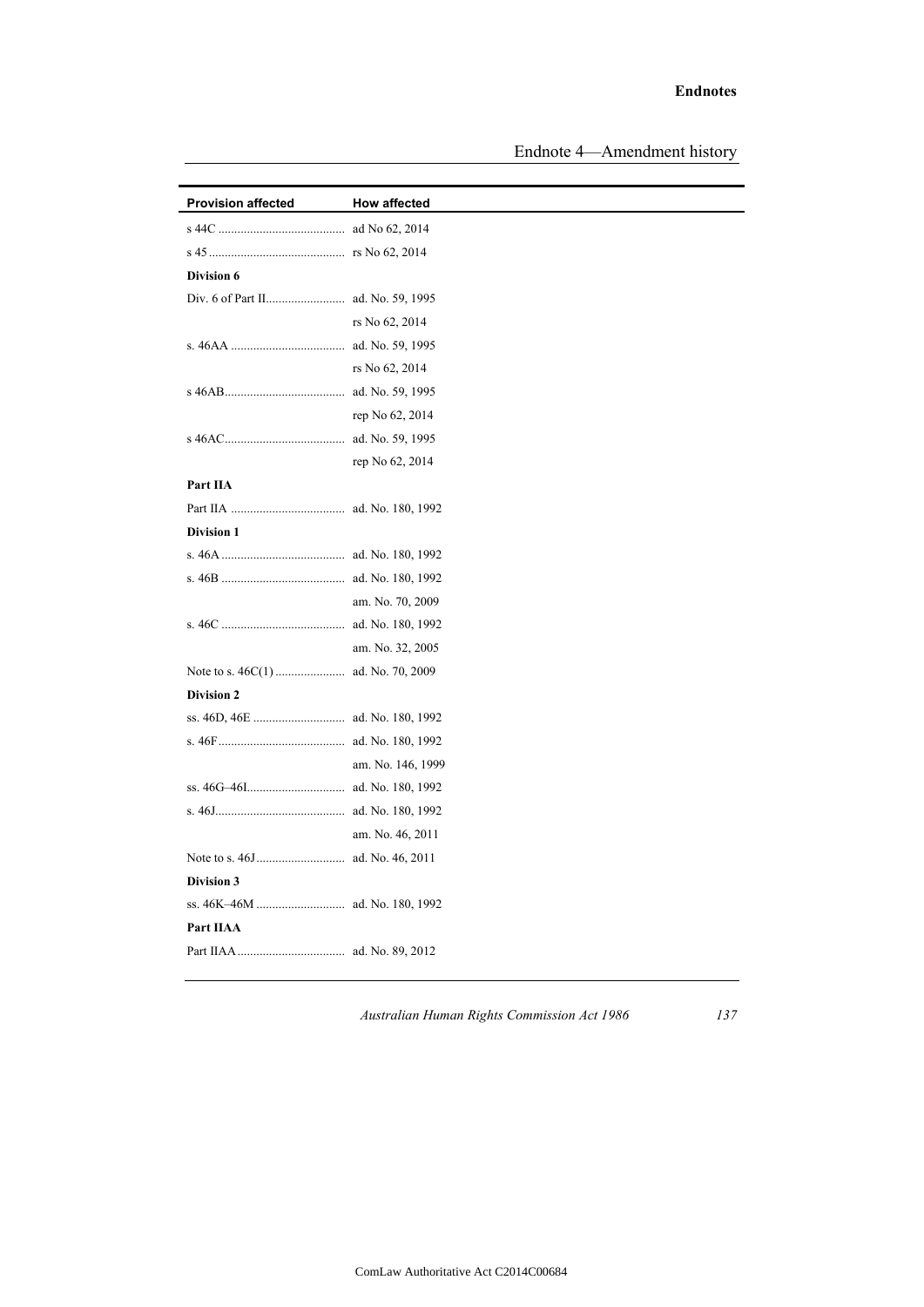Endnote 4—Amendment history

| <b>Provision affected</b> | <b>How affected</b> |
|---------------------------|---------------------|
|                           |                     |
|                           |                     |
| Division 6                |                     |
|                           |                     |
|                           | rs No 62, 2014      |
|                           |                     |
|                           | rs No 62, 2014      |
|                           |                     |
|                           | rep No 62, 2014     |
|                           |                     |
|                           | rep No 62, 2014     |
| Part IIA                  |                     |
|                           |                     |
| <b>Division 1</b>         |                     |
|                           |                     |
|                           |                     |
|                           | am. No. 70, 2009    |
|                           |                     |
|                           | am. No. 32, 2005    |
|                           |                     |
| <b>Division 2</b>         |                     |
|                           |                     |
|                           |                     |
|                           | am. No. 146, 1999   |
|                           |                     |
|                           |                     |
|                           | am. No. 46, 2011    |
|                           |                     |
| <b>Division 3</b>         |                     |
|                           |                     |
| Part IIAA                 |                     |
|                           |                     |
|                           |                     |

*Australian Human Rights Commission Act 1986 137*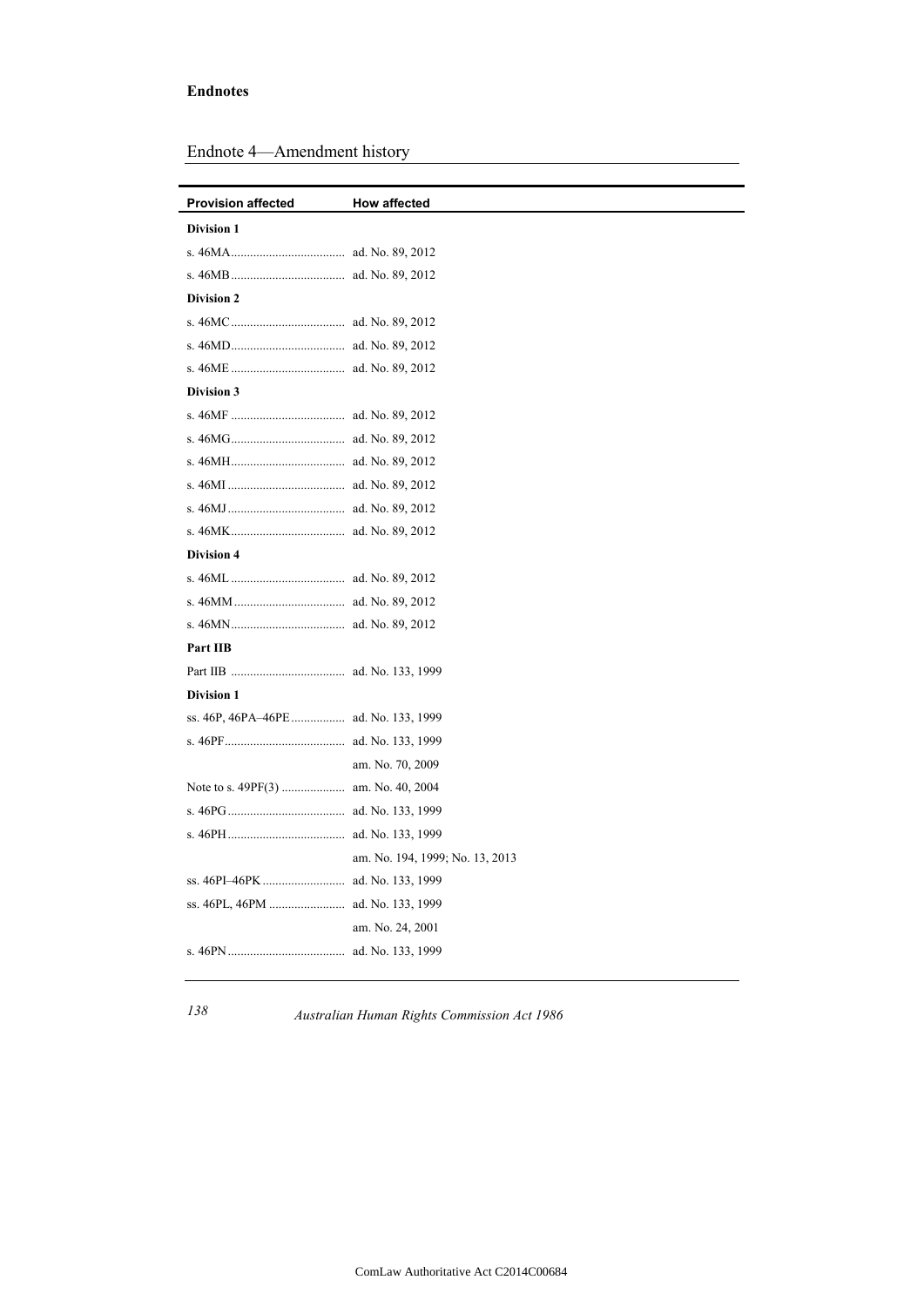# Endnote 4—Amendment history

| <b>Division 1</b><br><b>Division 2</b><br>Division 3<br><b>Division 4</b><br>Part IIB<br><b>Division 1</b><br>am. No. 70, 2009<br>am. No. 194, 1999; No. 13, 2013<br>am. No. 24, 2001 | <b>Provision affected</b> | <b>How affected</b> |
|---------------------------------------------------------------------------------------------------------------------------------------------------------------------------------------|---------------------------|---------------------|
|                                                                                                                                                                                       |                           |                     |
|                                                                                                                                                                                       |                           |                     |
|                                                                                                                                                                                       |                           |                     |
|                                                                                                                                                                                       |                           |                     |
|                                                                                                                                                                                       |                           |                     |
|                                                                                                                                                                                       |                           |                     |
|                                                                                                                                                                                       |                           |                     |
|                                                                                                                                                                                       |                           |                     |
|                                                                                                                                                                                       |                           |                     |
|                                                                                                                                                                                       |                           |                     |
|                                                                                                                                                                                       |                           |                     |
|                                                                                                                                                                                       |                           |                     |
|                                                                                                                                                                                       |                           |                     |
|                                                                                                                                                                                       |                           |                     |
|                                                                                                                                                                                       |                           |                     |
|                                                                                                                                                                                       |                           |                     |
|                                                                                                                                                                                       |                           |                     |
|                                                                                                                                                                                       |                           |                     |
|                                                                                                                                                                                       |                           |                     |
|                                                                                                                                                                                       |                           |                     |
|                                                                                                                                                                                       |                           |                     |
|                                                                                                                                                                                       |                           |                     |
|                                                                                                                                                                                       |                           |                     |
|                                                                                                                                                                                       |                           |                     |
|                                                                                                                                                                                       |                           |                     |
|                                                                                                                                                                                       |                           |                     |
|                                                                                                                                                                                       |                           |                     |
|                                                                                                                                                                                       |                           |                     |
|                                                                                                                                                                                       |                           |                     |
|                                                                                                                                                                                       |                           |                     |
|                                                                                                                                                                                       |                           |                     |
|                                                                                                                                                                                       |                           |                     |

*138 Australian Human Rights Commission Act 1986*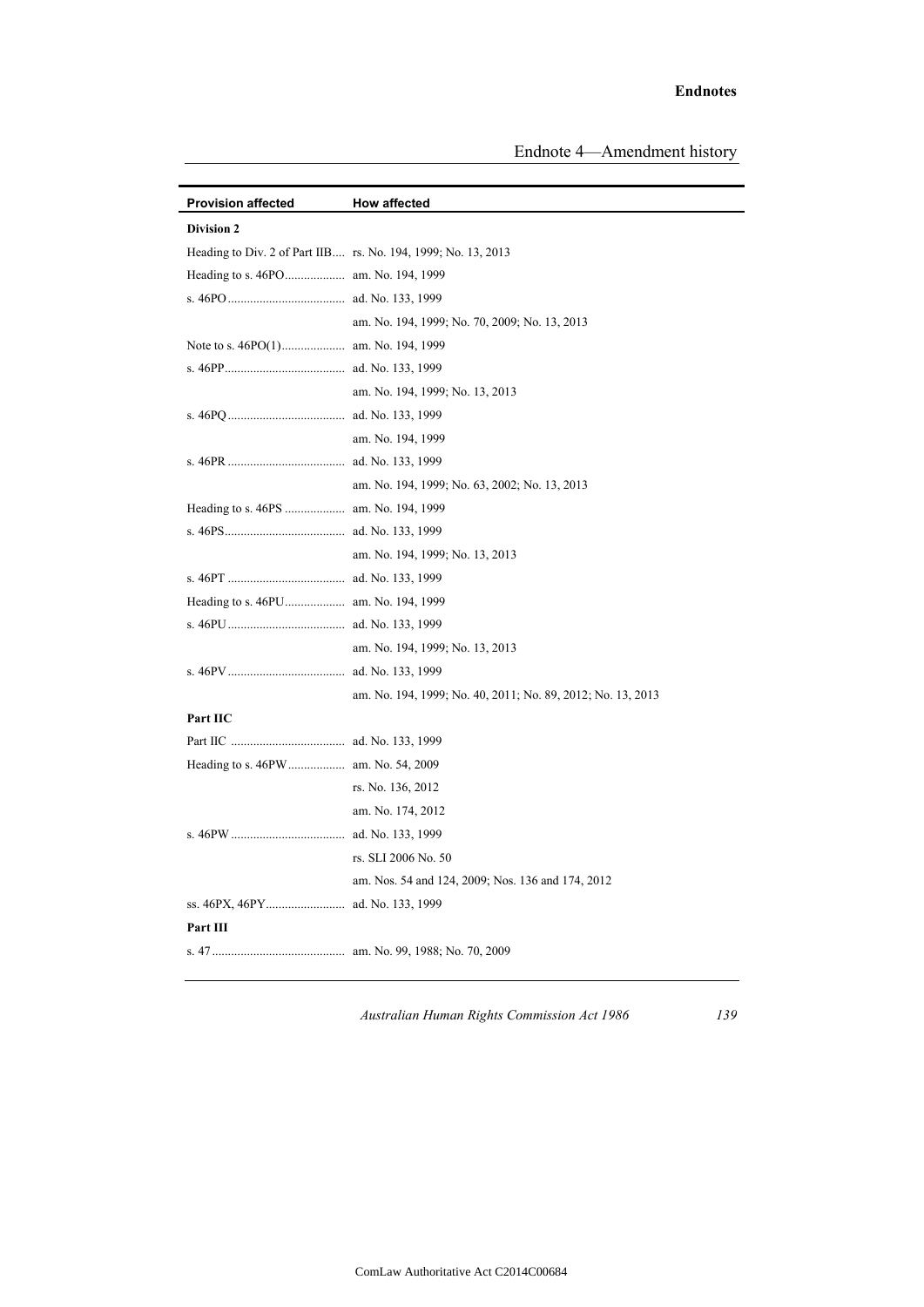Endnote 4—Amendment history

| <b>Provision affected</b> | <b>How affected</b>                                           |
|---------------------------|---------------------------------------------------------------|
| <b>Division 2</b>         |                                                               |
|                           | Heading to Div. 2 of Part IIB rs. No. 194, 1999; No. 13, 2013 |
|                           |                                                               |
|                           |                                                               |
|                           | am. No. 194, 1999; No. 70, 2009; No. 13, 2013                 |
|                           |                                                               |
|                           |                                                               |
|                           | am. No. 194, 1999; No. 13, 2013                               |
|                           |                                                               |
|                           | am. No. 194, 1999                                             |
|                           |                                                               |
|                           | am. No. 194, 1999; No. 63, 2002; No. 13, 2013                 |
|                           |                                                               |
|                           |                                                               |
|                           | am. No. 194, 1999; No. 13, 2013                               |
|                           |                                                               |
|                           |                                                               |
|                           |                                                               |
|                           | am. No. 194, 1999; No. 13, 2013                               |
|                           |                                                               |
|                           | am. No. 194, 1999; No. 40, 2011; No. 89, 2012; No. 13, 2013   |
| Part IIC                  |                                                               |
|                           |                                                               |
|                           |                                                               |
|                           | rs. No. 136, 2012                                             |
|                           | am. No. 174, 2012                                             |
|                           |                                                               |
|                           | rs. SLI 2006 No. 50                                           |
|                           | am. Nos. 54 and 124, 2009; Nos. 136 and 174, 2012             |
|                           |                                                               |
| Part III                  |                                                               |
|                           |                                                               |

*Australian Human Rights Commission Act 1986 139*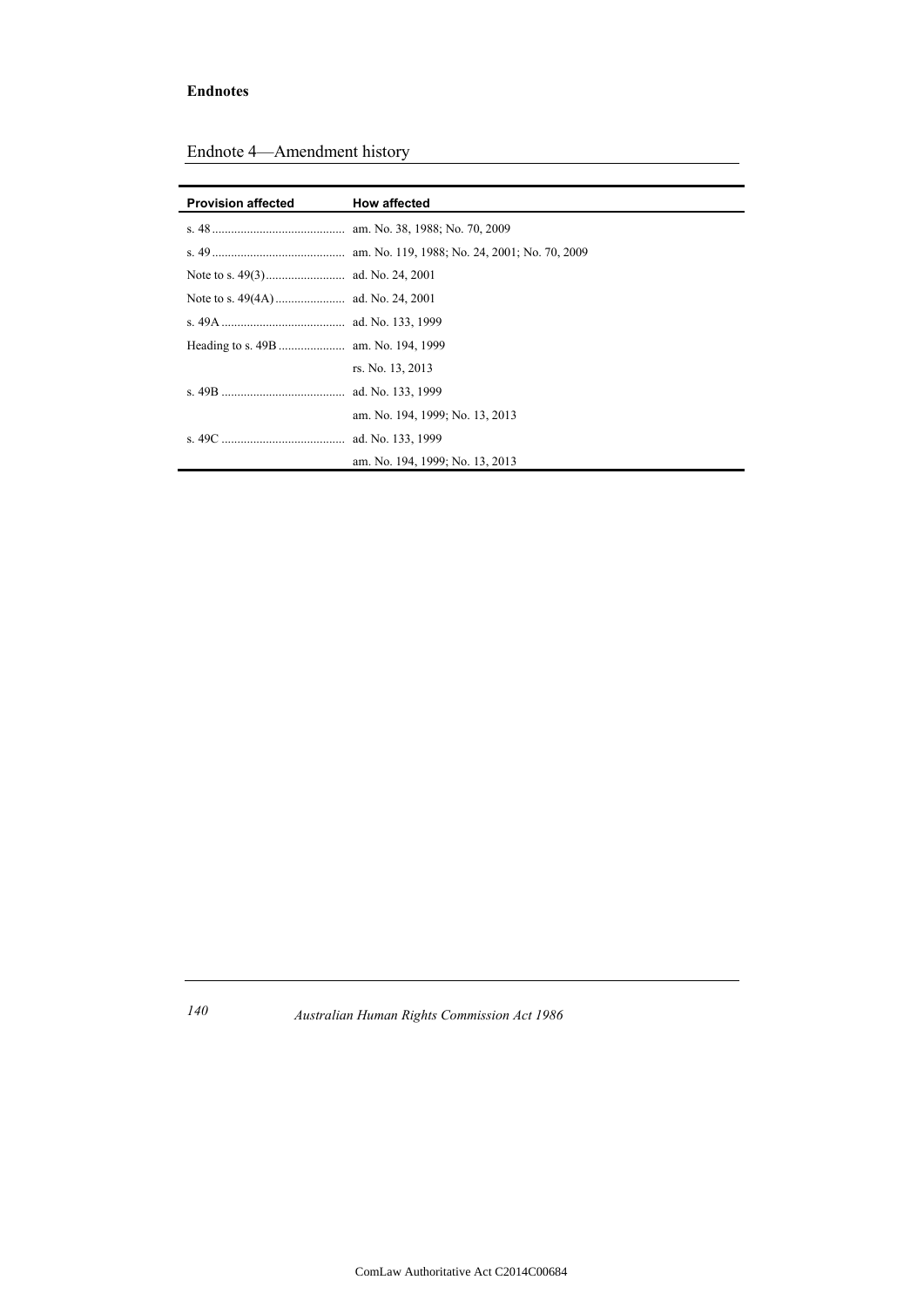| <b>Provision affected</b> | <b>How affected</b>             |
|---------------------------|---------------------------------|
|                           |                                 |
|                           |                                 |
|                           |                                 |
|                           |                                 |
|                           |                                 |
|                           |                                 |
|                           | rs. No. 13, 2013                |
|                           |                                 |
|                           | am. No. 194, 1999; No. 13, 2013 |
|                           |                                 |
|                           | am. No. 194, 1999; No. 13, 2013 |

*140 Australian Human Rights Commission Act 1986*